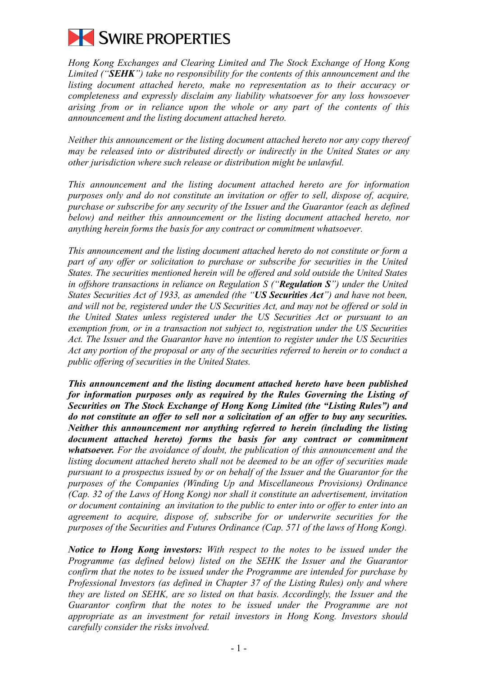

*Hong Kong Exchanges and Clearing Limited and The Stock Exchange of Hong Kong Limited ("SEHK") take no responsibility for the contents of this announcement and the listing document attached hereto, make no representation as to their accuracy or completeness and expressly disclaim any liability whatsoever for any loss howsoever arising from or in reliance upon the whole or any part of the contents of this announcement and the listing document attached hereto.*

*Neither this announcement or the listing document attached hereto nor any copy thereof may be released into or distributed directly or indirectly in the United States or any other jurisdiction where such release or distribution might be unlawful.*

*This announcement and the listing document attached hereto are for information purposes only and do not constitute an invitation or offer to sell, dispose of, acquire, purchase or subscribe for any security of the Issuer and the Guarantor (each as defined below) and neither this announcement or the listing document attached hereto, nor anything herein forms the basis for any contract or commitment whatsoever.*

*This announcement and the listing document attached hereto do not constitute or form a*  part of any offer or solicitation to purchase or subscribe for securities in the United *States. The securities mentioned herein will be offered and sold outside the United States in offshore transactions in reliance on Regulation S ("Regulation S") under the United States Securities Act of 1933, as amended (the "US Securities Act") and have not been, and will not be, registered under the US Securities Act, and may not be offered or sold in the United States unless registered under the US Securities Act or pursuant to an exemption from, or in a transaction not subject to, registration under the US Securities Act. The Issuer and the Guarantor have no intention to register under the US Securities Act any portion of the proposal or any of the securities referred to herein or to conduct a public offering of securities in the United States.*

*This announcement and the listing document attached hereto have been published for information purposes only as required by the Rules Governing the Listing of Securities on The Stock Exchange of Hong Kong Limited (the "Listing Rules") and do not constitute an offer to sell nor a solicitation of an offer to buy any securities. Neither this announcement nor anything referred to herein (including the listing document attached hereto) forms the basis for any contract or commitment whatsoever. For the avoidance of doubt, the publication of this announcement and the listing document attached hereto shall not be deemed to be an offer of securities made pursuant to a prospectus issued by or on behalf of the Issuer and the Guarantor for the purposes of the Companies (Winding Up and Miscellaneous Provisions) Ordinance (Cap. 32 of the Laws of Hong Kong) nor shall it constitute an advertisement, invitation or document containing an invitation to the public to enter into or offer to enter into an agreement to acquire, dispose of, subscribe for or underwrite securities for the purposes of the Securities and Futures Ordinance (Cap. 571 of the laws of Hong Kong).*

*Notice to Hong Kong investors: With respect to the notes to be issued under the Programme (as defined below) listed on the SEHK the Issuer and the Guarantor confirm that the notes to be issued under the Programme are intended for purchase by Professional Investors (as defined in Chapter 37 of the Listing Rules) only and where they are listed on SEHK, are so listed on that basis. Accordingly, the Issuer and the Guarantor confirm that the notes to be issued under the Programme are not appropriate as an investment for retail investors in Hong Kong. Investors should carefully consider the risks involved.*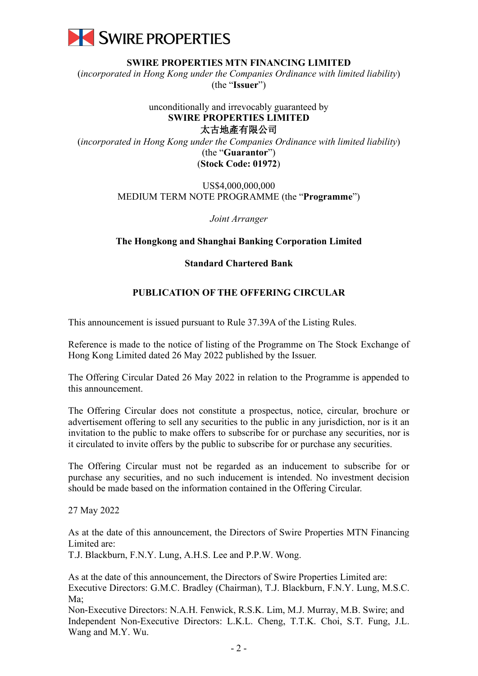

**SWIRE PROPERTIES MTN FINANCING LIMITED**

(*incorporated in Hong Kong under the Companies Ordinance with limited liability*) (the "**Issuer**")

## unconditionally and irrevocably guaranteed by **SWIRE PROPERTIES LIMITED** 太古地產有限公司

(*incorporated in Hong Kong under the Companies Ordinance with limited liability*) (the "**Guarantor**") (**Stock Code: 01972**)

## US\$4,000,000,000 MEDIUM TERM NOTE PROGRAMME (the "**Programme**")

*Joint Arranger*

## **The Hongkong and Shanghai Banking Corporation Limited**

## **Standard Chartered Bank**

## **PUBLICATION OF THE OFFERING CIRCULAR**

This announcement is issued pursuant to Rule 37.39A of the Listing Rules.

Reference is made to the notice of listing of the Programme on The Stock Exchange of Hong Kong Limited dated 26 May 2022 published by the Issuer.

The Offering Circular Dated 26 May 2022 in relation to the Programme is appended to this announcement.

The Offering Circular does not constitute a prospectus, notice, circular, brochure or advertisement offering to sell any securities to the public in any jurisdiction, nor is it an invitation to the public to make offers to subscribe for or purchase any securities, nor is it circulated to invite offers by the public to subscribe for or purchase any securities.

The Offering Circular must not be regarded as an inducement to subscribe for or purchase any securities, and no such inducement is intended. No investment decision should be made based on the information contained in the Offering Circular.

27 May 2022

As at the date of this announcement, the Directors of Swire Properties MTN Financing Limited are:

T.J. Blackburn, F.N.Y. Lung, A.H.S. Lee and P.P.W. Wong.

As at the date of this announcement, the Directors of Swire Properties Limited are: Executive Directors: G.M.C. Bradley (Chairman), T.J. Blackburn, F.N.Y. Lung, M.S.C. Ma;

Non-Executive Directors: N.A.H. Fenwick, R.S.K. Lim, M.J. Murray, M.B. Swire; and Independent Non-Executive Directors: L.K.L. Cheng, T.T.K. Choi, S.T. Fung, J.L. Wang and M.Y. Wu.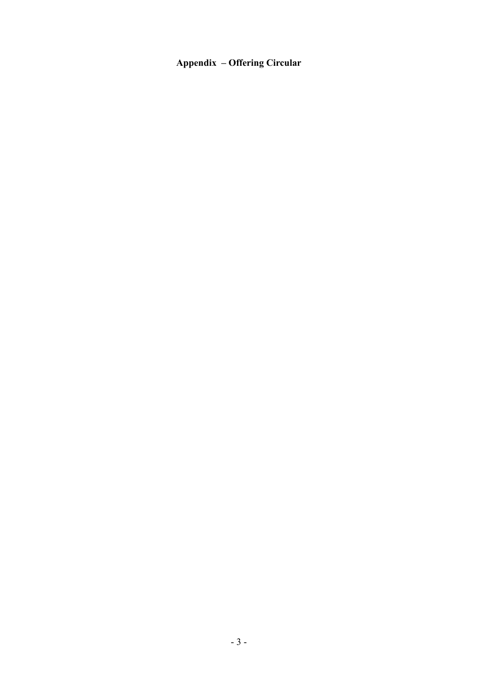# **Appendix – Offering Circular**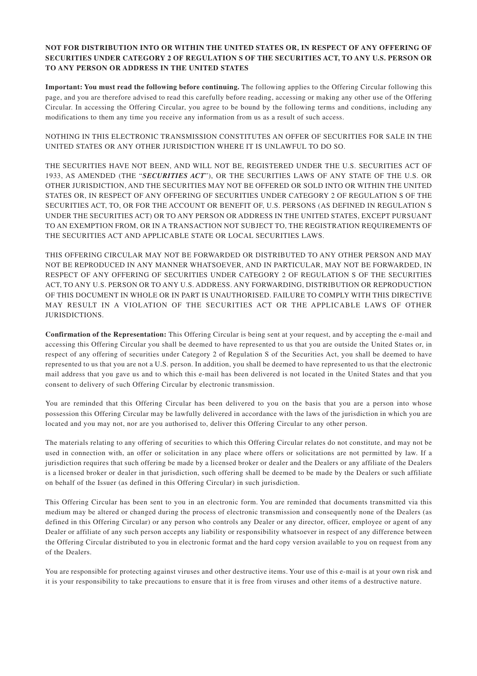#### **NOT FOR DISTRIBUTION INTO OR WITHIN THE UNITED STATES OR, IN RESPECT OF ANY OFFERING OF SECURITIES UNDER CATEGORY 2 OF REGULATION S OF THE SECURITIES ACT, TO ANY U.S. PERSON OR TO ANY PERSON OR ADDRESS IN THE UNITED STATES**

**Important: You must read the following before continuing.** The following applies to the Offering Circular following this page, and you are therefore advised to read this carefully before reading, accessing or making any other use of the Offering Circular. In accessing the Offering Circular, you agree to be bound by the following terms and conditions, including any modifications to them any time you receive any information from us as a result of such access.

NOTHING IN THIS ELECTRONIC TRANSMISSION CONSTITUTES AN OFFER OF SECURITIES FOR SALE IN THE UNITED STATES OR ANY OTHER JURISDICTION WHERE IT IS UNLAWFUL TO DO SO.

THE SECURITIES HAVE NOT BEEN, AND WILL NOT BE, REGISTERED UNDER THE U.S. SECURITIES ACT OF 1933, AS AMENDED (THE "*SECURITIES ACT*"), OR THE SECURITIES LAWS OF ANY STATE OF THE U.S. OR OTHER JURISDICTION, AND THE SECURITIES MAY NOT BE OFFERED OR SOLD INTO OR WITHIN THE UNITED STATES OR, IN RESPECT OF ANY OFFERING OF SECURITIES UNDER CATEGORY 2 OF REGULATION S OF THE SECURITIES ACT, TO, OR FOR THE ACCOUNT OR BENEFIT OF, U.S. PERSONS (AS DEFINED IN REGULATION S UNDER THE SECURITIES ACT) OR TO ANY PERSON OR ADDRESS IN THE UNITED STATES, EXCEPT PURSUANT TO AN EXEMPTION FROM, OR IN A TRANSACTION NOT SUBJECT TO, THE REGISTRATION REQUIREMENTS OF THE SECURITIES ACT AND APPLICABLE STATE OR LOCAL SECURITIES LAWS.

THIS OFFERING CIRCULAR MAY NOT BE FORWARDED OR DISTRIBUTED TO ANY OTHER PERSON AND MAY NOT BE REPRODUCED IN ANY MANNER WHATSOEVER, AND IN PARTICULAR, MAY NOT BE FORWARDED, IN RESPECT OF ANY OFFERING OF SECURITIES UNDER CATEGORY 2 OF REGULATION S OF THE SECURITIES ACT, TO ANY U.S. PERSON OR TO ANY U.S. ADDRESS. ANY FORWARDING, DISTRIBUTION OR REPRODUCTION OF THIS DOCUMENT IN WHOLE OR IN PART IS UNAUTHORISED. FAILURE TO COMPLY WITH THIS DIRECTIVE MAY RESULT IN A VIOLATION OF THE SECURITIES ACT OR THE APPLICABLE LAWS OF OTHER JURISDICTIONS.

**Confirmation of the Representation:** This Offering Circular is being sent at your request, and by accepting the e-mail and accessing this Offering Circular you shall be deemed to have represented to us that you are outside the United States or, in respect of any offering of securities under Category 2 of Regulation S of the Securities Act, you shall be deemed to have represented to us that you are not a U.S. person. In addition, you shall be deemed to have represented to us that the electronic mail address that you gave us and to which this e-mail has been delivered is not located in the United States and that you consent to delivery of such Offering Circular by electronic transmission.

You are reminded that this Offering Circular has been delivered to you on the basis that you are a person into whose possession this Offering Circular may be lawfully delivered in accordance with the laws of the jurisdiction in which you are located and you may not, nor are you authorised to, deliver this Offering Circular to any other person.

The materials relating to any offering of securities to which this Offering Circular relates do not constitute, and may not be used in connection with, an offer or solicitation in any place where offers or solicitations are not permitted by law. If a jurisdiction requires that such offering be made by a licensed broker or dealer and the Dealers or any affiliate of the Dealers is a licensed broker or dealer in that jurisdiction, such offering shall be deemed to be made by the Dealers or such affiliate on behalf of the Issuer (as defined in this Offering Circular) in such jurisdiction.

This Offering Circular has been sent to you in an electronic form. You are reminded that documents transmitted via this medium may be altered or changed during the process of electronic transmission and consequently none of the Dealers (as defined in this Offering Circular) or any person who controls any Dealer or any director, officer, employee or agent of any Dealer or affiliate of any such person accepts any liability or responsibility whatsoever in respect of any difference between the Offering Circular distributed to you in electronic format and the hard copy version available to you on request from any of the Dealers.

You are responsible for protecting against viruses and other destructive items. Your use of this e-mail is at your own risk and it is your responsibility to take precautions to ensure that it is free from viruses and other items of a destructive nature.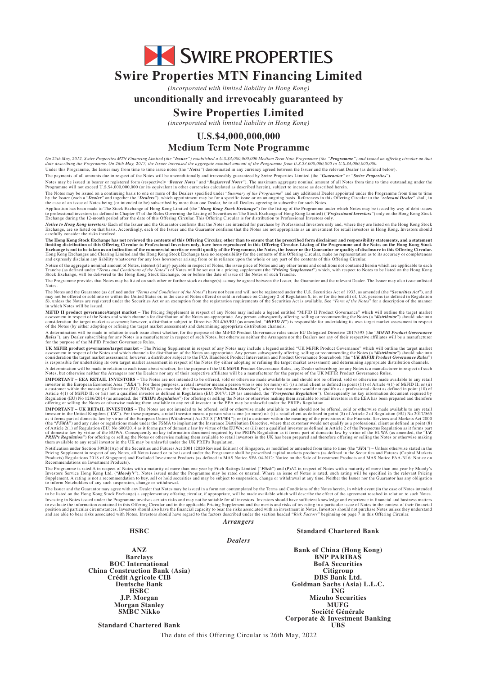SWIRE PROPERTIES

# **Swire Properties MTN Financing Limited**

*(incorporated with limited liability in Hong Kong)*

#### **unconditionally and irrevocably guaranteed by**

## **Swire Properties Limited**

*(incorporated with limited liability in Hong Kong)*

### **U.S.\$4,000,000,000**

#### **Medium Term Note Programme**

On 25th May, 2012, Swire Properties MTN Financing Limited (the "**Issuer**") established a U.S.\$3,000,000,000 Medium Term Note Programme (the "**Programme**") and issued an offering circular on that<br>date describing the Program

The payments of all amounts due in respect of the Notes will be unconditionally and irrevocably guaranteed by Swire Properties Limited (the "*Guarantor*" or "*Swire Properties*").

Notes may be issued in bearer or registered form (respectively "Bearer Notes") and "Registered Notes"). The maximum aggregate nominal amount of all Notes from time to time outstanding under the<br>Programme will not exceed U.

The Notes may be issued on a continuing basis to one or more of the Dealers specified under "S*ummary of the Programme*" and any additional Dealer appointed under the Programme from time to time<br>by the Issuer (each a "Deal

Application has been made to The Stock Exchange of Hong Kong Limited (the "**Hong Kong Stock Exchange**") for the listing of the Programme under which Notes may be issued by way of debt issues<br>to professional investors (as d

*Notice to Hong Kong investors:* Each of the Issuer and the Guarantor confirms that the Notes are intended for purchase by Professional Investors only and, where they are listed on the Hong Kong Stock<br>Exchange, are so list

The Hong Kong Stock Exchange has not reviewed the contents of this Offering Circular, other than to ensure that the prescribed form disclaimer and responsibility statements, and a statements, and a statement is offering Ci

Notice of the aggregate nominal amount of Notes, interest (if any) payable in respect of Notes, the issue price of Notes and any other terms and conditions not contained herein which are applicable to each<br>Tranche (as defi

The Programme provides that Notes may be listed on such other or further stock exchange(s) as may be agreed between the Issuer, the Guarantor and the relevant Dealer. The Issuer may also issue unlisted

Notes.<br>The Notes and the Guarantee (as defined under "*Terms and Conditions of the Notes*") have not been and will not be registered under the U.S. Securities Act of 1933, as amended (the "Securities Act"), and<br>may not be

**MiFID II product governance/target market –** The Pricing Supplement in respect of any Notes may include a legend entitled "MiFID II Product Governance" which will outline the target market<br>consideration the respect of the

A determination will be made in relation to each issue about whether, for the purpose of the MiFID Product Governance rules under EU Delegated Directive 2017/593 (the "MFID Product Governance<br>Rules"), any Dealer subscribin

UK MiFIR product governance/target market – The Pricing Supplement in respect of any Notes may include a legend entitled "UK MiFIR Product Governance" which will outline the target market<br>assessment in respect of the Notes

A determination will be made in relation to each issue about whether, for the purpose of the UK MiFIR Product Governance Rules, any Dealer subscribing for any Notes is a manufacturer in respect of such Addet Subscribing fo

IMPORTANT – UK RETAIL INVESTORS – The Notes are not intended to be offered, sold or otherwise made available to and should not be offered, sold or otherwise made available to any retail<br>investor in the United Kingdom ("UK"

Notification under Section 309B(1)(c) of the Securities and Futures Act 2001 (2020 Revised Edition) of Singapore, as modified or amended from time to time (the "SFA") – Unless otherwise stated in the triction 309B(1)(c) of

The Programme is rated A in respect of Notes with a maturity of more than one year by Fitch Ratings Limited ("Fitch") and (P)A2 in respect of Notes with a maturity of more than one year by Moody's<br>Investors Service Hong Ko

to inform Noteholders of any such suspension, change or withdrawal.<br>The Issuer and the Guarantor may agree with any the interpolated by the Terms and Conditions of the Notes herein, in which event (in the case of Notes int Investing in Notes issued under the Programme involves certain risks and may not be suitable for all investors. Investors should have sufficient knowledge and experience in financial and business matters<br>to evaluate the in

**HSBC Standard Chartered Bank**

*Dealers*

*Arrangers*

**ANZ Barclays BOC International China Construction Bank (Asia) Crédit Agricole CIB Deutsche Bank HSBC J.P. Morgan Morgan Stanley SMBC Nikko**

**Bank of China (Hong Kong) BNP PARIBAS BofA Securities Citigroup DBS Bank Ltd. Goldman Sachs (Asia) L.L.C. ING Mizuho Securities MUFG Société Générale Corporate & Investment Banking UBS**

**Standard Chartered Bank**

The date of this Offering Circular is 26th May, 2022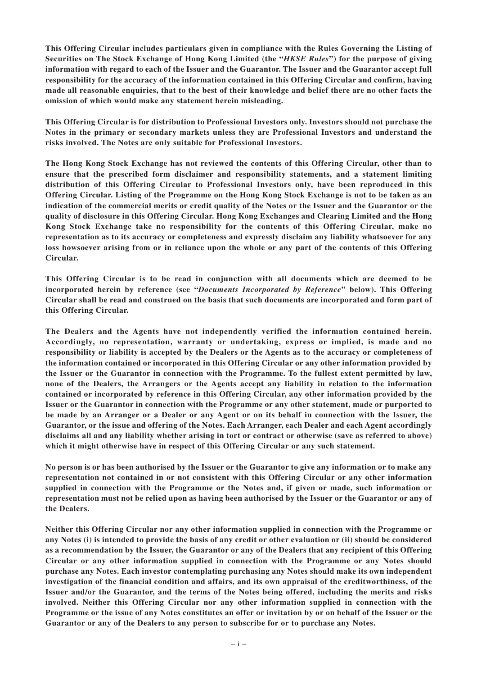**This Offering Circular includes particulars given in compliance with the Rules Governing the Listing of Securities on The Stock Exchange of Hong Kong Limited (the "***HKSE Rules***") for the purpose of giving information with regard to each of the Issuer and the Guarantor. The Issuer and the Guarantor accept full responsibility for the accuracy of the information contained in this Offering Circular and confirm, having made all reasonable enquiries, that to the best of their knowledge and belief there are no other facts the omission of which would make any statement herein misleading.**

**This Offering Circular is for distribution to Professional Investors only. Investors should not purchase the Notes in the primary or secondary markets unless they are Professional Investors and understand the risks involved. The Notes are only suitable for Professional Investors.**

**The Hong Kong Stock Exchange has not reviewed the contents of this Offering Circular, other than to ensure that the prescribed form disclaimer and responsibility statements, and a statement limiting distribution of this Offering Circular to Professional Investors only, have been reproduced in this Offering Circular. Listing of the Programme on the Hong Kong Stock Exchange is not to be taken as an indication of the commercial merits or credit quality of the Notes or the Issuer and the Guarantor or the quality of disclosure in this Offering Circular. Hong Kong Exchanges and Clearing Limited and the Hong Kong Stock Exchange take no responsibility for the contents of this Offering Circular, make no representation as to its accuracy or completeness and expressly disclaim any liability whatsoever for any loss howsoever arising from or in reliance upon the whole or any part of the contents of this Offering Circular.**

**This Offering Circular is to be read in conjunction with all documents which are deemed to be incorporated herein by reference (see "***Documents Incorporated by Reference***" below). This Offering Circular shall be read and construed on the basis that such documents are incorporated and form part of this Offering Circular.**

**The Dealers and the Agents have not independently verified the information contained herein. Accordingly, no representation, warranty or undertaking, express or implied, is made and no responsibility or liability is accepted by the Dealers or the Agents as to the accuracy or completeness of the information contained or incorporated in this Offering Circular or any other information provided by the Issuer or the Guarantor in connection with the Programme. To the fullest extent permitted by law, none of the Dealers, the Arrangers or the Agents accept any liability in relation to the information contained or incorporated by reference in this Offering Circular, any other information provided by the Issuer or the Guarantor in connection with the Programme or any other statement, made or purported to be made by an Arranger or a Dealer or any Agent or on its behalf in connection with the Issuer, the Guarantor, or the issue and offering of the Notes. Each Arranger, each Dealer and each Agent accordingly disclaims all and any liability whether arising in tort or contract or otherwise (save as referred to above) which it might otherwise have in respect of this Offering Circular or any such statement.**

**No person is or has been authorised by the Issuer or the Guarantor to give any information or to make any representation not contained in or not consistent with this Offering Circular or any other information supplied in connection with the Programme or the Notes and, if given or made, such information or representation must not be relied upon as having been authorised by the Issuer or the Guarantor or any of the Dealers.**

**Neither this Offering Circular nor any other information supplied in connection with the Programme or any Notes (i) is intended to provide the basis of any credit or other evaluation or (ii) should be considered as a recommendation by the Issuer, the Guarantor or any of the Dealers that any recipient of this Offering Circular or any other information supplied in connection with the Programme or any Notes should purchase any Notes. Each investor contemplating purchasing any Notes should make its own independent investigation of the financial condition and affairs, and its own appraisal of the creditworthiness, of the Issuer and/or the Guarantor, and the terms of the Notes being offered, including the merits and risks involved. Neither this Offering Circular nor any other information supplied in connection with the Programme or the issue of any Notes constitutes an offer or invitation by or on behalf of the Issuer or the Guarantor or any of the Dealers to any person to subscribe for or to purchase any Notes.**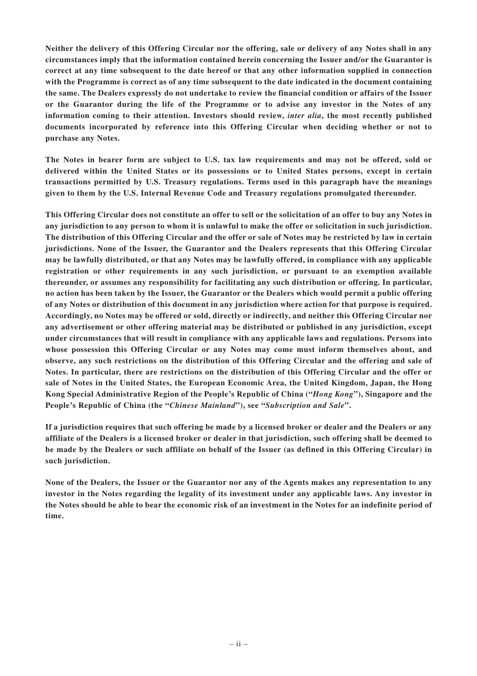**Neither the delivery of this Offering Circular nor the offering, sale or delivery of any Notes shall in any circumstances imply that the information contained herein concerning the Issuer and/or the Guarantor is correct at any time subsequent to the date hereof or that any other information supplied in connection with the Programme is correct as of any time subsequent to the date indicated in the document containing the same. The Dealers expressly do not undertake to review the financial condition or affairs of the Issuer or the Guarantor during the life of the Programme or to advise any investor in the Notes of any information coming to their attention. Investors should review,** *inter alia***, the most recently published documents incorporated by reference into this Offering Circular when deciding whether or not to purchase any Notes.**

**The Notes in bearer form are subject to U.S. tax law requirements and may not be offered, sold or delivered within the United States or its possessions or to United States persons, except in certain transactions permitted by U.S. Treasury regulations. Terms used in this paragraph have the meanings given to them by the U.S. Internal Revenue Code and Treasury regulations promulgated thereunder.**

**This Offering Circular does not constitute an offer to sell or the solicitation of an offer to buy any Notes in any jurisdiction to any person to whom it is unlawful to make the offer or solicitation in such jurisdiction. The distribution of this Offering Circular and the offer or sale of Notes may be restricted by law in certain jurisdictions. None of the Issuer, the Guarantor and the Dealers represents that this Offering Circular may be lawfully distributed, or that any Notes may be lawfully offered, in compliance with any applicable registration or other requirements in any such jurisdiction, or pursuant to an exemption available thereunder, or assumes any responsibility for facilitating any such distribution or offering. In particular, no action has been taken by the Issuer, the Guarantor or the Dealers which would permit a public offering of any Notes or distribution of this document in any jurisdiction where action for that purpose is required. Accordingly, no Notes may be offered or sold, directly or indirectly, and neither this Offering Circular nor any advertisement or other offering material may be distributed or published in any jurisdiction, except under circumstances that will result in compliance with any applicable laws and regulations. Persons into whose possession this Offering Circular or any Notes may come must inform themselves about, and observe, any such restrictions on the distribution of this Offering Circular and the offering and sale of Notes. In particular, there are restrictions on the distribution of this Offering Circular and the offer or sale of Notes in the United States, the European Economic Area, the United Kingdom, Japan, the Hong Kong Special Administrative Region of the People's Republic of China ("***Hong Kong***"), Singapore and the People's Republic of China (the "***Chinese Mainland***"), see "***Subscription and Sale***".**

**If a jurisdiction requires that such offering be made by a licensed broker or dealer and the Dealers or any affiliate of the Dealers is a licensed broker or dealer in that jurisdiction, such offering shall be deemed to be made by the Dealers or such affiliate on behalf of the Issuer (as defined in this Offering Circular) in such jurisdiction.**

**None of the Dealers, the Issuer or the Guarantor nor any of the Agents makes any representation to any investor in the Notes regarding the legality of its investment under any applicable laws. Any investor in the Notes should be able to bear the economic risk of an investment in the Notes for an indefinite period of time.**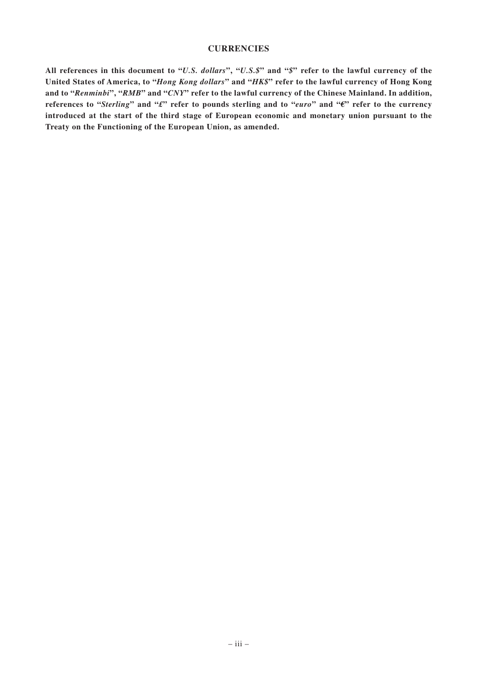#### **CURRENCIES**

**All references in this document to "***U.S. dollars***", "***U.S.\$***" and "***\$***" refer to the lawful currency of the United States of America, to "***Hong Kong dollars***" and "***HK\$***" refer to the lawful currency of Hong Kong and to "***Renminbi***", "***RMB***" and "***CNY***" refer to the lawful currency of the Chinese Mainland. In addition, references to "***Sterling***" and "***£***" refer to pounds sterling and to "***euro***" and "***€***" refer to the currency introduced at the start of the third stage of European economic and monetary union pursuant to the Treaty on the Functioning of the European Union, as amended.**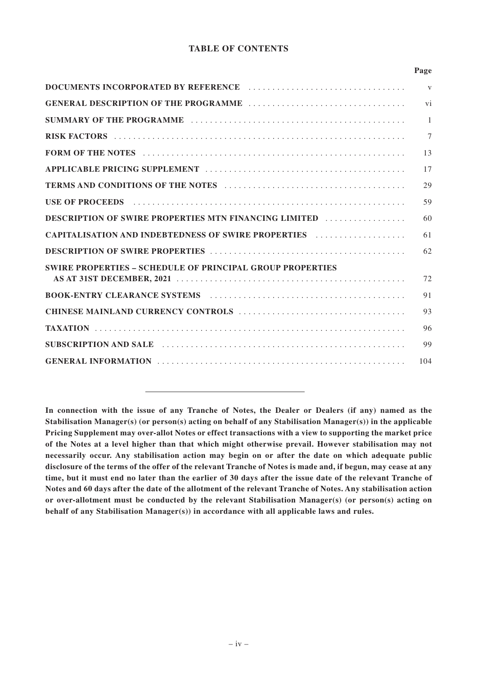## **TABLE OF CONTENTS**

|                                                                                                                                                                                                                                | Page         |
|--------------------------------------------------------------------------------------------------------------------------------------------------------------------------------------------------------------------------------|--------------|
|                                                                                                                                                                                                                                | $\mathbf{V}$ |
|                                                                                                                                                                                                                                | vi           |
|                                                                                                                                                                                                                                | $\mathbf{1}$ |
|                                                                                                                                                                                                                                | $\tau$       |
| FORM OF THE NOTES (and the contract of the contract of the contract of the contract of the contract of the contract of the contract of the contract of the contract of the contract of the contract of the contract of the con | 13           |
|                                                                                                                                                                                                                                | 17           |
|                                                                                                                                                                                                                                | 29           |
|                                                                                                                                                                                                                                | 59           |
| DESCRIPTION OF SWIRE PROPERTIES MTN FINANCING LIMITED                                                                                                                                                                          | 60           |
| CAPITALISATION AND INDEBTEDNESS OF SWIRE PROPERTIES FILLOWING.                                                                                                                                                                 | 61           |
|                                                                                                                                                                                                                                | 62           |
| <b>SWIRE PROPERTIES - SCHEDULE OF PRINCIPAL GROUP PROPERTIES</b>                                                                                                                                                               |              |
|                                                                                                                                                                                                                                | 72           |
|                                                                                                                                                                                                                                | 91           |
|                                                                                                                                                                                                                                | 93           |
|                                                                                                                                                                                                                                | 96           |
| SUBSCRIPTION AND SALE <i>Acception of the Company of the Subscription</i>                                                                                                                                                      | 99           |
|                                                                                                                                                                                                                                | 104          |

**In connection with the issue of any Tranche of Notes, the Dealer or Dealers (if any) named as the Stabilisation Manager(s) (or person(s) acting on behalf of any Stabilisation Manager(s)) in the applicable Pricing Supplement may over-allot Notes or effect transactions with a view to supporting the market price of the Notes at a level higher than that which might otherwise prevail. However stabilisation may not necessarily occur. Any stabilisation action may begin on or after the date on which adequate public disclosure of the terms of the offer of the relevant Tranche of Notes is made and, if begun, may cease at any time, but it must end no later than the earlier of 30 days after the issue date of the relevant Tranche of Notes and 60 days after the date of the allotment of the relevant Tranche of Notes. Any stabilisation action or over-allotment must be conducted by the relevant Stabilisation Manager(s) (or person(s) acting on behalf of any Stabilisation Manager(s)) in accordance with all applicable laws and rules.**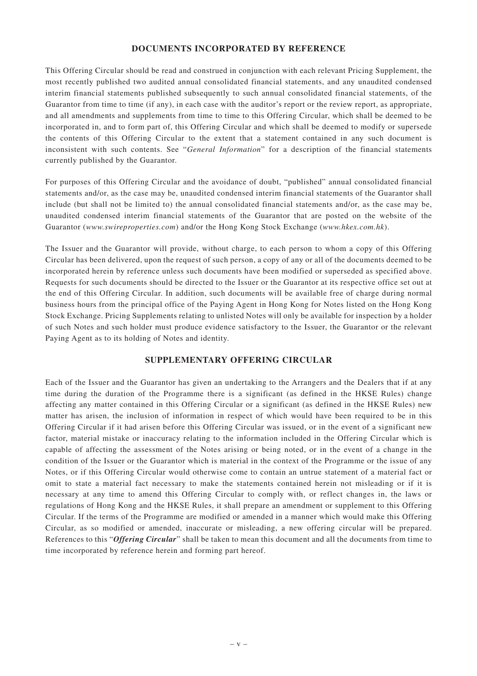## **DOCUMENTS INCORPORATED BY REFERENCE**

This Offering Circular should be read and construed in conjunction with each relevant Pricing Supplement, the most recently published two audited annual consolidated financial statements, and any unaudited condensed interim financial statements published subsequently to such annual consolidated financial statements, of the Guarantor from time to time (if any), in each case with the auditor's report or the review report, as appropriate, and all amendments and supplements from time to time to this Offering Circular, which shall be deemed to be incorporated in, and to form part of, this Offering Circular and which shall be deemed to modify or supersede the contents of this Offering Circular to the extent that a statement contained in any such document is inconsistent with such contents. See "*General Information*" for a description of the financial statements currently published by the Guarantor.

For purposes of this Offering Circular and the avoidance of doubt, "published" annual consolidated financial statements and/or, as the case may be, unaudited condensed interim financial statements of the Guarantor shall include (but shall not be limited to) the annual consolidated financial statements and/or, as the case may be, unaudited condensed interim financial statements of the Guarantor that are posted on the website of the Guarantor (*www.swireproperties.com*) and/or the Hong Kong Stock Exchange (*www.hkex.com.hk*).

The Issuer and the Guarantor will provide, without charge, to each person to whom a copy of this Offering Circular has been delivered, upon the request of such person, a copy of any or all of the documents deemed to be incorporated herein by reference unless such documents have been modified or superseded as specified above. Requests for such documents should be directed to the Issuer or the Guarantor at its respective office set out at the end of this Offering Circular. In addition, such documents will be available free of charge during normal business hours from the principal office of the Paying Agent in Hong Kong for Notes listed on the Hong Kong Stock Exchange. Pricing Supplements relating to unlisted Notes will only be available for inspection by a holder of such Notes and such holder must produce evidence satisfactory to the Issuer, the Guarantor or the relevant Paying Agent as to its holding of Notes and identity.

## **SUPPLEMENTARY OFFERING CIRCULAR**

Each of the Issuer and the Guarantor has given an undertaking to the Arrangers and the Dealers that if at any time during the duration of the Programme there is a significant (as defined in the HKSE Rules) change affecting any matter contained in this Offering Circular or a significant (as defined in the HKSE Rules) new matter has arisen, the inclusion of information in respect of which would have been required to be in this Offering Circular if it had arisen before this Offering Circular was issued, or in the event of a significant new factor, material mistake or inaccuracy relating to the information included in the Offering Circular which is capable of affecting the assessment of the Notes arising or being noted, or in the event of a change in the condition of the Issuer or the Guarantor which is material in the context of the Programme or the issue of any Notes, or if this Offering Circular would otherwise come to contain an untrue statement of a material fact or omit to state a material fact necessary to make the statements contained herein not misleading or if it is necessary at any time to amend this Offering Circular to comply with, or reflect changes in, the laws or regulations of Hong Kong and the HKSE Rules, it shall prepare an amendment or supplement to this Offering Circular. If the terms of the Programme are modified or amended in a manner which would make this Offering Circular, as so modified or amended, inaccurate or misleading, a new offering circular will be prepared. References to this "*Offering Circular*" shall be taken to mean this document and all the documents from time to time incorporated by reference herein and forming part hereof.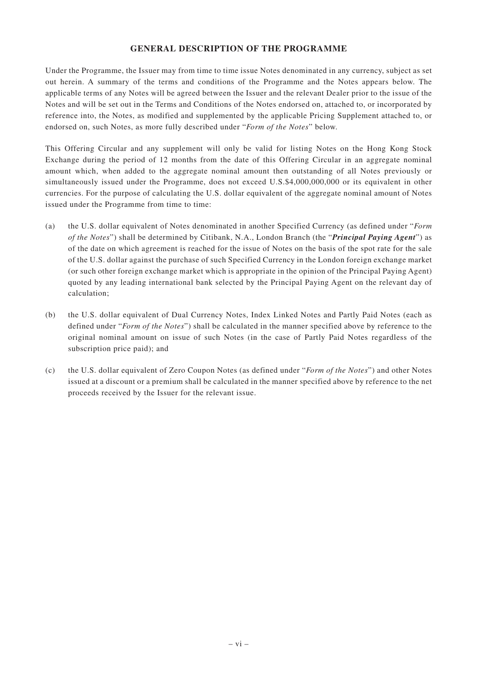## **GENERAL DESCRIPTION OF THE PROGRAMME**

Under the Programme, the Issuer may from time to time issue Notes denominated in any currency, subject as set out herein. A summary of the terms and conditions of the Programme and the Notes appears below. The applicable terms of any Notes will be agreed between the Issuer and the relevant Dealer prior to the issue of the Notes and will be set out in the Terms and Conditions of the Notes endorsed on, attached to, or incorporated by reference into, the Notes, as modified and supplemented by the applicable Pricing Supplement attached to, or endorsed on, such Notes, as more fully described under "*Form of the Notes*" below.

This Offering Circular and any supplement will only be valid for listing Notes on the Hong Kong Stock Exchange during the period of 12 months from the date of this Offering Circular in an aggregate nominal amount which, when added to the aggregate nominal amount then outstanding of all Notes previously or simultaneously issued under the Programme, does not exceed U.S.\$4,000,000,000 or its equivalent in other currencies. For the purpose of calculating the U.S. dollar equivalent of the aggregate nominal amount of Notes issued under the Programme from time to time:

- (a) the U.S. dollar equivalent of Notes denominated in another Specified Currency (as defined under "*Form of the Notes*") shall be determined by Citibank, N.A., London Branch (the "*Principal Paying Agent*") as of the date on which agreement is reached for the issue of Notes on the basis of the spot rate for the sale of the U.S. dollar against the purchase of such Specified Currency in the London foreign exchange market (or such other foreign exchange market which is appropriate in the opinion of the Principal Paying Agent) quoted by any leading international bank selected by the Principal Paying Agent on the relevant day of calculation;
- (b) the U.S. dollar equivalent of Dual Currency Notes, Index Linked Notes and Partly Paid Notes (each as defined under "*Form of the Notes*") shall be calculated in the manner specified above by reference to the original nominal amount on issue of such Notes (in the case of Partly Paid Notes regardless of the subscription price paid); and
- (c) the U.S. dollar equivalent of Zero Coupon Notes (as defined under "*Form of the Notes*") and other Notes issued at a discount or a premium shall be calculated in the manner specified above by reference to the net proceeds received by the Issuer for the relevant issue.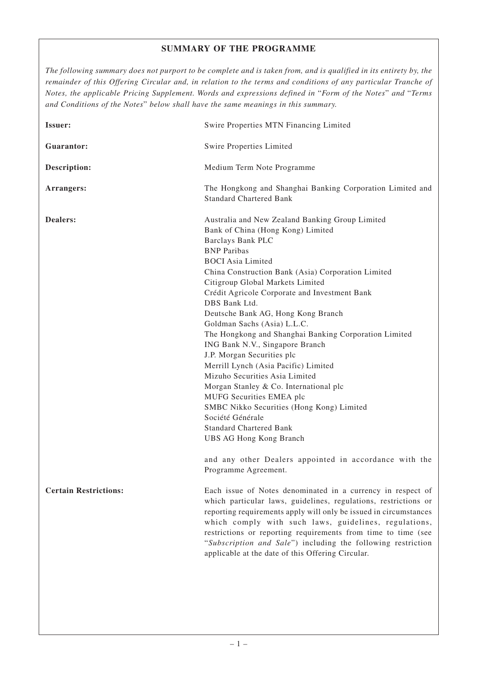## **SUMMARY OF THE PROGRAMME**

*The following summary does not purport to be complete and is taken from, and is qualified in its entirety by, the remainder of this Offering Circular and, in relation to the terms and conditions of any particular Tranche of Notes, the applicable Pricing Supplement. Words and expressions defined in* "*Form of the Notes*" *and* "*Terms and Conditions of the Notes*" *below shall have the same meanings in this summary.*

| Issuer:                      | Swire Properties MTN Financing Limited                                                                                                                                                                                                                                                                                                                                                                                                                                                                                                                                                                                                                                                                                                                                                                                                                                                               |
|------------------------------|------------------------------------------------------------------------------------------------------------------------------------------------------------------------------------------------------------------------------------------------------------------------------------------------------------------------------------------------------------------------------------------------------------------------------------------------------------------------------------------------------------------------------------------------------------------------------------------------------------------------------------------------------------------------------------------------------------------------------------------------------------------------------------------------------------------------------------------------------------------------------------------------------|
| Guarantor:                   | Swire Properties Limited                                                                                                                                                                                                                                                                                                                                                                                                                                                                                                                                                                                                                                                                                                                                                                                                                                                                             |
| Description:                 | Medium Term Note Programme                                                                                                                                                                                                                                                                                                                                                                                                                                                                                                                                                                                                                                                                                                                                                                                                                                                                           |
| Arrangers:                   | The Hongkong and Shanghai Banking Corporation Limited and<br><b>Standard Chartered Bank</b>                                                                                                                                                                                                                                                                                                                                                                                                                                                                                                                                                                                                                                                                                                                                                                                                          |
| Dealers:                     | Australia and New Zealand Banking Group Limited<br>Bank of China (Hong Kong) Limited<br><b>Barclays Bank PLC</b><br><b>BNP</b> Paribas<br><b>BOCI</b> Asia Limited<br>China Construction Bank (Asia) Corporation Limited<br>Citigroup Global Markets Limited<br>Crédit Agricole Corporate and Investment Bank<br>DBS Bank Ltd.<br>Deutsche Bank AG, Hong Kong Branch<br>Goldman Sachs (Asia) L.L.C.<br>The Hongkong and Shanghai Banking Corporation Limited<br>ING Bank N.V., Singapore Branch<br>J.P. Morgan Securities plc<br>Merrill Lynch (Asia Pacific) Limited<br>Mizuho Securities Asia Limited<br>Morgan Stanley & Co. International plc<br>MUFG Securities EMEA plc<br>SMBC Nikko Securities (Hong Kong) Limited<br>Société Générale<br><b>Standard Chartered Bank</b><br><b>UBS AG Hong Kong Branch</b><br>and any other Dealers appointed in accordance with the<br>Programme Agreement. |
| <b>Certain Restrictions:</b> | Each issue of Notes denominated in a currency in respect of<br>which particular laws, guidelines, regulations, restrictions or<br>reporting requirements apply will only be issued in circumstances<br>which comply with such laws, guidelines, regulations,<br>restrictions or reporting requirements from time to time (see<br>"Subscription and Sale") including the following restriction<br>applicable at the date of this Offering Circular.                                                                                                                                                                                                                                                                                                                                                                                                                                                   |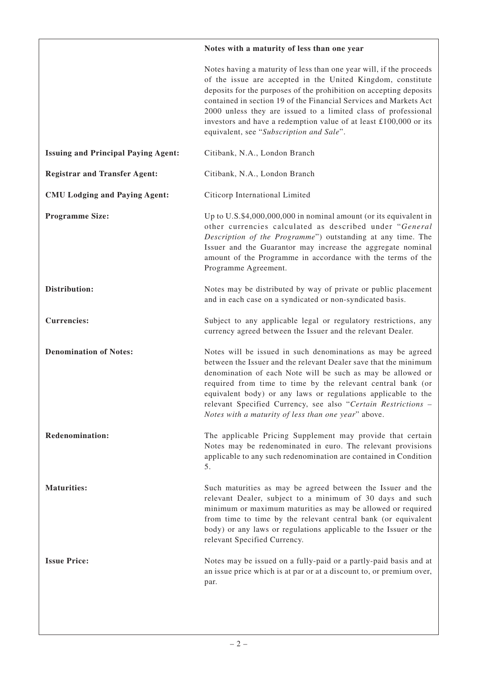|                                            | Notes with a maturity of less than one year                                                                                                                                                                                                                                                                                                                                                                                                                      |
|--------------------------------------------|------------------------------------------------------------------------------------------------------------------------------------------------------------------------------------------------------------------------------------------------------------------------------------------------------------------------------------------------------------------------------------------------------------------------------------------------------------------|
|                                            | Notes having a maturity of less than one year will, if the proceeds<br>of the issue are accepted in the United Kingdom, constitute<br>deposits for the purposes of the prohibition on accepting deposits<br>contained in section 19 of the Financial Services and Markets Act<br>2000 unless they are issued to a limited class of professional<br>investors and have a redemption value of at least £100,000 or its<br>equivalent, see "Subscription and Sale". |
| <b>Issuing and Principal Paying Agent:</b> | Citibank, N.A., London Branch                                                                                                                                                                                                                                                                                                                                                                                                                                    |
| <b>Registrar and Transfer Agent:</b>       | Citibank, N.A., London Branch                                                                                                                                                                                                                                                                                                                                                                                                                                    |
| <b>CMU Lodging and Paying Agent:</b>       | Citicorp International Limited                                                                                                                                                                                                                                                                                                                                                                                                                                   |
| <b>Programme Size:</b>                     | Up to U.S.\$4,000,000,000 in nominal amount (or its equivalent in<br>other currencies calculated as described under "General<br>Description of the Programme") outstanding at any time. The<br>Issuer and the Guarantor may increase the aggregate nominal<br>amount of the Programme in accordance with the terms of the<br>Programme Agreement.                                                                                                                |
| Distribution:                              | Notes may be distributed by way of private or public placement<br>and in each case on a syndicated or non-syndicated basis.                                                                                                                                                                                                                                                                                                                                      |
| <b>Currencies:</b>                         | Subject to any applicable legal or regulatory restrictions, any<br>currency agreed between the Issuer and the relevant Dealer.                                                                                                                                                                                                                                                                                                                                   |
| <b>Denomination of Notes:</b>              | Notes will be issued in such denominations as may be agreed<br>between the Issuer and the relevant Dealer save that the minimum<br>denomination of each Note will be such as may be allowed or<br>required from time to time by the relevant central bank (or<br>equivalent body) or any laws or regulations applicable to the<br>relevant Specified Currency, see also "Certain Restrictions -<br>Notes with a maturity of less than one year" above.           |
| Redenomination:                            | The applicable Pricing Supplement may provide that certain<br>Notes may be redenominated in euro. The relevant provisions<br>applicable to any such redenomination are contained in Condition<br>5.                                                                                                                                                                                                                                                              |
| <b>Maturities:</b>                         | Such maturities as may be agreed between the Issuer and the<br>relevant Dealer, subject to a minimum of 30 days and such<br>minimum or maximum maturities as may be allowed or required<br>from time to time by the relevant central bank (or equivalent<br>body) or any laws or regulations applicable to the Issuer or the<br>relevant Specified Currency.                                                                                                     |
| <b>Issue Price:</b>                        | Notes may be issued on a fully-paid or a partly-paid basis and at<br>an issue price which is at par or at a discount to, or premium over,<br>par.                                                                                                                                                                                                                                                                                                                |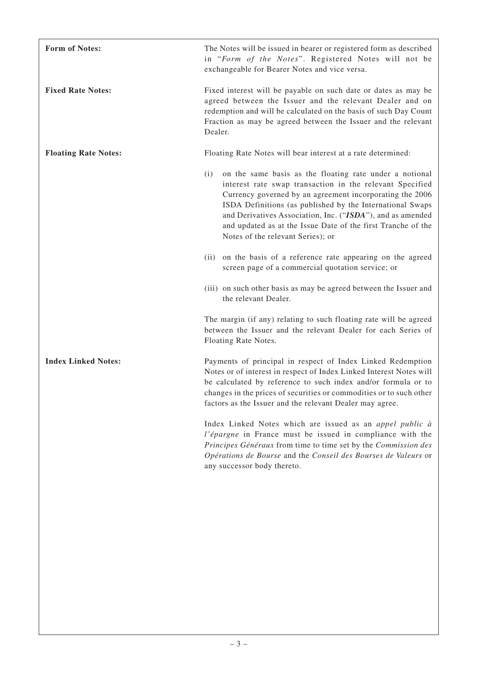| <b>Form of Notes:</b>       | The Notes will be issued in bearer or registered form as described<br>in "Form of the Notes". Registered Notes will not be<br>exchangeable for Bearer Notes and vice versa.                                                                                                                                                                                                                                            |
|-----------------------------|------------------------------------------------------------------------------------------------------------------------------------------------------------------------------------------------------------------------------------------------------------------------------------------------------------------------------------------------------------------------------------------------------------------------|
| <b>Fixed Rate Notes:</b>    | Fixed interest will be payable on such date or dates as may be<br>agreed between the Issuer and the relevant Dealer and on<br>redemption and will be calculated on the basis of such Day Count<br>Fraction as may be agreed between the Issuer and the relevant<br>Dealer.                                                                                                                                             |
| <b>Floating Rate Notes:</b> | Floating Rate Notes will bear interest at a rate determined:                                                                                                                                                                                                                                                                                                                                                           |
|                             | on the same basis as the floating rate under a notional<br>(i)<br>interest rate swap transaction in the relevant Specified<br>Currency governed by an agreement incorporating the 2006<br>ISDA Definitions (as published by the International Swaps<br>and Derivatives Association, Inc. ("ISDA"), and as amended<br>and updated as at the Issue Date of the first Tranche of the<br>Notes of the relevant Series); or |
|                             | on the basis of a reference rate appearing on the agreed<br>(ii)<br>screen page of a commercial quotation service; or                                                                                                                                                                                                                                                                                                  |
|                             | (iii) on such other basis as may be agreed between the Issuer and<br>the relevant Dealer.                                                                                                                                                                                                                                                                                                                              |
|                             | The margin (if any) relating to such floating rate will be agreed<br>between the Issuer and the relevant Dealer for each Series of<br>Floating Rate Notes.                                                                                                                                                                                                                                                             |
| <b>Index Linked Notes:</b>  | Payments of principal in respect of Index Linked Redemption<br>Notes or of interest in respect of Index Linked Interest Notes will<br>be calculated by reference to such index and/or formula or to<br>changes in the prices of securities or commodities or to such other<br>factors as the Issuer and the relevant Dealer may agree.                                                                                 |
|                             | Index Linked Notes which are issued as an appel public à<br>l'épargne in France must be issued in compliance with the<br>Principes Généraux from time to time set by the Commission des<br>Opérations de Bourse and the Conseil des Bourses de Valeurs or<br>any successor body thereto.                                                                                                                               |
|                             |                                                                                                                                                                                                                                                                                                                                                                                                                        |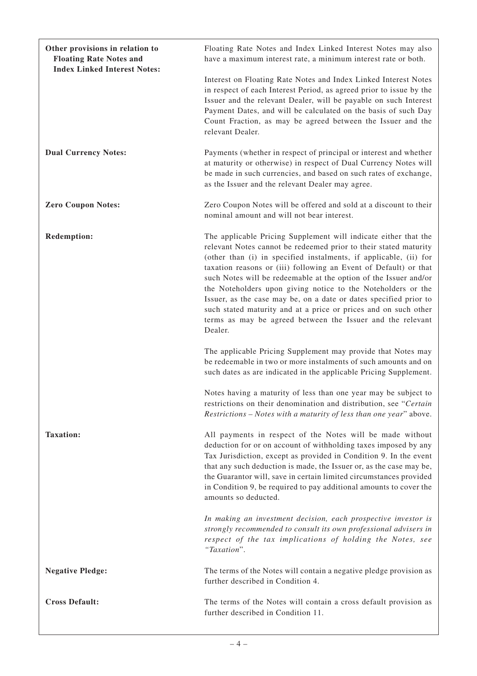| Other provisions in relation to<br><b>Floating Rate Notes and</b><br><b>Index Linked Interest Notes:</b> | Floating Rate Notes and Index Linked Interest Notes may also<br>have a maximum interest rate, a minimum interest rate or both.                                                                                                                                                                                                                                                                                                                                                                                                                                                                                                    |  |
|----------------------------------------------------------------------------------------------------------|-----------------------------------------------------------------------------------------------------------------------------------------------------------------------------------------------------------------------------------------------------------------------------------------------------------------------------------------------------------------------------------------------------------------------------------------------------------------------------------------------------------------------------------------------------------------------------------------------------------------------------------|--|
|                                                                                                          | Interest on Floating Rate Notes and Index Linked Interest Notes<br>in respect of each Interest Period, as agreed prior to issue by the<br>Issuer and the relevant Dealer, will be payable on such Interest<br>Payment Dates, and will be calculated on the basis of such Day<br>Count Fraction, as may be agreed between the Issuer and the<br>relevant Dealer.                                                                                                                                                                                                                                                                   |  |
| <b>Dual Currency Notes:</b>                                                                              | Payments (whether in respect of principal or interest and whether<br>at maturity or otherwise) in respect of Dual Currency Notes will<br>be made in such currencies, and based on such rates of exchange,<br>as the Issuer and the relevant Dealer may agree.                                                                                                                                                                                                                                                                                                                                                                     |  |
| <b>Zero Coupon Notes:</b>                                                                                | Zero Coupon Notes will be offered and sold at a discount to their<br>nominal amount and will not bear interest.                                                                                                                                                                                                                                                                                                                                                                                                                                                                                                                   |  |
| <b>Redemption:</b>                                                                                       | The applicable Pricing Supplement will indicate either that the<br>relevant Notes cannot be redeemed prior to their stated maturity<br>(other than (i) in specified instalments, if applicable, (ii) for<br>taxation reasons or (iii) following an Event of Default) or that<br>such Notes will be redeemable at the option of the Issuer and/or<br>the Noteholders upon giving notice to the Noteholders or the<br>Issuer, as the case may be, on a date or dates specified prior to<br>such stated maturity and at a price or prices and on such other<br>terms as may be agreed between the Issuer and the relevant<br>Dealer. |  |
|                                                                                                          | The applicable Pricing Supplement may provide that Notes may<br>be redeemable in two or more instalments of such amounts and on<br>such dates as are indicated in the applicable Pricing Supplement.                                                                                                                                                                                                                                                                                                                                                                                                                              |  |
|                                                                                                          | Notes having a maturity of less than one year may be subject to<br>restrictions on their denomination and distribution, see "Certain<br>Restrictions - Notes with a maturity of less than one year" above.                                                                                                                                                                                                                                                                                                                                                                                                                        |  |
| <b>Taxation:</b>                                                                                         | All payments in respect of the Notes will be made without<br>deduction for or on account of withholding taxes imposed by any<br>Tax Jurisdiction, except as provided in Condition 9. In the event<br>that any such deduction is made, the Issuer or, as the case may be,<br>the Guarantor will, save in certain limited circumstances provided<br>in Condition 9, be required to pay additional amounts to cover the<br>amounts so deducted.                                                                                                                                                                                      |  |
|                                                                                                          | In making an investment decision, each prospective investor is<br>strongly recommended to consult its own professional advisers in<br>respect of the tax implications of holding the Notes, see<br>"Taxation".                                                                                                                                                                                                                                                                                                                                                                                                                    |  |
| <b>Negative Pledge:</b>                                                                                  | The terms of the Notes will contain a negative pledge provision as<br>further described in Condition 4.                                                                                                                                                                                                                                                                                                                                                                                                                                                                                                                           |  |
| <b>Cross Default:</b>                                                                                    | The terms of the Notes will contain a cross default provision as<br>further described in Condition 11.                                                                                                                                                                                                                                                                                                                                                                                                                                                                                                                            |  |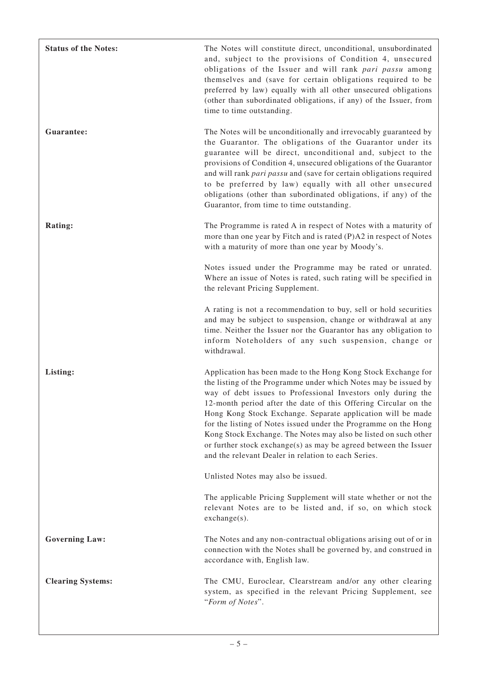| <b>Status of the Notes:</b> | The Notes will constitute direct, unconditional, unsubordinated<br>and, subject to the provisions of Condition 4, unsecured<br>obligations of the Issuer and will rank pari passu among<br>themselves and (save for certain obligations required to be<br>preferred by law) equally with all other unsecured obligations<br>(other than subordinated obligations, if any) of the Issuer, from<br>time to time outstanding.                                                                                                                                                                          |
|-----------------------------|-----------------------------------------------------------------------------------------------------------------------------------------------------------------------------------------------------------------------------------------------------------------------------------------------------------------------------------------------------------------------------------------------------------------------------------------------------------------------------------------------------------------------------------------------------------------------------------------------------|
| Guarantee:                  | The Notes will be unconditionally and irrevocably guaranteed by<br>the Guarantor. The obligations of the Guarantor under its<br>guarantee will be direct, unconditional and, subject to the<br>provisions of Condition 4, unsecured obligations of the Guarantor<br>and will rank pari passu and (save for certain obligations required<br>to be preferred by law) equally with all other unsecured<br>obligations (other than subordinated obligations, if any) of the<br>Guarantor, from time to time outstanding.                                                                                |
| Rating:                     | The Programme is rated A in respect of Notes with a maturity of<br>more than one year by Fitch and is rated (P)A2 in respect of Notes<br>with a maturity of more than one year by Moody's.                                                                                                                                                                                                                                                                                                                                                                                                          |
|                             | Notes issued under the Programme may be rated or unrated.<br>Where an issue of Notes is rated, such rating will be specified in<br>the relevant Pricing Supplement.                                                                                                                                                                                                                                                                                                                                                                                                                                 |
|                             | A rating is not a recommendation to buy, sell or hold securities<br>and may be subject to suspension, change or withdrawal at any<br>time. Neither the Issuer nor the Guarantor has any obligation to<br>inform Noteholders of any such suspension, change or<br>withdrawal.                                                                                                                                                                                                                                                                                                                        |
| Listing:                    | Application has been made to the Hong Kong Stock Exchange for<br>the listing of the Programme under which Notes may be issued by<br>way of debt issues to Professional Investors only during the<br>12-month period after the date of this Offering Circular on the<br>Hong Kong Stock Exchange. Separate application will be made<br>for the listing of Notes issued under the Programme on the Hong<br>Kong Stock Exchange. The Notes may also be listed on such other<br>or further stock exchange(s) as may be agreed between the Issuer<br>and the relevant Dealer in relation to each Series. |
|                             | Unlisted Notes may also be issued.                                                                                                                                                                                                                                                                                                                                                                                                                                                                                                                                                                  |
|                             | The applicable Pricing Supplement will state whether or not the<br>relevant Notes are to be listed and, if so, on which stock<br>$exchange(s)$ .                                                                                                                                                                                                                                                                                                                                                                                                                                                    |
| <b>Governing Law:</b>       | The Notes and any non-contractual obligations arising out of or in<br>connection with the Notes shall be governed by, and construed in<br>accordance with, English law.                                                                                                                                                                                                                                                                                                                                                                                                                             |
| <b>Clearing Systems:</b>    | The CMU, Euroclear, Clearstream and/or any other clearing<br>system, as specified in the relevant Pricing Supplement, see<br>"Form of Notes".                                                                                                                                                                                                                                                                                                                                                                                                                                                       |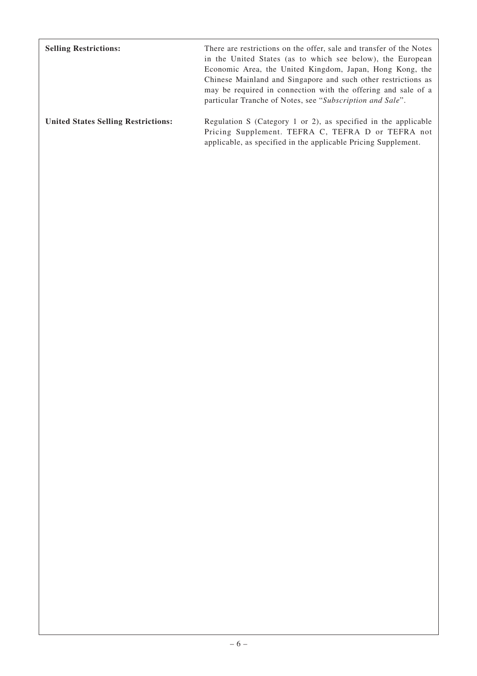| <b>Selling Restrictions:</b>               | There are restrictions on the offer, sale and transfer of the Notes<br>in the United States (as to which see below), the European<br>Economic Area, the United Kingdom, Japan, Hong Kong, the<br>Chinese Mainland and Singapore and such other restrictions as<br>may be required in connection with the offering and sale of a<br>particular Tranche of Notes, see "Subscription and Sale". |
|--------------------------------------------|----------------------------------------------------------------------------------------------------------------------------------------------------------------------------------------------------------------------------------------------------------------------------------------------------------------------------------------------------------------------------------------------|
| <b>United States Selling Restrictions:</b> | Regulation S (Category 1 or 2), as specified in the applicable<br>Pricing Supplement. TEFRA C, TEFRA D or TEFRA not<br>applicable, as specified in the applicable Pricing Supplement.                                                                                                                                                                                                        |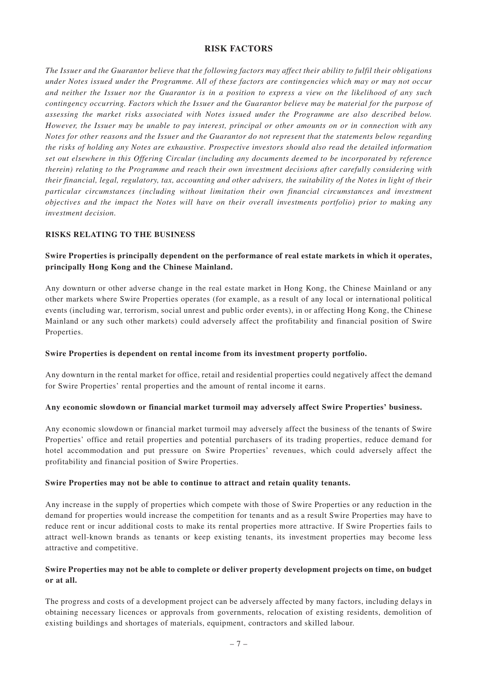## **RISK FACTORS**

*The Issuer and the Guarantor believe that the following factors may affect their ability to fulfil their obligations under Notes issued under the Programme. All of these factors are contingencies which may or may not occur and neither the Issuer nor the Guarantor is in a position to express a view on the likelihood of any such contingency occurring. Factors which the Issuer and the Guarantor believe may be material for the purpose of assessing the market risks associated with Notes issued under the Programme are also described below. However, the Issuer may be unable to pay interest, principal or other amounts on or in connection with any Notes for other reasons and the Issuer and the Guarantor do not represent that the statements below regarding the risks of holding any Notes are exhaustive. Prospective investors should also read the detailed information set out elsewhere in this Offering Circular (including any documents deemed to be incorporated by reference therein) relating to the Programme and reach their own investment decisions after carefully considering with their financial, legal, regulatory, tax, accounting and other advisers, the suitability of the Notes in light of their particular circumstances (including without limitation their own financial circumstances and investment objectives and the impact the Notes will have on their overall investments portfolio) prior to making any investment decision.*

## **RISKS RELATING TO THE BUSINESS**

## **Swire Properties is principally dependent on the performance of real estate markets in which it operates, principally Hong Kong and the Chinese Mainland.**

Any downturn or other adverse change in the real estate market in Hong Kong, the Chinese Mainland or any other markets where Swire Properties operates (for example, as a result of any local or international political events (including war, terrorism, social unrest and public order events), in or affecting Hong Kong, the Chinese Mainland or any such other markets) could adversely affect the profitability and financial position of Swire Properties.

#### **Swire Properties is dependent on rental income from its investment property portfolio.**

Any downturn in the rental market for office, retail and residential properties could negatively affect the demand for Swire Properties' rental properties and the amount of rental income it earns.

#### **Any economic slowdown or financial market turmoil may adversely affect Swire Properties' business.**

Any economic slowdown or financial market turmoil may adversely affect the business of the tenants of Swire Properties' office and retail properties and potential purchasers of its trading properties, reduce demand for hotel accommodation and put pressure on Swire Properties' revenues, which could adversely affect the profitability and financial position of Swire Properties.

#### **Swire Properties may not be able to continue to attract and retain quality tenants.**

Any increase in the supply of properties which compete with those of Swire Properties or any reduction in the demand for properties would increase the competition for tenants and as a result Swire Properties may have to reduce rent or incur additional costs to make its rental properties more attractive. If Swire Properties fails to attract well-known brands as tenants or keep existing tenants, its investment properties may become less attractive and competitive.

## **Swire Properties may not be able to complete or deliver property development projects on time, on budget or at all.**

The progress and costs of a development project can be adversely affected by many factors, including delays in obtaining necessary licences or approvals from governments, relocation of existing residents, demolition of existing buildings and shortages of materials, equipment, contractors and skilled labour.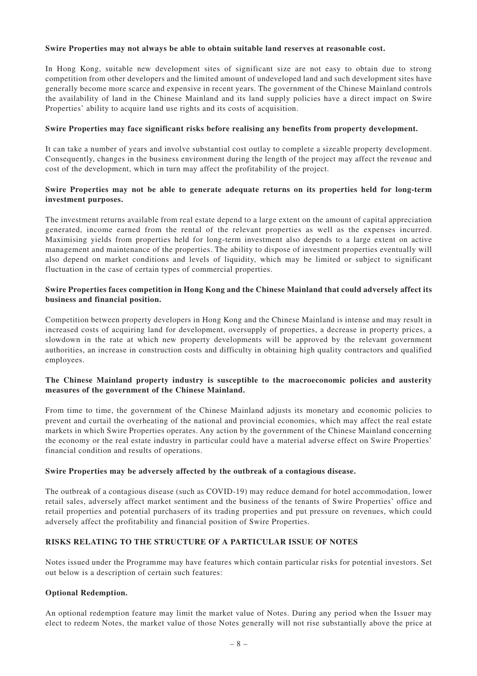#### **Swire Properties may not always be able to obtain suitable land reserves at reasonable cost.**

In Hong Kong, suitable new development sites of significant size are not easy to obtain due to strong competition from other developers and the limited amount of undeveloped land and such development sites have generally become more scarce and expensive in recent years. The government of the Chinese Mainland controls the availability of land in the Chinese Mainland and its land supply policies have a direct impact on Swire Properties' ability to acquire land use rights and its costs of acquisition.

#### **Swire Properties may face significant risks before realising any benefits from property development.**

It can take a number of years and involve substantial cost outlay to complete a sizeable property development. Consequently, changes in the business environment during the length of the project may affect the revenue and cost of the development, which in turn may affect the profitability of the project.

#### **Swire Properties may not be able to generate adequate returns on its properties held for long-term investment purposes.**

The investment returns available from real estate depend to a large extent on the amount of capital appreciation generated, income earned from the rental of the relevant properties as well as the expenses incurred. Maximising yields from properties held for long-term investment also depends to a large extent on active management and maintenance of the properties. The ability to dispose of investment properties eventually will also depend on market conditions and levels of liquidity, which may be limited or subject to significant fluctuation in the case of certain types of commercial properties.

#### **Swire Properties faces competition in Hong Kong and the Chinese Mainland that could adversely affect its business and financial position.**

Competition between property developers in Hong Kong and the Chinese Mainland is intense and may result in increased costs of acquiring land for development, oversupply of properties, a decrease in property prices, a slowdown in the rate at which new property developments will be approved by the relevant government authorities, an increase in construction costs and difficulty in obtaining high quality contractors and qualified employees.

#### **The Chinese Mainland property industry is susceptible to the macroeconomic policies and austerity measures of the government of the Chinese Mainland.**

From time to time, the government of the Chinese Mainland adjusts its monetary and economic policies to prevent and curtail the overheating of the national and provincial economies, which may affect the real estate markets in which Swire Properties operates. Any action by the government of the Chinese Mainland concerning the economy or the real estate industry in particular could have a material adverse effect on Swire Properties' financial condition and results of operations.

#### **Swire Properties may be adversely affected by the outbreak of a contagious disease.**

The outbreak of a contagious disease (such as COVID-19) may reduce demand for hotel accommodation, lower retail sales, adversely affect market sentiment and the business of the tenants of Swire Properties' office and retail properties and potential purchasers of its trading properties and put pressure on revenues, which could adversely affect the profitability and financial position of Swire Properties.

## **RISKS RELATING TO THE STRUCTURE OF A PARTICULAR ISSUE OF NOTES**

Notes issued under the Programme may have features which contain particular risks for potential investors. Set out below is a description of certain such features:

#### **Optional Redemption.**

An optional redemption feature may limit the market value of Notes. During any period when the Issuer may elect to redeem Notes, the market value of those Notes generally will not rise substantially above the price at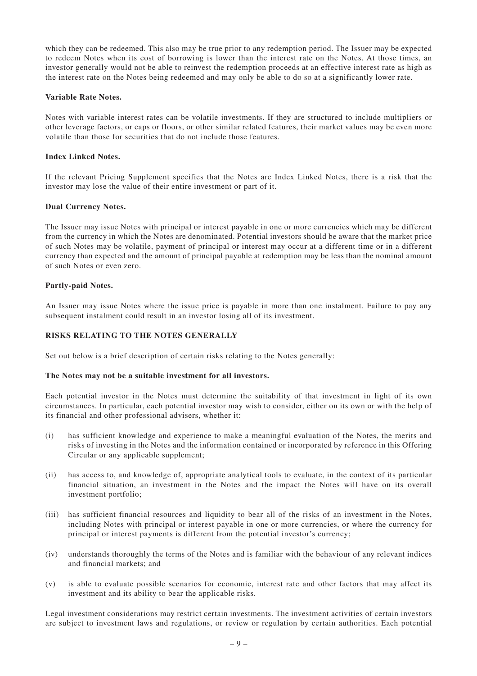which they can be redeemed. This also may be true prior to any redemption period. The Issuer may be expected to redeem Notes when its cost of borrowing is lower than the interest rate on the Notes. At those times, an investor generally would not be able to reinvest the redemption proceeds at an effective interest rate as high as the interest rate on the Notes being redeemed and may only be able to do so at a significantly lower rate.

#### **Variable Rate Notes.**

Notes with variable interest rates can be volatile investments. If they are structured to include multipliers or other leverage factors, or caps or floors, or other similar related features, their market values may be even more volatile than those for securities that do not include those features.

#### **Index Linked Notes.**

If the relevant Pricing Supplement specifies that the Notes are Index Linked Notes, there is a risk that the investor may lose the value of their entire investment or part of it.

#### **Dual Currency Notes.**

The Issuer may issue Notes with principal or interest payable in one or more currencies which may be different from the currency in which the Notes are denominated. Potential investors should be aware that the market price of such Notes may be volatile, payment of principal or interest may occur at a different time or in a different currency than expected and the amount of principal payable at redemption may be less than the nominal amount of such Notes or even zero.

#### **Partly-paid Notes.**

An Issuer may issue Notes where the issue price is payable in more than one instalment. Failure to pay any subsequent instalment could result in an investor losing all of its investment.

#### **RISKS RELATING TO THE NOTES GENERALLY**

Set out below is a brief description of certain risks relating to the Notes generally:

#### **The Notes may not be a suitable investment for all investors.**

Each potential investor in the Notes must determine the suitability of that investment in light of its own circumstances. In particular, each potential investor may wish to consider, either on its own or with the help of its financial and other professional advisers, whether it:

- (i) has sufficient knowledge and experience to make a meaningful evaluation of the Notes, the merits and risks of investing in the Notes and the information contained or incorporated by reference in this Offering Circular or any applicable supplement;
- (ii) has access to, and knowledge of, appropriate analytical tools to evaluate, in the context of its particular financial situation, an investment in the Notes and the impact the Notes will have on its overall investment portfolio;
- (iii) has sufficient financial resources and liquidity to bear all of the risks of an investment in the Notes, including Notes with principal or interest payable in one or more currencies, or where the currency for principal or interest payments is different from the potential investor's currency;
- (iv) understands thoroughly the terms of the Notes and is familiar with the behaviour of any relevant indices and financial markets; and
- (v) is able to evaluate possible scenarios for economic, interest rate and other factors that may affect its investment and its ability to bear the applicable risks.

Legal investment considerations may restrict certain investments. The investment activities of certain investors are subject to investment laws and regulations, or review or regulation by certain authorities. Each potential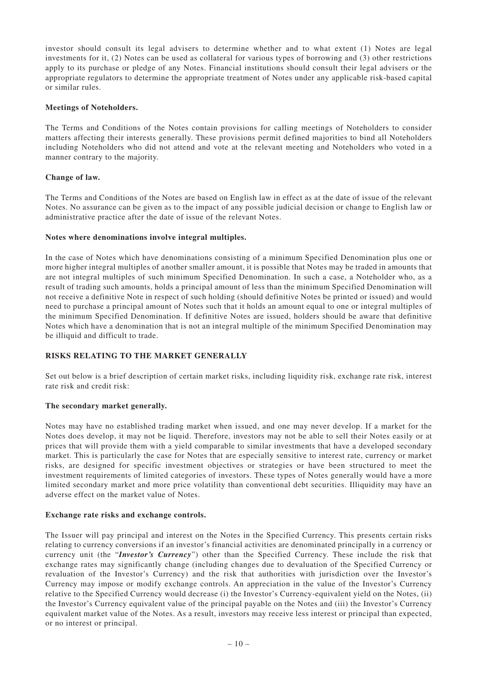investor should consult its legal advisers to determine whether and to what extent (1) Notes are legal investments for it, (2) Notes can be used as collateral for various types of borrowing and (3) other restrictions apply to its purchase or pledge of any Notes. Financial institutions should consult their legal advisers or the appropriate regulators to determine the appropriate treatment of Notes under any applicable risk-based capital or similar rules.

#### **Meetings of Noteholders.**

The Terms and Conditions of the Notes contain provisions for calling meetings of Noteholders to consider matters affecting their interests generally. These provisions permit defined majorities to bind all Noteholders including Noteholders who did not attend and vote at the relevant meeting and Noteholders who voted in a manner contrary to the majority.

#### **Change of law.**

The Terms and Conditions of the Notes are based on English law in effect as at the date of issue of the relevant Notes. No assurance can be given as to the impact of any possible judicial decision or change to English law or administrative practice after the date of issue of the relevant Notes.

#### **Notes where denominations involve integral multiples.**

In the case of Notes which have denominations consisting of a minimum Specified Denomination plus one or more higher integral multiples of another smaller amount, it is possible that Notes may be traded in amounts that are not integral multiples of such minimum Specified Denomination. In such a case, a Noteholder who, as a result of trading such amounts, holds a principal amount of less than the minimum Specified Denomination will not receive a definitive Note in respect of such holding (should definitive Notes be printed or issued) and would need to purchase a principal amount of Notes such that it holds an amount equal to one or integral multiples of the minimum Specified Denomination. If definitive Notes are issued, holders should be aware that definitive Notes which have a denomination that is not an integral multiple of the minimum Specified Denomination may be illiquid and difficult to trade.

#### **RISKS RELATING TO THE MARKET GENERALLY**

Set out below is a brief description of certain market risks, including liquidity risk, exchange rate risk, interest rate risk and credit risk:

#### **The secondary market generally.**

Notes may have no established trading market when issued, and one may never develop. If a market for the Notes does develop, it may not be liquid. Therefore, investors may not be able to sell their Notes easily or at prices that will provide them with a yield comparable to similar investments that have a developed secondary market. This is particularly the case for Notes that are especially sensitive to interest rate, currency or market risks, are designed for specific investment objectives or strategies or have been structured to meet the investment requirements of limited categories of investors. These types of Notes generally would have a more limited secondary market and more price volatility than conventional debt securities. Illiquidity may have an adverse effect on the market value of Notes.

#### **Exchange rate risks and exchange controls.**

The Issuer will pay principal and interest on the Notes in the Specified Currency. This presents certain risks relating to currency conversions if an investor's financial activities are denominated principally in a currency or currency unit (the "*Investor's Currency*") other than the Specified Currency. These include the risk that exchange rates may significantly change (including changes due to devaluation of the Specified Currency or revaluation of the Investor's Currency) and the risk that authorities with jurisdiction over the Investor's Currency may impose or modify exchange controls. An appreciation in the value of the Investor's Currency relative to the Specified Currency would decrease (i) the Investor's Currency-equivalent yield on the Notes, (ii) the Investor's Currency equivalent value of the principal payable on the Notes and (iii) the Investor's Currency equivalent market value of the Notes. As a result, investors may receive less interest or principal than expected, or no interest or principal.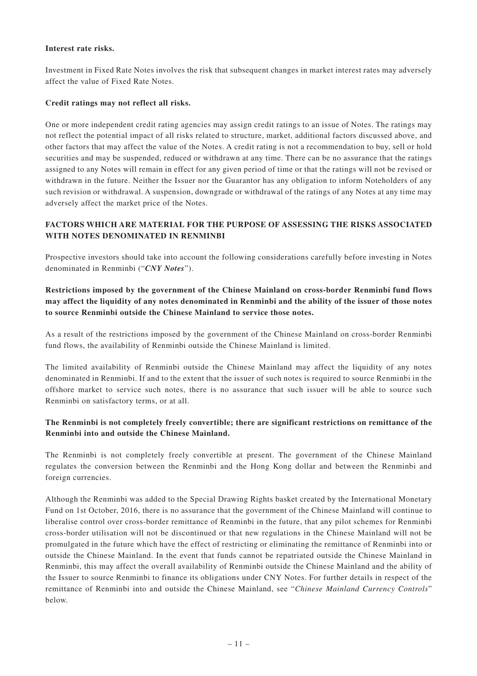#### **Interest rate risks.**

Investment in Fixed Rate Notes involves the risk that subsequent changes in market interest rates may adversely affect the value of Fixed Rate Notes.

#### **Credit ratings may not reflect all risks.**

One or more independent credit rating agencies may assign credit ratings to an issue of Notes. The ratings may not reflect the potential impact of all risks related to structure, market, additional factors discussed above, and other factors that may affect the value of the Notes. A credit rating is not a recommendation to buy, sell or hold securities and may be suspended, reduced or withdrawn at any time. There can be no assurance that the ratings assigned to any Notes will remain in effect for any given period of time or that the ratings will not be revised or withdrawn in the future. Neither the Issuer nor the Guarantor has any obligation to inform Noteholders of any such revision or withdrawal. A suspension, downgrade or withdrawal of the ratings of any Notes at any time may adversely affect the market price of the Notes.

## **FACTORS WHICH ARE MATERIAL FOR THE PURPOSE OF ASSESSING THE RISKS ASSOCIATED WITH NOTES DENOMINATED IN RENMINBI**

Prospective investors should take into account the following considerations carefully before investing in Notes denominated in Renminbi ("*CNY Notes*").

## **Restrictions imposed by the government of the Chinese Mainland on cross-border Renminbi fund flows may affect the liquidity of any notes denominated in Renminbi and the ability of the issuer of those notes to source Renminbi outside the Chinese Mainland to service those notes.**

As a result of the restrictions imposed by the government of the Chinese Mainland on cross-border Renminbi fund flows, the availability of Renminbi outside the Chinese Mainland is limited.

The limited availability of Renminbi outside the Chinese Mainland may affect the liquidity of any notes denominated in Renminbi. If and to the extent that the issuer of such notes is required to source Renminbi in the offshore market to service such notes, there is no assurance that such issuer will be able to source such Renminbi on satisfactory terms, or at all.

## **The Renminbi is not completely freely convertible; there are significant restrictions on remittance of the Renminbi into and outside the Chinese Mainland.**

The Renminbi is not completely freely convertible at present. The government of the Chinese Mainland regulates the conversion between the Renminbi and the Hong Kong dollar and between the Renminbi and foreign currencies.

Although the Renminbi was added to the Special Drawing Rights basket created by the International Monetary Fund on 1st October, 2016, there is no assurance that the government of the Chinese Mainland will continue to liberalise control over cross-border remittance of Renminbi in the future, that any pilot schemes for Renminbi cross-border utilisation will not be discontinued or that new regulations in the Chinese Mainland will not be promulgated in the future which have the effect of restricting or eliminating the remittance of Renminbi into or outside the Chinese Mainland. In the event that funds cannot be repatriated outside the Chinese Mainland in Renminbi, this may affect the overall availability of Renminbi outside the Chinese Mainland and the ability of the Issuer to source Renminbi to finance its obligations under CNY Notes. For further details in respect of the remittance of Renminbi into and outside the Chinese Mainland, see "*Chinese Mainland Currency Controls*" below.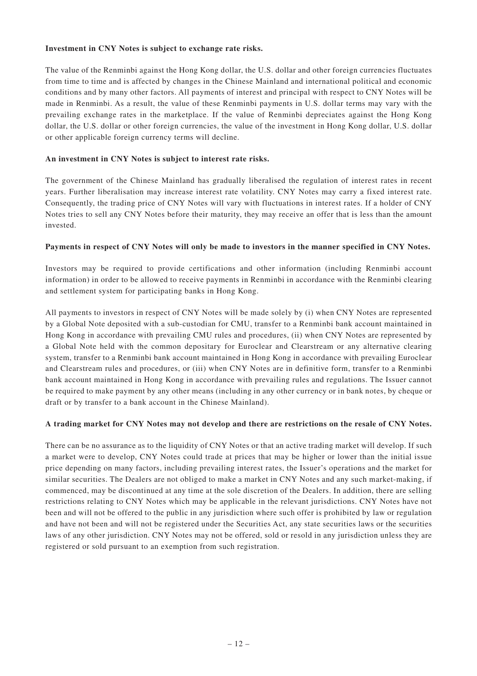#### **Investment in CNY Notes is subject to exchange rate risks.**

The value of the Renminbi against the Hong Kong dollar, the U.S. dollar and other foreign currencies fluctuates from time to time and is affected by changes in the Chinese Mainland and international political and economic conditions and by many other factors. All payments of interest and principal with respect to CNY Notes will be made in Renminbi. As a result, the value of these Renminbi payments in U.S. dollar terms may vary with the prevailing exchange rates in the marketplace. If the value of Renminbi depreciates against the Hong Kong dollar, the U.S. dollar or other foreign currencies, the value of the investment in Hong Kong dollar, U.S. dollar or other applicable foreign currency terms will decline.

#### **An investment in CNY Notes is subject to interest rate risks.**

The government of the Chinese Mainland has gradually liberalised the regulation of interest rates in recent years. Further liberalisation may increase interest rate volatility. CNY Notes may carry a fixed interest rate. Consequently, the trading price of CNY Notes will vary with fluctuations in interest rates. If a holder of CNY Notes tries to sell any CNY Notes before their maturity, they may receive an offer that is less than the amount invested.

#### **Payments in respect of CNY Notes will only be made to investors in the manner specified in CNY Notes.**

Investors may be required to provide certifications and other information (including Renminbi account information) in order to be allowed to receive payments in Renminbi in accordance with the Renminbi clearing and settlement system for participating banks in Hong Kong.

All payments to investors in respect of CNY Notes will be made solely by (i) when CNY Notes are represented by a Global Note deposited with a sub-custodian for CMU, transfer to a Renminbi bank account maintained in Hong Kong in accordance with prevailing CMU rules and procedures, (ii) when CNY Notes are represented by a Global Note held with the common depositary for Euroclear and Clearstream or any alternative clearing system, transfer to a Renminbi bank account maintained in Hong Kong in accordance with prevailing Euroclear and Clearstream rules and procedures, or (iii) when CNY Notes are in definitive form, transfer to a Renminbi bank account maintained in Hong Kong in accordance with prevailing rules and regulations. The Issuer cannot be required to make payment by any other means (including in any other currency or in bank notes, by cheque or draft or by transfer to a bank account in the Chinese Mainland).

#### **A trading market for CNY Notes may not develop and there are restrictions on the resale of CNY Notes.**

There can be no assurance as to the liquidity of CNY Notes or that an active trading market will develop. If such a market were to develop, CNY Notes could trade at prices that may be higher or lower than the initial issue price depending on many factors, including prevailing interest rates, the Issuer's operations and the market for similar securities. The Dealers are not obliged to make a market in CNY Notes and any such market-making, if commenced, may be discontinued at any time at the sole discretion of the Dealers. In addition, there are selling restrictions relating to CNY Notes which may be applicable in the relevant jurisdictions. CNY Notes have not been and will not be offered to the public in any jurisdiction where such offer is prohibited by law or regulation and have not been and will not be registered under the Securities Act, any state securities laws or the securities laws of any other jurisdiction. CNY Notes may not be offered, sold or resold in any jurisdiction unless they are registered or sold pursuant to an exemption from such registration.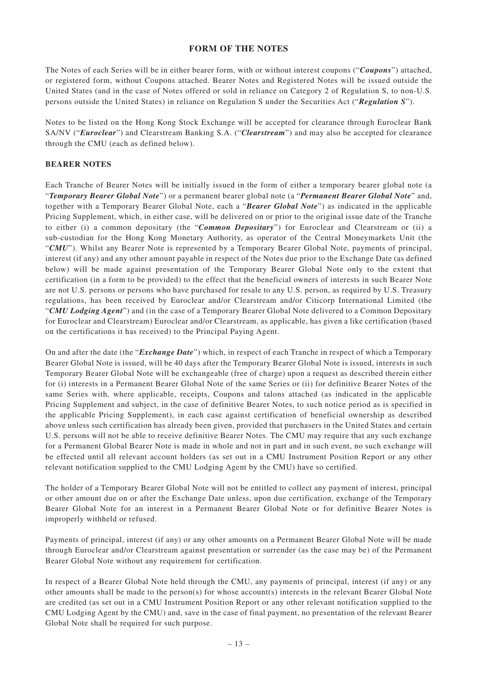#### **FORM OF THE NOTES**

The Notes of each Series will be in either bearer form, with or without interest coupons ("*Coupons*") attached, or registered form, without Coupons attached. Bearer Notes and Registered Notes will be issued outside the United States (and in the case of Notes offered or sold in reliance on Category 2 of Regulation S, to non-U.S. persons outside the United States) in reliance on Regulation S under the Securities Act ("*Regulation S*").

Notes to be listed on the Hong Kong Stock Exchange will be accepted for clearance through Euroclear Bank SA/NV ("*Euroclear*") and Clearstream Banking S.A. ("*Clearstream*") and may also be accepted for clearance through the CMU (each as defined below).

## **BEARER NOTES**

Each Tranche of Bearer Notes will be initially issued in the form of either a temporary bearer global note (a "*Temporary Bearer Global Note*") or a permanent bearer global note (a "*Permanent Bearer Global Note*" and, together with a Temporary Bearer Global Note, each a "*Bearer Global Note*") as indicated in the applicable Pricing Supplement, which, in either case, will be delivered on or prior to the original issue date of the Tranche to either (i) a common depositary (the "*Common Depositary*") for Euroclear and Clearstream or (ii) a sub-custodian for the Hong Kong Monetary Authority, as operator of the Central Moneymarkets Unit (the "CMU"). Whilst any Bearer Note is represented by a Temporary Bearer Global Note, payments of principal, interest (if any) and any other amount payable in respect of the Notes due prior to the Exchange Date (as defined below) will be made against presentation of the Temporary Bearer Global Note only to the extent that certification (in a form to be provided) to the effect that the beneficial owners of interests in such Bearer Note are not U.S. persons or persons who have purchased for resale to any U.S. person, as required by U.S. Treasury regulations, has been received by Euroclear and/or Clearstream and/or Citicorp International Limited (the "*CMU Lodging Agent*") and (in the case of a Temporary Bearer Global Note delivered to a Common Depositary for Euroclear and Clearstream) Euroclear and/or Clearstream, as applicable, has given a like certification (based on the certifications it has received) to the Principal Paying Agent.

On and after the date (the "*Exchange Date*") which, in respect of each Tranche in respect of which a Temporary Bearer Global Note is issued, will be 40 days after the Temporary Bearer Global Note is issued, interests in such Temporary Bearer Global Note will be exchangeable (free of charge) upon a request as described therein either for (i) interests in a Permanent Bearer Global Note of the same Series or (ii) for definitive Bearer Notes of the same Series with, where applicable, receipts, Coupons and talons attached (as indicated in the applicable Pricing Supplement and subject, in the case of definitive Bearer Notes, to such notice period as is specified in the applicable Pricing Supplement), in each case against certification of beneficial ownership as described above unless such certification has already been given, provided that purchasers in the United States and certain U.S. persons will not be able to receive definitive Bearer Notes. The CMU may require that any such exchange for a Permanent Global Bearer Note is made in whole and not in part and in such event, no such exchange will be effected until all relevant account holders (as set out in a CMU Instrument Position Report or any other relevant notification supplied to the CMU Lodging Agent by the CMU) have so certified.

The holder of a Temporary Bearer Global Note will not be entitled to collect any payment of interest, principal or other amount due on or after the Exchange Date unless, upon due certification, exchange of the Temporary Bearer Global Note for an interest in a Permanent Bearer Global Note or for definitive Bearer Notes is improperly withheld or refused.

Payments of principal, interest (if any) or any other amounts on a Permanent Bearer Global Note will be made through Euroclear and/or Clearstream against presentation or surrender (as the case may be) of the Permanent Bearer Global Note without any requirement for certification.

In respect of a Bearer Global Note held through the CMU, any payments of principal, interest (if any) or any other amounts shall be made to the person(s) for whose account(s) interests in the relevant Bearer Global Note are credited (as set out in a CMU Instrument Position Report or any other relevant notification supplied to the CMU Lodging Agent by the CMU) and, save in the case of final payment, no presentation of the relevant Bearer Global Note shall be required for such purpose.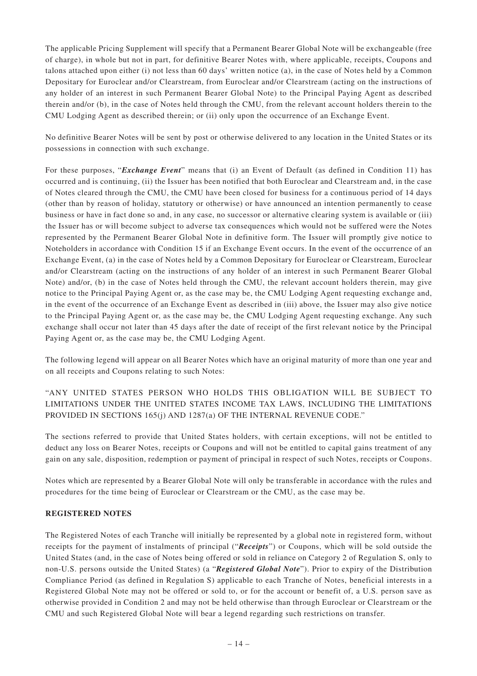The applicable Pricing Supplement will specify that a Permanent Bearer Global Note will be exchangeable (free of charge), in whole but not in part, for definitive Bearer Notes with, where applicable, receipts, Coupons and talons attached upon either (i) not less than 60 days' written notice (a), in the case of Notes held by a Common Depositary for Euroclear and/or Clearstream, from Euroclear and/or Clearstream (acting on the instructions of any holder of an interest in such Permanent Bearer Global Note) to the Principal Paying Agent as described therein and/or (b), in the case of Notes held through the CMU, from the relevant account holders therein to the CMU Lodging Agent as described therein; or (ii) only upon the occurrence of an Exchange Event.

No definitive Bearer Notes will be sent by post or otherwise delivered to any location in the United States or its possessions in connection with such exchange.

For these purposes, "*Exchange Event*" means that (i) an Event of Default (as defined in Condition 11) has occurred and is continuing, (ii) the Issuer has been notified that both Euroclear and Clearstream and, in the case of Notes cleared through the CMU, the CMU have been closed for business for a continuous period of 14 days (other than by reason of holiday, statutory or otherwise) or have announced an intention permanently to cease business or have in fact done so and, in any case, no successor or alternative clearing system is available or (iii) the Issuer has or will become subject to adverse tax consequences which would not be suffered were the Notes represented by the Permanent Bearer Global Note in definitive form. The Issuer will promptly give notice to Noteholders in accordance with Condition 15 if an Exchange Event occurs. In the event of the occurrence of an Exchange Event, (a) in the case of Notes held by a Common Depositary for Euroclear or Clearstream, Euroclear and/or Clearstream (acting on the instructions of any holder of an interest in such Permanent Bearer Global Note) and/or, (b) in the case of Notes held through the CMU, the relevant account holders therein, may give notice to the Principal Paying Agent or, as the case may be, the CMU Lodging Agent requesting exchange and, in the event of the occurrence of an Exchange Event as described in (iii) above, the Issuer may also give notice to the Principal Paying Agent or, as the case may be, the CMU Lodging Agent requesting exchange. Any such exchange shall occur not later than 45 days after the date of receipt of the first relevant notice by the Principal Paying Agent or, as the case may be, the CMU Lodging Agent.

The following legend will appear on all Bearer Notes which have an original maturity of more than one year and on all receipts and Coupons relating to such Notes:

## "ANY UNITED STATES PERSON WHO HOLDS THIS OBLIGATION WILL BE SUBJECT TO LIMITATIONS UNDER THE UNITED STATES INCOME TAX LAWS, INCLUDING THE LIMITATIONS PROVIDED IN SECTIONS 165(j) AND 1287(a) OF THE INTERNAL REVENUE CODE."

The sections referred to provide that United States holders, with certain exceptions, will not be entitled to deduct any loss on Bearer Notes, receipts or Coupons and will not be entitled to capital gains treatment of any gain on any sale, disposition, redemption or payment of principal in respect of such Notes, receipts or Coupons.

Notes which are represented by a Bearer Global Note will only be transferable in accordance with the rules and procedures for the time being of Euroclear or Clearstream or the CMU, as the case may be.

#### **REGISTERED NOTES**

The Registered Notes of each Tranche will initially be represented by a global note in registered form, without receipts for the payment of instalments of principal ("*Receipts*") or Coupons, which will be sold outside the United States (and, in the case of Notes being offered or sold in reliance on Category 2 of Regulation S, only to non-U.S. persons outside the United States) (a "*Registered Global Note*"). Prior to expiry of the Distribution Compliance Period (as defined in Regulation S) applicable to each Tranche of Notes, beneficial interests in a Registered Global Note may not be offered or sold to, or for the account or benefit of, a U.S. person save as otherwise provided in Condition 2 and may not be held otherwise than through Euroclear or Clearstream or the CMU and such Registered Global Note will bear a legend regarding such restrictions on transfer.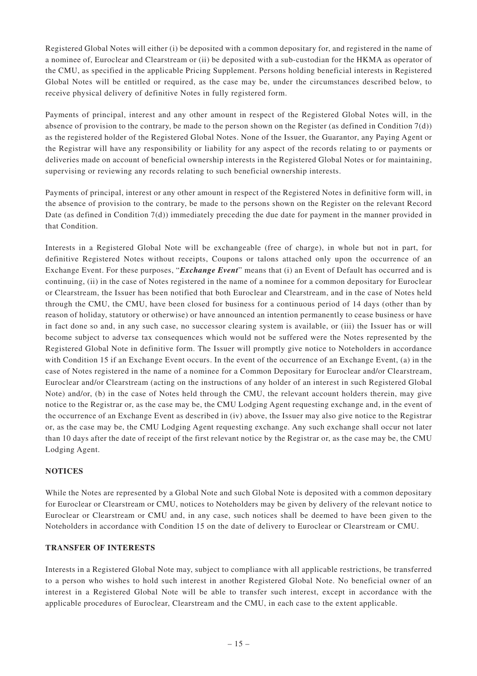Registered Global Notes will either (i) be deposited with a common depositary for, and registered in the name of a nominee of, Euroclear and Clearstream or (ii) be deposited with a sub-custodian for the HKMA as operator of the CMU, as specified in the applicable Pricing Supplement. Persons holding beneficial interests in Registered Global Notes will be entitled or required, as the case may be, under the circumstances described below, to receive physical delivery of definitive Notes in fully registered form.

Payments of principal, interest and any other amount in respect of the Registered Global Notes will, in the absence of provision to the contrary, be made to the person shown on the Register (as defined in Condition  $7(d)$ ) as the registered holder of the Registered Global Notes. None of the Issuer, the Guarantor, any Paying Agent or the Registrar will have any responsibility or liability for any aspect of the records relating to or payments or deliveries made on account of beneficial ownership interests in the Registered Global Notes or for maintaining, supervising or reviewing any records relating to such beneficial ownership interests.

Payments of principal, interest or any other amount in respect of the Registered Notes in definitive form will, in the absence of provision to the contrary, be made to the persons shown on the Register on the relevant Record Date (as defined in Condition 7(d)) immediately preceding the due date for payment in the manner provided in that Condition.

Interests in a Registered Global Note will be exchangeable (free of charge), in whole but not in part, for definitive Registered Notes without receipts, Coupons or talons attached only upon the occurrence of an Exchange Event. For these purposes, "*Exchange Event*" means that (i) an Event of Default has occurred and is continuing, (ii) in the case of Notes registered in the name of a nominee for a common depositary for Euroclear or Clearstream, the Issuer has been notified that both Euroclear and Clearstream, and in the case of Notes held through the CMU, the CMU, have been closed for business for a continuous period of 14 days (other than by reason of holiday, statutory or otherwise) or have announced an intention permanently to cease business or have in fact done so and, in any such case, no successor clearing system is available, or (iii) the Issuer has or will become subject to adverse tax consequences which would not be suffered were the Notes represented by the Registered Global Note in definitive form. The Issuer will promptly give notice to Noteholders in accordance with Condition 15 if an Exchange Event occurs. In the event of the occurrence of an Exchange Event, (a) in the case of Notes registered in the name of a nominee for a Common Depositary for Euroclear and/or Clearstream, Euroclear and/or Clearstream (acting on the instructions of any holder of an interest in such Registered Global Note) and/or, (b) in the case of Notes held through the CMU, the relevant account holders therein, may give notice to the Registrar or, as the case may be, the CMU Lodging Agent requesting exchange and, in the event of the occurrence of an Exchange Event as described in (iv) above, the Issuer may also give notice to the Registrar or, as the case may be, the CMU Lodging Agent requesting exchange. Any such exchange shall occur not later than 10 days after the date of receipt of the first relevant notice by the Registrar or, as the case may be, the CMU Lodging Agent.

## **NOTICES**

While the Notes are represented by a Global Note and such Global Note is deposited with a common depositary for Euroclear or Clearstream or CMU, notices to Noteholders may be given by delivery of the relevant notice to Euroclear or Clearstream or CMU and, in any case, such notices shall be deemed to have been given to the Noteholders in accordance with Condition 15 on the date of delivery to Euroclear or Clearstream or CMU.

#### **TRANSFER OF INTERESTS**

Interests in a Registered Global Note may, subject to compliance with all applicable restrictions, be transferred to a person who wishes to hold such interest in another Registered Global Note. No beneficial owner of an interest in a Registered Global Note will be able to transfer such interest, except in accordance with the applicable procedures of Euroclear, Clearstream and the CMU, in each case to the extent applicable.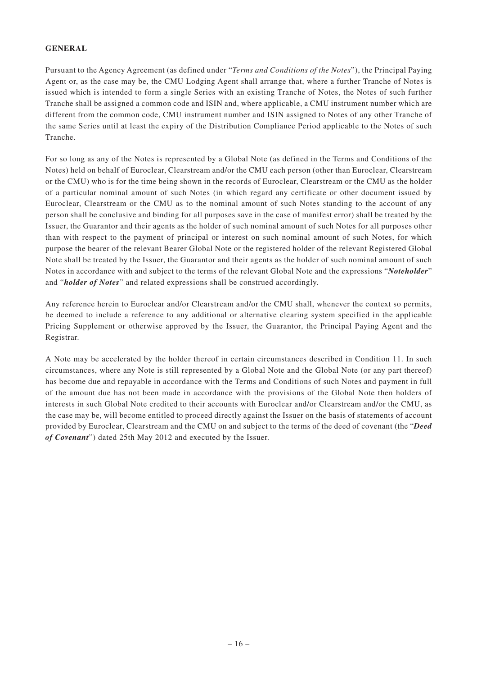#### **GENERAL**

Pursuant to the Agency Agreement (as defined under "*Terms and Conditions of the Notes*"), the Principal Paying Agent or, as the case may be, the CMU Lodging Agent shall arrange that, where a further Tranche of Notes is issued which is intended to form a single Series with an existing Tranche of Notes, the Notes of such further Tranche shall be assigned a common code and ISIN and, where applicable, a CMU instrument number which are different from the common code, CMU instrument number and ISIN assigned to Notes of any other Tranche of the same Series until at least the expiry of the Distribution Compliance Period applicable to the Notes of such Tranche.

For so long as any of the Notes is represented by a Global Note (as defined in the Terms and Conditions of the Notes) held on behalf of Euroclear, Clearstream and/or the CMU each person (other than Euroclear, Clearstream or the CMU) who is for the time being shown in the records of Euroclear, Clearstream or the CMU as the holder of a particular nominal amount of such Notes (in which regard any certificate or other document issued by Euroclear, Clearstream or the CMU as to the nominal amount of such Notes standing to the account of any person shall be conclusive and binding for all purposes save in the case of manifest error) shall be treated by the Issuer, the Guarantor and their agents as the holder of such nominal amount of such Notes for all purposes other than with respect to the payment of principal or interest on such nominal amount of such Notes, for which purpose the bearer of the relevant Bearer Global Note or the registered holder of the relevant Registered Global Note shall be treated by the Issuer, the Guarantor and their agents as the holder of such nominal amount of such Notes in accordance with and subject to the terms of the relevant Global Note and the expressions "*Noteholder*" and "*holder of Notes*" and related expressions shall be construed accordingly.

Any reference herein to Euroclear and/or Clearstream and/or the CMU shall, whenever the context so permits, be deemed to include a reference to any additional or alternative clearing system specified in the applicable Pricing Supplement or otherwise approved by the Issuer, the Guarantor, the Principal Paying Agent and the Registrar.

A Note may be accelerated by the holder thereof in certain circumstances described in Condition 11. In such circumstances, where any Note is still represented by a Global Note and the Global Note (or any part thereof) has become due and repayable in accordance with the Terms and Conditions of such Notes and payment in full of the amount due has not been made in accordance with the provisions of the Global Note then holders of interests in such Global Note credited to their accounts with Euroclear and/or Clearstream and/or the CMU, as the case may be, will become entitled to proceed directly against the Issuer on the basis of statements of account provided by Euroclear, Clearstream and the CMU on and subject to the terms of the deed of covenant (the "*Deed of Covenant*") dated 25th May 2012 and executed by the Issuer.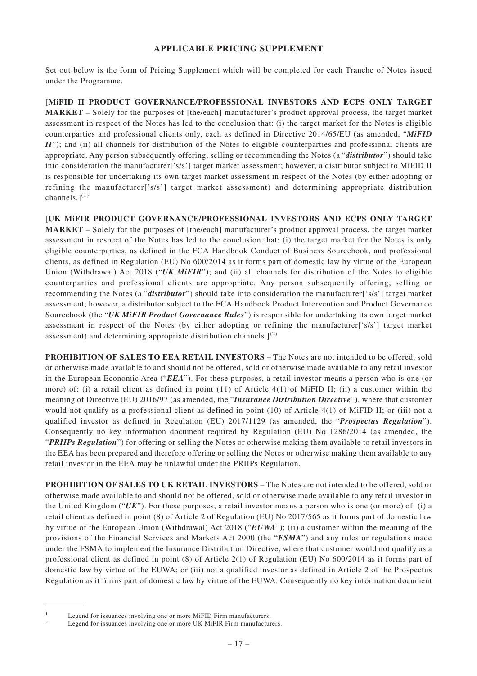## **APPLICABLE PRICING SUPPLEMENT**

Set out below is the form of Pricing Supplement which will be completed for each Tranche of Notes issued under the Programme.

[**MiFID II PRODUCT GOVERNANCE/PROFESSIONAL INVESTORS AND ECPS ONLY TARGET MARKET** – Solely for the purposes of [the/each] manufacturer's product approval process, the target market assessment in respect of the Notes has led to the conclusion that: (i) the target market for the Notes is eligible counterparties and professional clients only, each as defined in Directive 2014/65/EU (as amended, "*MiFID II*"); and (ii) all channels for distribution of the Notes to eligible counterparties and professional clients are appropriate. Any person subsequently offering, selling or recommending the Notes (a "*distributor*") should take into consideration the manufacturer['s/s'] target market assessment; however, a distributor subject to MiFID II is responsible for undertaking its own target market assessment in respect of the Notes (by either adopting or refining the manufacturer['s/s'] target market assessment) and determining appropriate distribution channels. $]^{(1)}$ 

[**UK MiFIR PRODUCT GOVERNANCE/PROFESSIONAL INVESTORS AND ECPS ONLY TARGET MARKET** – Solely for the purposes of [the/each] manufacturer's product approval process, the target market assessment in respect of the Notes has led to the conclusion that: (i) the target market for the Notes is only eligible counterparties, as defined in the FCA Handbook Conduct of Business Sourcebook, and professional clients, as defined in Regulation (EU) No 600/2014 as it forms part of domestic law by virtue of the European Union (Withdrawal) Act 2018 ("UK MiFIR"); and (ii) all channels for distribution of the Notes to eligible counterparties and professional clients are appropriate. Any person subsequently offering, selling or recommending the Notes (a "*distributor*") should take into consideration the manufacturer<sup>['s/s'</sup>] target market assessment; however, a distributor subject to the FCA Handbook Product Intervention and Product Governance Sourcebook (the "*UK MiFIR Product Governance Rules*") is responsible for undertaking its own target market assessment in respect of the Notes (by either adopting or refining the manufacturer['s/s'] target market assessment) and determining appropriate distribution channels. $]^{(2)}$ 

**PROHIBITION OF SALES TO EEA RETAIL INVESTORS** – The Notes are not intended to be offered, sold or otherwise made available to and should not be offered, sold or otherwise made available to any retail investor in the European Economic Area ("*EEA*"). For these purposes, a retail investor means a person who is one (or more) of: (i) a retail client as defined in point (11) of Article 4(1) of MiFID II; (ii) a customer within the meaning of Directive (EU) 2016/97 (as amended, the "*Insurance Distribution Directive*"), where that customer would not qualify as a professional client as defined in point (10) of Article 4(1) of MiFID II; or (iii) not a qualified investor as defined in Regulation (EU) 2017/1129 (as amended, the "*Prospectus Regulation*"). Consequently no key information document required by Regulation (EU) No 1286/2014 (as amended, the "*PRIIPs Regulation*") for offering or selling the Notes or otherwise making them available to retail investors in the EEA has been prepared and therefore offering or selling the Notes or otherwise making them available to any retail investor in the EEA may be unlawful under the PRIIPs Regulation.

**PROHIBITION OF SALES TO UK RETAIL INVESTORS** – The Notes are not intended to be offered, sold or otherwise made available to and should not be offered, sold or otherwise made available to any retail investor in the United Kingdom ("*UK*"). For these purposes, a retail investor means a person who is one (or more) of: (i) a retail client as defined in point (8) of Article 2 of Regulation (EU) No 2017/565 as it forms part of domestic law by virtue of the European Union (Withdrawal) Act 2018 ("*EUWA*"); (ii) a customer within the meaning of the provisions of the Financial Services and Markets Act 2000 (the "*FSMA*") and any rules or regulations made under the FSMA to implement the Insurance Distribution Directive, where that customer would not qualify as a professional client as defined in point (8) of Article 2(1) of Regulation (EU) No 600/2014 as it forms part of domestic law by virtue of the EUWA; or (iii) not a qualified investor as defined in Article 2 of the Prospectus Regulation as it forms part of domestic law by virtue of the EUWA. Consequently no key information document

<sup>1</sup> Legend for issuances involving one or more MiFID Firm manufacturers.

Legend for issuances involving one or more UK MiFIR Firm manufacturers.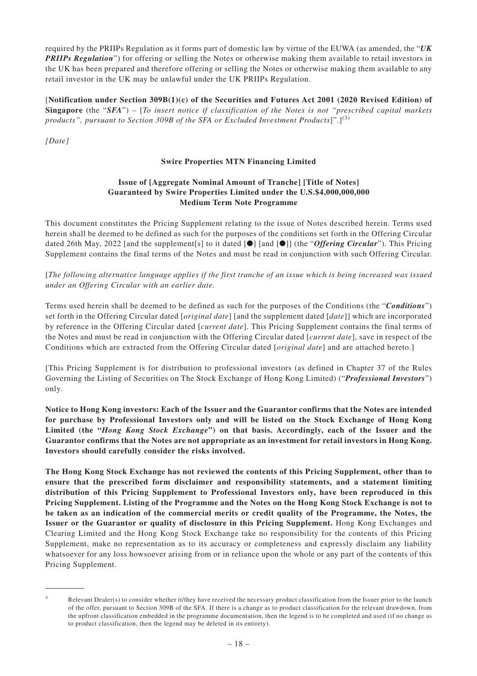required by the PRIIPs Regulation as it forms part of domestic law by virtue of the EUWA (as amended, the "*UK PRIIPs Regulation*") for offering or selling the Notes or otherwise making them available to retail investors in the UK has been prepared and therefore offering or selling the Notes or otherwise making them available to any retail investor in the UK may be unlawful under the UK PRIIPs Regulation.

[**Notification under Section 309B(1)(c) of the Securities and Futures Act 2001 (2020 Revised Edition) of Singapore** (the "*SFA*") – [*To insert notice if classification of the Notes is not "prescribed capital markets products", pursuant to Section 309B of the SFA or Excluded Investment Products*]".](3)

*[Date]*

## **Swire Properties MTN Financing Limited**

#### **Issue of [Aggregate Nominal Amount of Tranche] [Title of Notes] Guaranteed by Swire Properties Limited under the U.S.\$4,000,000,000 Medium Term Note Programme**

This document constitutes the Pricing Supplement relating to the issue of Notes described herein. Terms used herein shall be deemed to be defined as such for the purposes of the conditions set forth in the Offering Circular dated 26th May, 2022 [and the supplement[s] to it dated [●] [and [●]] (the "*Offering Circular*"). This Pricing Supplement contains the final terms of the Notes and must be read in conjunction with such Offering Circular.

[*The following alternative language applies if the first tranche of an issue which is being increased was issued under an Offering Circular with an earlier date.*

Terms used herein shall be deemed to be defined as such for the purposes of the Conditions (the "*Conditions*") set forth in the Offering Circular dated [*original date*] [and the supplement dated [*date*]] which are incorporated by reference in the Offering Circular dated [*current date*]. This Pricing Supplement contains the final terms of the Notes and must be read in conjunction with the Offering Circular dated [*current date*], save in respect of the Conditions which are extracted from the Offering Circular dated [*original date*] and are attached hereto.]

[This Pricing Supplement is for distribution to professional investors (as defined in Chapter 37 of the Rules Governing the Listing of Securities on The Stock Exchange of Hong Kong Limited) ("*Professional Investors*") only.

**Notice to Hong Kong investors: Each of the Issuer and the Guarantor confirms that the Notes are intended for purchase by Professional Investors only and will be listed on the Stock Exchange of Hong Kong Limited (the "***Hong Kong Stock Exchange***") on that basis. Accordingly, each of the Issuer and the Guarantor confirms that the Notes are not appropriate as an investment for retail investors in Hong Kong. Investors should carefully consider the risks involved.**

**The Hong Kong Stock Exchange has not reviewed the contents of this Pricing Supplement, other than to ensure that the prescribed form disclaimer and responsibility statements, and a statement limiting distribution of this Pricing Supplement to Professional Investors only, have been reproduced in this Pricing Supplement. Listing of the Programme and the Notes on the Hong Kong Stock Exchange is not to be taken as an indication of the commercial merits or credit quality of the Programme, the Notes, the Issuer or the Guarantor or quality of disclosure in this Pricing Supplement.** Hong Kong Exchanges and Clearing Limited and the Hong Kong Stock Exchange take no responsibility for the contents of this Pricing Supplement, make no representation as to its accuracy or completeness and expressly disclaim any liability whatsoever for any loss howsoever arising from or in reliance upon the whole or any part of the contents of this Pricing Supplement.

 $3$  Relevant Dealer(s) to consider whether it/they have received the necessary product classification from the Issuer prior to the launch of the offer, pursuant to Section 309B of the SFA. If there is a change as to product classification for the relevant drawdown, from the upfront classification embedded in the programme documentation, then the legend is to be completed and used (if no change as to product classification, then the legend may be deleted in its entirety).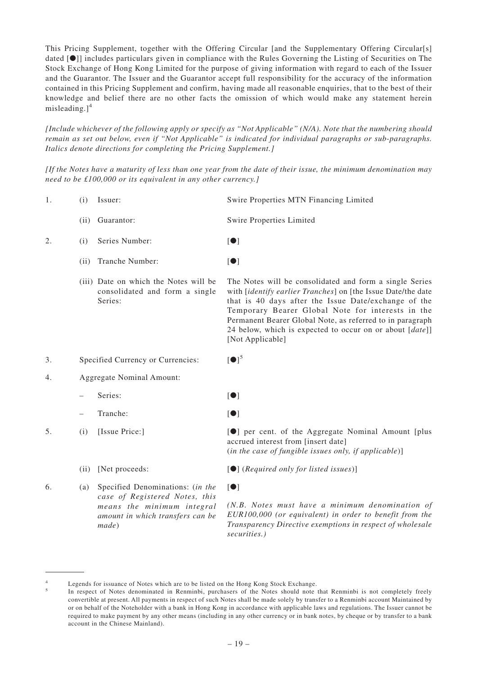This Pricing Supplement, together with the Offering Circular [and the Supplementary Offering Circular[s] dated [●]] includes particulars given in compliance with the Rules Governing the Listing of Securities on The Stock Exchange of Hong Kong Limited for the purpose of giving information with regard to each of the Issuer and the Guarantor. The Issuer and the Guarantor accept full responsibility for the accuracy of the information contained in this Pricing Supplement and confirm, having made all reasonable enquiries, that to the best of their knowledge and belief there are no other facts the omission of which would make any statement herein misleading. $]^{4}$ 

*[Include whichever of the following apply or specify as "Not Applicable" (N/A). Note that the numbering should remain as set out below, even if "Not Applicable" is indicated for individual paragraphs or sub-paragraphs. Italics denote directions for completing the Pricing Supplement.]*

*[If the Notes have a maturity of less than one year from the date of their issue, the minimum denomination may need to be £100,000 or its equivalent in any other currency.]*

- 1. (i) Issuer: Swire Properties MTN Financing Limited
	- (ii) Guarantor: Swire Properties Limited
- 2. (i) Series Number: Ⅰ●]
	- (ii) Tranche Number: [●]
	- (iii) Date on which the Notes will be consolidated and form a single Series:

The Notes will be consolidated and form a single Series with [*identify earlier Tranches*] on [the Issue Date/the date that is 40 days after the Issue Date/exchange of the Temporary Bearer Global Note for interests in the Permanent Bearer Global Note, as referred to in paragraph 24 below, which is expected to occur on or about [*date*]] [Not Applicable]

- 3. Specified Currency or Currencies:
- 4. Aggregate Nominal Amount:
	- Series: [●]
	- Tranche: [●]
- 5. (i) [Issue Price:] **[**O] per cent. of the Aggregate Nominal Amount [plus
	- (ii) [Net proceeds: [●] (*Required only for listed issues*)]
- 6. (a) Specified Denominations: (*in the case of Registered Notes, this means the minimum integral amount in which transfers can be made*)

(*in the case of fungible issues only, if applicable*)]

accrued interest from [insert date]

#### [●]

 $\lceil \bullet \rceil^5$ 

*(N.B. Notes must have a minimum denomination of EUR100,000 (or equivalent) in order to benefit from the Transparency Directive exemptions in respect of wholesale securities.)*

Legends for issuance of Notes which are to be listed on the Hong Kong Stock Exchange.

<sup>5</sup> In respect of Notes denominated in Renminbi, purchasers of the Notes should note that Renminbi is not completely freely convertible at present. All payments in respect of such Notes shall be made solely by transfer to a Renminbi account Maintained by or on behalf of the Noteholder with a bank in Hong Kong in accordance with applicable laws and regulations. The Issuer cannot be required to make payment by any other means (including in any other currency or in bank notes, by cheque or by transfer to a bank account in the Chinese Mainland).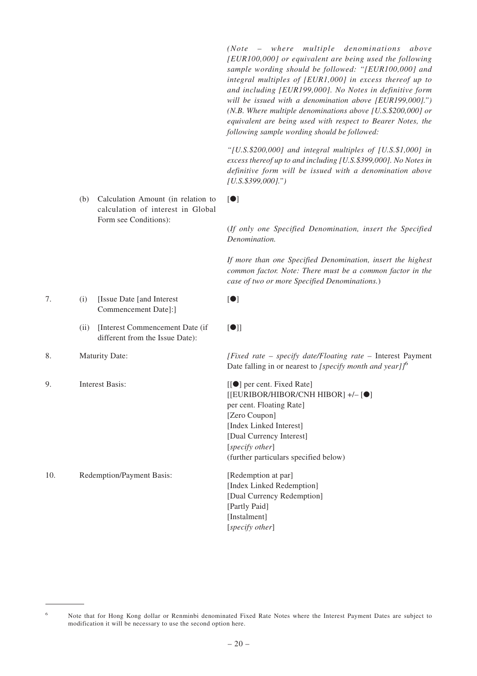*(Note – where multiple denominations above [EUR100,000] or equivalent are being used the following sample wording should be followed: "[EUR100,000] and integral multiples of [EUR1,000] in excess thereof up to and including [EUR199,000]. No Notes in definitive form will be issued with a denomination above [EUR199,000].") (N.B. Where multiple denominations above [U.S.\$200,000] or equivalent are being used with respect to Bearer Notes, the following sample wording should be followed:*

*"[U.S.\$200,000] and integral multiples of [U.S.\$1,000] in excess thereof up to and including [U.S.\$399,000]. No Notes in definitive form will be issued with a denomination above [U.S.\$399,000].")*

(*If only one Specified Denomination, insert the Specified*

*If more than one Specified Denomination, insert the highest common factor. Note: There must be a common factor in the*

*case of two or more Specified Denominations.*)

(b) Calculation Amount (in relation to calculation of interest in Global Form see Conditions):

- 7. (i) [Issue Date [and Interest Commencement Date]:]
	- (ii) [Interest Commencement Date (if different from the Issue Date):
- 

9. Interest Basis: [[ $\bullet$ ] per cent. Fixed Rate]

10. Redemption/Payment Basis: [Redemption at par]

# [●]

*Denomination.*

[●]

[●]]

8. Maturity Date: *[Fixed rate – specify date/Floating rate –* Interest Payment Date falling in or nearest to *[specify month and year]]*<sup>6</sup>

> [[EURIBOR/HIBOR/CNH HIBOR] +/– [●] per cent. Floating Rate] [Zero Coupon] [Index Linked Interest] [Dual Currency Interest] [*specify other*] (further particulars specified below)

[Index Linked Redemption] [Dual Currency Redemption] [Partly Paid] [Instalment] [*specify other*]

<sup>6</sup> Note that for Hong Kong dollar or Renminbi denominated Fixed Rate Notes where the Interest Payment Dates are subject to modification it will be necessary to use the second option here.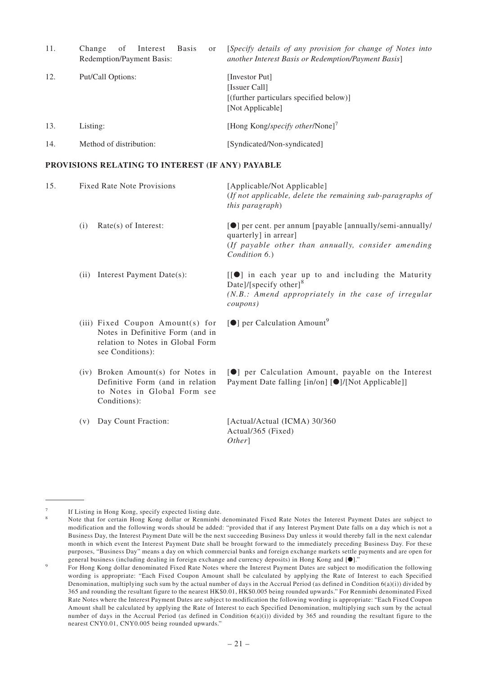| 11. | <b>Basis</b><br>of<br>Interest<br>Change<br><sub>or</sub><br>Redemption/Payment Basis: | [Specify details of any provision for change of Notes into<br>another Interest Basis or Redemption/Payment Basis] |
|-----|----------------------------------------------------------------------------------------|-------------------------------------------------------------------------------------------------------------------|
| 12. | Put/Call Options:                                                                      | [Investor Put]<br>[Issuer Call]<br>[(further particulars specified below)]<br>[Not Applicable]                    |
| 13. | Listing:                                                                               | [Hong Kong/specify other/None] <sup>7</sup>                                                                       |
| 14. | Method of distribution:                                                                | [Syndicated/Non-syndicated]                                                                                       |

#### **PROVISIONS RELATING TO INTEREST (IF ANY) PAYABLE**

| 15. |      | <b>Fixed Rate Note Provisions</b>                                                                                            | [Applicable/Not Applicable]<br>(If not applicable, delete the remaining sub-paragraphs of<br>this paragraph)                                                           |
|-----|------|------------------------------------------------------------------------------------------------------------------------------|------------------------------------------------------------------------------------------------------------------------------------------------------------------------|
|     | (i)  | $Rate(s)$ of Interest:                                                                                                       | [ <sup>O</sup> ] per cent. per annum [payable [annually/semi-annually/<br>quarterly] in arrear]<br>(If payable other than annually, consider amending<br>Condition 6.) |
|     | (ii) | Interest Payment Date(s):                                                                                                    | [[O] in each year up to and including the Maturity<br>Date]/[specify other] <sup>8</sup><br>$(N.B.:$ Amend appropriately in the case of irregular<br>coupons)          |
|     |      | (iii) Fixed Coupon Amount(s) for<br>Notes in Definitive Form (and in<br>relation to Notes in Global Form<br>see Conditions): | $[①]$ per Calculation Amount <sup>9</sup>                                                                                                                              |
|     |      | (iv) Broken Amount(s) for Notes in<br>Definitive Form (and in relation<br>to Notes in Global Form see<br>Conditions):        | [O] per Calculation Amount, payable on the Interest<br>Payment Date falling [in/on] [O]/[Not Applicable]]                                                              |
|     | (v)  | Day Count Fraction:                                                                                                          | [Actual/Actual (ICMA) 30/360<br>Actual/365 (Fixed)                                                                                                                     |

*Other*]

If Listing in Hong Kong, specify expected listing date.

<sup>8</sup> Note that for certain Hong Kong dollar or Renminbi denominated Fixed Rate Notes the Interest Payment Dates are subject to modification and the following words should be added: "provided that if any Interest Payment Date falls on a day which is not a Business Day, the Interest Payment Date will be the next succeeding Business Day unless it would thereby fall in the next calendar month in which event the Interest Payment Date shall be brought forward to the immediately preceding Business Day. For these purposes, "Business Day" means a day on which commercial banks and foreign exchange markets settle payments and are open for general business (including dealing in foreign exchange and currency deposits) in Hong Kong and  $[0]$ ."

<sup>9</sup> For Hong Kong dollar denominated Fixed Rate Notes where the Interest Payment Dates are subject to modification the following wording is appropriate: "Each Fixed Coupon Amount shall be calculated by applying the Rate of Interest to each Specified Denomination, multiplying such sum by the actual number of days in the Accrual Period (as defined in Condition  $(6a)(i)$ ) divided by 365 and rounding the resultant figure to the nearest HK\$0.01, HK\$0.005 being rounded upwards." For Renminbi denominated Fixed Rate Notes where the Interest Payment Dates are subject to modification the following wording is appropriate: "Each Fixed Coupon Amount shall be calculated by applying the Rate of Interest to each Specified Denomination, multiplying such sum by the actual number of days in the Accrual Period (as defined in Condition  $6(a)(i)$ ) divided by 365 and rounding the resultant figure to the nearest CNY0.01, CNY0.005 being rounded upwards."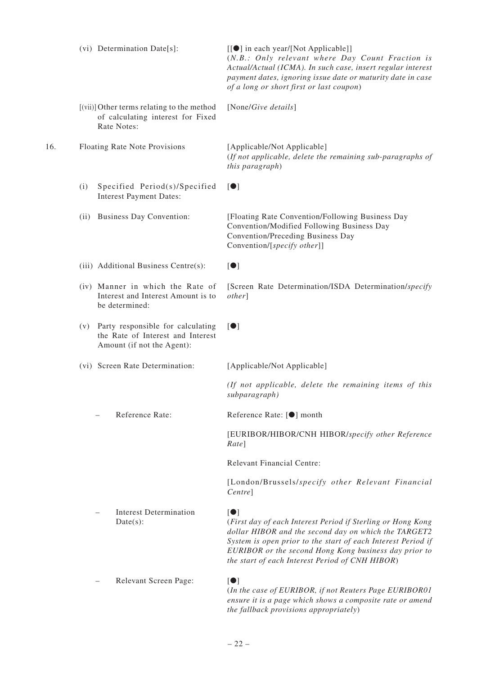|     | (vi) Determination Date[s]:                                                                                 | [[ $\bullet$ ] in each year/[Not Applicable]]<br>(N.B.: Only relevant where Day Count Fraction is<br>Actual/Actual (ICMA). In such case, insert regular interest<br>payment dates, ignoring issue date or maturity date in case<br>of a long or short first or last coupon)                                                  |
|-----|-------------------------------------------------------------------------------------------------------------|------------------------------------------------------------------------------------------------------------------------------------------------------------------------------------------------------------------------------------------------------------------------------------------------------------------------------|
|     | [(vii)] Other terms relating to the method<br>of calculating interest for Fixed<br>Rate Notes:              | [None/Give details]                                                                                                                                                                                                                                                                                                          |
| 16. | Floating Rate Note Provisions                                                                               | [Applicable/Not Applicable]<br>(If not applicable, delete the remaining sub-paragraphs of<br>this paragraph)                                                                                                                                                                                                                 |
|     | Specified Period(s)/Specified<br>(i)<br><b>Interest Payment Dates:</b>                                      | $\lbrack \bullet \rbrack$                                                                                                                                                                                                                                                                                                    |
|     | <b>Business Day Convention:</b><br>(ii)                                                                     | [Floating Rate Convention/Following Business Day<br>Convention/Modified Following Business Day<br>Convention/Preceding Business Day<br>Convention/[specify other]]                                                                                                                                                           |
|     | (iii) Additional Business Centre(s):                                                                        | $\lbrack \bullet \rbrack$                                                                                                                                                                                                                                                                                                    |
|     | (iv) Manner in which the Rate of<br>Interest and Interest Amount is to<br>be determined:                    | [Screen Rate Determination/ISDA Determination/specify<br><i>other</i>                                                                                                                                                                                                                                                        |
|     | Party responsible for calculating<br>(v)<br>the Rate of Interest and Interest<br>Amount (if not the Agent): | $\lceil \bullet \rceil$                                                                                                                                                                                                                                                                                                      |
|     | (vi) Screen Rate Determination:                                                                             | [Applicable/Not Applicable]                                                                                                                                                                                                                                                                                                  |
|     |                                                                                                             | (If not applicable, delete the remaining items of this<br>subparagraph)                                                                                                                                                                                                                                                      |
|     | Reference Rate:                                                                                             | Reference Rate: [●] month                                                                                                                                                                                                                                                                                                    |
|     |                                                                                                             | [EURIBOR/HIBOR/CNH HIBOR/specify other Reference<br>Rate]                                                                                                                                                                                                                                                                    |
|     |                                                                                                             | Relevant Financial Centre:                                                                                                                                                                                                                                                                                                   |
|     |                                                                                                             | [London/Brussels/specify other Relevant Financial<br>Centre]                                                                                                                                                                                                                                                                 |
|     | Interest Determination<br>$Date(s)$ :                                                                       | $\lbrack \bullet \rbrack$<br>(First day of each Interest Period if Sterling or Hong Kong<br>dollar HIBOR and the second day on which the TARGET2<br>System is open prior to the start of each Interest Period if<br>EURIBOR or the second Hong Kong business day prior to<br>the start of each Interest Period of CNH HIBOR) |
|     | Relevant Screen Page:                                                                                       | $\lbrack \bullet \rbrack$<br>(In the case of EURIBOR, if not Reuters Page EURIBOR01<br>ensure it is a page which shows a composite rate or amend<br>the fallback provisions appropriately)                                                                                                                                   |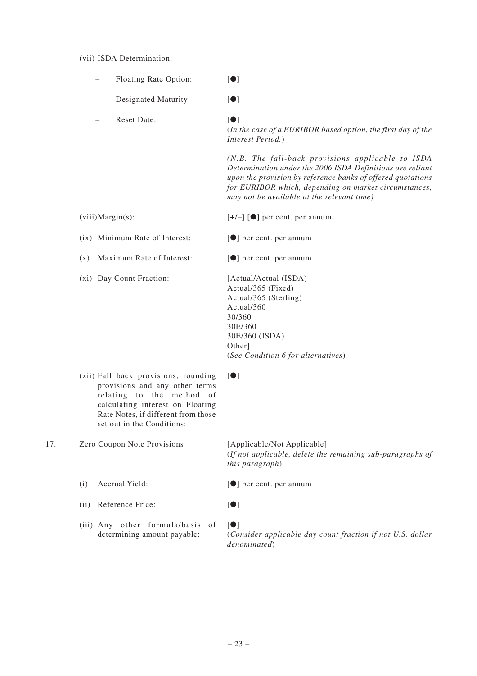#### (vii) ISDA Determination:

- Floating Rate Option: **Ⅰ** [●]
- Designated Maturity: **Ⅰ** [●]

– Reset Date: [●]

(*In the case of a EURIBOR based option, the first day of the Interest Period.*)

*(N.B. The fall-back provisions applicable to ISDA Determination under the 2006 ISDA Definitions are reliant upon the provision by reference banks of offered quotations for EURIBOR which, depending on market circumstances, may not be available at the relevant time)*

(viii)Margin(s):  $[+/-]$  [ $\bullet$ ] per cent. per annum

(ix) Minimum Rate of Interest:  $\lceil \bullet \rceil$  per cent. per annum

(x) Maximum Rate of Interest: [●] per cent. per annum

(xi) Day Count Fraction: [Actual/Actual (ISDA)

Actual/365 (Fixed) Actual/365 (Sterling) Actual/360 30/360 30E/360 30E/360 (ISDA) Other] (*See Condition 6 for alternatives*)

(xii) Fall back provisions, rounding provisions and any other terms relating to the method of calculating interest on Floating Rate Notes, if different from those set out in the Conditions:

17. Zero Coupon Note Provisions [Applicable/Not Applicable] (*If not applicable, delete the remaining sub-paragraphs of this paragraph*)

- (i) Accrual Yield: **[●]** per cent. per annum
- (ii) Reference Price: [●]
- (iii) Any other formula/basis of determining amount payable:

[●]

[●]

(*Consider applicable day count fraction if not U.S. dollar denominated*)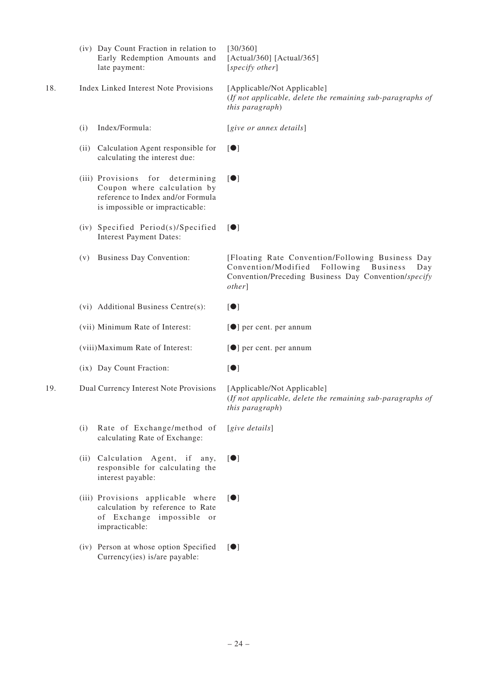|     |      | (iv) Day Count Fraction in relation to<br>Early Redemption Amounts and<br>late payment:                                                 | [30/360]<br>[Actual/360] [Actual/365]<br>[specify other]                                                                                                                     |
|-----|------|-----------------------------------------------------------------------------------------------------------------------------------------|------------------------------------------------------------------------------------------------------------------------------------------------------------------------------|
| 18. |      | <b>Index Linked Interest Note Provisions</b>                                                                                            | [Applicable/Not Applicable]<br>(If not applicable, delete the remaining sub-paragraphs of<br>this paragraph)                                                                 |
|     | (i)  | Index/Formula:                                                                                                                          | [give or annex details]                                                                                                                                                      |
|     | (ii) | Calculation Agent responsible for<br>calculating the interest due:                                                                      | $\blacksquare$                                                                                                                                                               |
|     |      | (iii) Provisions for determining<br>Coupon where calculation by<br>reference to Index and/or Formula<br>is impossible or impracticable: | $\lceil \bullet \rceil$                                                                                                                                                      |
|     |      | (iv) Specified Period(s)/Specified<br><b>Interest Payment Dates:</b>                                                                    | $\blacksquare$                                                                                                                                                               |
|     | (v)  | <b>Business Day Convention:</b>                                                                                                         | [Floating Rate Convention/Following Business Day<br>Convention/Modified<br>Following Business<br>Day<br>Convention/Preceding Business Day Convention/specify<br><i>other</i> |
|     |      | (vi) Additional Business Centre(s):                                                                                                     | $\blacksquare$                                                                                                                                                               |
|     |      | (vii) Minimum Rate of Interest:                                                                                                         | [ <sup>•</sup> ] per cent. per annum                                                                                                                                         |
|     |      | (viii) Maximum Rate of Interest:                                                                                                        | [ <sup>•</sup> ] per cent. per annum                                                                                                                                         |
|     |      | (ix) Day Count Fraction:                                                                                                                | $\lbrack \bullet \rbrack$                                                                                                                                                    |
| 19. |      | Dual Currency Interest Note Provisions                                                                                                  | [Applicable/Not Applicable]<br>(If not applicable, delete the remaining sub-paragraphs of<br><i>this paragraph</i> )                                                         |
|     | (i)  | Rate of Exchange/method of<br>calculating Rate of Exchange:                                                                             | [give details]                                                                                                                                                               |
|     |      | (ii) Calculation Agent, if any,<br>responsible for calculating the<br>interest payable:                                                 | $\blacksquare$                                                                                                                                                               |
|     |      | (iii) Provisions applicable where<br>calculation by reference to Rate<br>of Exchange impossible or<br>impracticable:                    | $\blacksquare$                                                                                                                                                               |
|     |      | (iv) Person at whose option Specified                                                                                                   | $\blacksquare$                                                                                                                                                               |

Currency(ies) is/are payable: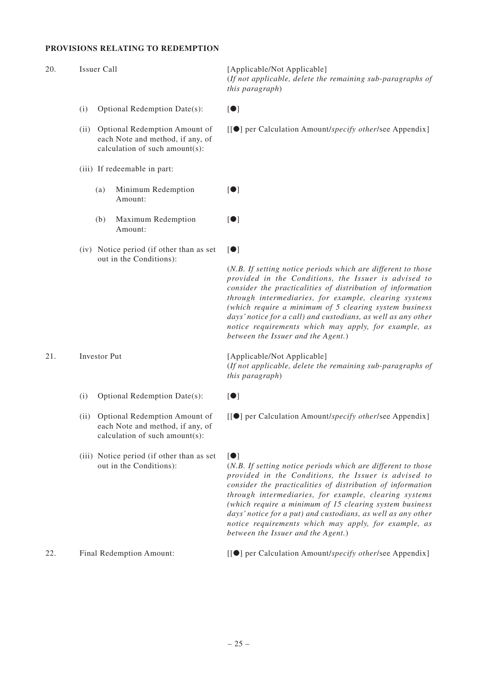#### **PROVISIONS RELATING TO REDEMPTION**

[Applicable/Not Applicable]

[●]

[●]

[●]

(*If not applicable, delete the remaining sub-paragraphs of this paragraph*)

- (i) Optional Redemption Date(s):  $[①]$
- (ii) Optional Redemption Amount of each Note and method, if any, of calculation of such amount(s):
- (iii) If redeemable in part:
	- (a) Minimum Redemption Amount:
	- (b) Maximum Redemption Amount:
- (iv) Notice period (if other than as set out in the Conditions):

(ii) Optional Redemption Amount of each Note and method, if any, of calculation of such amount(s):

(iii) Notice period (if other than as set out in the Conditions):

21. Investor Put [Applicable/Not Applicable]

*between the Issuer and the Agent.*)

(*If not applicable, delete the remaining sub-paragraphs of this paragraph*)

(*N.B. If setting notice periods which are different to those provided in the Conditions, the Issuer is advised to consider the practicalities of distribution of information through intermediaries, for example, clearing systems (which require a minimum of 5 clearing system business days' notice for a call) and custodians, as well as any other notice requirements which may apply, for example, as*

(i) Optional Redemption Date(s):  $[①]$ 

[[●] per Calculation Amount/*specify other*/see Appendix]

#### [●]

(*N.B. If setting notice periods which are different to those provided in the Conditions, the Issuer is advised to consider the practicalities of distribution of information through intermediaries, for example, clearing systems (which require a minimum of 15 clearing system business days' notice for a put) and custodians, as well as any other notice requirements which may apply, for example, as between the Issuer and the Agent.*)

22. Final Redemption Amount: [[●] per Calculation Amount/*specify other*/see Appendix]

#### – 25 –

[[●] per Calculation Amount/*specify other*/see Appendix]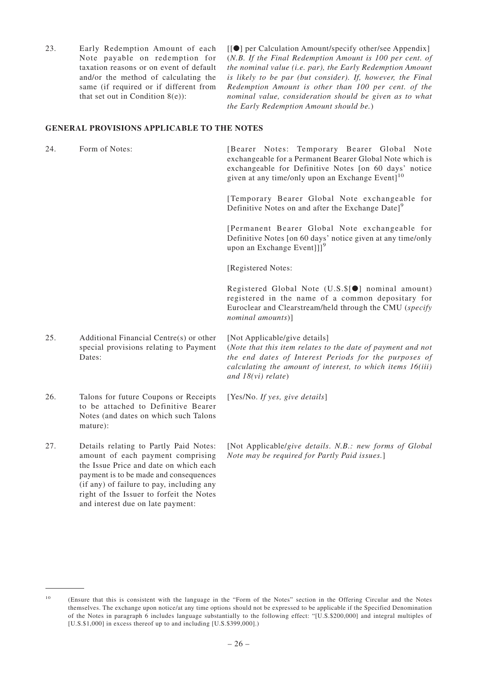23. Early Redemption Amount of each Note payable on redemption for taxation reasons or on event of default and/or the method of calculating the same (if required or if different from that set out in Condition  $8(e)$ :

[[●] per Calculation Amount/specify other/see Appendix] (*N.B. If the Final Redemption Amount is 100 per cent. of the nominal value (i.e. par), the Early Redemption Amount is likely to be par (but consider). If, however, the Final Redemption Amount is other than 100 per cent. of the nominal value, consideration should be given as to what the Early Redemption Amount should be.*)

#### **GENERAL PROVISIONS APPLICABLE TO THE NOTES**

24. Form of Notes: [Bearer Notes: Temporary Bearer Global Note exchangeable for a Permanent Bearer Global Note which is exchangeable for Definitive Notes [on 60 days' notice given at any time/only upon an Exchange Event $]^{10}$ [Temporary Bearer Global Note exchangeable for Definitive Notes on and after the Exchange Date]<sup>9</sup> [Permanent Bearer Global Note exchangeable for Definitive Notes [on 60 days' notice given at any time/only upon an Exchange Event]]<sup>9</sup> [Registered Notes: Registered Global Note (U.S.\$[●] nominal amount) registered in the name of a common depositary for Euroclear and Clearstream/held through the CMU (*specify nominal amounts*)] 25. Additional Financial Centre(s) or other special provisions relating to Payment Dates: [Not Applicable/give details] (*Note that this item relates to the date of payment and not*

- 26. Talons for future Coupons or Receipts to be attached to Definitive Bearer Notes (and dates on which such Talons mature):
- 27. Details relating to Partly Paid Notes: amount of each payment comprising the Issue Price and date on which each payment is to be made and consequences (if any) of failure to pay, including any right of the Issuer to forfeit the Notes and interest due on late payment:

*the end dates of Interest Periods for the purposes of calculating the amount of interest, to which items 16(iii) and 18(vi) relate*)

[Yes/No. *If yes, give details*]

[Not Applicable/*give details*. *N.B.: new forms of Global Note may be required for Partly Paid issues.*]

<sup>&</sup>lt;sup>10</sup> (Ensure that this is consistent with the language in the "Form of the Notes" section in the Offering Circular and the Notes themselves. The exchange upon notice/at any time options should not be expressed to be applicable if the Specified Denomination of the Notes in paragraph 6 includes language substantially to the following effect: "[U.S.\$200,000] and integral multiples of [U.S.\$1,000] in excess thereof up to and including [U.S.\$399,000].)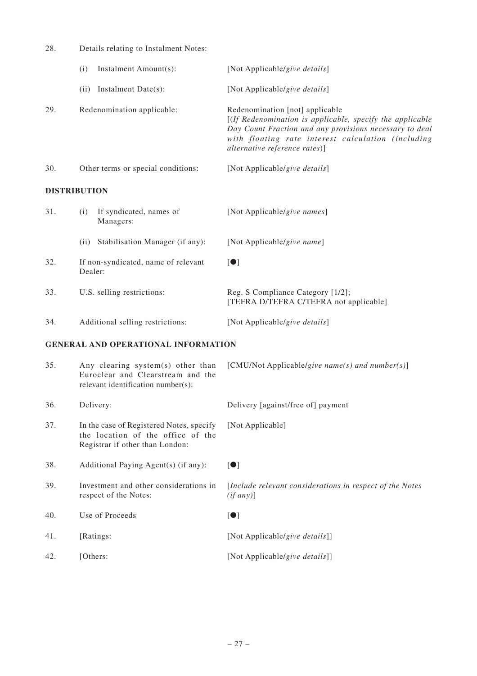| 28.                                        | Details relating to Instalment Notes:          |                                                                                                                                                                                                                                                |  |  |
|--------------------------------------------|------------------------------------------------|------------------------------------------------------------------------------------------------------------------------------------------------------------------------------------------------------------------------------------------------|--|--|
|                                            | Instalment Amount(s):<br>(i)                   | [Not Applicable/give details]                                                                                                                                                                                                                  |  |  |
|                                            | Instalment Date(s):<br>(ii)                    | [Not Applicable/give details]                                                                                                                                                                                                                  |  |  |
| 29.                                        | Redenomination applicable:                     | Redenomination [not] applicable<br>[(If Redenomination is applicable, specify the applicable<br>Day Count Fraction and any provisions necessary to deal<br>with floating rate interest calculation (including<br>alternative reference rates)] |  |  |
| 30.                                        | Other terms or special conditions:             | [Not Applicable/give details]                                                                                                                                                                                                                  |  |  |
|                                            | <b>DISTRIBUTION</b>                            |                                                                                                                                                                                                                                                |  |  |
| 31.                                        | If syndicated, names of<br>(i)<br>Managers:    | [Not Applicable/give names]                                                                                                                                                                                                                    |  |  |
|                                            | (ii) Stabilisation Manager (if any):           | [Not Applicable/give name]                                                                                                                                                                                                                     |  |  |
| 32.                                        | If non-syndicated, name of relevant<br>Dealer: | $\lceil \bullet \rceil$                                                                                                                                                                                                                        |  |  |
| 33.                                        | U.S. selling restrictions:                     | Reg. S Compliance Category [1/2];<br>[TEFRA D/TEFRA C/TEFRA not applicable]                                                                                                                                                                    |  |  |
| 34.                                        | Additional selling restrictions:               | [Not Applicable/give details]                                                                                                                                                                                                                  |  |  |
| <b>GENERAL AND OPERATIONAL INFORMATION</b> |                                                |                                                                                                                                                                                                                                                |  |  |

| 35. | Any clearing system(s) other than<br>Euroclear and Clearstream and the<br>relevant identification number(s):     | [CMU/Not Applicable/give name(s) and number(s)]                       |
|-----|------------------------------------------------------------------------------------------------------------------|-----------------------------------------------------------------------|
| 36. | Delivery:                                                                                                        | Delivery [against/free of] payment                                    |
| 37. | In the case of Registered Notes, specify<br>the location of the office of the<br>Registrar if other than London: | [Not Applicable]                                                      |
| 38. | Additional Paying Agent(s) (if any):                                                                             | $\blacksquare$                                                        |
| 39. | Investment and other considerations in<br>respect of the Notes:                                                  | [Include relevant considerations in respect of the Notes<br>(if any)] |
| 40. | Use of Proceeds                                                                                                  | $\blacksquare$                                                        |
| 41. | [Ratings:                                                                                                        | [Not Applicable/give details]]                                        |
| 42. | [Others:                                                                                                         | [Not Applicable/give details]]                                        |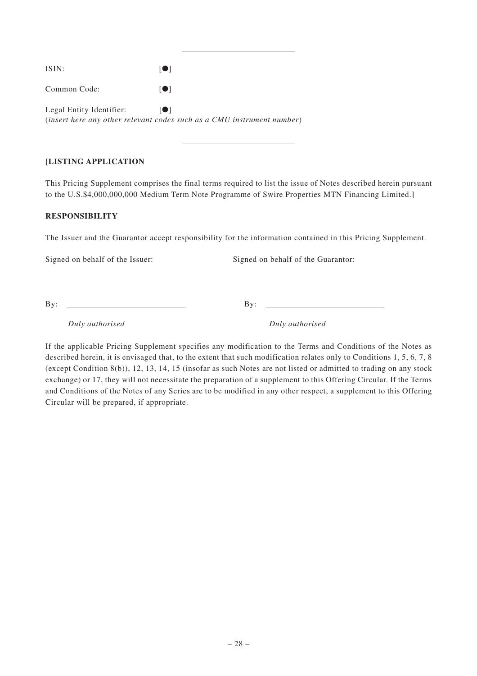| ISIN:                    | $\blacksquare$                                                                 |
|--------------------------|--------------------------------------------------------------------------------|
| Common Code:             | 10 I                                                                           |
| Legal Entity Identifier: | 10 L<br>(insert here any other relevant codes such as a CMU instrument number) |

# **[LISTING APPLICATION**

This Pricing Supplement comprises the final terms required to list the issue of Notes described herein pursuant to the U.S.\$4,000,000,000 Medium Term Note Programme of Swire Properties MTN Financing Limited.]

# **RESPONSIBILITY**

The Issuer and the Guarantor accept responsibility for the information contained in this Pricing Supplement.

Signed on behalf of the Issuer: Signed on behalf of the Guarantor:

By: By:

*Duly authorised Duly authorised*

If the applicable Pricing Supplement specifies any modification to the Terms and Conditions of the Notes as described herein, it is envisaged that, to the extent that such modification relates only to Conditions 1, 5, 6, 7, 8 (except Condition 8(b)), 12, 13, 14, 15 (insofar as such Notes are not listed or admitted to trading on any stock exchange) or 17, they will not necessitate the preparation of a supplement to this Offering Circular. If the Terms and Conditions of the Notes of any Series are to be modified in any other respect, a supplement to this Offering Circular will be prepared, if appropriate.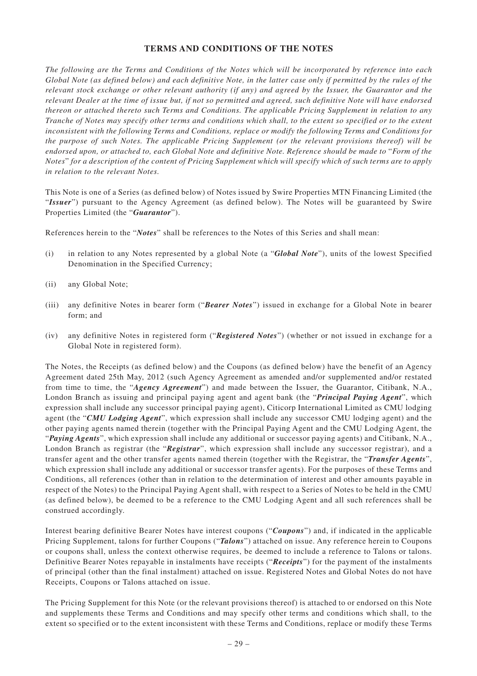# **TERMS AND CONDITIONS OF THE NOTES**

*The following are the Terms and Conditions of the Notes which will be incorporated by reference into each Global Note (as defined below) and each definitive Note, in the latter case only if permitted by the rules of the relevant stock exchange or other relevant authority (if any) and agreed by the Issuer, the Guarantor and the relevant Dealer at the time of issue but, if not so permitted and agreed, such definitive Note will have endorsed thereon or attached thereto such Terms and Conditions. The applicable Pricing Supplement in relation to any Tranche of Notes may specify other terms and conditions which shall, to the extent so specified or to the extent inconsistent with the following Terms and Conditions, replace or modify the following Terms and Conditions for the purpose of such Notes. The applicable Pricing Supplement (or the relevant provisions thereof) will be endorsed upon, or attached to, each Global Note and definitive Note. Reference should be made to* "*Form of the Notes*" *for a description of the content of Pricing Supplement which will specify which of such terms are to apply in relation to the relevant Notes.*

This Note is one of a Series (as defined below) of Notes issued by Swire Properties MTN Financing Limited (the "*Issuer*") pursuant to the Agency Agreement (as defined below). The Notes will be guaranteed by Swire Properties Limited (the "*Guarantor*").

References herein to the "*Notes*" shall be references to the Notes of this Series and shall mean:

- (i) in relation to any Notes represented by a global Note (a "*Global Note*"), units of the lowest Specified Denomination in the Specified Currency;
- (ii) any Global Note;
- (iii) any definitive Notes in bearer form ("*Bearer Notes*") issued in exchange for a Global Note in bearer form; and
- (iv) any definitive Notes in registered form ("*Registered Notes*") (whether or not issued in exchange for a Global Note in registered form).

The Notes, the Receipts (as defined below) and the Coupons (as defined below) have the benefit of an Agency Agreement dated 25th May, 2012 (such Agency Agreement as amended and/or supplemented and/or restated from time to time, the "*Agency Agreement*") and made between the Issuer, the Guarantor, Citibank, N.A., London Branch as issuing and principal paying agent and agent bank (the "*Principal Paying Agent*", which expression shall include any successor principal paying agent), Citicorp International Limited as CMU lodging agent (the "*CMU Lodging Agent*", which expression shall include any successor CMU lodging agent) and the other paying agents named therein (together with the Principal Paying Agent and the CMU Lodging Agent, the "*Paying Agents*", which expression shall include any additional or successor paying agents) and Citibank, N.A., London Branch as registrar (the "*Registrar*", which expression shall include any successor registrar), and a transfer agent and the other transfer agents named therein (together with the Registrar, the "*Transfer Agents*", which expression shall include any additional or successor transfer agents). For the purposes of these Terms and Conditions, all references (other than in relation to the determination of interest and other amounts payable in respect of the Notes) to the Principal Paying Agent shall, with respect to a Series of Notes to be held in the CMU (as defined below), be deemed to be a reference to the CMU Lodging Agent and all such references shall be construed accordingly.

Interest bearing definitive Bearer Notes have interest coupons ("*Coupons*") and, if indicated in the applicable Pricing Supplement, talons for further Coupons ("*Talons*") attached on issue. Any reference herein to Coupons or coupons shall, unless the context otherwise requires, be deemed to include a reference to Talons or talons. Definitive Bearer Notes repayable in instalments have receipts ("*Receipts*") for the payment of the instalments of principal (other than the final instalment) attached on issue. Registered Notes and Global Notes do not have Receipts, Coupons or Talons attached on issue.

The Pricing Supplement for this Note (or the relevant provisions thereof) is attached to or endorsed on this Note and supplements these Terms and Conditions and may specify other terms and conditions which shall, to the extent so specified or to the extent inconsistent with these Terms and Conditions, replace or modify these Terms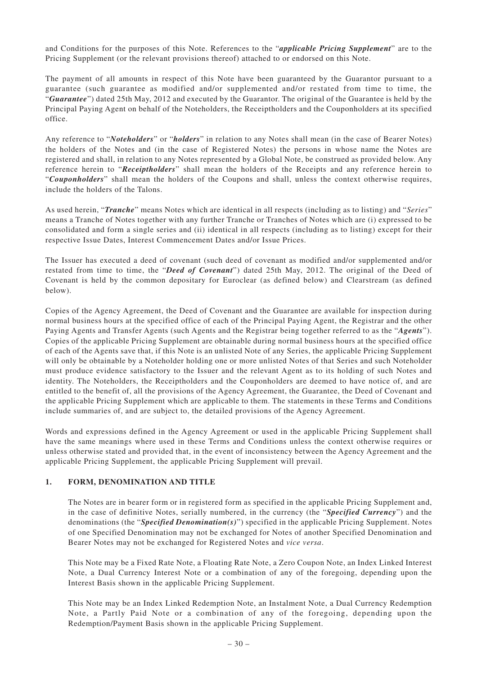and Conditions for the purposes of this Note. References to the "*applicable Pricing Supplement*" are to the Pricing Supplement (or the relevant provisions thereof) attached to or endorsed on this Note.

The payment of all amounts in respect of this Note have been guaranteed by the Guarantor pursuant to a guarantee (such guarantee as modified and/or supplemented and/or restated from time to time, the "*Guarantee*") dated 25th May, 2012 and executed by the Guarantor. The original of the Guarantee is held by the Principal Paying Agent on behalf of the Noteholders, the Receiptholders and the Couponholders at its specified office.

Any reference to "*Noteholders*" or "*holders*" in relation to any Notes shall mean (in the case of Bearer Notes) the holders of the Notes and (in the case of Registered Notes) the persons in whose name the Notes are registered and shall, in relation to any Notes represented by a Global Note, be construed as provided below. Any reference herein to "*Receiptholders*" shall mean the holders of the Receipts and any reference herein to "*Couponholders*" shall mean the holders of the Coupons and shall, unless the context otherwise requires, include the holders of the Talons.

As used herein, "*Tranche*" means Notes which are identical in all respects (including as to listing) and "*Series*" means a Tranche of Notes together with any further Tranche or Tranches of Notes which are (i) expressed to be consolidated and form a single series and (ii) identical in all respects (including as to listing) except for their respective Issue Dates, Interest Commencement Dates and/or Issue Prices.

The Issuer has executed a deed of covenant (such deed of covenant as modified and/or supplemented and/or restated from time to time, the "*Deed of Covenant*") dated 25th May, 2012. The original of the Deed of Covenant is held by the common depositary for Euroclear (as defined below) and Clearstream (as defined below).

Copies of the Agency Agreement, the Deed of Covenant and the Guarantee are available for inspection during normal business hours at the specified office of each of the Principal Paying Agent, the Registrar and the other Paying Agents and Transfer Agents (such Agents and the Registrar being together referred to as the "*Agents*"). Copies of the applicable Pricing Supplement are obtainable during normal business hours at the specified office of each of the Agents save that, if this Note is an unlisted Note of any Series, the applicable Pricing Supplement will only be obtainable by a Noteholder holding one or more unlisted Notes of that Series and such Noteholder must produce evidence satisfactory to the Issuer and the relevant Agent as to its holding of such Notes and identity. The Noteholders, the Receiptholders and the Couponholders are deemed to have notice of, and are entitled to the benefit of, all the provisions of the Agency Agreement, the Guarantee, the Deed of Covenant and the applicable Pricing Supplement which are applicable to them. The statements in these Terms and Conditions include summaries of, and are subject to, the detailed provisions of the Agency Agreement.

Words and expressions defined in the Agency Agreement or used in the applicable Pricing Supplement shall have the same meanings where used in these Terms and Conditions unless the context otherwise requires or unless otherwise stated and provided that, in the event of inconsistency between the Agency Agreement and the applicable Pricing Supplement, the applicable Pricing Supplement will prevail.

# **1. FORM, DENOMINATION AND TITLE**

The Notes are in bearer form or in registered form as specified in the applicable Pricing Supplement and, in the case of definitive Notes, serially numbered, in the currency (the "*Specified Currency*") and the denominations (the "*Specified Denomination(s)*") specified in the applicable Pricing Supplement. Notes of one Specified Denomination may not be exchanged for Notes of another Specified Denomination and Bearer Notes may not be exchanged for Registered Notes and *vice versa*.

This Note may be a Fixed Rate Note, a Floating Rate Note, a Zero Coupon Note, an Index Linked Interest Note, a Dual Currency Interest Note or a combination of any of the foregoing, depending upon the Interest Basis shown in the applicable Pricing Supplement.

This Note may be an Index Linked Redemption Note, an Instalment Note, a Dual Currency Redemption Note, a Partly Paid Note or a combination of any of the foregoing, depending upon the Redemption/Payment Basis shown in the applicable Pricing Supplement.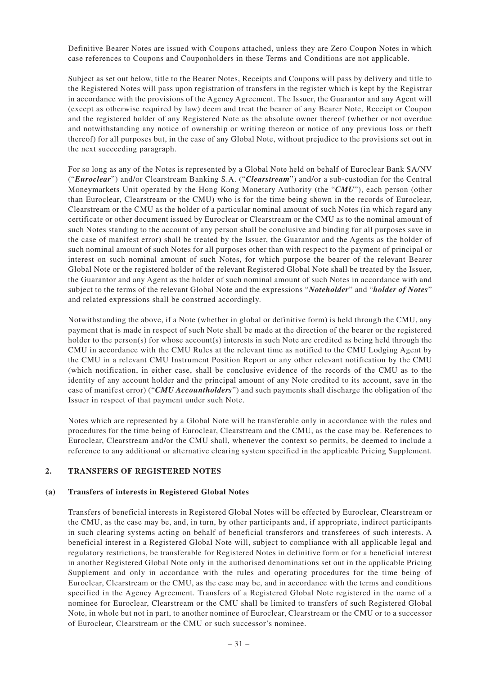Definitive Bearer Notes are issued with Coupons attached, unless they are Zero Coupon Notes in which case references to Coupons and Couponholders in these Terms and Conditions are not applicable.

Subject as set out below, title to the Bearer Notes, Receipts and Coupons will pass by delivery and title to the Registered Notes will pass upon registration of transfers in the register which is kept by the Registrar in accordance with the provisions of the Agency Agreement. The Issuer, the Guarantor and any Agent will (except as otherwise required by law) deem and treat the bearer of any Bearer Note, Receipt or Coupon and the registered holder of any Registered Note as the absolute owner thereof (whether or not overdue and notwithstanding any notice of ownership or writing thereon or notice of any previous loss or theft thereof) for all purposes but, in the case of any Global Note, without prejudice to the provisions set out in the next succeeding paragraph.

For so long as any of the Notes is represented by a Global Note held on behalf of Euroclear Bank SA/NV ("*Euroclear*") and/or Clearstream Banking S.A. ("*Clearstream*") and/or a sub-custodian for the Central Moneymarkets Unit operated by the Hong Kong Monetary Authority (the "*CMU*"), each person (other than Euroclear, Clearstream or the CMU) who is for the time being shown in the records of Euroclear, Clearstream or the CMU as the holder of a particular nominal amount of such Notes (in which regard any certificate or other document issued by Euroclear or Clearstream or the CMU as to the nominal amount of such Notes standing to the account of any person shall be conclusive and binding for all purposes save in the case of manifest error) shall be treated by the Issuer, the Guarantor and the Agents as the holder of such nominal amount of such Notes for all purposes other than with respect to the payment of principal or interest on such nominal amount of such Notes, for which purpose the bearer of the relevant Bearer Global Note or the registered holder of the relevant Registered Global Note shall be treated by the Issuer, the Guarantor and any Agent as the holder of such nominal amount of such Notes in accordance with and subject to the terms of the relevant Global Note and the expressions "*Noteholder*" and "*holder of Notes*" and related expressions shall be construed accordingly.

Notwithstanding the above, if a Note (whether in global or definitive form) is held through the CMU, any payment that is made in respect of such Note shall be made at the direction of the bearer or the registered holder to the person(s) for whose account(s) interests in such Note are credited as being held through the CMU in accordance with the CMU Rules at the relevant time as notified to the CMU Lodging Agent by the CMU in a relevant CMU Instrument Position Report or any other relevant notification by the CMU (which notification, in either case, shall be conclusive evidence of the records of the CMU as to the identity of any account holder and the principal amount of any Note credited to its account, save in the case of manifest error) ("*CMU Accountholders*") and such payments shall discharge the obligation of the Issuer in respect of that payment under such Note.

Notes which are represented by a Global Note will be transferable only in accordance with the rules and procedures for the time being of Euroclear, Clearstream and the CMU, as the case may be. References to Euroclear, Clearstream and/or the CMU shall, whenever the context so permits, be deemed to include a reference to any additional or alternative clearing system specified in the applicable Pricing Supplement.

# **2. TRANSFERS OF REGISTERED NOTES**

#### **(a) Transfers of interests in Registered Global Notes**

Transfers of beneficial interests in Registered Global Notes will be effected by Euroclear, Clearstream or the CMU, as the case may be, and, in turn, by other participants and, if appropriate, indirect participants in such clearing systems acting on behalf of beneficial transferors and transferees of such interests. A beneficial interest in a Registered Global Note will, subject to compliance with all applicable legal and regulatory restrictions, be transferable for Registered Notes in definitive form or for a beneficial interest in another Registered Global Note only in the authorised denominations set out in the applicable Pricing Supplement and only in accordance with the rules and operating procedures for the time being of Euroclear, Clearstream or the CMU, as the case may be, and in accordance with the terms and conditions specified in the Agency Agreement. Transfers of a Registered Global Note registered in the name of a nominee for Euroclear, Clearstream or the CMU shall be limited to transfers of such Registered Global Note, in whole but not in part, to another nominee of Euroclear, Clearstream or the CMU or to a successor of Euroclear, Clearstream or the CMU or such successor's nominee.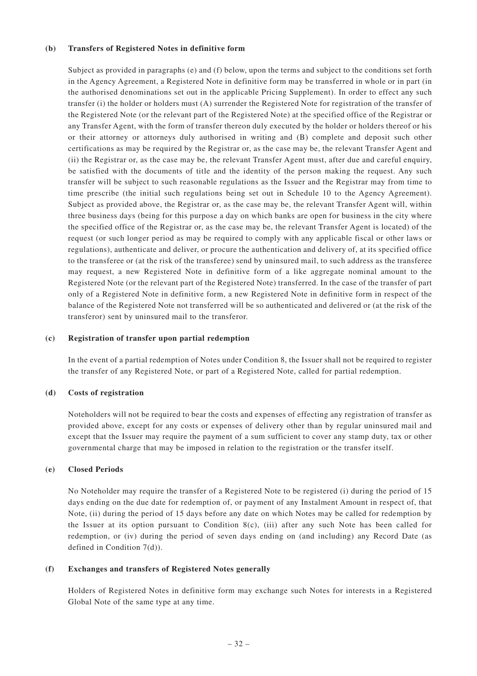#### **(b) Transfers of Registered Notes in definitive form**

Subject as provided in paragraphs (e) and (f) below, upon the terms and subject to the conditions set forth in the Agency Agreement, a Registered Note in definitive form may be transferred in whole or in part (in the authorised denominations set out in the applicable Pricing Supplement). In order to effect any such transfer (i) the holder or holders must (A) surrender the Registered Note for registration of the transfer of the Registered Note (or the relevant part of the Registered Note) at the specified office of the Registrar or any Transfer Agent, with the form of transfer thereon duly executed by the holder or holders thereof or his or their attorney or attorneys duly authorised in writing and (B) complete and deposit such other certifications as may be required by the Registrar or, as the case may be, the relevant Transfer Agent and (ii) the Registrar or, as the case may be, the relevant Transfer Agent must, after due and careful enquiry, be satisfied with the documents of title and the identity of the person making the request. Any such transfer will be subject to such reasonable regulations as the Issuer and the Registrar may from time to time prescribe (the initial such regulations being set out in Schedule 10 to the Agency Agreement). Subject as provided above, the Registrar or, as the case may be, the relevant Transfer Agent will, within three business days (being for this purpose a day on which banks are open for business in the city where the specified office of the Registrar or, as the case may be, the relevant Transfer Agent is located) of the request (or such longer period as may be required to comply with any applicable fiscal or other laws or regulations), authenticate and deliver, or procure the authentication and delivery of, at its specified office to the transferee or (at the risk of the transferee) send by uninsured mail, to such address as the transferee may request, a new Registered Note in definitive form of a like aggregate nominal amount to the Registered Note (or the relevant part of the Registered Note) transferred. In the case of the transfer of part only of a Registered Note in definitive form, a new Registered Note in definitive form in respect of the balance of the Registered Note not transferred will be so authenticated and delivered or (at the risk of the transferor) sent by uninsured mail to the transferor.

#### **(c) Registration of transfer upon partial redemption**

In the event of a partial redemption of Notes under Condition 8, the Issuer shall not be required to register the transfer of any Registered Note, or part of a Registered Note, called for partial redemption.

#### **(d) Costs of registration**

Noteholders will not be required to bear the costs and expenses of effecting any registration of transfer as provided above, except for any costs or expenses of delivery other than by regular uninsured mail and except that the Issuer may require the payment of a sum sufficient to cover any stamp duty, tax or other governmental charge that may be imposed in relation to the registration or the transfer itself.

#### **(e) Closed Periods**

No Noteholder may require the transfer of a Registered Note to be registered (i) during the period of 15 days ending on the due date for redemption of, or payment of any Instalment Amount in respect of, that Note, (ii) during the period of 15 days before any date on which Notes may be called for redemption by the Issuer at its option pursuant to Condition 8(c), (iii) after any such Note has been called for redemption, or (iv) during the period of seven days ending on (and including) any Record Date (as defined in Condition 7(d)).

#### **(f) Exchanges and transfers of Registered Notes generally**

Holders of Registered Notes in definitive form may exchange such Notes for interests in a Registered Global Note of the same type at any time.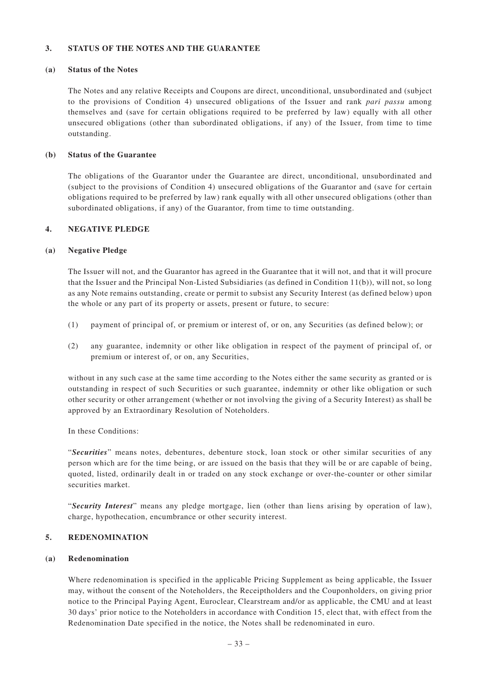### **3. STATUS OF THE NOTES AND THE GUARANTEE**

#### **(a) Status of the Notes**

The Notes and any relative Receipts and Coupons are direct, unconditional, unsubordinated and (subject to the provisions of Condition 4) unsecured obligations of the Issuer and rank *pari passu* among themselves and (save for certain obligations required to be preferred by law) equally with all other unsecured obligations (other than subordinated obligations, if any) of the Issuer, from time to time outstanding.

# **(b) Status of the Guarantee**

The obligations of the Guarantor under the Guarantee are direct, unconditional, unsubordinated and (subject to the provisions of Condition 4) unsecured obligations of the Guarantor and (save for certain obligations required to be preferred by law) rank equally with all other unsecured obligations (other than subordinated obligations, if any) of the Guarantor, from time to time outstanding.

### **4. NEGATIVE PLEDGE**

### **(a) Negative Pledge**

The Issuer will not, and the Guarantor has agreed in the Guarantee that it will not, and that it will procure that the Issuer and the Principal Non-Listed Subsidiaries (as defined in Condition 11(b)), will not, so long as any Note remains outstanding, create or permit to subsist any Security Interest (as defined below) upon the whole or any part of its property or assets, present or future, to secure:

- (1) payment of principal of, or premium or interest of, or on, any Securities (as defined below); or
- (2) any guarantee, indemnity or other like obligation in respect of the payment of principal of, or premium or interest of, or on, any Securities,

without in any such case at the same time according to the Notes either the same security as granted or is outstanding in respect of such Securities or such guarantee, indemnity or other like obligation or such other security or other arrangement (whether or not involving the giving of a Security Interest) as shall be approved by an Extraordinary Resolution of Noteholders.

#### In these Conditions:

"*Securities*" means notes, debentures, debenture stock, loan stock or other similar securities of any person which are for the time being, or are issued on the basis that they will be or are capable of being, quoted, listed, ordinarily dealt in or traded on any stock exchange or over-the-counter or other similar securities market.

"*Security Interest*" means any pledge mortgage, lien (other than liens arising by operation of law), charge, hypothecation, encumbrance or other security interest.

#### **5. REDENOMINATION**

### **(a) Redenomination**

Where redenomination is specified in the applicable Pricing Supplement as being applicable, the Issuer may, without the consent of the Noteholders, the Receiptholders and the Couponholders, on giving prior notice to the Principal Paying Agent, Euroclear, Clearstream and/or as applicable, the CMU and at least 30 days' prior notice to the Noteholders in accordance with Condition 15, elect that, with effect from the Redenomination Date specified in the notice, the Notes shall be redenominated in euro.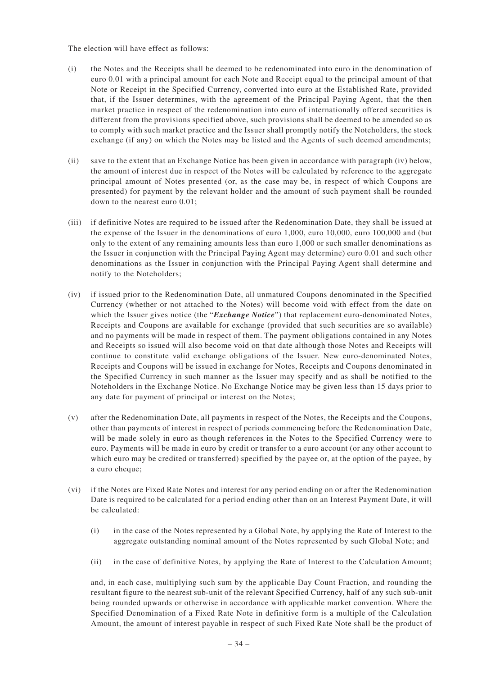The election will have effect as follows:

- (i) the Notes and the Receipts shall be deemed to be redenominated into euro in the denomination of euro 0.01 with a principal amount for each Note and Receipt equal to the principal amount of that Note or Receipt in the Specified Currency, converted into euro at the Established Rate, provided that, if the Issuer determines, with the agreement of the Principal Paying Agent, that the then market practice in respect of the redenomination into euro of internationally offered securities is different from the provisions specified above, such provisions shall be deemed to be amended so as to comply with such market practice and the Issuer shall promptly notify the Noteholders, the stock exchange (if any) on which the Notes may be listed and the Agents of such deemed amendments;
- (ii) save to the extent that an Exchange Notice has been given in accordance with paragraph (iv) below, the amount of interest due in respect of the Notes will be calculated by reference to the aggregate principal amount of Notes presented (or, as the case may be, in respect of which Coupons are presented) for payment by the relevant holder and the amount of such payment shall be rounded down to the nearest euro 0.01;
- (iii) if definitive Notes are required to be issued after the Redenomination Date, they shall be issued at the expense of the Issuer in the denominations of euro 1,000, euro 10,000, euro 100,000 and (but only to the extent of any remaining amounts less than euro 1,000 or such smaller denominations as the Issuer in conjunction with the Principal Paying Agent may determine) euro 0.01 and such other denominations as the Issuer in conjunction with the Principal Paying Agent shall determine and notify to the Noteholders;
- (iv) if issued prior to the Redenomination Date, all unmatured Coupons denominated in the Specified Currency (whether or not attached to the Notes) will become void with effect from the date on which the Issuer gives notice (the "*Exchange Notice*") that replacement euro-denominated Notes, Receipts and Coupons are available for exchange (provided that such securities are so available) and no payments will be made in respect of them. The payment obligations contained in any Notes and Receipts so issued will also become void on that date although those Notes and Receipts will continue to constitute valid exchange obligations of the Issuer. New euro-denominated Notes, Receipts and Coupons will be issued in exchange for Notes, Receipts and Coupons denominated in the Specified Currency in such manner as the Issuer may specify and as shall be notified to the Noteholders in the Exchange Notice. No Exchange Notice may be given less than 15 days prior to any date for payment of principal or interest on the Notes;
- (v) after the Redenomination Date, all payments in respect of the Notes, the Receipts and the Coupons, other than payments of interest in respect of periods commencing before the Redenomination Date, will be made solely in euro as though references in the Notes to the Specified Currency were to euro. Payments will be made in euro by credit or transfer to a euro account (or any other account to which euro may be credited or transferred) specified by the payee or, at the option of the payee, by a euro cheque;
- (vi) if the Notes are Fixed Rate Notes and interest for any period ending on or after the Redenomination Date is required to be calculated for a period ending other than on an Interest Payment Date, it will be calculated:
	- (i) in the case of the Notes represented by a Global Note, by applying the Rate of Interest to the aggregate outstanding nominal amount of the Notes represented by such Global Note; and
	- (ii) in the case of definitive Notes, by applying the Rate of Interest to the Calculation Amount;

and, in each case, multiplying such sum by the applicable Day Count Fraction, and rounding the resultant figure to the nearest sub-unit of the relevant Specified Currency, half of any such sub-unit being rounded upwards or otherwise in accordance with applicable market convention. Where the Specified Denomination of a Fixed Rate Note in definitive form is a multiple of the Calculation Amount, the amount of interest payable in respect of such Fixed Rate Note shall be the product of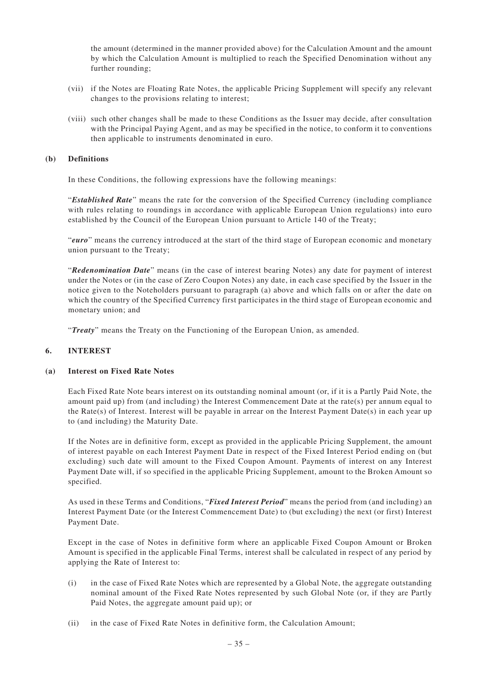the amount (determined in the manner provided above) for the Calculation Amount and the amount by which the Calculation Amount is multiplied to reach the Specified Denomination without any further rounding;

- (vii) if the Notes are Floating Rate Notes, the applicable Pricing Supplement will specify any relevant changes to the provisions relating to interest;
- (viii) such other changes shall be made to these Conditions as the Issuer may decide, after consultation with the Principal Paying Agent, and as may be specified in the notice, to conform it to conventions then applicable to instruments denominated in euro.

#### **(b) Definitions**

In these Conditions, the following expressions have the following meanings:

"*Established Rate*" means the rate for the conversion of the Specified Currency (including compliance with rules relating to roundings in accordance with applicable European Union regulations) into euro established by the Council of the European Union pursuant to Article 140 of the Treaty;

"*euro*" means the currency introduced at the start of the third stage of European economic and monetary union pursuant to the Treaty;

"*Redenomination Date*" means (in the case of interest bearing Notes) any date for payment of interest under the Notes or (in the case of Zero Coupon Notes) any date, in each case specified by the Issuer in the notice given to the Noteholders pursuant to paragraph (a) above and which falls on or after the date on which the country of the Specified Currency first participates in the third stage of European economic and monetary union; and

"*Treaty*" means the Treaty on the Functioning of the European Union, as amended.

# **6. INTEREST**

### **(a) Interest on Fixed Rate Notes**

Each Fixed Rate Note bears interest on its outstanding nominal amount (or, if it is a Partly Paid Note, the amount paid up) from (and including) the Interest Commencement Date at the rate(s) per annum equal to the Rate(s) of Interest. Interest will be payable in arrear on the Interest Payment Date(s) in each year up to (and including) the Maturity Date.

If the Notes are in definitive form, except as provided in the applicable Pricing Supplement, the amount of interest payable on each Interest Payment Date in respect of the Fixed Interest Period ending on (but excluding) such date will amount to the Fixed Coupon Amount. Payments of interest on any Interest Payment Date will, if so specified in the applicable Pricing Supplement, amount to the Broken Amount so specified.

As used in these Terms and Conditions, "*Fixed Interest Period*" means the period from (and including) an Interest Payment Date (or the Interest Commencement Date) to (but excluding) the next (or first) Interest Payment Date.

Except in the case of Notes in definitive form where an applicable Fixed Coupon Amount or Broken Amount is specified in the applicable Final Terms, interest shall be calculated in respect of any period by applying the Rate of Interest to:

- (i) in the case of Fixed Rate Notes which are represented by a Global Note, the aggregate outstanding nominal amount of the Fixed Rate Notes represented by such Global Note (or, if they are Partly Paid Notes, the aggregate amount paid up); or
- (ii) in the case of Fixed Rate Notes in definitive form, the Calculation Amount;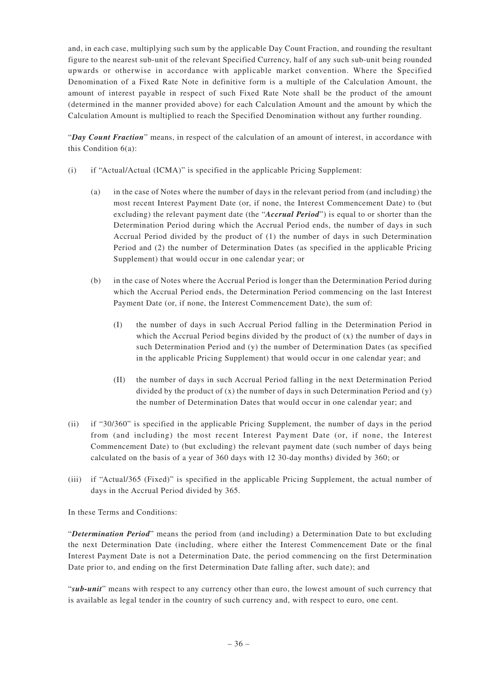and, in each case, multiplying such sum by the applicable Day Count Fraction, and rounding the resultant figure to the nearest sub-unit of the relevant Specified Currency, half of any such sub-unit being rounded upwards or otherwise in accordance with applicable market convention. Where the Specified Denomination of a Fixed Rate Note in definitive form is a multiple of the Calculation Amount, the amount of interest payable in respect of such Fixed Rate Note shall be the product of the amount (determined in the manner provided above) for each Calculation Amount and the amount by which the Calculation Amount is multiplied to reach the Specified Denomination without any further rounding.

"*Day Count Fraction*" means, in respect of the calculation of an amount of interest, in accordance with this Condition 6(a):

- (i) if "Actual/Actual (ICMA)" is specified in the applicable Pricing Supplement:
	- (a) in the case of Notes where the number of days in the relevant period from (and including) the most recent Interest Payment Date (or, if none, the Interest Commencement Date) to (but excluding) the relevant payment date (the "*Accrual Period*") is equal to or shorter than the Determination Period during which the Accrual Period ends, the number of days in such Accrual Period divided by the product of (1) the number of days in such Determination Period and (2) the number of Determination Dates (as specified in the applicable Pricing Supplement) that would occur in one calendar year; or
	- (b) in the case of Notes where the Accrual Period is longer than the Determination Period during which the Accrual Period ends, the Determination Period commencing on the last Interest Payment Date (or, if none, the Interest Commencement Date), the sum of:
		- (I) the number of days in such Accrual Period falling in the Determination Period in which the Accrual Period begins divided by the product of  $(x)$  the number of days in such Determination Period and (y) the number of Determination Dates (as specified in the applicable Pricing Supplement) that would occur in one calendar year; and
		- (II) the number of days in such Accrual Period falling in the next Determination Period divided by the product of  $(x)$  the number of days in such Determination Period and  $(y)$ the number of Determination Dates that would occur in one calendar year; and
- (ii) if "30/360" is specified in the applicable Pricing Supplement, the number of days in the period from (and including) the most recent Interest Payment Date (or, if none, the Interest Commencement Date) to (but excluding) the relevant payment date (such number of days being calculated on the basis of a year of 360 days with 12 30-day months) divided by 360; or
- (iii) if "Actual/365 (Fixed)" is specified in the applicable Pricing Supplement, the actual number of days in the Accrual Period divided by 365.

In these Terms and Conditions:

"*Determination Period*" means the period from (and including) a Determination Date to but excluding the next Determination Date (including, where either the Interest Commencement Date or the final Interest Payment Date is not a Determination Date, the period commencing on the first Determination Date prior to, and ending on the first Determination Date falling after, such date); and

"*sub-unit*" means with respect to any currency other than euro, the lowest amount of such currency that is available as legal tender in the country of such currency and, with respect to euro, one cent.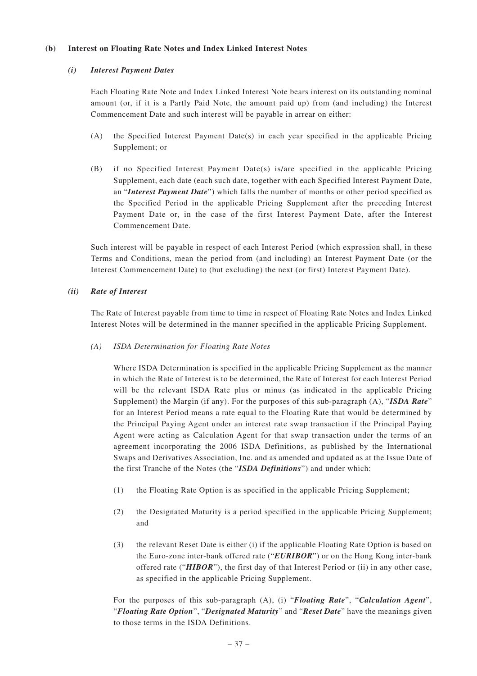### **(b) Interest on Floating Rate Notes and Index Linked Interest Notes**

### *(i) Interest Payment Dates*

Each Floating Rate Note and Index Linked Interest Note bears interest on its outstanding nominal amount (or, if it is a Partly Paid Note, the amount paid up) from (and including) the Interest Commencement Date and such interest will be payable in arrear on either:

- (A) the Specified Interest Payment Date(s) in each year specified in the applicable Pricing Supplement; or
- (B) if no Specified Interest Payment Date(s) is/are specified in the applicable Pricing Supplement, each date (each such date, together with each Specified Interest Payment Date, an "*Interest Payment Date*") which falls the number of months or other period specified as the Specified Period in the applicable Pricing Supplement after the preceding Interest Payment Date or, in the case of the first Interest Payment Date, after the Interest Commencement Date.

Such interest will be payable in respect of each Interest Period (which expression shall, in these Terms and Conditions, mean the period from (and including) an Interest Payment Date (or the Interest Commencement Date) to (but excluding) the next (or first) Interest Payment Date).

### *(ii) Rate of Interest*

The Rate of Interest payable from time to time in respect of Floating Rate Notes and Index Linked Interest Notes will be determined in the manner specified in the applicable Pricing Supplement.

# *(A) ISDA Determination for Floating Rate Notes*

Where ISDA Determination is specified in the applicable Pricing Supplement as the manner in which the Rate of Interest is to be determined, the Rate of Interest for each Interest Period will be the relevant ISDA Rate plus or minus (as indicated in the applicable Pricing Supplement) the Margin (if any). For the purposes of this sub-paragraph (A), "*ISDA Rate*" for an Interest Period means a rate equal to the Floating Rate that would be determined by the Principal Paying Agent under an interest rate swap transaction if the Principal Paying Agent were acting as Calculation Agent for that swap transaction under the terms of an agreement incorporating the 2006 ISDA Definitions, as published by the International Swaps and Derivatives Association, Inc. and as amended and updated as at the Issue Date of the first Tranche of the Notes (the "*ISDA Definitions*") and under which:

- (1) the Floating Rate Option is as specified in the applicable Pricing Supplement;
- (2) the Designated Maturity is a period specified in the applicable Pricing Supplement; and
- (3) the relevant Reset Date is either (i) if the applicable Floating Rate Option is based on the Euro-zone inter-bank offered rate ("*EURIBOR*") or on the Hong Kong inter-bank offered rate ("*HIBOR*"), the first day of that Interest Period or (ii) in any other case, as specified in the applicable Pricing Supplement.

For the purposes of this sub-paragraph (A), (i) "*Floating Rate*", "*Calculation Agent*", "*Floating Rate Option*", "*Designated Maturity*" and "*Reset Date*" have the meanings given to those terms in the ISDA Definitions.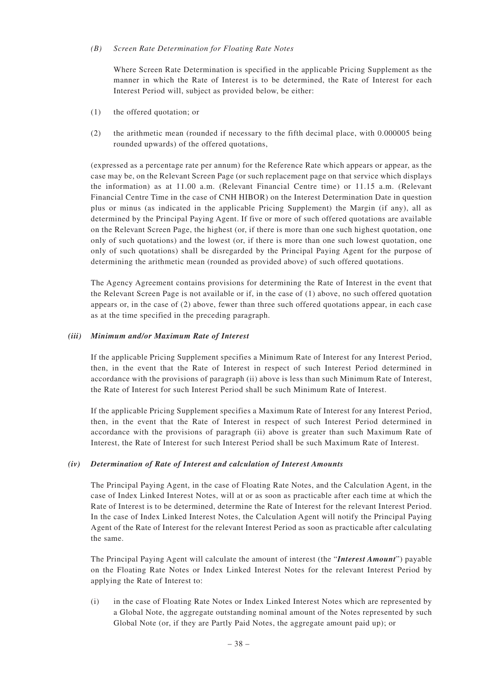### *(B) Screen Rate Determination for Floating Rate Notes*

Where Screen Rate Determination is specified in the applicable Pricing Supplement as the manner in which the Rate of Interest is to be determined, the Rate of Interest for each Interest Period will, subject as provided below, be either:

- (1) the offered quotation; or
- (2) the arithmetic mean (rounded if necessary to the fifth decimal place, with 0.000005 being rounded upwards) of the offered quotations,

(expressed as a percentage rate per annum) for the Reference Rate which appears or appear, as the case may be, on the Relevant Screen Page (or such replacement page on that service which displays the information) as at 11.00 a.m. (Relevant Financial Centre time) or 11.15 a.m. (Relevant Financial Centre Time in the case of CNH HIBOR) on the Interest Determination Date in question plus or minus (as indicated in the applicable Pricing Supplement) the Margin (if any), all as determined by the Principal Paying Agent. If five or more of such offered quotations are available on the Relevant Screen Page, the highest (or, if there is more than one such highest quotation, one only of such quotations) and the lowest (or, if there is more than one such lowest quotation, one only of such quotations) shall be disregarded by the Principal Paying Agent for the purpose of determining the arithmetic mean (rounded as provided above) of such offered quotations.

The Agency Agreement contains provisions for determining the Rate of Interest in the event that the Relevant Screen Page is not available or if, in the case of (1) above, no such offered quotation appears or, in the case of (2) above, fewer than three such offered quotations appear, in each case as at the time specified in the preceding paragraph.

### *(iii) Minimum and/or Maximum Rate of Interest*

If the applicable Pricing Supplement specifies a Minimum Rate of Interest for any Interest Period, then, in the event that the Rate of Interest in respect of such Interest Period determined in accordance with the provisions of paragraph (ii) above is less than such Minimum Rate of Interest, the Rate of Interest for such Interest Period shall be such Minimum Rate of Interest.

If the applicable Pricing Supplement specifies a Maximum Rate of Interest for any Interest Period, then, in the event that the Rate of Interest in respect of such Interest Period determined in accordance with the provisions of paragraph (ii) above is greater than such Maximum Rate of Interest, the Rate of Interest for such Interest Period shall be such Maximum Rate of Interest.

# *(iv) Determination of Rate of Interest and calculation of Interest Amounts*

The Principal Paying Agent, in the case of Floating Rate Notes, and the Calculation Agent, in the case of Index Linked Interest Notes, will at or as soon as practicable after each time at which the Rate of Interest is to be determined, determine the Rate of Interest for the relevant Interest Period. In the case of Index Linked Interest Notes, the Calculation Agent will notify the Principal Paying Agent of the Rate of Interest for the relevant Interest Period as soon as practicable after calculating the same.

The Principal Paying Agent will calculate the amount of interest (the "*Interest Amount*") payable on the Floating Rate Notes or Index Linked Interest Notes for the relevant Interest Period by applying the Rate of Interest to:

(i) in the case of Floating Rate Notes or Index Linked Interest Notes which are represented by a Global Note, the aggregate outstanding nominal amount of the Notes represented by such Global Note (or, if they are Partly Paid Notes, the aggregate amount paid up); or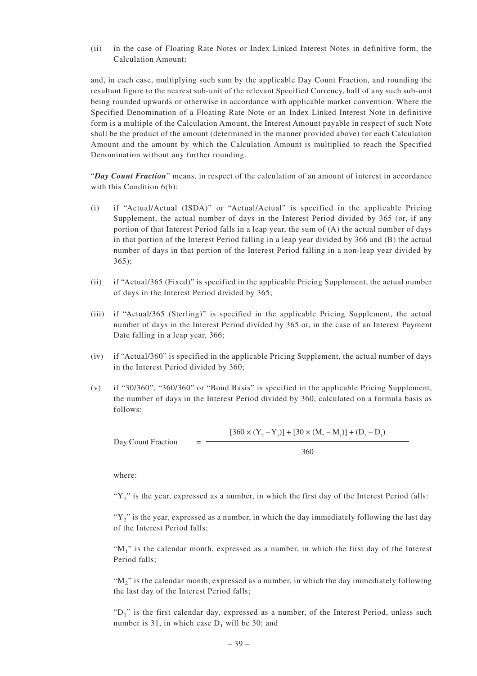(ii) in the case of Floating Rate Notes or Index Linked Interest Notes in definitive form, the Calculation Amount;

and, in each case, multiplying such sum by the applicable Day Count Fraction, and rounding the resultant figure to the nearest sub-unit of the relevant Specified Currency, half of any such sub-unit being rounded upwards or otherwise in accordance with applicable market convention. Where the Specified Denomination of a Floating Rate Note or an Index Linked Interest Note in definitive form is a multiple of the Calculation Amount, the Interest Amount payable in respect of such Note shall be the product of the amount (determined in the manner provided above) for each Calculation Amount and the amount by which the Calculation Amount is multiplied to reach the Specified Denomination without any further rounding.

"*Day Count Fraction*" means, in respect of the calculation of an amount of interest in accordance with this Condition  $6(b)$ :

- (i) if "Actual/Actual (ISDA)" or "Actual/Actual" is specified in the applicable Pricing Supplement, the actual number of days in the Interest Period divided by 365 (or, if any portion of that Interest Period falls in a leap year, the sum of (A) the actual number of days in that portion of the Interest Period falling in a leap year divided by 366 and (B) the actual number of days in that portion of the Interest Period falling in a non-leap year divided by 365);
- (ii) if "Actual/365 (Fixed)" is specified in the applicable Pricing Supplement, the actual number of days in the Interest Period divided by 365;
- (iii) if "Actual/365 (Sterling)" is specified in the applicable Pricing Supplement, the actual number of days in the Interest Period divided by 365 or, in the case of an Interest Payment Date falling in a leap year, 366;
- (iv) if "Actual/360" is specified in the applicable Pricing Supplement, the actual number of days in the Interest Period divided by 360;
- (v) if "30/360", "360/360" or "Bond Basis" is specified in the applicable Pricing Supplement, the number of days in the Interest Period divided by 360, calculated on a formula basis as follows:

Day Count Fraction = 
$$
\frac{[360 \times (Y_2 - Y_1)] + [30 \times (M_2 - M_1)] + (D_2 - D_1)}{360}
$$

where:

" $Y_1$ " is the year, expressed as a number, in which the first day of the Interest Period falls:

" $Y_2$ " is the year, expressed as a number, in which the day immediately following the last day of the Interest Period falls;

" $M_1$ " is the calendar month, expressed as a number, in which the first day of the Interest Period falls;

" $M<sub>2</sub>$ " is the calendar month, expressed as a number, in which the day immediately following the last day of the Interest Period falls;

" $D_1$ " is the first calendar day, expressed as a number, of the Interest Period, unless such number is 31, in which case  $D_1$  will be 30; and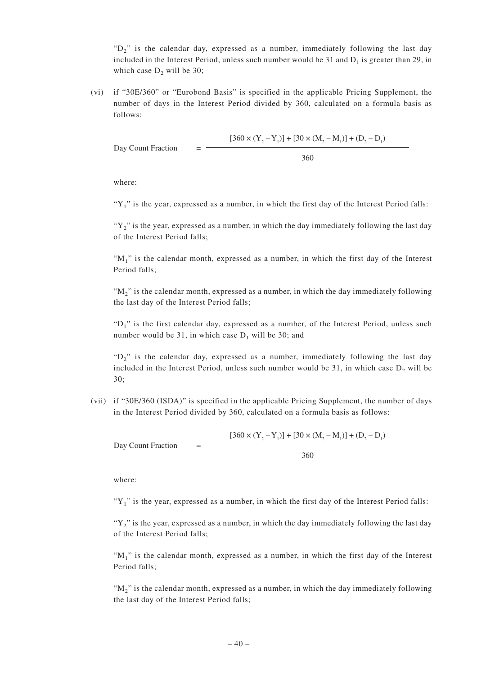" $D_2$ " is the calendar day, expressed as a number, immediately following the last day included in the Interest Period, unless such number would be 31 and  $D_1$  is greater than 29, in which case  $D_2$  will be 30;

(vi) if "30E/360" or "Eurobond Basis" is specified in the applicable Pricing Supplement, the number of days in the Interest Period divided by 360, calculated on a formula basis as follows:

Day Count Fraction = 
$$
\frac{[360 \times (Y_2 - Y_1)] + [30 \times (M_2 - M_1)] + (D_2 - D_1)}{360}
$$

where:

"Y<sub>1</sub>" is the year, expressed as a number, in which the first day of the Interest Period falls:

" $Y_2$ " is the year, expressed as a number, in which the day immediately following the last day of the Interest Period falls;

" $M_1$ " is the calendar month, expressed as a number, in which the first day of the Interest Period falls;

" $M_2$ " is the calendar month, expressed as a number, in which the day immediately following the last day of the Interest Period falls;

"D<sub>1</sub>" is the first calendar day, expressed as a number, of the Interest Period, unless such number would be 31, in which case  $D_1$  will be 30; and

" $D_2$ " is the calendar day, expressed as a number, immediately following the last day included in the Interest Period, unless such number would be 31, in which case  $D_2$  will be 30;

(vii) if "30E/360 (ISDA)" is specified in the applicable Pricing Supplement, the number of days in the Interest Period divided by 360, calculated on a formula basis as follows:

$$
[360 \times (Y_2 - Y_1)] + [30 \times (M_2 - M_1)] + (D_2 - D_1)
$$
  
Day Count Fraction =

360

where:

" $Y_1$ " is the year, expressed as a number, in which the first day of the Interest Period falls:

" $Y_2$ " is the year, expressed as a number, in which the day immediately following the last day of the Interest Period falls;

" $M_1$ " is the calendar month, expressed as a number, in which the first day of the Interest Period falls;

" $M_2$ " is the calendar month, expressed as a number, in which the day immediately following the last day of the Interest Period falls;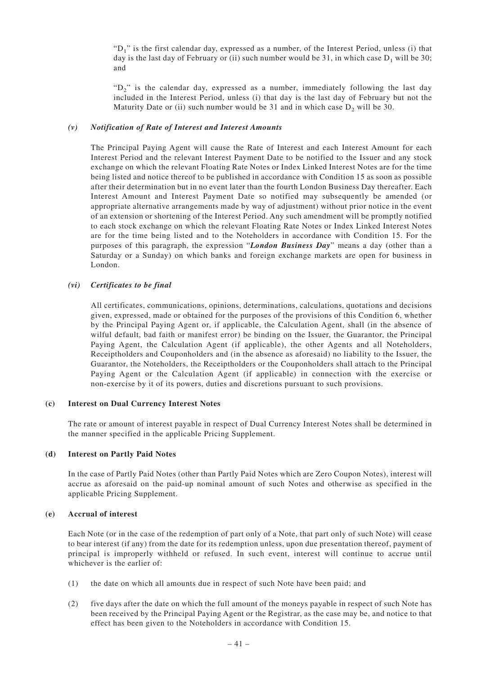"D<sub>1</sub>" is the first calendar day, expressed as a number, of the Interest Period, unless (i) that day is the last day of February or (ii) such number would be 31, in which case  $D_1$  will be 30; and

" $D<sub>2</sub>$ " is the calendar day, expressed as a number, immediately following the last day included in the Interest Period, unless (i) that day is the last day of February but not the Maturity Date or (ii) such number would be 31 and in which case  $D_2$  will be 30.

### *(v) Notification of Rate of Interest and Interest Amounts*

The Principal Paying Agent will cause the Rate of Interest and each Interest Amount for each Interest Period and the relevant Interest Payment Date to be notified to the Issuer and any stock exchange on which the relevant Floating Rate Notes or Index Linked Interest Notes are for the time being listed and notice thereof to be published in accordance with Condition 15 as soon as possible after their determination but in no event later than the fourth London Business Day thereafter. Each Interest Amount and Interest Payment Date so notified may subsequently be amended (or appropriate alternative arrangements made by way of adjustment) without prior notice in the event of an extension or shortening of the Interest Period. Any such amendment will be promptly notified to each stock exchange on which the relevant Floating Rate Notes or Index Linked Interest Notes are for the time being listed and to the Noteholders in accordance with Condition 15. For the purposes of this paragraph, the expression "*London Business Day*" means a day (other than a Saturday or a Sunday) on which banks and foreign exchange markets are open for business in London.

### *(vi) Certificates to be final*

All certificates, communications, opinions, determinations, calculations, quotations and decisions given, expressed, made or obtained for the purposes of the provisions of this Condition 6, whether by the Principal Paying Agent or, if applicable, the Calculation Agent, shall (in the absence of wilful default, bad faith or manifest error) be binding on the Issuer, the Guarantor, the Principal Paying Agent, the Calculation Agent (if applicable), the other Agents and all Noteholders, Receiptholders and Couponholders and (in the absence as aforesaid) no liability to the Issuer, the Guarantor, the Noteholders, the Receiptholders or the Couponholders shall attach to the Principal Paying Agent or the Calculation Agent (if applicable) in connection with the exercise or non-exercise by it of its powers, duties and discretions pursuant to such provisions.

#### **(c) Interest on Dual Currency Interest Notes**

The rate or amount of interest payable in respect of Dual Currency Interest Notes shall be determined in the manner specified in the applicable Pricing Supplement.

### **(d) Interest on Partly Paid Notes**

In the case of Partly Paid Notes (other than Partly Paid Notes which are Zero Coupon Notes), interest will accrue as aforesaid on the paid-up nominal amount of such Notes and otherwise as specified in the applicable Pricing Supplement.

#### **(e) Accrual of interest**

Each Note (or in the case of the redemption of part only of a Note, that part only of such Note) will cease to bear interest (if any) from the date for its redemption unless, upon due presentation thereof, payment of principal is improperly withheld or refused. In such event, interest will continue to accrue until whichever is the earlier of:

- (1) the date on which all amounts due in respect of such Note have been paid; and
- (2) five days after the date on which the full amount of the moneys payable in respect of such Note has been received by the Principal Paying Agent or the Registrar, as the case may be, and notice to that effect has been given to the Noteholders in accordance with Condition 15.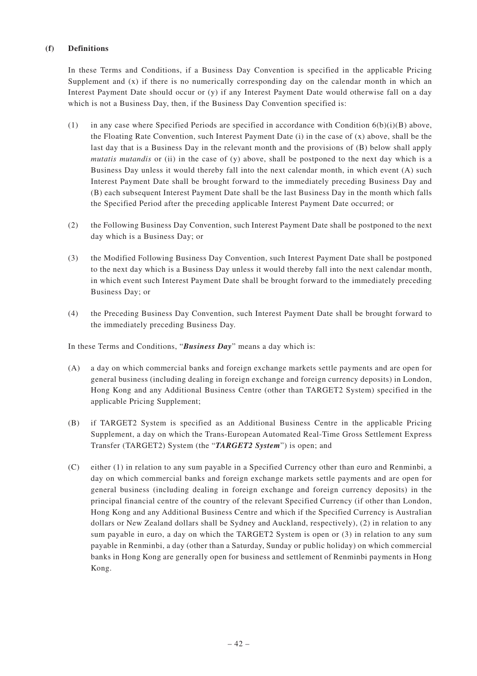### **(f) Definitions**

In these Terms and Conditions, if a Business Day Convention is specified in the applicable Pricing Supplement and (x) if there is no numerically corresponding day on the calendar month in which an Interest Payment Date should occur or (y) if any Interest Payment Date would otherwise fall on a day which is not a Business Day, then, if the Business Day Convention specified is:

- (1) in any case where Specified Periods are specified in accordance with Condition  $6(b)(i)(B)$  above, the Floating Rate Convention, such Interest Payment Date (i) in the case of (x) above, shall be the last day that is a Business Day in the relevant month and the provisions of (B) below shall apply *mutatis mutandis* or (ii) in the case of (y) above, shall be postponed to the next day which is a Business Day unless it would thereby fall into the next calendar month, in which event (A) such Interest Payment Date shall be brought forward to the immediately preceding Business Day and (B) each subsequent Interest Payment Date shall be the last Business Day in the month which falls the Specified Period after the preceding applicable Interest Payment Date occurred; or
- (2) the Following Business Day Convention, such Interest Payment Date shall be postponed to the next day which is a Business Day; or
- (3) the Modified Following Business Day Convention, such Interest Payment Date shall be postponed to the next day which is a Business Day unless it would thereby fall into the next calendar month, in which event such Interest Payment Date shall be brought forward to the immediately preceding Business Day; or
- (4) the Preceding Business Day Convention, such Interest Payment Date shall be brought forward to the immediately preceding Business Day.

In these Terms and Conditions, "*Business Day*" means a day which is:

- (A) a day on which commercial banks and foreign exchange markets settle payments and are open for general business (including dealing in foreign exchange and foreign currency deposits) in London, Hong Kong and any Additional Business Centre (other than TARGET2 System) specified in the applicable Pricing Supplement;
- (B) if TARGET2 System is specified as an Additional Business Centre in the applicable Pricing Supplement, a day on which the Trans-European Automated Real-Time Gross Settlement Express Transfer (TARGET2) System (the "*TARGET2 System*") is open; and
- (C) either (1) in relation to any sum payable in a Specified Currency other than euro and Renminbi, a day on which commercial banks and foreign exchange markets settle payments and are open for general business (including dealing in foreign exchange and foreign currency deposits) in the principal financial centre of the country of the relevant Specified Currency (if other than London, Hong Kong and any Additional Business Centre and which if the Specified Currency is Australian dollars or New Zealand dollars shall be Sydney and Auckland, respectively), (2) in relation to any sum payable in euro, a day on which the TARGET2 System is open or (3) in relation to any sum payable in Renminbi, a day (other than a Saturday, Sunday or public holiday) on which commercial banks in Hong Kong are generally open for business and settlement of Renminbi payments in Hong Kong.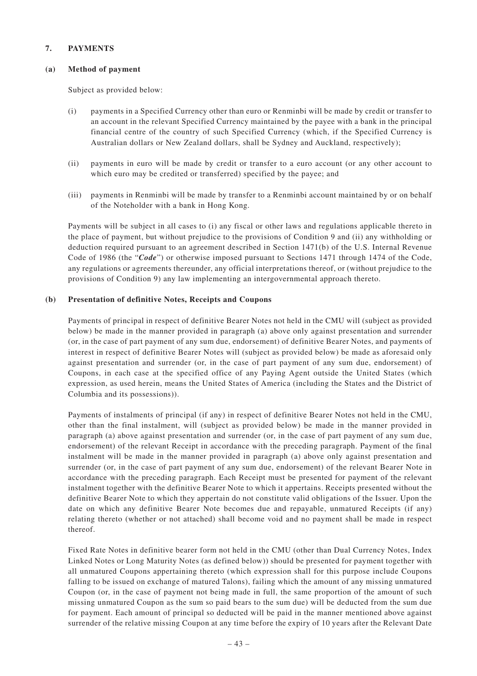### **7. PAYMENTS**

### **(a) Method of payment**

Subject as provided below:

- (i) payments in a Specified Currency other than euro or Renminbi will be made by credit or transfer to an account in the relevant Specified Currency maintained by the payee with a bank in the principal financial centre of the country of such Specified Currency (which, if the Specified Currency is Australian dollars or New Zealand dollars, shall be Sydney and Auckland, respectively);
- (ii) payments in euro will be made by credit or transfer to a euro account (or any other account to which euro may be credited or transferred) specified by the payee; and
- (iii) payments in Renminbi will be made by transfer to a Renminbi account maintained by or on behalf of the Noteholder with a bank in Hong Kong.

Payments will be subject in all cases to (i) any fiscal or other laws and regulations applicable thereto in the place of payment, but without prejudice to the provisions of Condition 9 and (ii) any withholding or deduction required pursuant to an agreement described in Section 1471(b) of the U.S. Internal Revenue Code of 1986 (the "*Code*") or otherwise imposed pursuant to Sections 1471 through 1474 of the Code, any regulations or agreements thereunder, any official interpretations thereof, or (without prejudice to the provisions of Condition 9) any law implementing an intergovernmental approach thereto.

# **(b) Presentation of definitive Notes, Receipts and Coupons**

Payments of principal in respect of definitive Bearer Notes not held in the CMU will (subject as provided below) be made in the manner provided in paragraph (a) above only against presentation and surrender (or, in the case of part payment of any sum due, endorsement) of definitive Bearer Notes, and payments of interest in respect of definitive Bearer Notes will (subject as provided below) be made as aforesaid only against presentation and surrender (or, in the case of part payment of any sum due, endorsement) of Coupons, in each case at the specified office of any Paying Agent outside the United States (which expression, as used herein, means the United States of America (including the States and the District of Columbia and its possessions)).

Payments of instalments of principal (if any) in respect of definitive Bearer Notes not held in the CMU, other than the final instalment, will (subject as provided below) be made in the manner provided in paragraph (a) above against presentation and surrender (or, in the case of part payment of any sum due, endorsement) of the relevant Receipt in accordance with the preceding paragraph. Payment of the final instalment will be made in the manner provided in paragraph (a) above only against presentation and surrender (or, in the case of part payment of any sum due, endorsement) of the relevant Bearer Note in accordance with the preceding paragraph. Each Receipt must be presented for payment of the relevant instalment together with the definitive Bearer Note to which it appertains. Receipts presented without the definitive Bearer Note to which they appertain do not constitute valid obligations of the Issuer. Upon the date on which any definitive Bearer Note becomes due and repayable, unmatured Receipts (if any) relating thereto (whether or not attached) shall become void and no payment shall be made in respect thereof.

Fixed Rate Notes in definitive bearer form not held in the CMU (other than Dual Currency Notes, Index Linked Notes or Long Maturity Notes (as defined below)) should be presented for payment together with all unmatured Coupons appertaining thereto (which expression shall for this purpose include Coupons falling to be issued on exchange of matured Talons), failing which the amount of any missing unmatured Coupon (or, in the case of payment not being made in full, the same proportion of the amount of such missing unmatured Coupon as the sum so paid bears to the sum due) will be deducted from the sum due for payment. Each amount of principal so deducted will be paid in the manner mentioned above against surrender of the relative missing Coupon at any time before the expiry of 10 years after the Relevant Date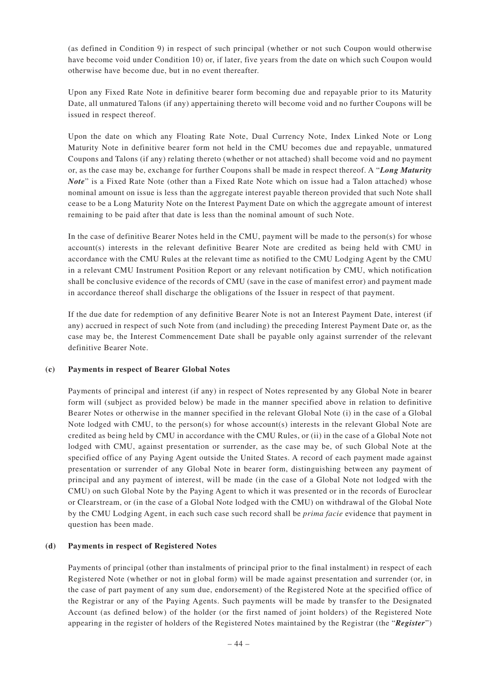(as defined in Condition 9) in respect of such principal (whether or not such Coupon would otherwise have become void under Condition 10) or, if later, five years from the date on which such Coupon would otherwise have become due, but in no event thereafter.

Upon any Fixed Rate Note in definitive bearer form becoming due and repayable prior to its Maturity Date, all unmatured Talons (if any) appertaining thereto will become void and no further Coupons will be issued in respect thereof.

Upon the date on which any Floating Rate Note, Dual Currency Note, Index Linked Note or Long Maturity Note in definitive bearer form not held in the CMU becomes due and repayable, unmatured Coupons and Talons (if any) relating thereto (whether or not attached) shall become void and no payment or, as the case may be, exchange for further Coupons shall be made in respect thereof. A "*Long Maturity Note*" is a Fixed Rate Note (other than a Fixed Rate Note which on issue had a Talon attached) whose nominal amount on issue is less than the aggregate interest payable thereon provided that such Note shall cease to be a Long Maturity Note on the Interest Payment Date on which the aggregate amount of interest remaining to be paid after that date is less than the nominal amount of such Note.

In the case of definitive Bearer Notes held in the CMU, payment will be made to the person(s) for whose account(s) interests in the relevant definitive Bearer Note are credited as being held with CMU in accordance with the CMU Rules at the relevant time as notified to the CMU Lodging Agent by the CMU in a relevant CMU Instrument Position Report or any relevant notification by CMU, which notification shall be conclusive evidence of the records of CMU (save in the case of manifest error) and payment made in accordance thereof shall discharge the obligations of the Issuer in respect of that payment.

If the due date for redemption of any definitive Bearer Note is not an Interest Payment Date, interest (if any) accrued in respect of such Note from (and including) the preceding Interest Payment Date or, as the case may be, the Interest Commencement Date shall be payable only against surrender of the relevant definitive Bearer Note.

# **(c) Payments in respect of Bearer Global Notes**

Payments of principal and interest (if any) in respect of Notes represented by any Global Note in bearer form will (subject as provided below) be made in the manner specified above in relation to definitive Bearer Notes or otherwise in the manner specified in the relevant Global Note (i) in the case of a Global Note lodged with CMU, to the person(s) for whose account(s) interests in the relevant Global Note are credited as being held by CMU in accordance with the CMU Rules, or (ii) in the case of a Global Note not lodged with CMU, against presentation or surrender, as the case may be, of such Global Note at the specified office of any Paying Agent outside the United States. A record of each payment made against presentation or surrender of any Global Note in bearer form, distinguishing between any payment of principal and any payment of interest, will be made (in the case of a Global Note not lodged with the CMU) on such Global Note by the Paying Agent to which it was presented or in the records of Euroclear or Clearstream, or (in the case of a Global Note lodged with the CMU) on withdrawal of the Global Note by the CMU Lodging Agent, in each such case such record shall be *prima facie* evidence that payment in question has been made.

# **(d) Payments in respect of Registered Notes**

Payments of principal (other than instalments of principal prior to the final instalment) in respect of each Registered Note (whether or not in global form) will be made against presentation and surrender (or, in the case of part payment of any sum due, endorsement) of the Registered Note at the specified office of the Registrar or any of the Paying Agents. Such payments will be made by transfer to the Designated Account (as defined below) of the holder (or the first named of joint holders) of the Registered Note appearing in the register of holders of the Registered Notes maintained by the Registrar (the "*Register*")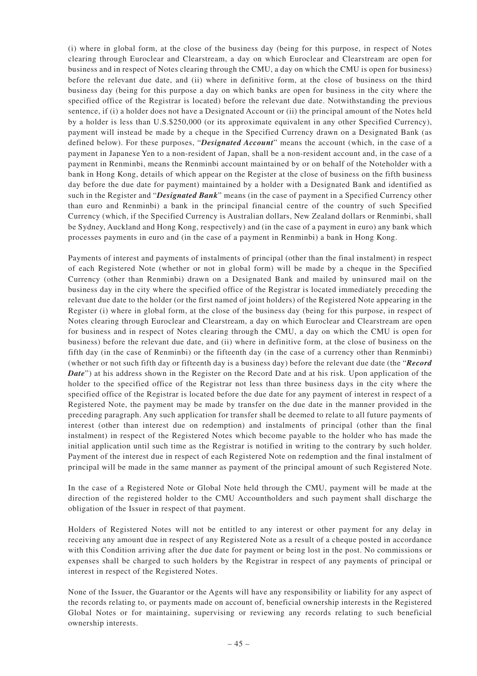(i) where in global form, at the close of the business day (being for this purpose, in respect of Notes clearing through Euroclear and Clearstream, a day on which Euroclear and Clearstream are open for business and in respect of Notes clearing through the CMU, a day on which the CMU is open for business) before the relevant due date, and (ii) where in definitive form, at the close of business on the third business day (being for this purpose a day on which banks are open for business in the city where the specified office of the Registrar is located) before the relevant due date. Notwithstanding the previous sentence, if (i) a holder does not have a Designated Account or (ii) the principal amount of the Notes held by a holder is less than U.S.\$250,000 (or its approximate equivalent in any other Specified Currency), payment will instead be made by a cheque in the Specified Currency drawn on a Designated Bank (as defined below). For these purposes, "*Designated Account*" means the account (which, in the case of a payment in Japanese Yen to a non-resident of Japan, shall be a non-resident account and, in the case of a payment in Renminbi, means the Renminbi account maintained by or on behalf of the Noteholder with a bank in Hong Kong, details of which appear on the Register at the close of business on the fifth business day before the due date for payment) maintained by a holder with a Designated Bank and identified as such in the Register and "*Designated Bank*" means (in the case of payment in a Specified Currency other than euro and Renminbi) a bank in the principal financial centre of the country of such Specified Currency (which, if the Specified Currency is Australian dollars, New Zealand dollars or Renminbi, shall be Sydney, Auckland and Hong Kong, respectively) and (in the case of a payment in euro) any bank which processes payments in euro and (in the case of a payment in Renminbi) a bank in Hong Kong.

Payments of interest and payments of instalments of principal (other than the final instalment) in respect of each Registered Note (whether or not in global form) will be made by a cheque in the Specified Currency (other than Renminbi) drawn on a Designated Bank and mailed by uninsured mail on the business day in the city where the specified office of the Registrar is located immediately preceding the relevant due date to the holder (or the first named of joint holders) of the Registered Note appearing in the Register (i) where in global form, at the close of the business day (being for this purpose, in respect of Notes clearing through Euroclear and Clearstream, a day on which Euroclear and Clearstream are open for business and in respect of Notes clearing through the CMU, a day on which the CMU is open for business) before the relevant due date, and (ii) where in definitive form, at the close of business on the fifth day (in the case of Renminbi) or the fifteenth day (in the case of a currency other than Renminbi) (whether or not such fifth day or fifteenth day is a business day) before the relevant due date (the "*Record Date*") at his address shown in the Register on the Record Date and at his risk. Upon application of the holder to the specified office of the Registrar not less than three business days in the city where the specified office of the Registrar is located before the due date for any payment of interest in respect of a Registered Note, the payment may be made by transfer on the due date in the manner provided in the preceding paragraph. Any such application for transfer shall be deemed to relate to all future payments of interest (other than interest due on redemption) and instalments of principal (other than the final instalment) in respect of the Registered Notes which become payable to the holder who has made the initial application until such time as the Registrar is notified in writing to the contrary by such holder. Payment of the interest due in respect of each Registered Note on redemption and the final instalment of principal will be made in the same manner as payment of the principal amount of such Registered Note.

In the case of a Registered Note or Global Note held through the CMU, payment will be made at the direction of the registered holder to the CMU Accountholders and such payment shall discharge the obligation of the Issuer in respect of that payment.

Holders of Registered Notes will not be entitled to any interest or other payment for any delay in receiving any amount due in respect of any Registered Note as a result of a cheque posted in accordance with this Condition arriving after the due date for payment or being lost in the post. No commissions or expenses shall be charged to such holders by the Registrar in respect of any payments of principal or interest in respect of the Registered Notes.

None of the Issuer, the Guarantor or the Agents will have any responsibility or liability for any aspect of the records relating to, or payments made on account of, beneficial ownership interests in the Registered Global Notes or for maintaining, supervising or reviewing any records relating to such beneficial ownership interests.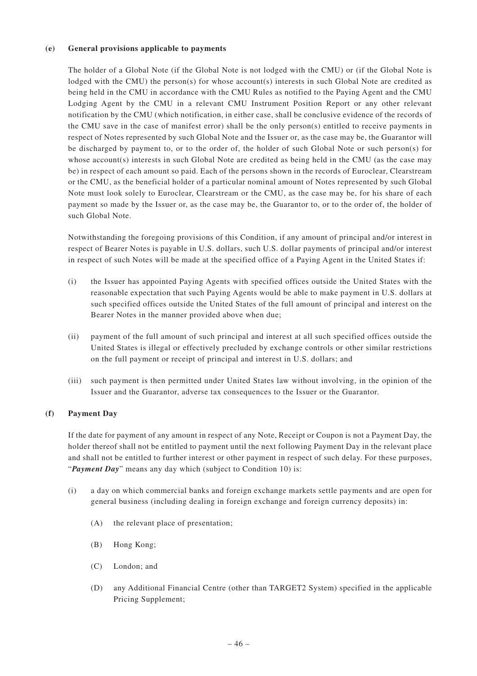### **(e) General provisions applicable to payments**

The holder of a Global Note (if the Global Note is not lodged with the CMU) or (if the Global Note is lodged with the CMU) the person(s) for whose account(s) interests in such Global Note are credited as being held in the CMU in accordance with the CMU Rules as notified to the Paying Agent and the CMU Lodging Agent by the CMU in a relevant CMU Instrument Position Report or any other relevant notification by the CMU (which notification, in either case, shall be conclusive evidence of the records of the CMU save in the case of manifest error) shall be the only person(s) entitled to receive payments in respect of Notes represented by such Global Note and the Issuer or, as the case may be, the Guarantor will be discharged by payment to, or to the order of, the holder of such Global Note or such person(s) for whose account(s) interests in such Global Note are credited as being held in the CMU (as the case may be) in respect of each amount so paid. Each of the persons shown in the records of Euroclear, Clearstream or the CMU, as the beneficial holder of a particular nominal amount of Notes represented by such Global Note must look solely to Euroclear, Clearstream or the CMU, as the case may be, for his share of each payment so made by the Issuer or, as the case may be, the Guarantor to, or to the order of, the holder of such Global Note.

Notwithstanding the foregoing provisions of this Condition, if any amount of principal and/or interest in respect of Bearer Notes is payable in U.S. dollars, such U.S. dollar payments of principal and/or interest in respect of such Notes will be made at the specified office of a Paying Agent in the United States if:

- (i) the Issuer has appointed Paying Agents with specified offices outside the United States with the reasonable expectation that such Paying Agents would be able to make payment in U.S. dollars at such specified offices outside the United States of the full amount of principal and interest on the Bearer Notes in the manner provided above when due;
- (ii) payment of the full amount of such principal and interest at all such specified offices outside the United States is illegal or effectively precluded by exchange controls or other similar restrictions on the full payment or receipt of principal and interest in U.S. dollars; and
- (iii) such payment is then permitted under United States law without involving, in the opinion of the Issuer and the Guarantor, adverse tax consequences to the Issuer or the Guarantor.

# **(f) Payment Day**

If the date for payment of any amount in respect of any Note, Receipt or Coupon is not a Payment Day, the holder thereof shall not be entitled to payment until the next following Payment Day in the relevant place and shall not be entitled to further interest or other payment in respect of such delay. For these purposes, "*Payment Day*" means any day which (subject to Condition 10) is:

- (i) a day on which commercial banks and foreign exchange markets settle payments and are open for general business (including dealing in foreign exchange and foreign currency deposits) in:
	- (A) the relevant place of presentation;
	- (B) Hong Kong;
	- (C) London; and
	- (D) any Additional Financial Centre (other than TARGET2 System) specified in the applicable Pricing Supplement;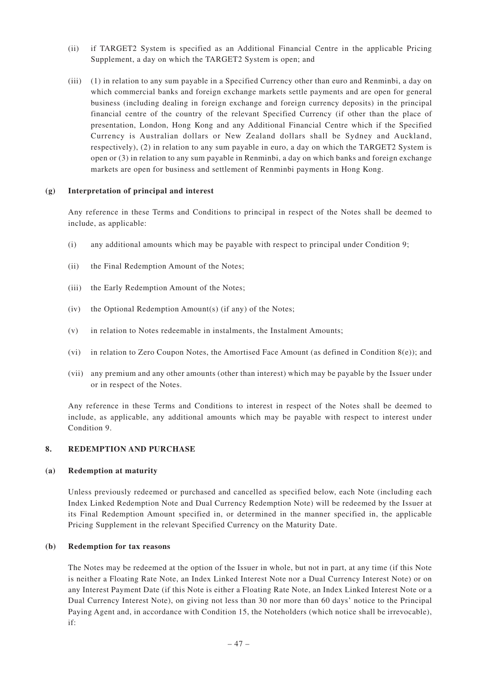- (ii) if TARGET2 System is specified as an Additional Financial Centre in the applicable Pricing Supplement, a day on which the TARGET2 System is open; and
- (iii) (1) in relation to any sum payable in a Specified Currency other than euro and Renminbi, a day on which commercial banks and foreign exchange markets settle payments and are open for general business (including dealing in foreign exchange and foreign currency deposits) in the principal financial centre of the country of the relevant Specified Currency (if other than the place of presentation, London, Hong Kong and any Additional Financial Centre which if the Specified Currency is Australian dollars or New Zealand dollars shall be Sydney and Auckland, respectively), (2) in relation to any sum payable in euro, a day on which the TARGET2 System is open or (3) in relation to any sum payable in Renminbi, a day on which banks and foreign exchange markets are open for business and settlement of Renminbi payments in Hong Kong.

#### **(g) Interpretation of principal and interest**

Any reference in these Terms and Conditions to principal in respect of the Notes shall be deemed to include, as applicable:

- (i) any additional amounts which may be payable with respect to principal under Condition 9;
- (ii) the Final Redemption Amount of the Notes;
- (iii) the Early Redemption Amount of the Notes;
- (iv) the Optional Redemption Amount(s) (if any) of the Notes;
- (v) in relation to Notes redeemable in instalments, the Instalment Amounts;
- (vi) in relation to Zero Coupon Notes, the Amortised Face Amount (as defined in Condition  $8(e)$ ); and
- (vii) any premium and any other amounts (other than interest) which may be payable by the Issuer under or in respect of the Notes.

Any reference in these Terms and Conditions to interest in respect of the Notes shall be deemed to include, as applicable, any additional amounts which may be payable with respect to interest under Condition 9.

### **8. REDEMPTION AND PURCHASE**

#### **(a) Redemption at maturity**

Unless previously redeemed or purchased and cancelled as specified below, each Note (including each Index Linked Redemption Note and Dual Currency Redemption Note) will be redeemed by the Issuer at its Final Redemption Amount specified in, or determined in the manner specified in, the applicable Pricing Supplement in the relevant Specified Currency on the Maturity Date.

#### **(b) Redemption for tax reasons**

The Notes may be redeemed at the option of the Issuer in whole, but not in part, at any time (if this Note is neither a Floating Rate Note, an Index Linked Interest Note nor a Dual Currency Interest Note) or on any Interest Payment Date (if this Note is either a Floating Rate Note, an Index Linked Interest Note or a Dual Currency Interest Note), on giving not less than 30 nor more than 60 days' notice to the Principal Paying Agent and, in accordance with Condition 15, the Noteholders (which notice shall be irrevocable), if: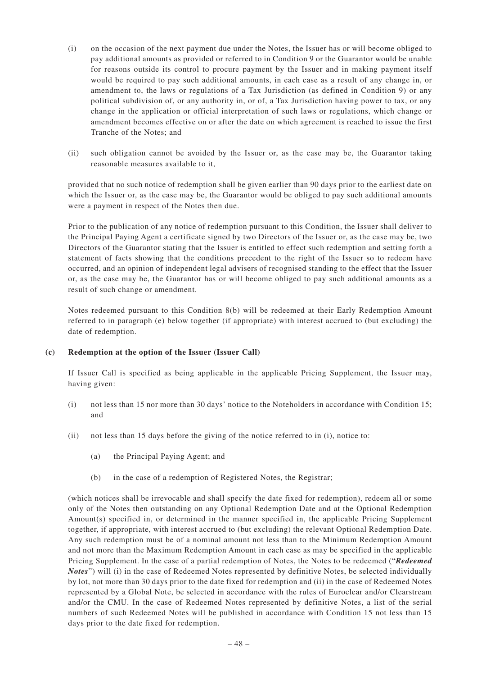- (i) on the occasion of the next payment due under the Notes, the Issuer has or will become obliged to pay additional amounts as provided or referred to in Condition 9 or the Guarantor would be unable for reasons outside its control to procure payment by the Issuer and in making payment itself would be required to pay such additional amounts, in each case as a result of any change in, or amendment to, the laws or regulations of a Tax Jurisdiction (as defined in Condition 9) or any political subdivision of, or any authority in, or of, a Tax Jurisdiction having power to tax, or any change in the application or official interpretation of such laws or regulations, which change or amendment becomes effective on or after the date on which agreement is reached to issue the first Tranche of the Notes; and
- (ii) such obligation cannot be avoided by the Issuer or, as the case may be, the Guarantor taking reasonable measures available to it,

provided that no such notice of redemption shall be given earlier than 90 days prior to the earliest date on which the Issuer or, as the case may be, the Guarantor would be obliged to pay such additional amounts were a payment in respect of the Notes then due.

Prior to the publication of any notice of redemption pursuant to this Condition, the Issuer shall deliver to the Principal Paying Agent a certificate signed by two Directors of the Issuer or, as the case may be, two Directors of the Guarantor stating that the Issuer is entitled to effect such redemption and setting forth a statement of facts showing that the conditions precedent to the right of the Issuer so to redeem have occurred, and an opinion of independent legal advisers of recognised standing to the effect that the Issuer or, as the case may be, the Guarantor has or will become obliged to pay such additional amounts as a result of such change or amendment.

Notes redeemed pursuant to this Condition 8(b) will be redeemed at their Early Redemption Amount referred to in paragraph (e) below together (if appropriate) with interest accrued to (but excluding) the date of redemption.

# **(c) Redemption at the option of the Issuer (Issuer Call)**

If Issuer Call is specified as being applicable in the applicable Pricing Supplement, the Issuer may, having given:

- (i) not less than 15 nor more than 30 days' notice to the Noteholders in accordance with Condition 15; and
- (ii) not less than 15 days before the giving of the notice referred to in (i), notice to:
	- (a) the Principal Paying Agent; and
	- (b) in the case of a redemption of Registered Notes, the Registrar;

(which notices shall be irrevocable and shall specify the date fixed for redemption), redeem all or some only of the Notes then outstanding on any Optional Redemption Date and at the Optional Redemption Amount(s) specified in, or determined in the manner specified in, the applicable Pricing Supplement together, if appropriate, with interest accrued to (but excluding) the relevant Optional Redemption Date. Any such redemption must be of a nominal amount not less than to the Minimum Redemption Amount and not more than the Maximum Redemption Amount in each case as may be specified in the applicable Pricing Supplement. In the case of a partial redemption of Notes, the Notes to be redeemed ("*Redeemed Notes*") will (i) in the case of Redeemed Notes represented by definitive Notes, be selected individually by lot, not more than 30 days prior to the date fixed for redemption and (ii) in the case of Redeemed Notes represented by a Global Note, be selected in accordance with the rules of Euroclear and/or Clearstream and/or the CMU. In the case of Redeemed Notes represented by definitive Notes, a list of the serial numbers of such Redeemed Notes will be published in accordance with Condition 15 not less than 15 days prior to the date fixed for redemption.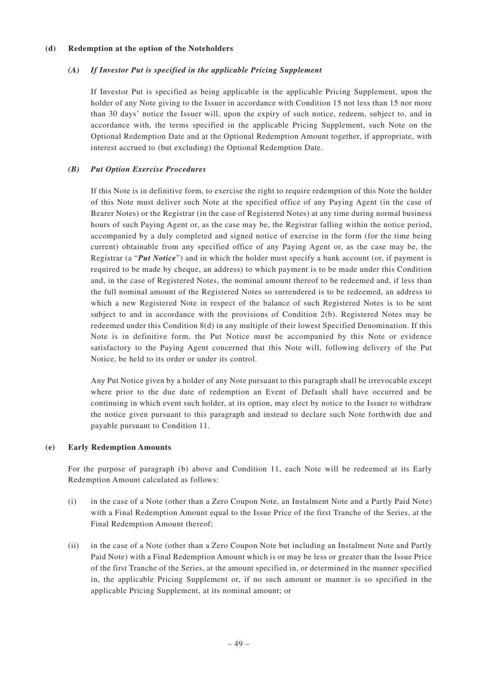### **(d) Redemption at the option of the Noteholders**

# *(A) If Investor Put is specified in the applicable Pricing Supplement*

If Investor Put is specified as being applicable in the applicable Pricing Supplement, upon the holder of any Note giving to the Issuer in accordance with Condition 15 not less than 15 nor more than 30 days' notice the Issuer will, upon the expiry of such notice, redeem, subject to, and in accordance with, the terms specified in the applicable Pricing Supplement, such Note on the Optional Redemption Date and at the Optional Redemption Amount together, if appropriate, with interest accrued to (but excluding) the Optional Redemption Date.

# *(B) Put Option Exercise Procedures*

If this Note is in definitive form, to exercise the right to require redemption of this Note the holder of this Note must deliver such Note at the specified office of any Paying Agent (in the case of Bearer Notes) or the Registrar (in the case of Registered Notes) at any time during normal business hours of such Paying Agent or, as the case may be, the Registrar falling within the notice period, accompanied by a duly completed and signed notice of exercise in the form (for the time being current) obtainable from any specified office of any Paying Agent or, as the case may be, the Registrar (a "*Put Notice*") and in which the holder must specify a bank account (or, if payment is required to be made by cheque, an address) to which payment is to be made under this Condition and, in the case of Registered Notes, the nominal amount thereof to be redeemed and, if less than the full nominal amount of the Registered Notes so surrendered is to be redeemed, an address to which a new Registered Note in respect of the balance of such Registered Notes is to be sent subject to and in accordance with the provisions of Condition 2(b). Registered Notes may be redeemed under this Condition 8(d) in any multiple of their lowest Specified Denomination. If this Note is in definitive form, the Put Notice must be accompanied by this Note or evidence satisfactory to the Paying Agent concerned that this Note will, following delivery of the Put Notice, be held to its order or under its control.

Any Put Notice given by a holder of any Note pursuant to this paragraph shall be irrevocable except where prior to the due date of redemption an Event of Default shall have occurred and be continuing in which event such holder, at its option, may elect by notice to the Issuer to withdraw the notice given pursuant to this paragraph and instead to declare such Note forthwith due and payable pursuant to Condition 11.

# **(e) Early Redemption Amounts**

For the purpose of paragraph (b) above and Condition 11, each Note will be redeemed at its Early Redemption Amount calculated as follows:

- (i) in the case of a Note (other than a Zero Coupon Note, an Instalment Note and a Partly Paid Note) with a Final Redemption Amount equal to the Issue Price of the first Tranche of the Series, at the Final Redemption Amount thereof;
- (ii) in the case of a Note (other than a Zero Coupon Note but including an Instalment Note and Partly Paid Note) with a Final Redemption Amount which is or may be less or greater than the Issue Price of the first Tranche of the Series, at the amount specified in, or determined in the manner specified in, the applicable Pricing Supplement or, if no such amount or manner is so specified in the applicable Pricing Supplement, at its nominal amount; or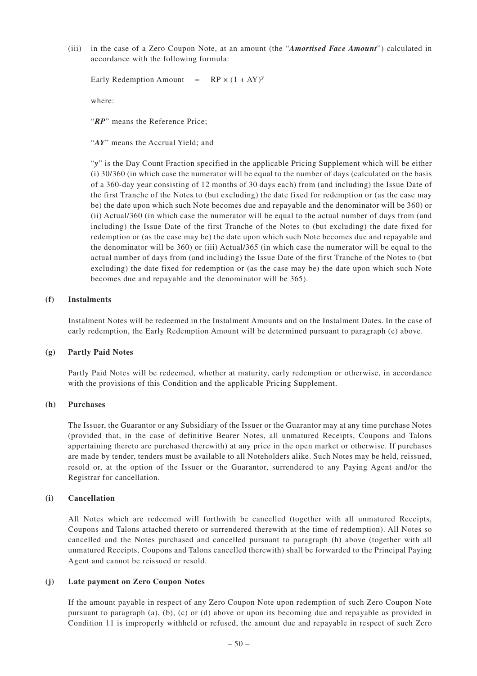(iii) in the case of a Zero Coupon Note, at an amount (the "*Amortised Face Amount*") calculated in accordance with the following formula:

Early Redemption Amount =  $RP \times (1 + AY)^y$ 

where:

"*RP*" means the Reference Price;

"*AY*" means the Accrual Yield; and

"*y*" is the Day Count Fraction specified in the applicable Pricing Supplement which will be either (i) 30/360 (in which case the numerator will be equal to the number of days (calculated on the basis of a 360-day year consisting of 12 months of 30 days each) from (and including) the Issue Date of the first Tranche of the Notes to (but excluding) the date fixed for redemption or (as the case may be) the date upon which such Note becomes due and repayable and the denominator will be 360) or (ii) Actual/360 (in which case the numerator will be equal to the actual number of days from (and including) the Issue Date of the first Tranche of the Notes to (but excluding) the date fixed for redemption or (as the case may be) the date upon which such Note becomes due and repayable and the denominator will be 360) or (iii) Actual/365 (in which case the numerator will be equal to the actual number of days from (and including) the Issue Date of the first Tranche of the Notes to (but excluding) the date fixed for redemption or (as the case may be) the date upon which such Note becomes due and repayable and the denominator will be 365).

#### **(f) Instalments**

Instalment Notes will be redeemed in the Instalment Amounts and on the Instalment Dates. In the case of early redemption, the Early Redemption Amount will be determined pursuant to paragraph (e) above.

#### **(g) Partly Paid Notes**

Partly Paid Notes will be redeemed, whether at maturity, early redemption or otherwise, in accordance with the provisions of this Condition and the applicable Pricing Supplement.

#### **(h) Purchases**

The Issuer, the Guarantor or any Subsidiary of the Issuer or the Guarantor may at any time purchase Notes (provided that, in the case of definitive Bearer Notes, all unmatured Receipts, Coupons and Talons appertaining thereto are purchased therewith) at any price in the open market or otherwise. If purchases are made by tender, tenders must be available to all Noteholders alike. Such Notes may be held, reissued, resold or, at the option of the Issuer or the Guarantor, surrendered to any Paying Agent and/or the Registrar for cancellation.

### **(i) Cancellation**

All Notes which are redeemed will forthwith be cancelled (together with all unmatured Receipts, Coupons and Talons attached thereto or surrendered therewith at the time of redemption). All Notes so cancelled and the Notes purchased and cancelled pursuant to paragraph (h) above (together with all unmatured Receipts, Coupons and Talons cancelled therewith) shall be forwarded to the Principal Paying Agent and cannot be reissued or resold.

#### **(j) Late payment on Zero Coupon Notes**

If the amount payable in respect of any Zero Coupon Note upon redemption of such Zero Coupon Note pursuant to paragraph (a), (b), (c) or (d) above or upon its becoming due and repayable as provided in Condition 11 is improperly withheld or refused, the amount due and repayable in respect of such Zero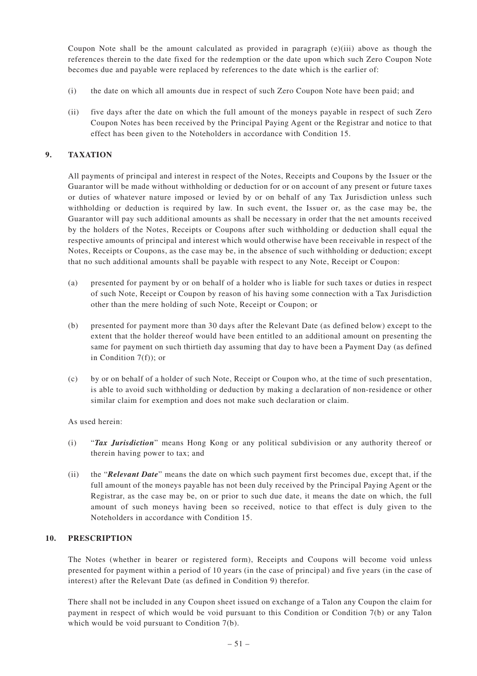Coupon Note shall be the amount calculated as provided in paragraph (e)(iii) above as though the references therein to the date fixed for the redemption or the date upon which such Zero Coupon Note becomes due and payable were replaced by references to the date which is the earlier of:

- (i) the date on which all amounts due in respect of such Zero Coupon Note have been paid; and
- (ii) five days after the date on which the full amount of the moneys payable in respect of such Zero Coupon Notes has been received by the Principal Paying Agent or the Registrar and notice to that effect has been given to the Noteholders in accordance with Condition 15.

# **9. TAXATION**

All payments of principal and interest in respect of the Notes, Receipts and Coupons by the Issuer or the Guarantor will be made without withholding or deduction for or on account of any present or future taxes or duties of whatever nature imposed or levied by or on behalf of any Tax Jurisdiction unless such withholding or deduction is required by law. In such event, the Issuer or, as the case may be, the Guarantor will pay such additional amounts as shall be necessary in order that the net amounts received by the holders of the Notes, Receipts or Coupons after such withholding or deduction shall equal the respective amounts of principal and interest which would otherwise have been receivable in respect of the Notes, Receipts or Coupons, as the case may be, in the absence of such withholding or deduction; except that no such additional amounts shall be payable with respect to any Note, Receipt or Coupon:

- (a) presented for payment by or on behalf of a holder who is liable for such taxes or duties in respect of such Note, Receipt or Coupon by reason of his having some connection with a Tax Jurisdiction other than the mere holding of such Note, Receipt or Coupon; or
- (b) presented for payment more than 30 days after the Relevant Date (as defined below) except to the extent that the holder thereof would have been entitled to an additional amount on presenting the same for payment on such thirtieth day assuming that day to have been a Payment Day (as defined in Condition 7(f)); or
- (c) by or on behalf of a holder of such Note, Receipt or Coupon who, at the time of such presentation, is able to avoid such withholding or deduction by making a declaration of non-residence or other similar claim for exemption and does not make such declaration or claim.

# As used herein:

- (i) "*Tax Jurisdiction*" means Hong Kong or any political subdivision or any authority thereof or therein having power to tax; and
- (ii) the "*Relevant Date*" means the date on which such payment first becomes due, except that, if the full amount of the moneys payable has not been duly received by the Principal Paying Agent or the Registrar, as the case may be, on or prior to such due date, it means the date on which, the full amount of such moneys having been so received, notice to that effect is duly given to the Noteholders in accordance with Condition 15.

# **10. PRESCRIPTION**

The Notes (whether in bearer or registered form), Receipts and Coupons will become void unless presented for payment within a period of 10 years (in the case of principal) and five years (in the case of interest) after the Relevant Date (as defined in Condition 9) therefor.

There shall not be included in any Coupon sheet issued on exchange of a Talon any Coupon the claim for payment in respect of which would be void pursuant to this Condition or Condition 7(b) or any Talon which would be void pursuant to Condition 7(b).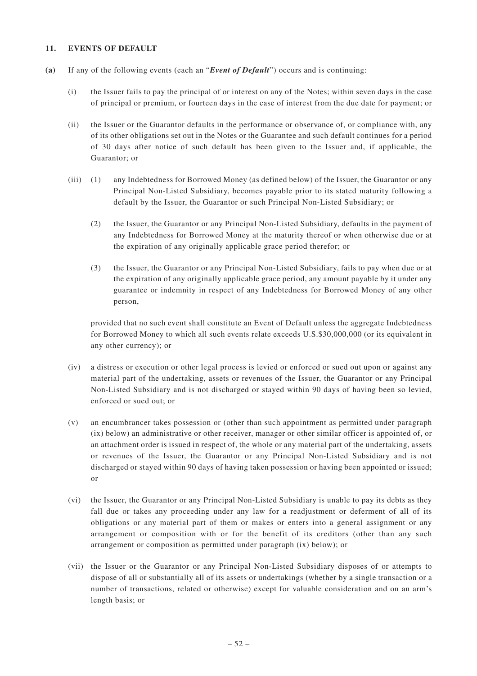### **11. EVENTS OF DEFAULT**

- **(a)** If any of the following events (each an "*Event of Default*") occurs and is continuing:
	- (i) the Issuer fails to pay the principal of or interest on any of the Notes; within seven days in the case of principal or premium, or fourteen days in the case of interest from the due date for payment; or
	- (ii) the Issuer or the Guarantor defaults in the performance or observance of, or compliance with, any of its other obligations set out in the Notes or the Guarantee and such default continues for a period of 30 days after notice of such default has been given to the Issuer and, if applicable, the Guarantor; or
	- (iii) (1) any Indebtedness for Borrowed Money (as defined below) of the Issuer, the Guarantor or any Principal Non-Listed Subsidiary, becomes payable prior to its stated maturity following a default by the Issuer, the Guarantor or such Principal Non-Listed Subsidiary; or
		- (2) the Issuer, the Guarantor or any Principal Non-Listed Subsidiary, defaults in the payment of any Indebtedness for Borrowed Money at the maturity thereof or when otherwise due or at the expiration of any originally applicable grace period therefor; or
		- (3) the Issuer, the Guarantor or any Principal Non-Listed Subsidiary, fails to pay when due or at the expiration of any originally applicable grace period, any amount payable by it under any guarantee or indemnity in respect of any Indebtedness for Borrowed Money of any other person,

provided that no such event shall constitute an Event of Default unless the aggregate Indebtedness for Borrowed Money to which all such events relate exceeds U.S.\$30,000,000 (or its equivalent in any other currency); or

- (iv) a distress or execution or other legal process is levied or enforced or sued out upon or against any material part of the undertaking, assets or revenues of the Issuer, the Guarantor or any Principal Non-Listed Subsidiary and is not discharged or stayed within 90 days of having been so levied, enforced or sued out; or
- (v) an encumbrancer takes possession or (other than such appointment as permitted under paragraph (ix) below) an administrative or other receiver, manager or other similar officer is appointed of, or an attachment order is issued in respect of, the whole or any material part of the undertaking, assets or revenues of the Issuer, the Guarantor or any Principal Non-Listed Subsidiary and is not discharged or stayed within 90 days of having taken possession or having been appointed or issued; or
- (vi) the Issuer, the Guarantor or any Principal Non-Listed Subsidiary is unable to pay its debts as they fall due or takes any proceeding under any law for a readjustment or deferment of all of its obligations or any material part of them or makes or enters into a general assignment or any arrangement or composition with or for the benefit of its creditors (other than any such arrangement or composition as permitted under paragraph (ix) below); or
- (vii) the Issuer or the Guarantor or any Principal Non-Listed Subsidiary disposes of or attempts to dispose of all or substantially all of its assets or undertakings (whether by a single transaction or a number of transactions, related or otherwise) except for valuable consideration and on an arm's length basis; or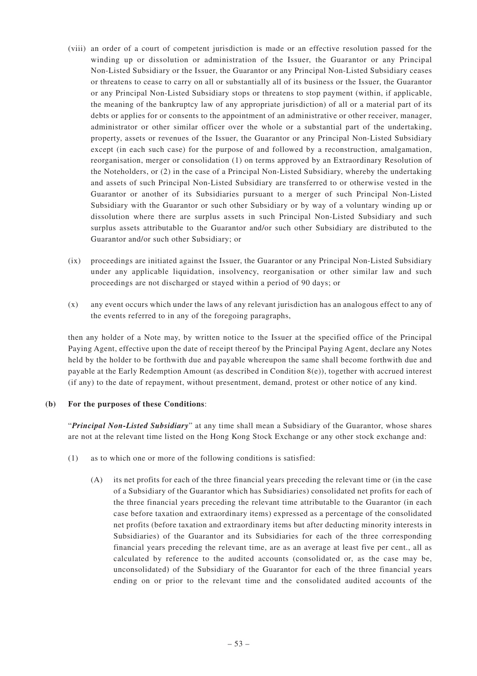- (viii) an order of a court of competent jurisdiction is made or an effective resolution passed for the winding up or dissolution or administration of the Issuer, the Guarantor or any Principal Non-Listed Subsidiary or the Issuer, the Guarantor or any Principal Non-Listed Subsidiary ceases or threatens to cease to carry on all or substantially all of its business or the Issuer, the Guarantor or any Principal Non-Listed Subsidiary stops or threatens to stop payment (within, if applicable, the meaning of the bankruptcy law of any appropriate jurisdiction) of all or a material part of its debts or applies for or consents to the appointment of an administrative or other receiver, manager, administrator or other similar officer over the whole or a substantial part of the undertaking, property, assets or revenues of the Issuer, the Guarantor or any Principal Non-Listed Subsidiary except (in each such case) for the purpose of and followed by a reconstruction, amalgamation, reorganisation, merger or consolidation (1) on terms approved by an Extraordinary Resolution of the Noteholders, or (2) in the case of a Principal Non-Listed Subsidiary, whereby the undertaking and assets of such Principal Non-Listed Subsidiary are transferred to or otherwise vested in the Guarantor or another of its Subsidiaries pursuant to a merger of such Principal Non-Listed Subsidiary with the Guarantor or such other Subsidiary or by way of a voluntary winding up or dissolution where there are surplus assets in such Principal Non-Listed Subsidiary and such surplus assets attributable to the Guarantor and/or such other Subsidiary are distributed to the Guarantor and/or such other Subsidiary; or
- (ix) proceedings are initiated against the Issuer, the Guarantor or any Principal Non-Listed Subsidiary under any applicable liquidation, insolvency, reorganisation or other similar law and such proceedings are not discharged or stayed within a period of 90 days; or
- (x) any event occurs which under the laws of any relevant jurisdiction has an analogous effect to any of the events referred to in any of the foregoing paragraphs,

then any holder of a Note may, by written notice to the Issuer at the specified office of the Principal Paying Agent, effective upon the date of receipt thereof by the Principal Paying Agent, declare any Notes held by the holder to be forthwith due and payable whereupon the same shall become forthwith due and payable at the Early Redemption Amount (as described in Condition 8(e)), together with accrued interest (if any) to the date of repayment, without presentment, demand, protest or other notice of any kind.

# **(b) For the purposes of these Conditions**:

"*Principal Non-Listed Subsidiary*" at any time shall mean a Subsidiary of the Guarantor, whose shares are not at the relevant time listed on the Hong Kong Stock Exchange or any other stock exchange and:

- (1) as to which one or more of the following conditions is satisfied:
	- (A) its net profits for each of the three financial years preceding the relevant time or (in the case of a Subsidiary of the Guarantor which has Subsidiaries) consolidated net profits for each of the three financial years preceding the relevant time attributable to the Guarantor (in each case before taxation and extraordinary items) expressed as a percentage of the consolidated net profits (before taxation and extraordinary items but after deducting minority interests in Subsidiaries) of the Guarantor and its Subsidiaries for each of the three corresponding financial years preceding the relevant time, are as an average at least five per cent., all as calculated by reference to the audited accounts (consolidated or, as the case may be, unconsolidated) of the Subsidiary of the Guarantor for each of the three financial years ending on or prior to the relevant time and the consolidated audited accounts of the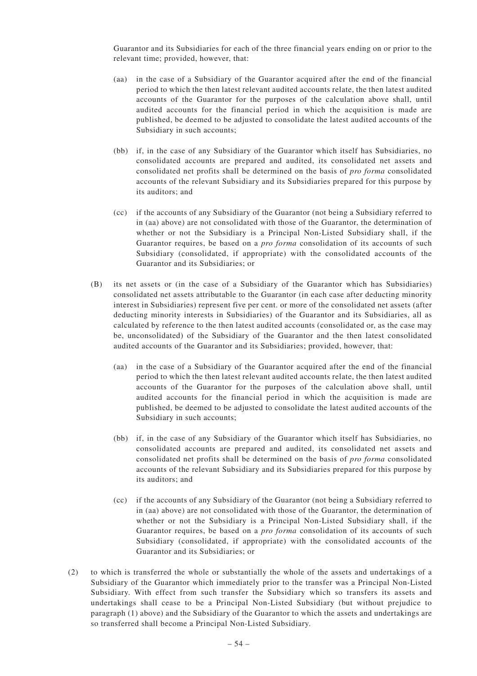Guarantor and its Subsidiaries for each of the three financial years ending on or prior to the relevant time; provided, however, that:

- (aa) in the case of a Subsidiary of the Guarantor acquired after the end of the financial period to which the then latest relevant audited accounts relate, the then latest audited accounts of the Guarantor for the purposes of the calculation above shall, until audited accounts for the financial period in which the acquisition is made are published, be deemed to be adjusted to consolidate the latest audited accounts of the Subsidiary in such accounts;
- (bb) if, in the case of any Subsidiary of the Guarantor which itself has Subsidiaries, no consolidated accounts are prepared and audited, its consolidated net assets and consolidated net profits shall be determined on the basis of *pro forma* consolidated accounts of the relevant Subsidiary and its Subsidiaries prepared for this purpose by its auditors; and
- (cc) if the accounts of any Subsidiary of the Guarantor (not being a Subsidiary referred to in (aa) above) are not consolidated with those of the Guarantor, the determination of whether or not the Subsidiary is a Principal Non-Listed Subsidiary shall, if the Guarantor requires, be based on a *pro forma* consolidation of its accounts of such Subsidiary (consolidated, if appropriate) with the consolidated accounts of the Guarantor and its Subsidiaries; or
- (B) its net assets or (in the case of a Subsidiary of the Guarantor which has Subsidiaries) consolidated net assets attributable to the Guarantor (in each case after deducting minority interest in Subsidiaries) represent five per cent. or more of the consolidated net assets (after deducting minority interests in Subsidiaries) of the Guarantor and its Subsidiaries, all as calculated by reference to the then latest audited accounts (consolidated or, as the case may be, unconsolidated) of the Subsidiary of the Guarantor and the then latest consolidated audited accounts of the Guarantor and its Subsidiaries; provided, however, that:
	- (aa) in the case of a Subsidiary of the Guarantor acquired after the end of the financial period to which the then latest relevant audited accounts relate, the then latest audited accounts of the Guarantor for the purposes of the calculation above shall, until audited accounts for the financial period in which the acquisition is made are published, be deemed to be adjusted to consolidate the latest audited accounts of the Subsidiary in such accounts;
	- (bb) if, in the case of any Subsidiary of the Guarantor which itself has Subsidiaries, no consolidated accounts are prepared and audited, its consolidated net assets and consolidated net profits shall be determined on the basis of *pro forma* consolidated accounts of the relevant Subsidiary and its Subsidiaries prepared for this purpose by its auditors; and
	- (cc) if the accounts of any Subsidiary of the Guarantor (not being a Subsidiary referred to in (aa) above) are not consolidated with those of the Guarantor, the determination of whether or not the Subsidiary is a Principal Non-Listed Subsidiary shall, if the Guarantor requires, be based on a *pro forma* consolidation of its accounts of such Subsidiary (consolidated, if appropriate) with the consolidated accounts of the Guarantor and its Subsidiaries; or
- (2) to which is transferred the whole or substantially the whole of the assets and undertakings of a Subsidiary of the Guarantor which immediately prior to the transfer was a Principal Non-Listed Subsidiary. With effect from such transfer the Subsidiary which so transfers its assets and undertakings shall cease to be a Principal Non-Listed Subsidiary (but without prejudice to paragraph (1) above) and the Subsidiary of the Guarantor to which the assets and undertakings are so transferred shall become a Principal Non-Listed Subsidiary.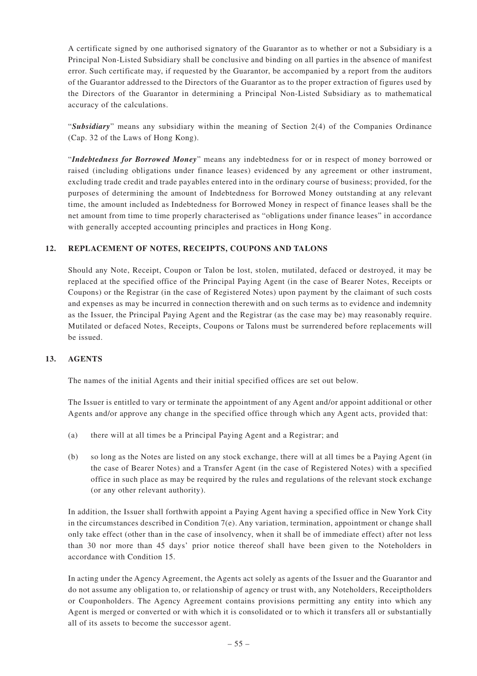A certificate signed by one authorised signatory of the Guarantor as to whether or not a Subsidiary is a Principal Non-Listed Subsidiary shall be conclusive and binding on all parties in the absence of manifest error. Such certificate may, if requested by the Guarantor, be accompanied by a report from the auditors of the Guarantor addressed to the Directors of the Guarantor as to the proper extraction of figures used by the Directors of the Guarantor in determining a Principal Non-Listed Subsidiary as to mathematical accuracy of the calculations.

"*Subsidiary*" means any subsidiary within the meaning of Section 2(4) of the Companies Ordinance (Cap. 32 of the Laws of Hong Kong).

"*Indebtedness for Borrowed Money*" means any indebtedness for or in respect of money borrowed or raised (including obligations under finance leases) evidenced by any agreement or other instrument, excluding trade credit and trade payables entered into in the ordinary course of business; provided, for the purposes of determining the amount of Indebtedness for Borrowed Money outstanding at any relevant time, the amount included as Indebtedness for Borrowed Money in respect of finance leases shall be the net amount from time to time properly characterised as "obligations under finance leases" in accordance with generally accepted accounting principles and practices in Hong Kong.

# **12. REPLACEMENT OF NOTES, RECEIPTS, COUPONS AND TALONS**

Should any Note, Receipt, Coupon or Talon be lost, stolen, mutilated, defaced or destroyed, it may be replaced at the specified office of the Principal Paying Agent (in the case of Bearer Notes, Receipts or Coupons) or the Registrar (in the case of Registered Notes) upon payment by the claimant of such costs and expenses as may be incurred in connection therewith and on such terms as to evidence and indemnity as the Issuer, the Principal Paying Agent and the Registrar (as the case may be) may reasonably require. Mutilated or defaced Notes, Receipts, Coupons or Talons must be surrendered before replacements will be issued.

# **13. AGENTS**

The names of the initial Agents and their initial specified offices are set out below.

The Issuer is entitled to vary or terminate the appointment of any Agent and/or appoint additional or other Agents and/or approve any change in the specified office through which any Agent acts, provided that:

- (a) there will at all times be a Principal Paying Agent and a Registrar; and
- (b) so long as the Notes are listed on any stock exchange, there will at all times be a Paying Agent (in the case of Bearer Notes) and a Transfer Agent (in the case of Registered Notes) with a specified office in such place as may be required by the rules and regulations of the relevant stock exchange (or any other relevant authority).

In addition, the Issuer shall forthwith appoint a Paying Agent having a specified office in New York City in the circumstances described in Condition 7(e). Any variation, termination, appointment or change shall only take effect (other than in the case of insolvency, when it shall be of immediate effect) after not less than 30 nor more than 45 days' prior notice thereof shall have been given to the Noteholders in accordance with Condition 15.

In acting under the Agency Agreement, the Agents act solely as agents of the Issuer and the Guarantor and do not assume any obligation to, or relationship of agency or trust with, any Noteholders, Receiptholders or Couponholders. The Agency Agreement contains provisions permitting any entity into which any Agent is merged or converted or with which it is consolidated or to which it transfers all or substantially all of its assets to become the successor agent.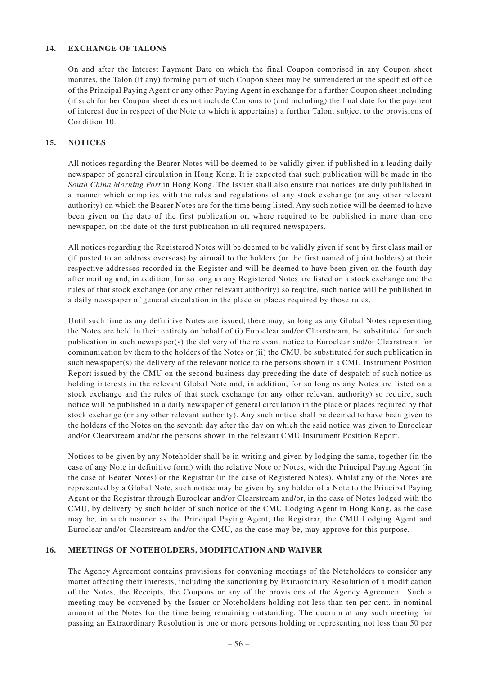# **14. EXCHANGE OF TALONS**

On and after the Interest Payment Date on which the final Coupon comprised in any Coupon sheet matures, the Talon (if any) forming part of such Coupon sheet may be surrendered at the specified office of the Principal Paying Agent or any other Paying Agent in exchange for a further Coupon sheet including (if such further Coupon sheet does not include Coupons to (and including) the final date for the payment of interest due in respect of the Note to which it appertains) a further Talon, subject to the provisions of Condition 10.

### **15. NOTICES**

All notices regarding the Bearer Notes will be deemed to be validly given if published in a leading daily newspaper of general circulation in Hong Kong. It is expected that such publication will be made in the *South China Morning Post* in Hong Kong. The Issuer shall also ensure that notices are duly published in a manner which complies with the rules and regulations of any stock exchange (or any other relevant authority) on which the Bearer Notes are for the time being listed. Any such notice will be deemed to have been given on the date of the first publication or, where required to be published in more than one newspaper, on the date of the first publication in all required newspapers.

All notices regarding the Registered Notes will be deemed to be validly given if sent by first class mail or (if posted to an address overseas) by airmail to the holders (or the first named of joint holders) at their respective addresses recorded in the Register and will be deemed to have been given on the fourth day after mailing and, in addition, for so long as any Registered Notes are listed on a stock exchange and the rules of that stock exchange (or any other relevant authority) so require, such notice will be published in a daily newspaper of general circulation in the place or places required by those rules.

Until such time as any definitive Notes are issued, there may, so long as any Global Notes representing the Notes are held in their entirety on behalf of (i) Euroclear and/or Clearstream, be substituted for such publication in such newspaper(s) the delivery of the relevant notice to Euroclear and/or Clearstream for communication by them to the holders of the Notes or (ii) the CMU, be substituted for such publication in such newspaper(s) the delivery of the relevant notice to the persons shown in a CMU Instrument Position Report issued by the CMU on the second business day preceding the date of despatch of such notice as holding interests in the relevant Global Note and, in addition, for so long as any Notes are listed on a stock exchange and the rules of that stock exchange (or any other relevant authority) so require, such notice will be published in a daily newspaper of general circulation in the place or places required by that stock exchange (or any other relevant authority). Any such notice shall be deemed to have been given to the holders of the Notes on the seventh day after the day on which the said notice was given to Euroclear and/or Clearstream and/or the persons shown in the relevant CMU Instrument Position Report.

Notices to be given by any Noteholder shall be in writing and given by lodging the same, together (in the case of any Note in definitive form) with the relative Note or Notes, with the Principal Paying Agent (in the case of Bearer Notes) or the Registrar (in the case of Registered Notes). Whilst any of the Notes are represented by a Global Note, such notice may be given by any holder of a Note to the Principal Paying Agent or the Registrar through Euroclear and/or Clearstream and/or, in the case of Notes lodged with the CMU, by delivery by such holder of such notice of the CMU Lodging Agent in Hong Kong, as the case may be, in such manner as the Principal Paying Agent, the Registrar, the CMU Lodging Agent and Euroclear and/or Clearstream and/or the CMU, as the case may be, may approve for this purpose.

#### **16. MEETINGS OF NOTEHOLDERS, MODIFICATION AND WAIVER**

The Agency Agreement contains provisions for convening meetings of the Noteholders to consider any matter affecting their interests, including the sanctioning by Extraordinary Resolution of a modification of the Notes, the Receipts, the Coupons or any of the provisions of the Agency Agreement. Such a meeting may be convened by the Issuer or Noteholders holding not less than ten per cent. in nominal amount of the Notes for the time being remaining outstanding. The quorum at any such meeting for passing an Extraordinary Resolution is one or more persons holding or representing not less than 50 per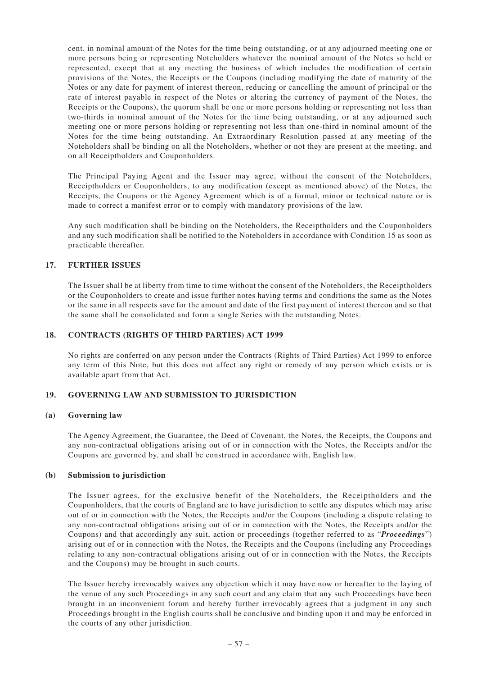cent. in nominal amount of the Notes for the time being outstanding, or at any adjourned meeting one or more persons being or representing Noteholders whatever the nominal amount of the Notes so held or represented, except that at any meeting the business of which includes the modification of certain provisions of the Notes, the Receipts or the Coupons (including modifying the date of maturity of the Notes or any date for payment of interest thereon, reducing or cancelling the amount of principal or the rate of interest payable in respect of the Notes or altering the currency of payment of the Notes, the Receipts or the Coupons), the quorum shall be one or more persons holding or representing not less than two-thirds in nominal amount of the Notes for the time being outstanding, or at any adjourned such meeting one or more persons holding or representing not less than one-third in nominal amount of the Notes for the time being outstanding. An Extraordinary Resolution passed at any meeting of the Noteholders shall be binding on all the Noteholders, whether or not they are present at the meeting, and on all Receiptholders and Couponholders.

The Principal Paying Agent and the Issuer may agree, without the consent of the Noteholders, Receiptholders or Couponholders, to any modification (except as mentioned above) of the Notes, the Receipts, the Coupons or the Agency Agreement which is of a formal, minor or technical nature or is made to correct a manifest error or to comply with mandatory provisions of the law.

Any such modification shall be binding on the Noteholders, the Receiptholders and the Couponholders and any such modification shall be notified to the Noteholders in accordance with Condition 15 as soon as practicable thereafter.

# **17. FURTHER ISSUES**

The Issuer shall be at liberty from time to time without the consent of the Noteholders, the Receiptholders or the Couponholders to create and issue further notes having terms and conditions the same as the Notes or the same in all respects save for the amount and date of the first payment of interest thereon and so that the same shall be consolidated and form a single Series with the outstanding Notes.

### **18. CONTRACTS (RIGHTS OF THIRD PARTIES) ACT 1999**

No rights are conferred on any person under the Contracts (Rights of Third Parties) Act 1999 to enforce any term of this Note, but this does not affect any right or remedy of any person which exists or is available apart from that Act.

#### **19. GOVERNING LAW AND SUBMISSION TO JURISDICTION**

#### **(a) Governing law**

The Agency Agreement, the Guarantee, the Deed of Covenant, the Notes, the Receipts, the Coupons and any non-contractual obligations arising out of or in connection with the Notes, the Receipts and/or the Coupons are governed by, and shall be construed in accordance with, English law.

#### **(b) Submission to jurisdiction**

The Issuer agrees, for the exclusive benefit of the Noteholders, the Receiptholders and the Couponholders, that the courts of England are to have jurisdiction to settle any disputes which may arise out of or in connection with the Notes, the Receipts and/or the Coupons (including a dispute relating to any non-contractual obligations arising out of or in connection with the Notes, the Receipts and/or the Coupons) and that accordingly any suit, action or proceedings (together referred to as "*Proceedings*") arising out of or in connection with the Notes, the Receipts and the Coupons (including any Proceedings relating to any non-contractual obligations arising out of or in connection with the Notes, the Receipts and the Coupons) may be brought in such courts.

The Issuer hereby irrevocably waives any objection which it may have now or hereafter to the laying of the venue of any such Proceedings in any such court and any claim that any such Proceedings have been brought in an inconvenient forum and hereby further irrevocably agrees that a judgment in any such Proceedings brought in the English courts shall be conclusive and binding upon it and may be enforced in the courts of any other jurisdiction.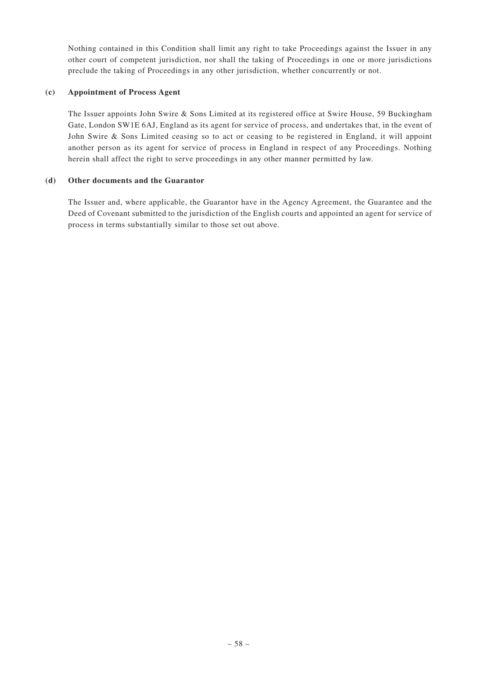Nothing contained in this Condition shall limit any right to take Proceedings against the Issuer in any other court of competent jurisdiction, nor shall the taking of Proceedings in one or more jurisdictions preclude the taking of Proceedings in any other jurisdiction, whether concurrently or not.

# **(c) Appointment of Process Agent**

The Issuer appoints John Swire & Sons Limited at its registered office at Swire House, 59 Buckingham Gate, London SW1E 6AJ, England as its agent for service of process, and undertakes that, in the event of John Swire & Sons Limited ceasing so to act or ceasing to be registered in England, it will appoint another person as its agent for service of process in England in respect of any Proceedings. Nothing herein shall affect the right to serve proceedings in any other manner permitted by law.

# **(d) Other documents and the Guarantor**

The Issuer and, where applicable, the Guarantor have in the Agency Agreement, the Guarantee and the Deed of Covenant submitted to the jurisdiction of the English courts and appointed an agent for service of process in terms substantially similar to those set out above.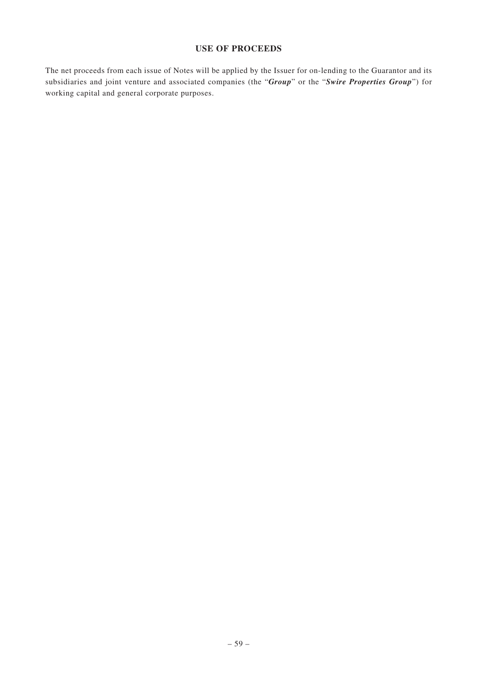# **USE OF PROCEEDS**

The net proceeds from each issue of Notes will be applied by the Issuer for on-lending to the Guarantor and its subsidiaries and joint venture and associated companies (the "*Group*" or the "*Swire Properties Group*") for working capital and general corporate purposes.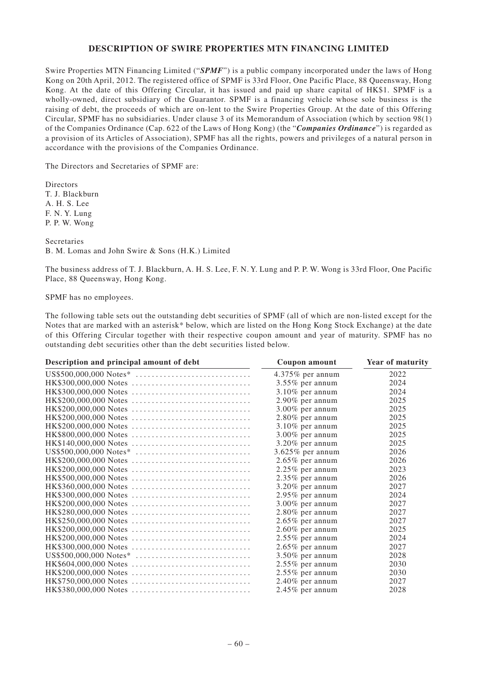### **DESCRIPTION OF SWIRE PROPERTIES MTN FINANCING LIMITED**

Swire Properties MTN Financing Limited ("*SPMF*") is a public company incorporated under the laws of Hong Kong on 20th April, 2012. The registered office of SPMF is 33rd Floor, One Pacific Place, 88 Queensway, Hong Kong. At the date of this Offering Circular, it has issued and paid up share capital of HK\$1. SPMF is a wholly-owned, direct subsidiary of the Guarantor. SPMF is a financing vehicle whose sole business is the raising of debt, the proceeds of which are on-lent to the Swire Properties Group. At the date of this Offering Circular, SPMF has no subsidiaries. Under clause 3 of its Memorandum of Association (which by section 98(1) of the Companies Ordinance (Cap. 622 of the Laws of Hong Kong) (the "*Companies Ordinance*") is regarded as a provision of its Articles of Association), SPMF has all the rights, powers and privileges of a natural person in accordance with the provisions of the Companies Ordinance.

The Directors and Secretaries of SPMF are:

Directors T. J. Blackburn A. H. S. Lee F. N. Y. Lung P. P. W. Wong

Secretaries B. M. Lomas and John Swire & Sons (H.K.) Limited

The business address of T. J. Blackburn, A. H. S. Lee, F. N. Y. Lung and P. P. W. Wong is 33rd Floor, One Pacific Place, 88 Queensway, Hong Kong.

SPMF has no employees.

The following table sets out the outstanding debt securities of SPMF (all of which are non-listed except for the Notes that are marked with an asterisk\* below, which are listed on the Hong Kong Stock Exchange) at the date of this Offering Circular together with their respective coupon amount and year of maturity. SPMF has no outstanding debt securities other than the debt securities listed below.

| Description and principal amount of debt | Coupon amount       | Year of maturity |
|------------------------------------------|---------------------|------------------|
|                                          | $4.375\%$ per annum | 2022             |
| HK\$300,000,000 Notes                    | $3.55\%$ per annum  | 2024             |
| HK\$300,000,000 Notes                    | $3.10\%$ per annum  | 2024             |
| HK\$200,000,000 Notes                    | $2.90\%$ per annum  | 2025             |
| HK\$200,000,000 Notes                    | $3.00\%$ per annum  | 2025             |
| HK\$200,000,000 Notes                    | $2.80\%$ per annum  | 2025             |
| HK\$200,000,000 Notes                    | $3.10\%$ per annum  | 2025             |
| HK\$800,000,000 Notes                    | $3.00\%$ per annum  | 2025             |
|                                          | $3.20\%$ per annum  | 2025             |
|                                          | 3.625% per annum    | 2026             |
|                                          | $2.65\%$ per annum  | 2026             |
| HK\$200,000,000 Notes                    | $2.25\%$ per annum  | 2023             |
| HK\$500,000,000 Notes                    | 2.35% per annum     | 2026             |
| HK\$360,000,000 Notes                    | $3.20\%$ per annum  | 2027             |
| HK\$300,000,000 Notes                    | $2.95\%$ per annum  | 2024             |
|                                          | 3.00% per annum     | 2027             |
| HK\$280,000,000 Notes                    | $2.80\%$ per annum  | 2027             |
| HK\$250,000,000 Notes                    | $2.65\%$ per annum  | 2027             |
| HK\$200,000,000 Notes                    | $2.60\%$ per annum  | 2025             |
| HK\$200,000,000 Notes                    | $2.55\%$ per annum  | 2024             |
| HK\$300,000,000 Notes                    | $2.65\%$ per annum  | 2027             |
|                                          | $3.50\%$ per annum  | 2028             |
|                                          | $2.55\%$ per annum  | 2030             |
| HK\$200,000,000 Notes                    | $2.55\%$ per annum  | 2030             |
| HK\$750,000,000 Notes                    | $2.40\%$ per annum  | 2027             |
| HK\$380,000,000 Notes                    | $2.45\%$ per annum  | 2028             |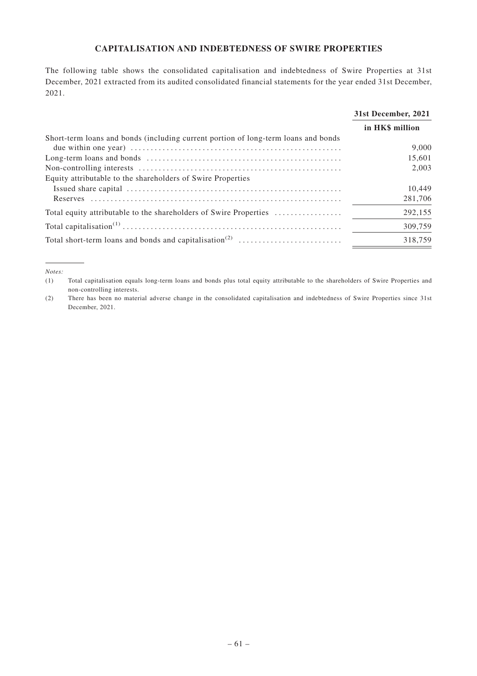# **CAPITALISATION AND INDEBTEDNESS OF SWIRE PROPERTIES**

The following table shows the consolidated capitalisation and indebtedness of Swire Properties at 31st December, 2021 extracted from its audited consolidated financial statements for the year ended 31st December, 2021.

|                                                                                    | 31st December, 2021 |
|------------------------------------------------------------------------------------|---------------------|
|                                                                                    | in HK\$ million     |
| Short-term loans and bonds (including current portion of long-term loans and bonds |                     |
|                                                                                    | 9.000               |
|                                                                                    | 15,601              |
|                                                                                    | 2.003               |
| Equity attributable to the shareholders of Swire Properties                        |                     |
|                                                                                    | 10,449              |
| <b>Reserves</b>                                                                    | 281,706             |
| Total equity attributable to the shareholders of Swire Properties                  | 292,155             |
|                                                                                    | 309.759             |
|                                                                                    | 318,759             |

*Notes:*

(1) Total capitalisation equals long-term loans and bonds plus total equity attributable to the shareholders of Swire Properties and non-controlling interests.

(2) There has been no material adverse change in the consolidated capitalisation and indebtedness of Swire Properties since 31st December, 2021.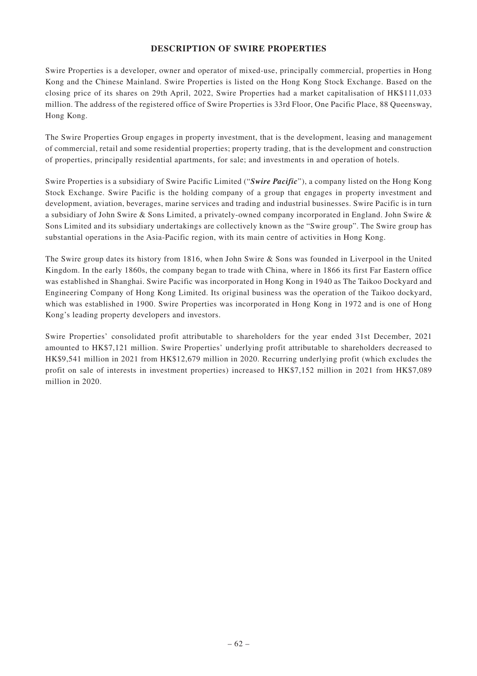# **DESCRIPTION OF SWIRE PROPERTIES**

Swire Properties is a developer, owner and operator of mixed-use, principally commercial, properties in Hong Kong and the Chinese Mainland. Swire Properties is listed on the Hong Kong Stock Exchange. Based on the closing price of its shares on 29th April, 2022, Swire Properties had a market capitalisation of HK\$111,033 million. The address of the registered office of Swire Properties is 33rd Floor, One Pacific Place, 88 Queensway, Hong Kong.

The Swire Properties Group engages in property investment, that is the development, leasing and management of commercial, retail and some residential properties; property trading, that is the development and construction of properties, principally residential apartments, for sale; and investments in and operation of hotels.

Swire Properties is a subsidiary of Swire Pacific Limited ("*Swire Pacific*"), a company listed on the Hong Kong Stock Exchange. Swire Pacific is the holding company of a group that engages in property investment and development, aviation, beverages, marine services and trading and industrial businesses. Swire Pacific is in turn a subsidiary of John Swire & Sons Limited, a privately-owned company incorporated in England. John Swire & Sons Limited and its subsidiary undertakings are collectively known as the "Swire group". The Swire group has substantial operations in the Asia-Pacific region, with its main centre of activities in Hong Kong.

The Swire group dates its history from 1816, when John Swire & Sons was founded in Liverpool in the United Kingdom. In the early 1860s, the company began to trade with China, where in 1866 its first Far Eastern office was established in Shanghai. Swire Pacific was incorporated in Hong Kong in 1940 as The Taikoo Dockyard and Engineering Company of Hong Kong Limited. Its original business was the operation of the Taikoo dockyard, which was established in 1900. Swire Properties was incorporated in Hong Kong in 1972 and is one of Hong Kong's leading property developers and investors.

Swire Properties' consolidated profit attributable to shareholders for the year ended 31st December, 2021 amounted to HK\$7,121 million. Swire Properties' underlying profit attributable to shareholders decreased to HK\$9,541 million in 2021 from HK\$12,679 million in 2020. Recurring underlying profit (which excludes the profit on sale of interests in investment properties) increased to HK\$7,152 million in 2021 from HK\$7,089 million in 2020.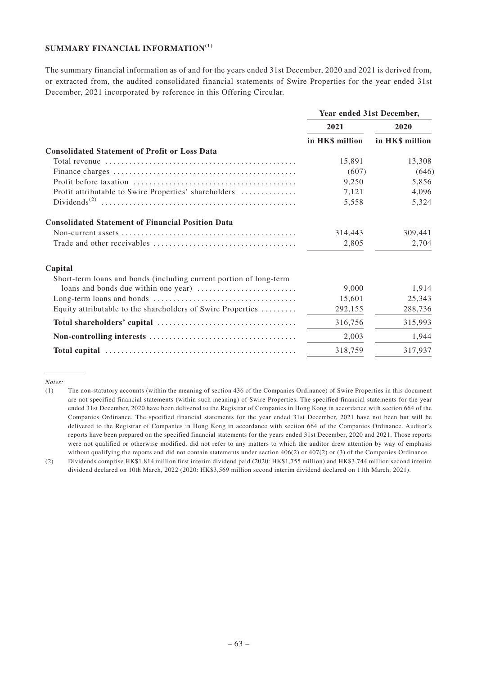# **SUMMARY FINANCIAL INFORMATION(1)**

The summary financial information as of and for the years ended 31st December, 2020 and 2021 is derived from, or extracted from, the audited consolidated financial statements of Swire Properties for the year ended 31st December, 2021 incorporated by reference in this Offering Circular.

|                                                                    | Year ended 31st December, |                 |  |
|--------------------------------------------------------------------|---------------------------|-----------------|--|
|                                                                    | 2021                      | 2020            |  |
|                                                                    | in HK\$ million           | in HK\$ million |  |
| <b>Consolidated Statement of Profit or Loss Data</b>               |                           |                 |  |
|                                                                    | 15.891                    | 13,308          |  |
|                                                                    | (607)                     | (646)           |  |
|                                                                    | 9,250                     | 5,856           |  |
| Profit attributable to Swire Properties' shareholders              | 7,121                     | 4,096           |  |
|                                                                    | 5,558                     | 5,324           |  |
| <b>Consolidated Statement of Financial Position Data</b>           |                           |                 |  |
|                                                                    | 314,443                   | 309,441         |  |
|                                                                    | 2,805                     | 2,704           |  |
| Capital                                                            |                           |                 |  |
| Short-term loans and bonds (including current portion of long-term |                           |                 |  |
|                                                                    | 9.000                     | 1,914           |  |
|                                                                    | 15,601                    | 25,343          |  |
| Equity attributable to the shareholders of Swire Properties        | 292,155                   | 288,736         |  |
|                                                                    | 316,756                   | 315,993         |  |
|                                                                    | 2,003                     | 1,944           |  |
|                                                                    | 318,759                   | 317,937         |  |

*Notes:*

<sup>(1)</sup> The non-statutory accounts (within the meaning of section 436 of the Companies Ordinance) of Swire Properties in this document are not specified financial statements (within such meaning) of Swire Properties. The specified financial statements for the year ended 31st December, 2020 have been delivered to the Registrar of Companies in Hong Kong in accordance with section 664 of the Companies Ordinance. The specified financial statements for the year ended 31st December, 2021 have not been but will be delivered to the Registrar of Companies in Hong Kong in accordance with section 664 of the Companies Ordinance. Auditor's reports have been prepared on the specified financial statements for the years ended 31st December, 2020 and 2021. Those reports were not qualified or otherwise modified, did not refer to any matters to which the auditor drew attention by way of emphasis without qualifying the reports and did not contain statements under section 406(2) or 407(2) or (3) of the Companies Ordinance.

<sup>(2)</sup> Dividends comprise HK\$1,814 million first interim dividend paid (2020: HK\$1,755 million) and HK\$3,744 million second interim dividend declared on 10th March, 2022 (2020: HK\$3,569 million second interim dividend declared on 11th March, 2021).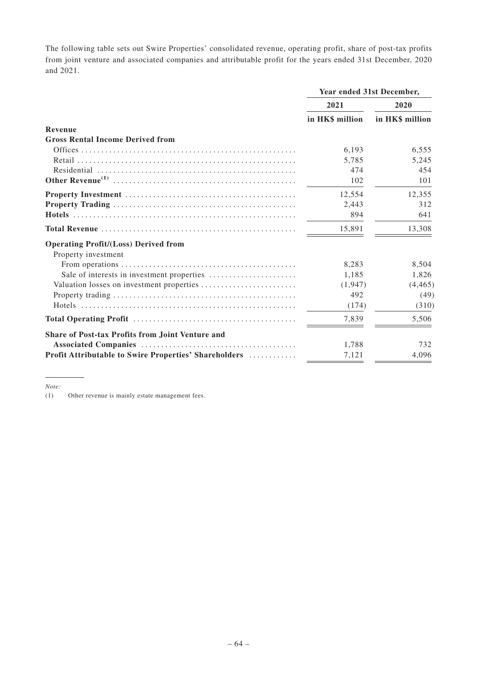The following table sets out Swire Properties' consolidated revenue, operating profit, share of post-tax profits from joint venture and associated companies and attributable profit for the years ended 31st December, 2020 and 2021.

|                                                         | Year ended 31st December, |                 |  |
|---------------------------------------------------------|---------------------------|-----------------|--|
|                                                         | 2021                      | 2020            |  |
|                                                         | in HK\$ million           | in HK\$ million |  |
| Revenue                                                 |                           |                 |  |
| <b>Gross Rental Income Derived from</b>                 |                           |                 |  |
|                                                         | 6.193                     | 6,555           |  |
|                                                         | 5,785                     | 5,245           |  |
|                                                         | 474                       | 454             |  |
|                                                         | 102                       | 101             |  |
|                                                         | 12,554                    | 12,355          |  |
|                                                         | 2,443                     | 312             |  |
|                                                         | 894                       | 641             |  |
|                                                         | 15.891                    | 13,308          |  |
| <b>Operating Profit/(Loss) Derived from</b>             |                           |                 |  |
| Property investment                                     |                           |                 |  |
|                                                         | 8,283                     | 8,504           |  |
| Sale of interests in investment properties              | 1,185                     | 1,826           |  |
|                                                         | (1,947)                   | (4, 465)        |  |
|                                                         | 492                       | (49)            |  |
|                                                         | (174)                     | (310)           |  |
|                                                         | 7,839                     | 5,506           |  |
| <b>Share of Post-tax Profits from Joint Venture and</b> |                           |                 |  |
|                                                         | 1,788                     | 732             |  |
| Profit Attributable to Swire Properties' Shareholders   | 7,121                     | 4,096           |  |

*Note:*

(1) Other revenue is mainly estate management fees.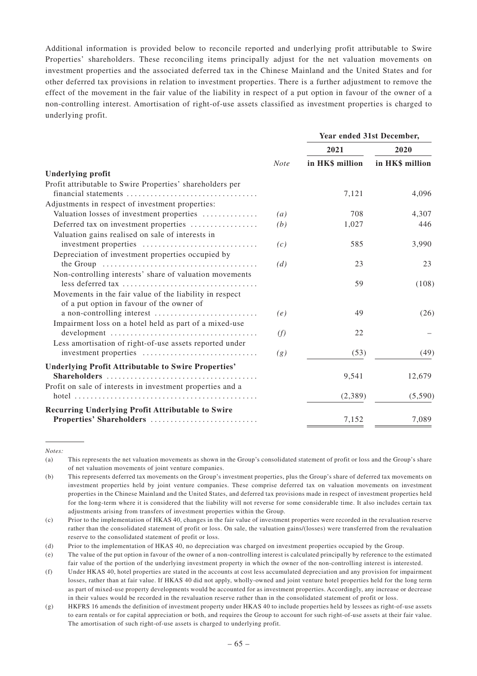Additional information is provided below to reconcile reported and underlying profit attributable to Swire Properties' shareholders. These reconciling items principally adjust for the net valuation movements on investment properties and the associated deferred tax in the Chinese Mainland and the United States and for other deferred tax provisions in relation to investment properties. There is a further adjustment to remove the effect of the movement in the fair value of the liability in respect of a put option in favour of the owner of a non-controlling interest. Amortisation of right-of-use assets classified as investment properties is charged to underlying profit.

|                                                            |                   | Year ended 31st December, |                 |  |  |
|------------------------------------------------------------|-------------------|---------------------------|-----------------|--|--|
|                                                            |                   | 2021                      | 2020            |  |  |
|                                                            | <b>Note</b>       | in HK\$ million           | in HK\$ million |  |  |
| <b>Underlying profit</b>                                   |                   |                           |                 |  |  |
| Profit attributable to Swire Properties' shareholders per  |                   |                           |                 |  |  |
|                                                            |                   | 7,121                     | 4,096           |  |  |
| Adjustments in respect of investment properties:           |                   |                           |                 |  |  |
| Valuation losses of investment properties                  | $\left( a\right)$ | 708                       | 4,307           |  |  |
| Deferred tax on investment properties                      | (b)               | 1,027                     | 446             |  |  |
| Valuation gains realised on sale of interests in           |                   |                           |                 |  |  |
| investment properties                                      | (c)               | 585                       | 3,990           |  |  |
| Depreciation of investment properties occupied by          |                   |                           |                 |  |  |
|                                                            | (d)               | 23                        | 23              |  |  |
| Non-controlling interests' share of valuation movements    |                   |                           |                 |  |  |
|                                                            |                   | 59                        | (108)           |  |  |
| Movements in the fair value of the liability in respect    |                   |                           |                 |  |  |
| of a put option in favour of the owner of                  |                   |                           |                 |  |  |
| a non-controlling interest                                 | (e)               | 49                        | (26)            |  |  |
| Impairment loss on a hotel held as part of a mixed-use     |                   |                           |                 |  |  |
|                                                            | (f)               | 22                        |                 |  |  |
| Less amortisation of right-of-use assets reported under    |                   |                           |                 |  |  |
| investment properties                                      | (g)               | (53)                      | (49)            |  |  |
| <b>Underlying Profit Attributable to Swire Properties'</b> |                   |                           |                 |  |  |
|                                                            |                   | 9,541                     | 12,679          |  |  |
| Profit on sale of interests in investment properties and a |                   |                           |                 |  |  |
|                                                            |                   | (2,389)                   | (5,590)         |  |  |
| <b>Recurring Underlying Profit Attributable to Swire</b>   |                   |                           |                 |  |  |
| Properties' Shareholders                                   |                   | 7,152                     | 7,089           |  |  |
|                                                            |                   |                           |                 |  |  |

*Notes:*

<sup>(</sup>a) This represents the net valuation movements as shown in the Group's consolidated statement of profit or loss and the Group's share of net valuation movements of joint venture companies.

<sup>(</sup>b) This represents deferred tax movements on the Group's investment properties, plus the Group's share of deferred tax movements on investment properties held by joint venture companies. These comprise deferred tax on valuation movements on investment properties in the Chinese Mainland and the United States, and deferred tax provisions made in respect of investment properties held for the long-term where it is considered that the liability will not reverse for some considerable time. It also includes certain tax adjustments arising from transfers of investment properties within the Group.

<sup>(</sup>c) Prior to the implementation of HKAS 40, changes in the fair value of investment properties were recorded in the revaluation reserve rather than the consolidated statement of profit or loss. On sale, the valuation gains/(losses) were transferred from the revaluation reserve to the consolidated statement of profit or loss.

<sup>(</sup>d) Prior to the implementation of HKAS 40, no depreciation was charged on investment properties occupied by the Group.

<sup>(</sup>e) The value of the put option in favour of the owner of a non-controlling interest is calculated principally by reference to the estimated fair value of the portion of the underlying investment property in which the owner of the non-controlling interest is interested.

<sup>(</sup>f) Under HKAS 40, hotel properties are stated in the accounts at cost less accumulated depreciation and any provision for impairment losses, rather than at fair value. If HKAS 40 did not apply, wholly-owned and joint venture hotel properties held for the long term as part of mixed-use property developments would be accounted for as investment properties. Accordingly, any increase or decrease in their values would be recorded in the revaluation reserve rather than in the consolidated statement of profit or loss.

<sup>(</sup>g) HKFRS 16 amends the definition of investment property under HKAS 40 to include properties held by lessees as right-of-use assets to earn rentals or for capital appreciation or both, and requires the Group to account for such right-of-use assets at their fair value. The amortisation of such right-of-use assets is charged to underlying profit.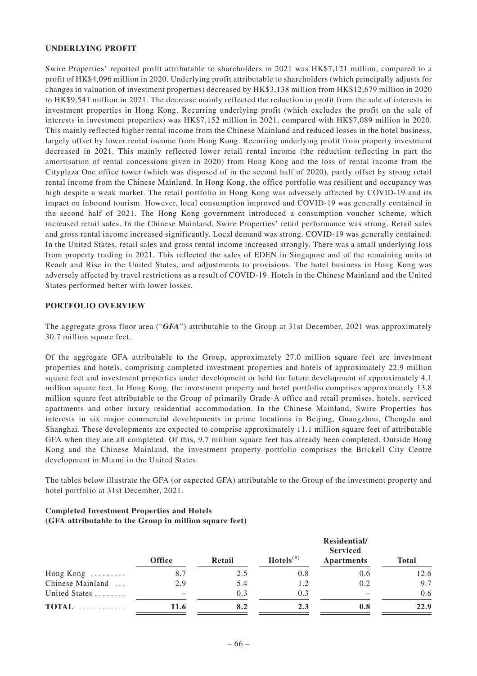## **UNDERLYING PROFIT**

Swire Properties' reported profit attributable to shareholders in 2021 was HK\$7,121 million, compared to a profit of HK\$4,096 million in 2020. Underlying profit attributable to shareholders (which principally adjusts for changes in valuation of investment properties) decreased by HK\$3,138 million from HK\$12,679 million in 2020 to HK\$9,541 million in 2021. The decrease mainly reflected the reduction in profit from the sale of interests in investment properties in Hong Kong. Recurring underlying profit (which excludes the profit on the sale of interests in investment properties) was HK\$7,152 million in 2021, compared with HK\$7,089 million in 2020. This mainly reflected higher rental income from the Chinese Mainland and reduced losses in the hotel business, largely offset by lower rental income from Hong Kong. Recurring underlying profit from property investment decreased in 2021. This mainly reflected lower retail rental income (the reduction reflecting in part the amortisation of rental concessions given in 2020) from Hong Kong and the loss of rental income from the Cityplaza One office tower (which was disposed of in the second half of 2020), partly offset by strong retail rental income from the Chinese Mainland. In Hong Kong, the office portfolio was resilient and occupancy was high despite a weak market. The retail portfolio in Hong Kong was adversely affected by COVID-19 and its impact on inbound tourism. However, local consumption improved and COVID-19 was generally contained in the second half of 2021. The Hong Kong government introduced a consumption voucher scheme, which increased retail sales. In the Chinese Mainland, Swire Properties' retail performance was strong. Retail sales and gross rental income increased significantly. Local demand was strong. COVID-19 was generally contained. In the United States, retail sales and gross rental income increased strongly. There was a small underlying loss from property trading in 2021. This reflected the sales of EDEN in Singapore and of the remaining units at Reach and Rise in the United States, and adjustments to provisions. The hotel business in Hong Kong was adversely affected by travel restrictions as a result of COVID-19. Hotels in the Chinese Mainland and the United States performed better with lower losses.

#### **PORTFOLIO OVERVIEW**

The aggregate gross floor area ("*GFA*") attributable to the Group at 31st December, 2021 was approximately 30.7 million square feet.

Of the aggregate GFA attributable to the Group, approximately 27.0 million square feet are investment properties and hotels, comprising completed investment properties and hotels of approximately 22.9 million square feet and investment properties under development or held for future development of approximately 4.1 million square feet. In Hong Kong, the investment property and hotel portfolio comprises approximately 13.8 million square feet attributable to the Group of primarily Grade-A office and retail premises, hotels, serviced apartments and other luxury residential accommodation. In the Chinese Mainland, Swire Properties has interests in six major commercial developments in prime locations in Beijing, Guangzhou, Chengdu and Shanghai. These developments are expected to comprise approximately 11.1 million square feet of attributable GFA when they are all completed. Of this, 9.7 million square feet has already been completed. Outside Hong Kong and the Chinese Mainland, the investment property portfolio comprises the Brickell City Centre development in Miami in the United States.

The tables below illustrate the GFA (or expected GFA) attributable to the Group of the investment property and hotel portfolio at 31st December, 2021.

## **Completed Investment Properties and Hotels (GFA attributable to the Group in million square feet)**

|                             | <b>Office</b> | Retail | Hotels <sup>(1)</sup> | Residential/<br><b>Serviced</b><br><b>Apartments</b> | <b>Total</b> |
|-----------------------------|---------------|--------|-----------------------|------------------------------------------------------|--------------|
| Hong Kong $\dots\dots\dots$ | 8.7           | 2.5    | 0.8                   | 0.6                                                  | 12.6         |
| Chinese Mainland            | 2.9           | 5.4    | 1.2                   | 0.2                                                  | 9.7          |
| United States               |               | 0.3    | 0.3                   |                                                      | 0.6          |
| TOTAL                       | 11.6          | 8.2    | 2.3                   | 0.8                                                  | 22.9         |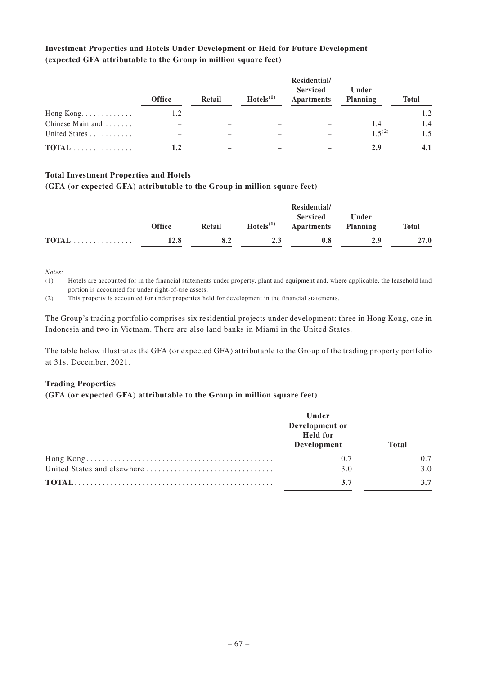# **Investment Properties and Hotels Under Development or Held for Future Development (expected GFA attributable to the Group in million square feet)**

|                  | <b>Office</b> | Retail | Hotels <sup>(1)</sup> | Residential/<br><b>Serviced</b><br><b>Apartments</b> | Under<br><b>Planning</b> | <b>Total</b> |
|------------------|---------------|--------|-----------------------|------------------------------------------------------|--------------------------|--------------|
| Hong Kong.       | 1.2           |        |                       |                                                      |                          | 1.2          |
| Chinese Mainland |               |        |                       |                                                      | 1.4                      | 1.4          |
| United States    |               |        |                       |                                                      | $1,5^{(2)}$              | 1.5          |
| TOTAL            | $1.2\,$       |        |                       |                                                      | 2.9                      |              |

# **Total Investment Properties and Hotels**

## **(GFA (or expected GFA) attributable to the Group in million square feet)**

|                                                |               |        |                | <b>Serviced</b> | Under           |              |
|------------------------------------------------|---------------|--------|----------------|-----------------|-----------------|--------------|
|                                                | <b>Office</b> | Retail | $Hotels^{(1)}$ | Apartments      | <b>Planning</b> | <b>Total</b> |
| $\textbf{TOTAL} \dots \dots \dots \dots \dots$ | 12.8          | 8.2    | 2.3            | 0.8             | 2.9             | 27.0         |

*Notes:*

(1) Hotels are accounted for in the financial statements under property, plant and equipment and, where applicable, the leasehold land portion is accounted for under right-of-use assets.

(2) This property is accounted for under properties held for development in the financial statements.

The Group's trading portfolio comprises six residential projects under development: three in Hong Kong, one in Indonesia and two in Vietnam. There are also land banks in Miami in the United States.

The table below illustrates the GFA (or expected GFA) attributable to the Group of the trading property portfolio at 31st December, 2021.

#### **Trading Properties**

#### **(GFA (or expected GFA) attributable to the Group in million square feet)**

| Under<br>Development or<br><b>Held</b> for<br>Development | <b>Total</b> |
|-----------------------------------------------------------|--------------|
| 0.7                                                       | 0.7          |
| 3.0                                                       | 3.0          |
| 3.7                                                       | 3.7          |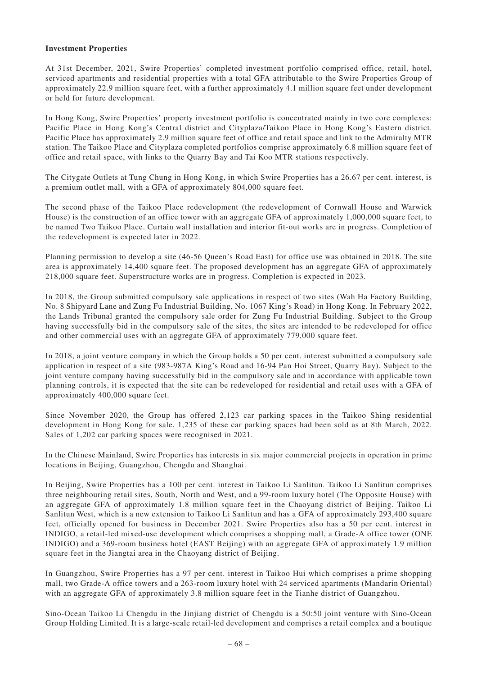#### **Investment Properties**

At 31st December, 2021, Swire Properties' completed investment portfolio comprised office, retail, hotel, serviced apartments and residential properties with a total GFA attributable to the Swire Properties Group of approximately 22.9 million square feet, with a further approximately 4.1 million square feet under development or held for future development.

In Hong Kong, Swire Properties' property investment portfolio is concentrated mainly in two core complexes: Pacific Place in Hong Kong's Central district and Cityplaza/Taikoo Place in Hong Kong's Eastern district. Pacific Place has approximately 2.9 million square feet of office and retail space and link to the Admiralty MTR station. The Taikoo Place and Cityplaza completed portfolios comprise approximately 6.8 million square feet of office and retail space, with links to the Quarry Bay and Tai Koo MTR stations respectively.

The Citygate Outlets at Tung Chung in Hong Kong, in which Swire Properties has a 26.67 per cent. interest, is a premium outlet mall, with a GFA of approximately 804,000 square feet.

The second phase of the Taikoo Place redevelopment (the redevelopment of Cornwall House and Warwick House) is the construction of an office tower with an aggregate GFA of approximately 1,000,000 square feet, to be named Two Taikoo Place. Curtain wall installation and interior fit-out works are in progress. Completion of the redevelopment is expected later in 2022.

Planning permission to develop a site (46-56 Queen's Road East) for office use was obtained in 2018. The site area is approximately 14,400 square feet. The proposed development has an aggregate GFA of approximately 218,000 square feet. Superstructure works are in progress. Completion is expected in 2023.

In 2018, the Group submitted compulsory sale applications in respect of two sites (Wah Ha Factory Building, No. 8 Shipyard Lane and Zung Fu Industrial Building, No. 1067 King's Road) in Hong Kong. In February 2022, the Lands Tribunal granted the compulsory sale order for Zung Fu Industrial Building. Subject to the Group having successfully bid in the compulsory sale of the sites, the sites are intended to be redeveloped for office and other commercial uses with an aggregate GFA of approximately 779,000 square feet.

In 2018, a joint venture company in which the Group holds a 50 per cent. interest submitted a compulsory sale application in respect of a site (983-987A King's Road and 16-94 Pan Hoi Street, Quarry Bay). Subject to the joint venture company having successfully bid in the compulsory sale and in accordance with applicable town planning controls, it is expected that the site can be redeveloped for residential and retail uses with a GFA of approximately 400,000 square feet.

Since November 2020, the Group has offered 2,123 car parking spaces in the Taikoo Shing residential development in Hong Kong for sale. 1,235 of these car parking spaces had been sold as at 8th March, 2022. Sales of 1,202 car parking spaces were recognised in 2021.

In the Chinese Mainland, Swire Properties has interests in six major commercial projects in operation in prime locations in Beijing, Guangzhou, Chengdu and Shanghai.

In Beijing, Swire Properties has a 100 per cent. interest in Taikoo Li Sanlitun. Taikoo Li Sanlitun comprises three neighbouring retail sites, South, North and West, and a 99-room luxury hotel (The Opposite House) with an aggregate GFA of approximately 1.8 million square feet in the Chaoyang district of Beijing. Taikoo Li Sanlitun West, which is a new extension to Taikoo Li Sanlitun and has a GFA of approximately 293,400 square feet, officially opened for business in December 2021. Swire Properties also has a 50 per cent. interest in INDIGO, a retail-led mixed-use development which comprises a shopping mall, a Grade-A office tower (ONE INDIGO) and a 369-room business hotel (EAST Beijing) with an aggregate GFA of approximately 1.9 million square feet in the Jiangtai area in the Chaoyang district of Beijing.

In Guangzhou, Swire Properties has a 97 per cent. interest in Taikoo Hui which comprises a prime shopping mall, two Grade-A office towers and a 263-room luxury hotel with 24 serviced apartments (Mandarin Oriental) with an aggregate GFA of approximately 3.8 million square feet in the Tianhe district of Guangzhou.

Sino-Ocean Taikoo Li Chengdu in the Jinjiang district of Chengdu is a 50:50 joint venture with Sino-Ocean Group Holding Limited. It is a large-scale retail-led development and comprises a retail complex and a boutique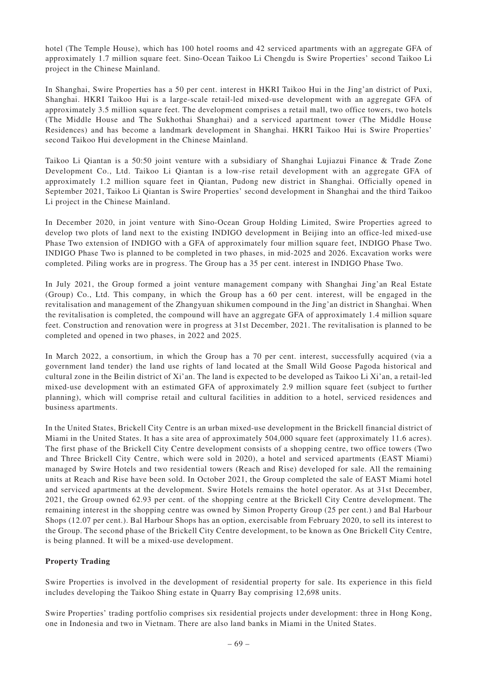hotel (The Temple House), which has 100 hotel rooms and 42 serviced apartments with an aggregate GFA of approximately 1.7 million square feet. Sino-Ocean Taikoo Li Chengdu is Swire Properties' second Taikoo Li project in the Chinese Mainland.

In Shanghai, Swire Properties has a 50 per cent. interest in HKRI Taikoo Hui in the Jing'an district of Puxi, Shanghai. HKRI Taikoo Hui is a large-scale retail-led mixed-use development with an aggregate GFA of approximately 3.5 million square feet. The development comprises a retail mall, two office towers, two hotels (The Middle House and The Sukhothai Shanghai) and a serviced apartment tower (The Middle House Residences) and has become a landmark development in Shanghai. HKRI Taikoo Hui is Swire Properties' second Taikoo Hui development in the Chinese Mainland.

Taikoo Li Qiantan is a 50:50 joint venture with a subsidiary of Shanghai Lujiazui Finance & Trade Zone Development Co., Ltd. Taikoo Li Qiantan is a low-rise retail development with an aggregate GFA of approximately 1.2 million square feet in Qiantan, Pudong new district in Shanghai. Officially opened in September 2021, Taikoo Li Qiantan is Swire Properties' second development in Shanghai and the third Taikoo Li project in the Chinese Mainland.

In December 2020, in joint venture with Sino-Ocean Group Holding Limited, Swire Properties agreed to develop two plots of land next to the existing INDIGO development in Beijing into an office-led mixed-use Phase Two extension of INDIGO with a GFA of approximately four million square feet, INDIGO Phase Two. INDIGO Phase Two is planned to be completed in two phases, in mid-2025 and 2026. Excavation works were completed. Piling works are in progress. The Group has a 35 per cent. interest in INDIGO Phase Two.

In July 2021, the Group formed a joint venture management company with Shanghai Jing'an Real Estate (Group) Co., Ltd. This company, in which the Group has a 60 per cent. interest, will be engaged in the revitalisation and management of the Zhangyuan shikumen compound in the Jing'an district in Shanghai. When the revitalisation is completed, the compound will have an aggregate GFA of approximately 1.4 million square feet. Construction and renovation were in progress at 31st December, 2021. The revitalisation is planned to be completed and opened in two phases, in 2022 and 2025.

In March 2022, a consortium, in which the Group has a 70 per cent. interest, successfully acquired (via a government land tender) the land use rights of land located at the Small Wild Goose Pagoda historical and cultural zone in the Beilin district of Xi'an. The land is expected to be developed as Taikoo Li Xi'an, a retail-led mixed-use development with an estimated GFA of approximately 2.9 million square feet (subject to further planning), which will comprise retail and cultural facilities in addition to a hotel, serviced residences and business apartments.

In the United States, Brickell City Centre is an urban mixed-use development in the Brickell financial district of Miami in the United States. It has a site area of approximately 504,000 square feet (approximately 11.6 acres). The first phase of the Brickell City Centre development consists of a shopping centre, two office towers (Two and Three Brickell City Centre, which were sold in 2020), a hotel and serviced apartments (EAST Miami) managed by Swire Hotels and two residential towers (Reach and Rise) developed for sale. All the remaining units at Reach and Rise have been sold. In October 2021, the Group completed the sale of EAST Miami hotel and serviced apartments at the development. Swire Hotels remains the hotel operator. As at 31st December, 2021, the Group owned 62.93 per cent. of the shopping centre at the Brickell City Centre development. The remaining interest in the shopping centre was owned by Simon Property Group (25 per cent.) and Bal Harbour Shops (12.07 per cent.). Bal Harbour Shops has an option, exercisable from February 2020, to sell its interest to the Group. The second phase of the Brickell City Centre development, to be known as One Brickell City Centre, is being planned. It will be a mixed-use development.

# **Property Trading**

Swire Properties is involved in the development of residential property for sale. Its experience in this field includes developing the Taikoo Shing estate in Quarry Bay comprising 12,698 units.

Swire Properties' trading portfolio comprises six residential projects under development: three in Hong Kong, one in Indonesia and two in Vietnam. There are also land banks in Miami in the United States.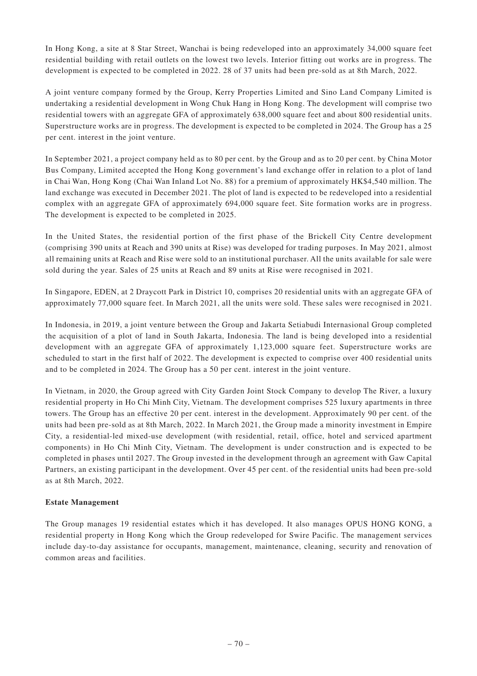In Hong Kong, a site at 8 Star Street, Wanchai is being redeveloped into an approximately 34,000 square feet residential building with retail outlets on the lowest two levels. Interior fitting out works are in progress. The development is expected to be completed in 2022. 28 of 37 units had been pre-sold as at 8th March, 2022.

A joint venture company formed by the Group, Kerry Properties Limited and Sino Land Company Limited is undertaking a residential development in Wong Chuk Hang in Hong Kong. The development will comprise two residential towers with an aggregate GFA of approximately 638,000 square feet and about 800 residential units. Superstructure works are in progress. The development is expected to be completed in 2024. The Group has a 25 per cent. interest in the joint venture.

In September 2021, a project company held as to 80 per cent. by the Group and as to 20 per cent. by China Motor Bus Company, Limited accepted the Hong Kong government's land exchange offer in relation to a plot of land in Chai Wan, Hong Kong (Chai Wan Inland Lot No. 88) for a premium of approximately HK\$4,540 million. The land exchange was executed in December 2021. The plot of land is expected to be redeveloped into a residential complex with an aggregate GFA of approximately 694,000 square feet. Site formation works are in progress. The development is expected to be completed in 2025.

In the United States, the residential portion of the first phase of the Brickell City Centre development (comprising 390 units at Reach and 390 units at Rise) was developed for trading purposes. In May 2021, almost all remaining units at Reach and Rise were sold to an institutional purchaser. All the units available for sale were sold during the year. Sales of 25 units at Reach and 89 units at Rise were recognised in 2021.

In Singapore, EDEN, at 2 Draycott Park in District 10, comprises 20 residential units with an aggregate GFA of approximately 77,000 square feet. In March 2021, all the units were sold. These sales were recognised in 2021.

In Indonesia, in 2019, a joint venture between the Group and Jakarta Setiabudi Internasional Group completed the acquisition of a plot of land in South Jakarta, Indonesia. The land is being developed into a residential development with an aggregate GFA of approximately 1,123,000 square feet. Superstructure works are scheduled to start in the first half of 2022. The development is expected to comprise over 400 residential units and to be completed in 2024. The Group has a 50 per cent. interest in the joint venture.

In Vietnam, in 2020, the Group agreed with City Garden Joint Stock Company to develop The River, a luxury residential property in Ho Chi Minh City, Vietnam. The development comprises 525 luxury apartments in three towers. The Group has an effective 20 per cent. interest in the development. Approximately 90 per cent. of the units had been pre-sold as at 8th March, 2022. In March 2021, the Group made a minority investment in Empire City, a residential-led mixed-use development (with residential, retail, office, hotel and serviced apartment components) in Ho Chi Minh City, Vietnam. The development is under construction and is expected to be completed in phases until 2027. The Group invested in the development through an agreement with Gaw Capital Partners, an existing participant in the development. Over 45 per cent. of the residential units had been pre-sold as at 8th March, 2022.

# **Estate Management**

The Group manages 19 residential estates which it has developed. It also manages OPUS HONG KONG, a residential property in Hong Kong which the Group redeveloped for Swire Pacific. The management services include day-to-day assistance for occupants, management, maintenance, cleaning, security and renovation of common areas and facilities.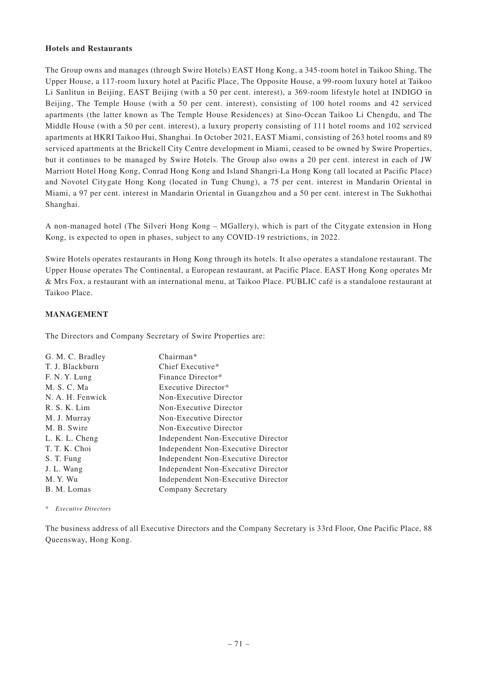## **Hotels and Restaurants**

The Group owns and manages (through Swire Hotels) EAST Hong Kong, a 345-room hotel in Taikoo Shing, The Upper House, a 117-room luxury hotel at Pacific Place, The Opposite House, a 99-room luxury hotel at Taikoo Li Sanlitun in Beijing, EAST Beijing (with a 50 per cent. interest), a 369-room lifestyle hotel at INDIGO in Beijing, The Temple House (with a 50 per cent. interest), consisting of 100 hotel rooms and 42 serviced apartments (the latter known as The Temple House Residences) at Sino-Ocean Taikoo Li Chengdu, and The Middle House (with a 50 per cent. interest), a luxury property consisting of 111 hotel rooms and 102 serviced apartments at HKRI Taikoo Hui, Shanghai. In October 2021, EAST Miami, consisting of 263 hotel rooms and 89 serviced apartments at the Brickell City Centre development in Miami, ceased to be owned by Swire Properties, but it continues to be managed by Swire Hotels. The Group also owns a 20 per cent. interest in each of JW Marriott Hotel Hong Kong, Conrad Hong Kong and Island Shangri-La Hong Kong (all located at Pacific Place) and Novotel Citygate Hong Kong (located in Tung Chung), a 75 per cent. interest in Mandarin Oriental in Miami, a 97 per cent. interest in Mandarin Oriental in Guangzhou and a 50 per cent. interest in The Sukhothai Shanghai.

A non-managed hotel (The Silveri Hong Kong – MGallery), which is part of the Citygate extension in Hong Kong, is expected to open in phases, subject to any COVID-19 restrictions, in 2022.

Swire Hotels operates restaurants in Hong Kong through its hotels. It also operates a standalone restaurant. The Upper House operates The Continental, a European restaurant, at Pacific Place. EAST Hong Kong operates Mr & Mrs Fox, a restaurant with an international menu, at Taikoo Place. PUBLIC café is a standalone restaurant at Taikoo Place.

# **MANAGEMENT**

The Directors and Company Secretary of Swire Properties are:

| G. M. C. Bradley | $Chairman*$                               |
|------------------|-------------------------------------------|
| T. J. Blackburn  | Chief Executive*                          |
| F. N. Y. Lung    | Finance Director*                         |
| M. S. C. Ma      | Executive Director*                       |
| N. A. H. Fenwick | Non-Executive Director                    |
| R. S. K. Lim     | Non-Executive Director                    |
| M. J. Murray     | Non-Executive Director                    |
| M. B. Swire      | Non-Executive Director                    |
| L. K. L. Cheng   | Independent Non-Executive Director        |
| T. T. K. Choi    | Independent Non-Executive Director        |
| S. T. Fung       | <b>Independent Non-Executive Director</b> |
| J. L. Wang       | Independent Non-Executive Director        |
| M.Y. Wu          | Independent Non-Executive Director        |
| B. M. Lomas      | Company Secretary                         |
|                  |                                           |

\* *Executive Directors*

The business address of all Executive Directors and the Company Secretary is 33rd Floor, One Pacific Place, 88 Queensway, Hong Kong.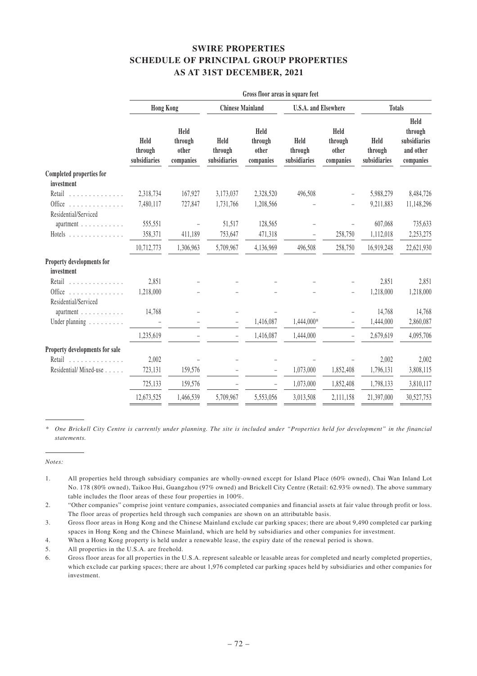# **SWIRE PROPERTIES SCHEDULE OF PRINCIPAL GROUP PROPERTIES AS AT 31ST DECEMBER, 2021**

|                                               |                                 |                                       |                                 |                                       | Gross floor areas in square feet |                                       |                                 |                                                           |  |
|-----------------------------------------------|---------------------------------|---------------------------------------|---------------------------------|---------------------------------------|----------------------------------|---------------------------------------|---------------------------------|-----------------------------------------------------------|--|
|                                               | <b>Hong Kong</b>                |                                       |                                 | <b>Chinese Mainland</b>               |                                  | <b>U.S.A.</b> and Elsewhere           |                                 | <b>Totals</b>                                             |  |
|                                               | Held<br>through<br>subsidiaries | Held<br>through<br>other<br>companies | Held<br>through<br>subsidiaries | Held<br>through<br>other<br>companies | Held<br>through<br>subsidiaries  | Held<br>through<br>other<br>companies | Held<br>through<br>subsidiaries | Held<br>through<br>subsidiaries<br>and other<br>companies |  |
| <b>Completed properties for</b><br>investment |                                 |                                       |                                 |                                       |                                  |                                       |                                 |                                                           |  |
| Retail<br>.                                   | 2,318,734                       | 167,927                               | 3,173,037                       | 2,328,520                             | 496,508                          |                                       | 5,988,279                       | 8,484,726                                                 |  |
| Office<br>Residential/Serviced                | 7,480,117                       | 727,847                               | 1,731,766                       | 1,208,566                             |                                  |                                       | 9,211,883                       | 11,148,296                                                |  |
| apartment $\ldots \ldots \ldots$              | 555,551                         |                                       | 51,517                          | 128,565                               |                                  |                                       | 607,068                         | 735,633                                                   |  |
|                                               | 358,371                         | 411,189                               | 753,647                         | 471,318                               |                                  | 258,750                               | 1,112,018                       | 2,253,275                                                 |  |
|                                               | 10,712,773                      | 1,306,963                             | 5,709,967                       | 4,136,969                             | 496,508                          | 258,750                               | 16,919,248                      | 22,621,930                                                |  |
| Property developments for<br>investment       |                                 |                                       |                                 |                                       |                                  |                                       |                                 |                                                           |  |
| Retail                                        | 2,851                           |                                       |                                 |                                       |                                  |                                       | 2,851                           | 2,851                                                     |  |
| Office<br>Residential/Serviced                | 1,218,000                       |                                       |                                 |                                       |                                  |                                       | 1,218,000                       | 1,218,000                                                 |  |
| apartment                                     | 14,768                          |                                       |                                 |                                       |                                  | ÷.                                    | 14,768                          | 14,768                                                    |  |
| Under planning                                |                                 |                                       |                                 | 1,416,087                             | 1,444,000*                       |                                       | 1,444,000                       | 2,860,087                                                 |  |
|                                               | 1,235,619                       |                                       |                                 | 1,416,087                             | 1,444,000                        |                                       | 2,679,619                       | 4,095,706                                                 |  |
| Property developments for sale                |                                 |                                       |                                 |                                       |                                  |                                       |                                 |                                                           |  |
| Retail                                        | 2,002                           |                                       |                                 |                                       |                                  |                                       | 2,002                           | 2,002                                                     |  |
| Residential/Mixed-use                         | 723,131                         | 159,576                               |                                 | $\equiv$                              | 1,073,000                        | 1,852,408                             | 1,796,131                       | 3,808,115                                                 |  |
|                                               | 725,133                         | 159,576                               |                                 |                                       | 1,073,000                        | 1,852,408                             | 1,798,133                       | 3,810,117                                                 |  |
|                                               | 12,673,525                      | 1,466,539                             | 5,709,967                       | 5,553,056                             | 3,013,508                        | 2,111,158                             | 21,397,000                      | 30,527,753                                                |  |

*\* One Brickell City Centre is currently under planning. The site is included under "Properties held for development" in the financial statements.*

*Notes:*

5. All properties in the U.S.A. are freehold.

<sup>1.</sup> All properties held through subsidiary companies are wholly-owned except for Island Place (60% owned), Chai Wan Inland Lot No. 178 (80% owned), Taikoo Hui, Guangzhou (97% owned) and Brickell City Centre (Retail: 62.93% owned). The above summary table includes the floor areas of these four properties in 100%.

<sup>2. &</sup>quot;Other companies" comprise joint venture companies, associated companies and financial assets at fair value through profit or loss. The floor areas of properties held through such companies are shown on an attributable basis.

<sup>3.</sup> Gross floor areas in Hong Kong and the Chinese Mainland exclude car parking spaces; there are about 9,490 completed car parking spaces in Hong Kong and the Chinese Mainland, which are held by subsidiaries and other companies for investment.

<sup>4.</sup> When a Hong Kong property is held under a renewable lease, the expiry date of the renewal period is shown.

<sup>6.</sup> Gross floor areas for all properties in the U.S.A. represent saleable or leasable areas for completed and nearly completed properties, which exclude car parking spaces; there are about 1,976 completed car parking spaces held by subsidiaries and other companies for investment.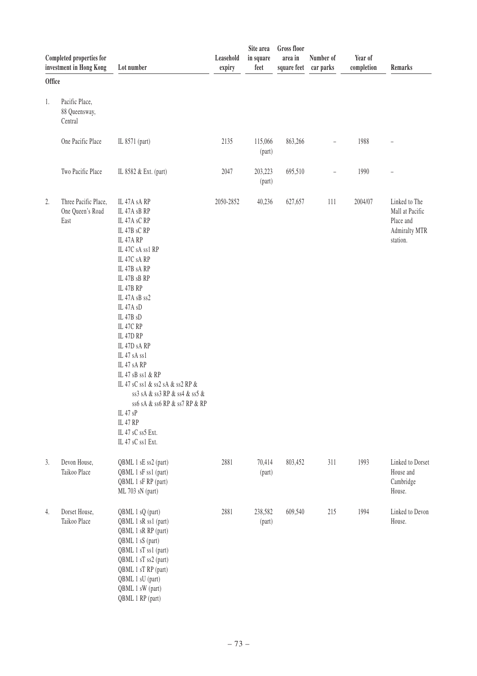|               | Completed properties for<br>investment in Hong Kong | Lot number                                                                                                                                                                                                                                                                                                                                                                                                                                                                           | Leasehold<br>expiry | Site area<br>in square<br>feet | <b>Gross floor</b><br>area in<br>square feet | Number of<br>car parks | Year of<br>completion | Remarks                                                                           |
|---------------|-----------------------------------------------------|--------------------------------------------------------------------------------------------------------------------------------------------------------------------------------------------------------------------------------------------------------------------------------------------------------------------------------------------------------------------------------------------------------------------------------------------------------------------------------------|---------------------|--------------------------------|----------------------------------------------|------------------------|-----------------------|-----------------------------------------------------------------------------------|
| <b>Office</b> |                                                     |                                                                                                                                                                                                                                                                                                                                                                                                                                                                                      |                     |                                |                                              |                        |                       |                                                                                   |
| 1.            | Pacific Place,<br>88 Queensway,<br>Central          |                                                                                                                                                                                                                                                                                                                                                                                                                                                                                      |                     |                                |                                              |                        |                       |                                                                                   |
|               | One Pacific Place                                   | IL 8571 (part)                                                                                                                                                                                                                                                                                                                                                                                                                                                                       | 2135                | 115,066<br>(part)              | 863,266                                      |                        | 1988                  |                                                                                   |
|               | Two Pacific Place                                   | IL 8582 & Ext. (part)                                                                                                                                                                                                                                                                                                                                                                                                                                                                | 2047                | 203,223<br>(part)              | 695,510                                      |                        | 1990                  |                                                                                   |
| 2.            | Three Pacific Place,<br>One Queen's Road<br>East    | IL 47A sA RP<br>IL 47A sB RP<br>IL 47A sC RP<br>IL 47B sC RP<br>IL 47A RP<br>IL 47C sA ss1 RP<br>IL 47C sA RP<br>IL 47B sA RP<br>IL 47B sB RP<br>IL 47B RP<br>IL 47A sB ss2<br>IL 47A sD<br>IL 47B sD<br>IL 47C RP<br>IL 47D RP<br>IL 47D sA RP<br>IL 47 sA ss1<br>IL 47 sA RP<br>IL 47 sB ss1 & RP<br>IL 47 sC ss1 & ss2 sA & ss2 RP &<br>ss3 sA & ss3 RP & ss4 & ss5 &<br>$ss6$ sA & ss6 RP & ss7 RP & RP<br>IL 47 sP<br><b>IL 47 RP</b><br>IL 47 sC ss5 Ext.<br>IL 47 sC ss1 Ext. | 2050-2852           | 40,236                         | 627,657                                      | 111                    | 2004/07               | Linked to The<br>Mall at Pacific<br>Place and<br><b>Admiralty MTR</b><br>station. |
| 3.            | Devon House,<br>Taikoo Place                        | QBML 1 sE ss2 (part)<br>QBML 1 sF ss1 (part)<br>QBML 1 sF RP (part)<br>ML 703 sN (part)                                                                                                                                                                                                                                                                                                                                                                                              | 2881                | 70,414<br>(part)               | 803,452                                      | 311                    | 1993                  | Linked to Dorset<br>House and<br>Cambridge<br>House.                              |
| 4.            | Dorset House,<br>Taikoo Place                       | QBML 1 sQ (part)<br>QBML 1 sR ss1 (part)<br>QBML 1 sR RP (part)<br>QBML 1 sS (part)<br>QBML 1 sT ss1 (part)<br>QBML 1 sT ss2 (part)<br>QBML 1 sT RP (part)<br>QBML 1 sU (part)<br>QBML 1 sW (part)<br>QBML 1 RP (part)                                                                                                                                                                                                                                                               | 2881                | 238,582<br>(part)              | 609,540                                      | 215                    | 1994                  | Linked to Devon<br>House.                                                         |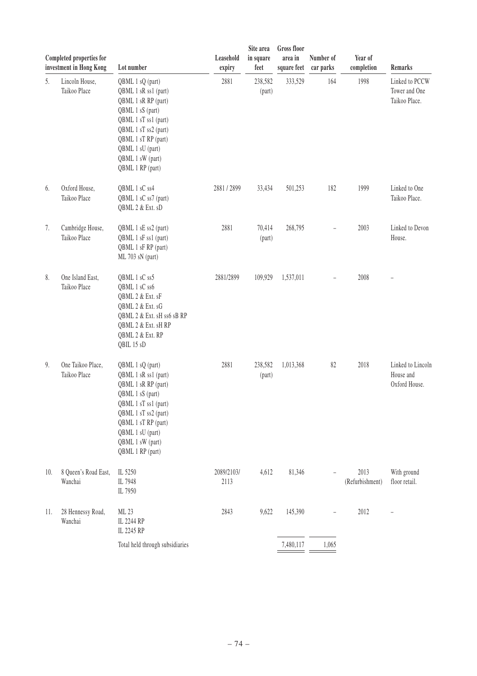|     | Completed properties for<br>investment in Hong Kong | Lot number                                                                                                                                                                                                             | Leasehold<br>expiry | Site area<br>in square<br>feet | Gross floor<br>area in<br>square feet | Number of<br>car parks | Year of<br>completion   | Remarks                                          |
|-----|-----------------------------------------------------|------------------------------------------------------------------------------------------------------------------------------------------------------------------------------------------------------------------------|---------------------|--------------------------------|---------------------------------------|------------------------|-------------------------|--------------------------------------------------|
| 5.  | Lincoln House,<br>Taikoo Place                      | QBML 1 sQ (part)<br>QBML 1 sR ss1 (part)<br>QBML 1 sR RP (part)<br>QBML 1 sS (part)<br>QBML 1 sT ss1 (part)<br>QBML 1 sT ss2 (part)<br>QBML 1 sT RP (part)<br>QBML 1 sU (part)<br>QBML 1 sW (part)<br>QBML 1 RP (part) | 2881                | 238,582<br>(part)              | 333,529                               | 164                    | 1998                    | Linked to PCCW<br>Tower and One<br>Taikoo Place. |
| 6.  | Oxford House,<br>Taikoo Place                       | QBML 1 sC ss4<br>QBML 1 sC ss7 (part)<br>QBML 2 & Ext. sD                                                                                                                                                              | 2881/2899           | 33,434                         | 501,253                               | 182                    | 1999                    | Linked to One<br>Taikoo Place.                   |
| 7.  | Cambridge House,<br>Taikoo Place                    | QBML 1 sE ss2 (part)<br>QBML 1 sF ss1 (part)<br>QBML 1 sF RP (part)<br>ML 703 sN (part)                                                                                                                                | 2881                | 70,414<br>(part)               | 268,795                               |                        | 2003                    | Linked to Devon<br>House.                        |
| 8.  | One Island East,<br>Taikoo Place                    | QBML 1 sC ss5<br>QBML 1 sC ss6<br>QBML 2 & Ext. sF<br>QBML 2 & Ext. sG<br>QBML 2 & Ext. sH ss6 sB RP<br>QBML 2 & Ext. sH RP<br>QBML 2 & Ext. RP<br>QBIL 15 sD                                                          | 2881/2899           | 109,929                        | 1,537,011                             |                        | 2008                    |                                                  |
| 9.  | One Taikoo Place,<br>Taikoo Place                   | QBML 1 sQ (part)<br>QBML 1 sR ss1 (part)<br>QBML 1 sR RP (part)<br>QBML 1 sS (part)<br>QBML 1 sT ss1 (part)<br>QBML 1 sT ss2 (part)<br>QBML 1 sT RP (part)<br>QBML 1 sU (part)<br>QBML 1 sW (part)<br>QBML 1 RP (part) | 2881                | 238,582<br>(part)              | 1,013,368                             | 82                     | 2018                    | Linked to Lincoln<br>House and<br>Oxford House.  |
| 10. | 8 Queen's Road East,<br>Wanchai                     | IL 5250<br>IL 7948<br>IL 7950                                                                                                                                                                                          | 2089/2103/<br>2113  | 4,612                          | 81,346                                |                        | 2013<br>(Refurbishment) | With ground<br>floor retail.                     |
| 11. | 28 Hennessy Road,<br>Wanchai                        | ML 23<br>IL 2244 RP<br>IL 2245 RP                                                                                                                                                                                      | 2843                | 9,622                          | 145,390                               |                        | 2012                    |                                                  |
|     |                                                     | Total held through subsidiaries                                                                                                                                                                                        |                     |                                | 7,480,117                             | 1,065                  |                         |                                                  |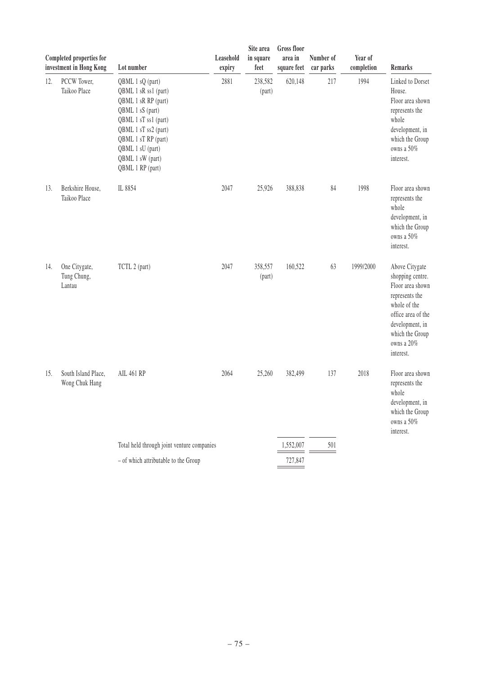|     | Completed properties for<br>investment in Hong Kong | Lot number                                                                                                                                                                                                             | Leasehold<br>expiry | Site area<br>in square<br>feet | <b>Gross</b> floor<br>area in<br>square feet | Number of<br>car parks | Year of<br>completion | Remarks                                                                                                                                                                         |
|-----|-----------------------------------------------------|------------------------------------------------------------------------------------------------------------------------------------------------------------------------------------------------------------------------|---------------------|--------------------------------|----------------------------------------------|------------------------|-----------------------|---------------------------------------------------------------------------------------------------------------------------------------------------------------------------------|
| 12. | PCCW Tower,<br>Taikoo Place                         | QBML 1 sQ (part)<br>QBML 1 sR ss1 (part)<br>QBML 1 sR RP (part)<br>QBML 1 sS (part)<br>QBML 1 sT ss1 (part)<br>QBML 1 sT ss2 (part)<br>QBML 1 sT RP (part)<br>QBML 1 sU (part)<br>QBML 1 sW (part)<br>QBML 1 RP (part) | 2881                | 238,582<br>(part)              | 620,148                                      | 217                    | 1994                  | Linked to Dorset<br>House.<br>Floor area shown<br>represents the<br>whole<br>development, in<br>which the Group<br>owns a 50%<br>interest.                                      |
| 13. | Berkshire House,<br>Taikoo Place                    | IL 8854                                                                                                                                                                                                                | 2047                | 25,926                         | 388,838                                      | 84                     | 1998                  | Floor area shown<br>represents the<br>whole<br>development, in<br>which the Group<br>owns a 50%<br>interest.                                                                    |
| 14. | One Citygate,<br>Tung Chung,<br>Lantau              | TCTL 2 (part)                                                                                                                                                                                                          | 2047                | 358,557<br>(part)              | 160,522                                      | 63                     | 1999/2000             | Above Citygate<br>shopping centre.<br>Floor area shown<br>represents the<br>whole of the<br>office area of the<br>development, in<br>which the Group<br>owns a 20%<br>interest. |
| 15. | South Island Place,<br>Wong Chuk Hang               | <b>AIL 461 RP</b>                                                                                                                                                                                                      | 2064                | 25,260                         | 382,499                                      | 137                    | 2018                  | Floor area shown<br>represents the<br>whole<br>development, in<br>which the Group<br>owns a 50%<br>interest.                                                                    |
|     |                                                     | Total held through joint venture companies                                                                                                                                                                             |                     |                                | 1,552,007                                    | 501                    |                       |                                                                                                                                                                                 |
|     |                                                     | - of which attributable to the Group                                                                                                                                                                                   |                     |                                | 727,847                                      |                        |                       |                                                                                                                                                                                 |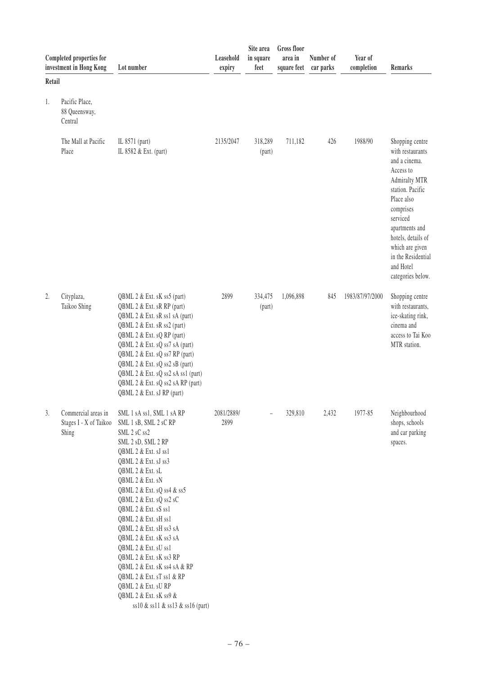|        | Completed properties for<br>investment in Hong Kong    | Lot number                                                                                                                                                                                                                                                                                                                                                                                                                                                                                                                                         | Leasehold<br>expiry | Site area<br>in square<br>feet | <b>Gross floor</b><br>area in<br>square feet | Number of<br>car parks | Year of<br>completion | Remarks                                                                                                                                                                                                                                                                 |
|--------|--------------------------------------------------------|----------------------------------------------------------------------------------------------------------------------------------------------------------------------------------------------------------------------------------------------------------------------------------------------------------------------------------------------------------------------------------------------------------------------------------------------------------------------------------------------------------------------------------------------------|---------------------|--------------------------------|----------------------------------------------|------------------------|-----------------------|-------------------------------------------------------------------------------------------------------------------------------------------------------------------------------------------------------------------------------------------------------------------------|
| Retail |                                                        |                                                                                                                                                                                                                                                                                                                                                                                                                                                                                                                                                    |                     |                                |                                              |                        |                       |                                                                                                                                                                                                                                                                         |
| 1.     | Pacific Place,<br>88 Queensway,<br>Central             |                                                                                                                                                                                                                                                                                                                                                                                                                                                                                                                                                    |                     |                                |                                              |                        |                       |                                                                                                                                                                                                                                                                         |
|        | The Mall at Pacific<br>Place                           | IL 8571 (part)<br>IL 8582 & Ext. (part)                                                                                                                                                                                                                                                                                                                                                                                                                                                                                                            | 2135/2047           | 318,289<br>(part)              | 711,182                                      | 426                    | 1988/90               | Shopping centre<br>with restaurants<br>and a cinema.<br>Access to<br><b>Admiralty MTR</b><br>station. Pacific<br>Place also<br>comprises<br>serviced<br>apartments and<br>hotels, details of<br>which are given<br>in the Residential<br>and Hotel<br>categories below. |
| 2.     | Cityplaza,<br>Taikoo Shing                             | QBML 2 & Ext. sK ss5 (part)<br>QBML 2 & Ext. sR RP (part)<br>QBML 2 & Ext. sR ss1 sA (part)<br>QBML 2 & Ext. sR ss2 (part)<br>QBML 2 & Ext. sQ RP (part)<br>QBML 2 & Ext. sQ ss7 sA (part)<br>QBML 2 & Ext. sQ ss7 RP (part)<br>QBML 2 & Ext. sQ ss2 sB (part)<br>QBML 2 & Ext. sQ ss2 sA ss1 (part)<br>QBML 2 & Ext. sQ ss2 sA RP (part)<br>QBML 2 & Ext. sJ RP (part)                                                                                                                                                                            | 2899                | 334,475<br>(part)              | 1,096,898                                    | 845                    | 1983/87/97/2000       | Shopping centre<br>with restaurants,<br>ice-skating rink,<br>cinema and<br>access to Tai Koo<br>MTR station.                                                                                                                                                            |
| 3.     | Commercial areas in<br>Stages I - X of Taikoo<br>Shing | SML 1 sA ss1, SML 1 sA RP<br>SML 1 sB, SML 2 sCRP<br>SML 2 sC ss2<br>SML 2 sD, SML 2 RP<br>QBML 2 & Ext. sJ ss1<br>QBML 2 & Ext. sJ ss3<br>QBML 2 & Ext. sL<br>QBML 2 & Ext. sN<br>QBML 2 & Ext. sQ ss4 & ss5<br>QBML 2 & Ext. sQ ss2 sC<br>QBML 2 & Ext. sS ss1<br>QBML 2 & Ext. sH ss1<br>QBML 2 & Ext. sH ss3 sA<br>QBML 2 & Ext. sK ss3 sA<br>QBML 2 & Ext. sU ss1<br>QBML 2 & Ext. sK ss3 RP<br>QBML 2 & Ext. sK ss4 sA & RP<br>QBML 2 & Ext. sT ss1 & RP<br>QBML 2 & Ext. sURP<br>QBML 2 & Ext. sK ss9 &<br>ss10 & ss11 & ss13 & ss16 (part) | 2081/2889/<br>2899  |                                | 329,810                                      | 2,432                  | 1977-85               | Neighbourhood<br>shops, schools<br>and car parking<br>spaces.                                                                                                                                                                                                           |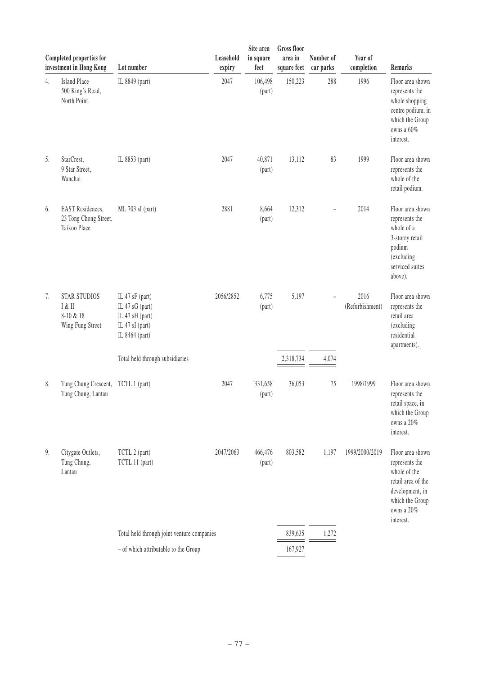|    | Completed properties for<br>investment in Hong Kong              | Lot number                                                                                 | Leasehold<br>expiry | Site area<br>in square<br>feet | <b>Gross</b> floor<br>area in<br>square feet | Number of<br>car parks | Year of<br>completion   | Remarks                                                                                                                                   |
|----|------------------------------------------------------------------|--------------------------------------------------------------------------------------------|---------------------|--------------------------------|----------------------------------------------|------------------------|-------------------------|-------------------------------------------------------------------------------------------------------------------------------------------|
| 4. | <b>Island Place</b><br>500 King's Road,<br>North Point           | IL 8849 (part)                                                                             | 2047                | 106,498<br>(part)              | 150,223                                      | 288                    | 1996                    | Floor area shown<br>represents the<br>whole shopping<br>centre podium, in<br>which the Group<br>owns a 60%<br>interest.                   |
| 5. | StarCrest,<br>9 Star Street,<br>Wanchai                          | IL 8853 (part)                                                                             | 2047                | 40,871<br>(part)               | 13,112                                       | 83                     | 1999                    | Floor area shown<br>represents the<br>whole of the<br>retail podium.                                                                      |
| 6. | <b>EAST</b> Residences,<br>23 Tong Chong Street,<br>Taikoo Place | ML 703 sI (part)                                                                           | 2881                | 8,664<br>(part)                | 12,312                                       |                        | 2014                    | Floor area shown<br>represents the<br>whole of a<br>3-storey retail<br>podium<br>(excluding<br>serviced suites<br>above).                 |
| 7. | <b>STAR STUDIOS</b><br>I & II<br>8-10 & 18<br>Wing Fung Street   | IL 47 sF (part)<br>IL 47 sG (part)<br>IL 47 sH (part)<br>IL 47 sI (part)<br>IL 8464 (part) | 2056/2852           | 6,775<br>(part)                | 5,197                                        |                        | 2016<br>(Refurbishment) | Floor area shown<br>represents the<br>retail area<br>(excluding<br>residential<br>apartments).                                            |
|    |                                                                  | Total held through subsidiaries                                                            |                     |                                | 2,318,734                                    | 4,074                  |                         |                                                                                                                                           |
| 8. | Tung Chung Crescent,<br>Tung Chung, Lantau                       | TCTL 1 (part)                                                                              | 2047                | 331,658<br>(part)              | 36,053                                       | 75                     | 1998/1999               | Floor area shown<br>represents the<br>retail space, in<br>which the Group<br>owns a 20%<br>interest.                                      |
| 9. | Citygate Outlets,<br>Tung Chung,<br>Lantau                       | TCTL 2 (part)<br>TCTL 11 (part)                                                            | 2047/2063           | 466,476<br>(part)              | 803,582                                      | 1,197                  | 1999/2000/2019          | Floor area shown<br>represents the<br>whole of the<br>retail area of the<br>development, in<br>which the Group<br>owns a 20%<br>interest. |
|    |                                                                  | Total held through joint venture companies                                                 |                     |                                | 839,635                                      | 1,272                  |                         |                                                                                                                                           |
|    |                                                                  | - of which attributable to the Group                                                       |                     |                                | 167,927                                      |                        |                         |                                                                                                                                           |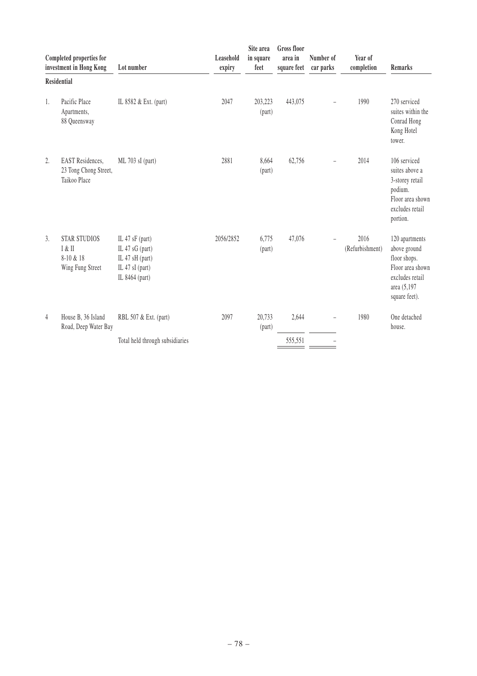|                  | Completed properties for<br>investment in Hong Kong              | Lot number                                                                                   | Leasehold<br>expiry | Site area<br>in square<br>feet | <b>Gross floor</b><br>area in<br>square feet | Number of<br>car parks | Year of<br>completion   | Remarks                                                                                                               |
|------------------|------------------------------------------------------------------|----------------------------------------------------------------------------------------------|---------------------|--------------------------------|----------------------------------------------|------------------------|-------------------------|-----------------------------------------------------------------------------------------------------------------------|
|                  | Residential                                                      |                                                                                              |                     |                                |                                              |                        |                         |                                                                                                                       |
| 1.               | Pacific Place<br>Apartments,<br>88 Queensway                     | IL 8582 & Ext. (part)                                                                        | 2047                | 203,223<br>(part)              | 443,075                                      |                        | 1990                    | 270 serviced<br>suites within the<br>Conrad Hong<br>Kong Hotel<br>tower.                                              |
| $\overline{2}$ . | <b>EAST</b> Residences,<br>23 Tong Chong Street,<br>Taikoo Place | ML 703 sI (part)                                                                             | 2881                | 8,664<br>(part)                | 62,756                                       | -                      | 2014                    | 106 serviced<br>suites above a<br>3-storey retail<br>podium.<br>Floor area shown<br>excludes retail<br>portion.       |
| 3.               | <b>STAR STUDIOS</b><br>I & II<br>$8-10 & 18$<br>Wing Fung Street | IL 47 sF (part)<br>IL 47 $sG$ (part)<br>IL 47 sH (part)<br>IL 47 sI (part)<br>IL 8464 (part) | 2056/2852           | 6,775<br>(part)                | 47,076                                       |                        | 2016<br>(Refurbishment) | 120 apartments<br>above ground<br>floor shops.<br>Floor area shown<br>excludes retail<br>area (5,197<br>square feet). |
| 4                | House B, 36 Island<br>Road, Deep Water Bay                       | RBL 507 & Ext. (part)                                                                        | 2097                | 20,733<br>(part)               | 2,644                                        |                        | 1980                    | One detached<br>house.                                                                                                |
|                  |                                                                  | Total held through subsidiaries                                                              |                     |                                | 555,551                                      |                        |                         |                                                                                                                       |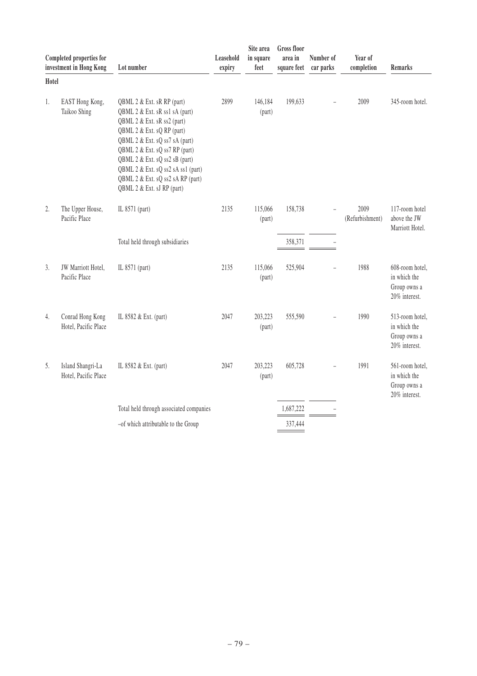|       | Completed properties for<br>investment in Hong Kong | Lot number                                                                                                                                                                                                                                                                                                                               | Leasehold<br>expiry | Site area<br>in square<br>feet | <b>Gross floor</b><br>area in<br>square feet | Number of<br>car parks   | Year of<br>completion   | Remarks                                                          |
|-------|-----------------------------------------------------|------------------------------------------------------------------------------------------------------------------------------------------------------------------------------------------------------------------------------------------------------------------------------------------------------------------------------------------|---------------------|--------------------------------|----------------------------------------------|--------------------------|-------------------------|------------------------------------------------------------------|
| Hotel |                                                     |                                                                                                                                                                                                                                                                                                                                          |                     |                                |                                              |                          |                         |                                                                  |
| 1.    | EAST Hong Kong,<br>Taikoo Shing                     | QBML 2 & Ext. sR RP (part)<br>QBML 2 & Ext. sR ss1 sA (part)<br>QBML 2 & Ext. sR ss2 (part)<br>QBML 2 & Ext. sQ RP (part)<br>QBML 2 & Ext. sQ ss7 sA (part)<br>QBML 2 & Ext. sQ ss7 RP (part)<br>QBML 2 & Ext. sQ ss2 sB (part)<br>QBML 2 & Ext. sQ ss2 sA ss1 (part)<br>QBML 2 & Ext. sQ ss2 sA RP (part)<br>QBML 2 & Ext. sJ RP (part) | 2899                | 146,184<br>(part)              | 199,633                                      |                          | 2009                    | 345-room hotel.                                                  |
| 2.    | The Upper House,<br>Pacific Place                   | IL 8571 (part)                                                                                                                                                                                                                                                                                                                           | 2135                | 115,066<br>(part)              | 158,738                                      |                          | 2009<br>(Refurbishment) | 117-room hotel<br>above the JW<br>Marriott Hotel.                |
|       |                                                     | Total held through subsidiaries                                                                                                                                                                                                                                                                                                          |                     |                                | 358,371                                      |                          |                         |                                                                  |
| 3.    | JW Marriott Hotel,<br>Pacific Place                 | IL 8571 (part)                                                                                                                                                                                                                                                                                                                           | 2135                | 115,066<br>(part)              | 525,904                                      | L.                       | 1988                    | 608-room hotel,<br>in which the<br>Group owns a<br>20% interest. |
| 4.    | Conrad Hong Kong<br>Hotel, Pacific Place            | IL 8582 & Ext. (part)                                                                                                                                                                                                                                                                                                                    | 2047                | 203,223<br>(part)              | 555,590                                      | $\overline{a}$           | 1990                    | 513-room hotel,<br>in which the<br>Group owns a<br>20% interest. |
| 5.    | Island Shangri-La<br>Hotel, Pacific Place           | IL 8582 & Ext. (part)                                                                                                                                                                                                                                                                                                                    | 2047                | 203,223<br>(part)              | 605,728                                      | $\overline{\phantom{0}}$ | 1991                    | 561-room hotel,<br>in which the<br>Group owns a<br>20% interest. |
|       |                                                     | Total held through associated companies                                                                                                                                                                                                                                                                                                  |                     |                                | 1.687.222                                    |                          |                         |                                                                  |
|       |                                                     | -of which attributable to the Group                                                                                                                                                                                                                                                                                                      |                     |                                | 337,444                                      |                          |                         |                                                                  |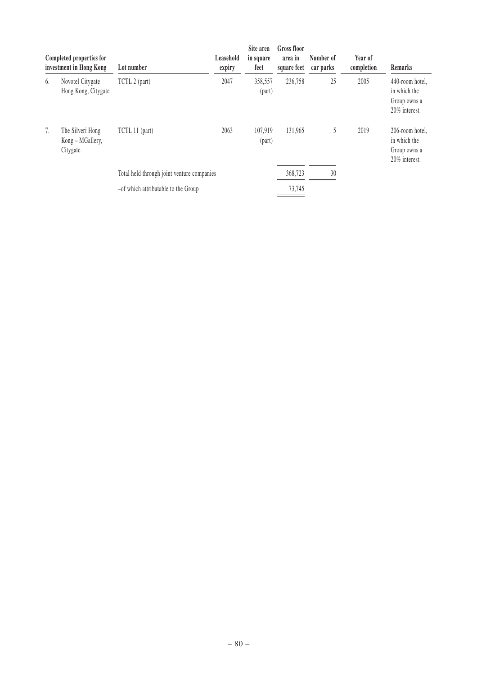|    | Completed properties for<br>investment in Hong Kong | Lot number                                 | Leasehold<br>expiry | Site area<br>in square<br>feet | Gross floor<br>area in<br>square feet | Number of<br>car parks | Year of<br>completion | <b>Remarks</b>                                                   |
|----|-----------------------------------------------------|--------------------------------------------|---------------------|--------------------------------|---------------------------------------|------------------------|-----------------------|------------------------------------------------------------------|
| 6. | Novotel Citygate<br>Hong Kong, Citygate             | TCTL 2 (part)                              | 2047                | 358,557<br>(part)              | 236,758                               | 25                     | 2005                  | 440-room hotel,<br>in which the<br>Group owns a<br>20% interest. |
| 7. | The Silveri Hong<br>Kong – MGallery,<br>Citygate    | TCTL 11 (part)                             | 2063                | 107.919<br>(part)              | 131.965                               | 5                      | 2019                  | 206-room hotel,<br>in which the<br>Group owns a<br>20% interest. |
|    |                                                     | Total held through joint venture companies |                     |                                | 368,723                               | 30                     |                       |                                                                  |
|    |                                                     | -of which attributable to the Group        |                     |                                | 73,745                                |                        |                       |                                                                  |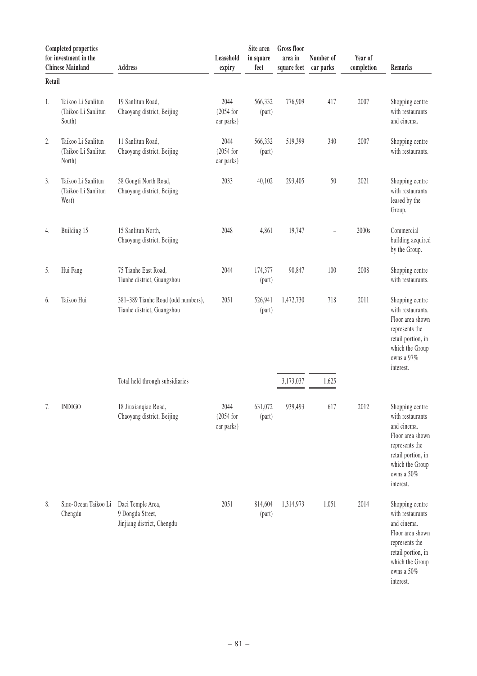|        | <b>Completed properties</b><br>for investment in the<br><b>Chinese Mainland</b> | <b>Address</b>                                                      | Leasehold<br>expiry               | Site area<br>in square<br>feet | Gross floor<br>area in<br>square feet | Number of<br>car parks | Year of<br>completion | Remarks                                                                                                                                                      |
|--------|---------------------------------------------------------------------------------|---------------------------------------------------------------------|-----------------------------------|--------------------------------|---------------------------------------|------------------------|-----------------------|--------------------------------------------------------------------------------------------------------------------------------------------------------------|
| Retail |                                                                                 |                                                                     |                                   |                                |                                       |                        |                       |                                                                                                                                                              |
| 1.     | Taikoo Li Sanlitun<br>(Taikoo Li Sanlitun<br>South)                             | 19 Sanlitun Road,<br>Chaoyang district, Beijing                     | 2044<br>$(2054$ for<br>car parks) | 566,332<br>(part)              | 776,909                               | 417                    | 2007                  | Shopping centre<br>with restaurants<br>and cinema.                                                                                                           |
| 2.     | Taikoo Li Sanlitun<br>(Taikoo Li Sanlitun<br>North)                             | 11 Sanlitun Road,<br>Chaoyang district, Beijing                     | 2044<br>$(2054$ for<br>car parks) | 566,332<br>(part)              | 519,399                               | 340                    | 2007                  | Shopping centre<br>with restaurants.                                                                                                                         |
| 3.     | Taikoo Li Sanlitun<br>(Taikoo Li Sanlitun<br>West)                              | 58 Gongti North Road,<br>Chaoyang district, Beijing                 | 2033                              | 40,102                         | 293,405                               | $50\,$                 | 2021                  | Shopping centre<br>with restaurants<br>leased by the<br>Group.                                                                                               |
| 4.     | Building 15                                                                     | 15 Sanlitun North,<br>Chaoyang district, Beijing                    | 2048                              | 4,861                          | 19,747                                |                        | 2000s                 | Commercial<br>building acquired<br>by the Group.                                                                                                             |
| 5.     | Hui Fang                                                                        | 75 Tianhe East Road,<br>Tianhe district, Guangzhou                  | 2044                              | 174,377<br>(part)              | 90,847                                | 100                    | 2008                  | Shopping centre<br>with restaurants.                                                                                                                         |
| 6.     | Taikoo Hui                                                                      | 381-389 Tianhe Road (odd numbers),<br>Tianhe district, Guangzhou    | 2051                              | 526,941<br>(part)              | 1,472,730                             | 718                    | 2011                  | Shopping centre<br>with restaurants.<br>Floor area shown<br>represents the<br>retail portion, in<br>which the Group<br>owns a 97%<br>interest.               |
|        |                                                                                 | Total held through subsidiaries                                     |                                   |                                | 3,173,037                             | 1,625                  |                       |                                                                                                                                                              |
| 7.     | <b>INDIGO</b>                                                                   | 18 Jiuxianqiao Road,<br>Chaoyang district, Beijing                  | 2044<br>$(2054$ for<br>car parks) | 631,072<br>(part)              | 939,493                               | 617                    | 2012                  | Shopping centre<br>with restaurants<br>and cinema.<br>Floor area shown<br>represents the<br>retail portion, in<br>which the Group<br>owns a 50%<br>interest. |
| 8.     | Sino-Ocean Taikoo Li<br>Chengdu                                                 | Daci Temple Area,<br>9 Dongda Street,<br>Jinjiang district, Chengdu | 2051                              | 814,604<br>(part)              | 1,314,973                             | 1,051                  | 2014                  | Shopping centre<br>with restaurants<br>and cinema.<br>Floor area shown<br>represents the<br>retail portion, in<br>which the Group<br>owns a 50%<br>interest. |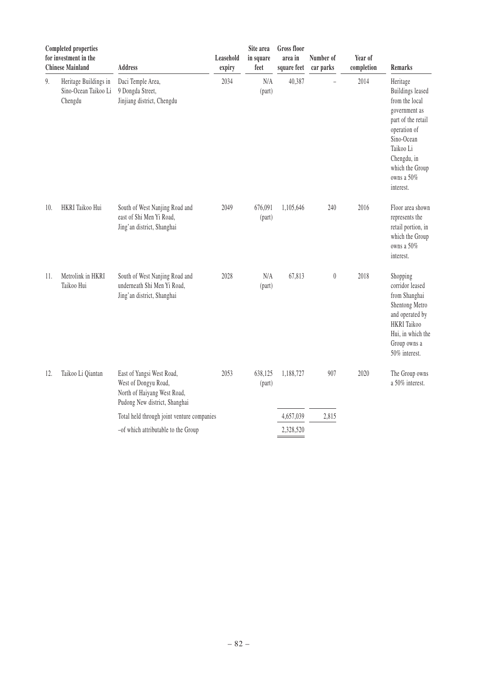|     | <b>Completed properties</b><br>for investment in the<br><b>Chinese Mainland</b> | <b>Address</b>                                                                                                    | Leasehold<br>expiry | Site area<br>in square<br>feet | <b>Gross floor</b><br>area in<br>square feet | Number of<br>car parks | Year of<br>completion | <b>Remarks</b>                                                                                                                                                                                       |
|-----|---------------------------------------------------------------------------------|-------------------------------------------------------------------------------------------------------------------|---------------------|--------------------------------|----------------------------------------------|------------------------|-----------------------|------------------------------------------------------------------------------------------------------------------------------------------------------------------------------------------------------|
| 9.  | Heritage Buildings in<br>Sino-Ocean Taikoo Li<br>Chengdu                        | Daci Temple Area,<br>9 Dongda Street,<br>Jinjiang district, Chengdu                                               | 2034                | $\rm N/A$<br>(part)            | 40,387                                       |                        | 2014                  | Heritage<br><b>Buildings leased</b><br>from the local<br>government as<br>part of the retail<br>operation of<br>Sino-Ocean<br>Taikoo Li<br>Chengdu, in<br>which the Group<br>owns a 50%<br>interest. |
| 10. | HKRI Taikoo Hui                                                                 | South of West Nanjing Road and<br>east of Shi Men Yi Road,<br>Jing'an district, Shanghai                          | 2049                | 676,091<br>(part)              | 1,105,646                                    | 240                    | 2016                  | Floor area shown<br>represents the<br>retail portion, in<br>which the Group<br>owns a 50%<br>interest.                                                                                               |
| 11. | Metrolink in HKRI<br>Taikoo Hui                                                 | South of West Nanjing Road and<br>underneath Shi Men Yi Road,<br>Jing'an district, Shanghai                       | 2028                | N/A<br>(part)                  | 67,813                                       | $\boldsymbol{0}$       | 2018                  | Shopping<br>corridor leased<br>from Shanghai<br>Shentong Metro<br>and operated by<br><b>HKRI</b> Taikoo<br>Hui, in which the<br>Group owns a<br>50% interest.                                        |
| 12. | Taikoo Li Qiantan                                                               | East of Yangsi West Road,<br>West of Dongyu Road,<br>North of Haiyang West Road,<br>Pudong New district, Shanghai | 2053                | 638,125<br>(part)              | 1,188,727                                    | 907                    | 2020                  | The Group owns<br>a 50% interest.                                                                                                                                                                    |
|     |                                                                                 | Total held through joint venture companies                                                                        |                     |                                | 4,657,039                                    | 2,815                  |                       |                                                                                                                                                                                                      |
|     |                                                                                 | -of which attributable to the Group                                                                               |                     |                                | 2,328,520                                    |                        |                       |                                                                                                                                                                                                      |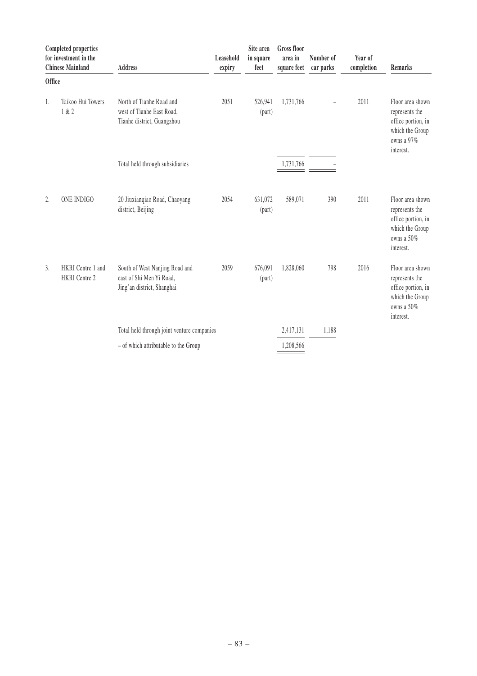|               | <b>Completed properties</b><br>for investment in the<br><b>Chinese Mainland</b> | <b>Address</b>                                                                           | Leasehold<br>expiry | Site area<br>in square<br>feet | <b>Gross floor</b><br>area in<br>square feet | Number of<br>car parks | Year of<br>completion | Remarks                                                                                                |
|---------------|---------------------------------------------------------------------------------|------------------------------------------------------------------------------------------|---------------------|--------------------------------|----------------------------------------------|------------------------|-----------------------|--------------------------------------------------------------------------------------------------------|
| <b>Office</b> |                                                                                 |                                                                                          |                     |                                |                                              |                        |                       |                                                                                                        |
| 1.            | Taikoo Hui Towers<br>1 & 2                                                      | North of Tianhe Road and<br>west of Tianhe East Road,<br>Tianhe district, Guangzhou      | 2051                | 526,941<br>(part)              | 1,731,766                                    | $\overline{a}$         | 2011                  | Floor area shown<br>represents the<br>office portion, in<br>which the Group<br>owns a 97%<br>interest. |
|               |                                                                                 | Total held through subsidiaries                                                          |                     |                                | 1,731,766                                    |                        |                       |                                                                                                        |
| 2.            | ONE INDIGO                                                                      | 20 Jiuxianqiao Road, Chaoyang<br>district, Beijing                                       | 2054                | 631,072<br>(part)              | 589,071                                      | 390                    | 2011                  | Floor area shown<br>represents the<br>office portion, in<br>which the Group<br>owns a 50%<br>interest. |
| 3.            | HKRI Centre 1 and<br><b>HKRI</b> Centre 2                                       | South of West Nanjing Road and<br>east of Shi Men Yi Road,<br>Jing'an district, Shanghai | 2059                | 676,091<br>(part)              | 1,828,060                                    | 798                    | 2016                  | Floor area shown<br>represents the<br>office portion, in<br>which the Group<br>owns a 50%<br>interest. |
|               |                                                                                 | Total held through joint venture companies                                               |                     |                                | 2,417,131                                    | 1,188                  |                       |                                                                                                        |
|               |                                                                                 | - of which attributable to the Group                                                     |                     |                                | 1,208,566                                    |                        |                       |                                                                                                        |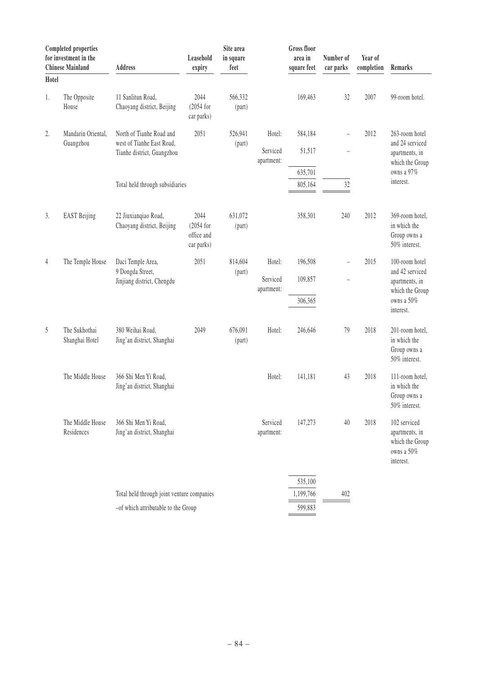| Hotel | <b>Completed properties</b><br>for investment in the<br><b>Chinese Mainland</b> | <b>Address</b>                                                                                                         | Leasehold<br>expiry                             | Site area<br>in square<br>feet |                                  | <b>Gross floor</b><br>area in<br>square feet | Number of<br>car parks | Year of<br>completion | Remarks                                                                                           |
|-------|---------------------------------------------------------------------------------|------------------------------------------------------------------------------------------------------------------------|-------------------------------------------------|--------------------------------|----------------------------------|----------------------------------------------|------------------------|-----------------------|---------------------------------------------------------------------------------------------------|
| 1.    | The Opposite<br>House                                                           | 11 Sanlitun Road,<br>Chaoyang district, Beijing                                                                        | 2044<br>$(2054$ for<br>car parks)               | 566,332<br>(part)              |                                  | 169,463                                      | 32                     | 2007                  | 99-room hotel.                                                                                    |
| 2.    | Mandarin Oriental,<br>Guangzhou                                                 | North of Tianhe Road and<br>west of Tianhe East Road,<br>Tianhe district, Guangzhou<br>Total held through subsidiaries | 2051                                            | 526,941<br>(part)              | Hotel:<br>Serviced<br>apartment: | 584,184<br>51,517<br>635,701<br>805,164      | ÷,<br>۰<br>32          | 2012                  | 263-room hotel<br>and 24 serviced<br>apartments, in<br>which the Group<br>owns a 97%<br>interest. |
| 3.    | <b>EAST Beijing</b>                                                             | 22 Jiuxianqiao Road,<br>Chaoyang district, Beijing                                                                     | 2044<br>$(2054$ for<br>office and<br>car parks) | 631,072<br>(part)              |                                  | 358,301                                      | 240                    | 2012                  | 369-room hotel,<br>in which the<br>Group owns a<br>50% interest.                                  |
| 4     | The Temple House                                                                | Daci Temple Area,<br>9 Dongda Street,<br>Jinjiang district, Chengdu                                                    | 2051                                            | 814,604<br>(part)              | Hotel:<br>Serviced<br>apartment: | 196,508<br>109,857<br>306,365                | $\qquad \qquad -$      | 2015                  | 100-room hotel<br>and 42 serviced<br>apartments, in<br>which the Group<br>owns a 50%<br>interest. |
| 5     | The Sukhothai<br>Shanghai Hotel                                                 | 380 Weihai Road,<br>Jing'an district, Shanghai                                                                         | 2049                                            | 676,091<br>(part)              | Hotel:                           | 246,646                                      | 79                     | 2018                  | 201-room hotel,<br>in which the<br>Group owns a<br>50% interest.                                  |
|       | The Middle House                                                                | 366 Shi Men Yi Road,<br>Jing'an district, Shanghai                                                                     |                                                 |                                | Hotel:                           | 141,181                                      | 43                     | 2018                  | 111-room hotel,<br>in which the<br>Group owns a<br>50% interest.                                  |
|       | The Middle House<br>Residences                                                  | 366 Shi Men Yi Road,<br>Jing'an district, Shanghai                                                                     |                                                 |                                | Serviced<br>apartment:           | 147,273                                      | 40                     | 2018                  | 102 serviced<br>apartments, in<br>which the Group<br>owns a 50%<br>interest.                      |
|       |                                                                                 | Total held through joint venture companies<br>-of which attributable to the Group                                      |                                                 |                                |                                  | 535,100<br>1,199,766<br>599,883              | 402                    |                       |                                                                                                   |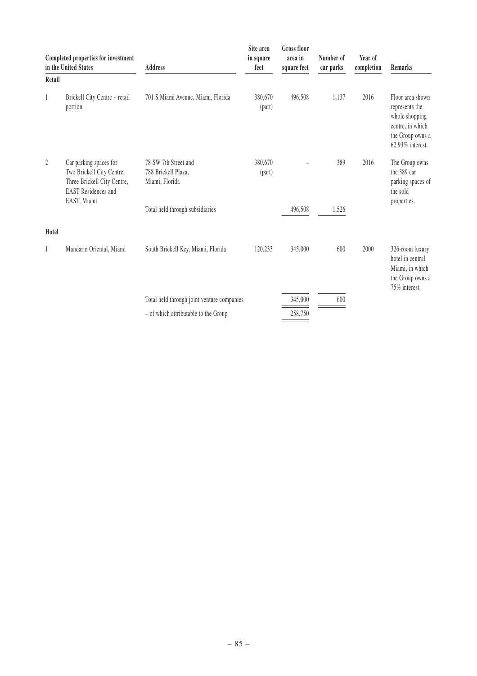|        | Completed properties for investment<br>in the United States                                                                     | <b>Address</b>                                                | Site area<br>in square<br>feet | Gross floor<br>area in<br>square feet | Number of<br>car parks | Year of<br>completion | Remarks                                                                                                          |  |
|--------|---------------------------------------------------------------------------------------------------------------------------------|---------------------------------------------------------------|--------------------------------|---------------------------------------|------------------------|-----------------------|------------------------------------------------------------------------------------------------------------------|--|
| Retail |                                                                                                                                 |                                                               |                                |                                       |                        |                       |                                                                                                                  |  |
| 1      | Brickell City Centre - retail<br>portion                                                                                        | 701 S Miami Avenue, Miami, Florida                            | 380,670<br>(part)              | 496,508                               | 1,137                  | 2016                  | Floor area shown<br>represents the<br>whole shopping<br>centre, in which<br>the Group owns a<br>62.93% interest. |  |
| 2      | Car parking spaces for<br>Two Brickell City Centre,<br>Three Brickell City Centre,<br><b>EAST</b> Residences and<br>EAST, Miami | 78 SW 7th Street and<br>788 Brickell Plaza,<br>Miami, Florida | 380,670<br>(part)              |                                       | 389                    | 2016                  | The Group owns<br>the 389 car<br>parking spaces of<br>the sold                                                   |  |
|        |                                                                                                                                 | Total held through subsidiaries                               |                                | 496,508                               | 1,526                  |                       | properties.                                                                                                      |  |
| Hotel  |                                                                                                                                 |                                                               |                                |                                       |                        |                       |                                                                                                                  |  |
| 1      | Mandarin Oriental, Miami                                                                                                        | South Brickell Key, Miami, Florida                            | 120,233                        | 345,000                               | 600                    | 2000                  | 326-room luxury<br>hotel in central<br>Miami, in which<br>the Group owns a<br>75% interest.                      |  |
|        |                                                                                                                                 | Total held through joint venture companies                    |                                | 345,000                               | 600                    |                       |                                                                                                                  |  |
|        |                                                                                                                                 | - of which attributable to the Group                          |                                | 258,750                               |                        |                       |                                                                                                                  |  |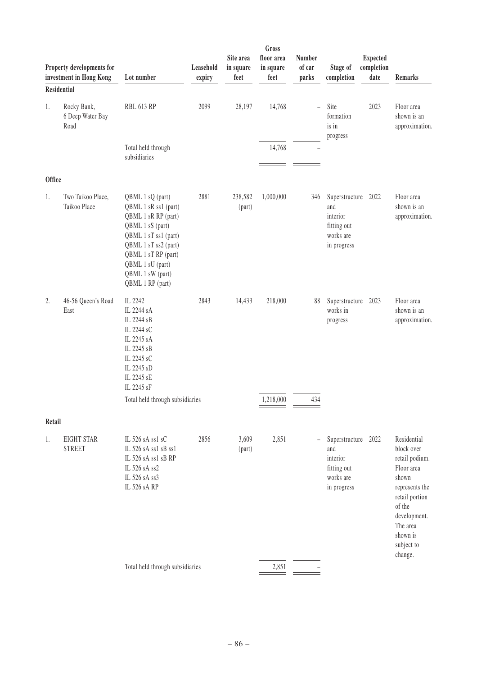|        | Property developments for<br>investment in Hong Kong | Lot number                                                                                                                                                                                                             | Leasehold<br>expiry | Site area<br>in square<br>feet | Gross<br>floor area<br>in square<br>feet | <b>Number</b><br>of car<br>parks | Stage of<br>completion                                                            | <b>Expected</b><br>completion<br>date | Remarks                                                                                                                                                                |
|--------|------------------------------------------------------|------------------------------------------------------------------------------------------------------------------------------------------------------------------------------------------------------------------------|---------------------|--------------------------------|------------------------------------------|----------------------------------|-----------------------------------------------------------------------------------|---------------------------------------|------------------------------------------------------------------------------------------------------------------------------------------------------------------------|
|        | <b>Residential</b>                                   |                                                                                                                                                                                                                        |                     |                                |                                          |                                  |                                                                                   |                                       |                                                                                                                                                                        |
| 1.     | Rocky Bank,<br>6 Deep Water Bay<br>Road              | <b>RBL 613 RP</b>                                                                                                                                                                                                      | 2099                | 28,197                         | 14,768                                   | $\equiv$                         | Site<br>formation<br>is in<br>progress                                            | 2023                                  | Floor area<br>shown is an<br>approximation.                                                                                                                            |
|        |                                                      | Total held through<br>subsidiaries                                                                                                                                                                                     |                     |                                | 14,768                                   |                                  |                                                                                   |                                       |                                                                                                                                                                        |
| Office |                                                      |                                                                                                                                                                                                                        |                     |                                |                                          |                                  |                                                                                   |                                       |                                                                                                                                                                        |
| 1.     | Two Taikoo Place,<br>Taikoo Place                    | QBML 1 sQ (part)<br>QBML 1 sR ss1 (part)<br>QBML 1 sR RP (part)<br>QBML 1 sS (part)<br>QBML 1 sT ss1 (part)<br>QBML 1 sT ss2 (part)<br>QBML 1 sT RP (part)<br>QBML 1 sU (part)<br>QBML 1 sW (part)<br>QBML 1 RP (part) | 2881                | 238,582<br>(part)              | 1,000,000                                | 346                              | Superstructure 2022<br>and<br>interior<br>fitting out<br>works are<br>in progress |                                       | Floor area<br>shown is an<br>approximation.                                                                                                                            |
| 2.     | 46-56 Queen's Road<br>East                           | IL 2242<br>IL 2244 sA<br>IL 2244 sB<br>IL 2244 sC<br>IL 2245 sA<br>IL 2245 sB<br>IL 2245 sC<br>IL 2245 sD<br>IL 2245 sE<br>IL 2245 sF<br>Total held through subsidiaries                                               | 2843                | 14,433                         | 218,000<br>1,218,000                     | 88<br>434                        | Superstructure<br>works in<br>progress                                            | 2023                                  | Floor area<br>shown is an<br>approximation.                                                                                                                            |
| Retail |                                                      |                                                                                                                                                                                                                        |                     |                                |                                          |                                  |                                                                                   |                                       |                                                                                                                                                                        |
| 1.     | <b>EIGHT STAR</b><br><b>STREET</b>                   | IL 526 sA ss1 sC<br>IL 526 sA ss1 sB ss1<br>IL 526 sA ss1 sB RP<br>IL 526 sA ss2<br>IL 526 sA ss3<br>IL 526 sA RP                                                                                                      | 2856                | 3,609<br>(part)                | 2,851                                    | $\overline{\phantom{0}}$         | Superstructure<br>and<br>interior<br>fitting out<br>works are<br>in progress      | 2022                                  | Residential<br>block over<br>retail podium.<br>Floor area<br>shown<br>represents the<br>retail portion<br>of the<br>development.<br>The area<br>shown is<br>subject to |
|        |                                                      | Total held through subsidiaries                                                                                                                                                                                        |                     |                                | 2,851                                    |                                  |                                                                                   |                                       | change.                                                                                                                                                                |
|        |                                                      |                                                                                                                                                                                                                        |                     |                                |                                          |                                  |                                                                                   |                                       |                                                                                                                                                                        |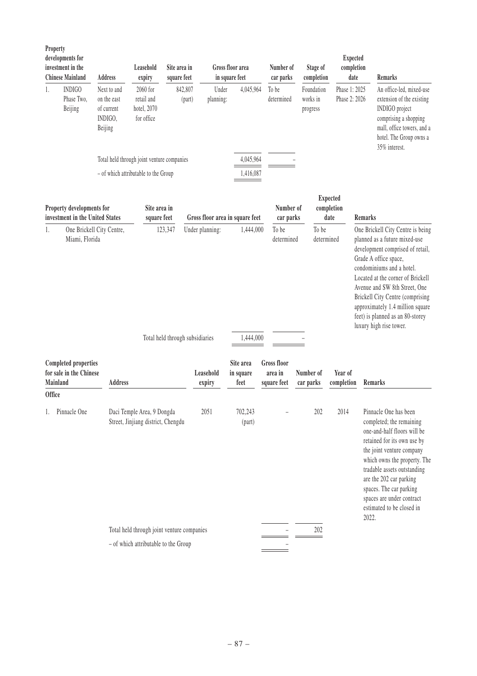| Property | developments for<br>investment in the<br><b>Chinese Mainland</b>                                                                    | <b>Address</b>                                                 | Leasehold<br>expiry                                              | Site area in<br>square feet |                                                    | Gross floor area<br>in square feet | Number of<br>car parks                       | Stage of<br>completion             | <b>Expected</b><br>completion<br>date |                | <b>Remarks</b>                                                                                                                                                                                                                                                                                                                                                                   |
|----------|-------------------------------------------------------------------------------------------------------------------------------------|----------------------------------------------------------------|------------------------------------------------------------------|-----------------------------|----------------------------------------------------|------------------------------------|----------------------------------------------|------------------------------------|---------------------------------------|----------------|----------------------------------------------------------------------------------------------------------------------------------------------------------------------------------------------------------------------------------------------------------------------------------------------------------------------------------------------------------------------------------|
| 1.       | <b>INDIGO</b><br>Phase Two.<br>Beijing                                                                                              | Next to and<br>on the east<br>of current<br>INDIGO,<br>Beijing | 2060 for<br>retail and<br>hotel, 2070<br>for office              | 842,807<br>(part)           | Under<br>planning:                                 | 4,045,964                          | To be<br>determined                          | Foundation<br>works in<br>progress | Phase 1: 2025<br>Phase 2: 2026        |                | An office-led, mixed-use<br>extension of the existing<br>INDIGO project<br>comprising a shopping<br>mall, office towers, and a<br>hotel. The Group owns a<br>35% interest.                                                                                                                                                                                                       |
|          |                                                                                                                                     |                                                                | Total held through joint venture companies                       |                             |                                                    | 4,045,964                          |                                              |                                    |                                       |                |                                                                                                                                                                                                                                                                                                                                                                                  |
|          |                                                                                                                                     |                                                                | - of which attributable to the Group                             |                             |                                                    | 1,416,087                          |                                              |                                    |                                       |                |                                                                                                                                                                                                                                                                                                                                                                                  |
|          | Site area in<br>Property developments for<br>investment in the United States<br>square feet<br>One Brickell City Centre,<br>123,347 |                                                                |                                                                  |                             | Gross floor area in square feet                    |                                    | Number of<br>car parks                       |                                    | <b>Expected</b><br>completion<br>date | <b>Remarks</b> |                                                                                                                                                                                                                                                                                                                                                                                  |
| 1.       | Miami, Florida                                                                                                                      |                                                                |                                                                  |                             | Under planning:<br>Total held through subsidiaries | 1,444,000<br>1,444,000             | To be<br>determined                          | To be<br>determined                |                                       |                | One Brickell City Centre is being<br>planned as a future mixed-use<br>development comprised of retail,<br>Grade A office space,<br>condominiums and a hotel.<br>Located at the corner of Brickell<br>Avenue and SW 8th Street, One<br><b>Brickell City Centre (comprising</b><br>approximately 1.4 million square<br>feet) is planned as an 80-storey<br>luxury high rise tower. |
| Mainland | <b>Completed properties</b><br>for sale in the Chinese                                                                              | <b>Address</b>                                                 |                                                                  |                             | Leasehold<br>expiry                                | Site area<br>in square<br>feet     | <b>Gross floor</b><br>area in<br>square feet | Number of<br>car parks             | Year of<br>completion                 | Remarks        |                                                                                                                                                                                                                                                                                                                                                                                  |
| Office   |                                                                                                                                     |                                                                |                                                                  |                             |                                                    |                                    |                                              |                                    |                                       |                |                                                                                                                                                                                                                                                                                                                                                                                  |
|          | Pinnacle One                                                                                                                        |                                                                | Daci Temple Area, 9 Dongda<br>Street, Jinjiang district, Chengdu |                             | 2051                                               | 702,243<br>(part)                  |                                              | 202                                | 2014                                  | 2022.          | Pinnacle One has been<br>completed; the remaining<br>one-and-half floors will be<br>retained for its own use by<br>the joint venture company<br>which owns the property. The<br>tradable assets outstanding<br>are the 202 car parking<br>spaces. The car parking<br>spaces are under contract<br>estimated to be closed in                                                      |
|          |                                                                                                                                     |                                                                | Total held through joint venture companies                       |                             |                                                    |                                    |                                              | 202                                |                                       |                |                                                                                                                                                                                                                                                                                                                                                                                  |
|          |                                                                                                                                     |                                                                | - of which attributable to the Group                             |                             |                                                    |                                    |                                              |                                    |                                       |                |                                                                                                                                                                                                                                                                                                                                                                                  |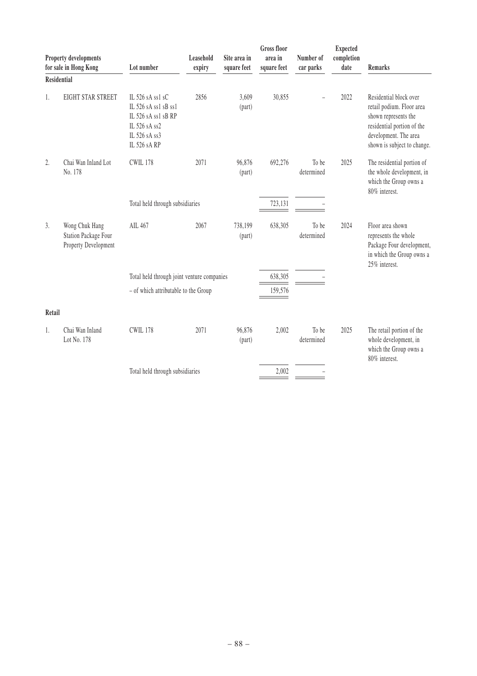| Property developments<br>for sale in Hong Kong |                                                                       | Lot number                                                                                                        | Leasehold<br>expiry                        | Site area in<br>square feet | <b>Gross floor</b><br>area in<br>square feet | Number of<br>car parks | <b>Expected</b><br>completion<br>date | Remarks                                                                                                                                                           |
|------------------------------------------------|-----------------------------------------------------------------------|-------------------------------------------------------------------------------------------------------------------|--------------------------------------------|-----------------------------|----------------------------------------------|------------------------|---------------------------------------|-------------------------------------------------------------------------------------------------------------------------------------------------------------------|
| <b>Residential</b>                             |                                                                       |                                                                                                                   |                                            |                             |                                              |                        |                                       |                                                                                                                                                                   |
| 1.                                             | EIGHT STAR STREET                                                     | IL 526 sA ss1 sC<br>IL 526 sA ss1 sB ss1<br>IL 526 sA ss1 sB RP<br>IL 526 sA ss2<br>IL 526 sA ss3<br>IL 526 sA RP | 2856                                       | 3,609<br>(part)             | 30,855                                       |                        | 2022                                  | Residential block over<br>retail podium. Floor area<br>shown represents the<br>residential portion of the<br>development. The area<br>shown is subject to change. |
| 2.                                             | Chai Wan Inland Lot<br>No. 178                                        | <b>CWIL 178</b>                                                                                                   | 2071                                       | 96,876<br>(part)            | 692,276                                      | To be<br>determined    | 2025                                  | The residential portion of<br>the whole development, in<br>which the Group owns a<br>80% interest.                                                                |
| Total held through subsidiaries                |                                                                       |                                                                                                                   |                                            |                             | 723,131                                      |                        |                                       |                                                                                                                                                                   |
| 3.                                             | Wong Chuk Hang<br><b>Station Package Four</b><br>Property Development | AIL 467                                                                                                           | 2067                                       | 738,199<br>(part)           | 638,305                                      | To be<br>determined    | 2024                                  | Floor area shown<br>represents the whole<br>Package Four development,<br>in which the Group owns a<br>25% interest.                                               |
|                                                |                                                                       |                                                                                                                   | Total held through joint venture companies |                             |                                              |                        |                                       |                                                                                                                                                                   |
|                                                | - of which attributable to the Group                                  |                                                                                                                   |                                            |                             | 159,576                                      |                        |                                       |                                                                                                                                                                   |
| Retail                                         |                                                                       |                                                                                                                   |                                            |                             |                                              |                        |                                       |                                                                                                                                                                   |
| 1.                                             | Chai Wan Inland<br>Lot No. 178                                        | <b>CWIL 178</b>                                                                                                   | 2071                                       | 96,876<br>(part)            | 2,002                                        | To be<br>determined    | 2025                                  | The retail portion of the<br>whole development, in<br>which the Group owns a<br>80% interest.                                                                     |
|                                                |                                                                       | Total held through subsidiaries                                                                                   |                                            |                             | 2,002                                        |                        |                                       |                                                                                                                                                                   |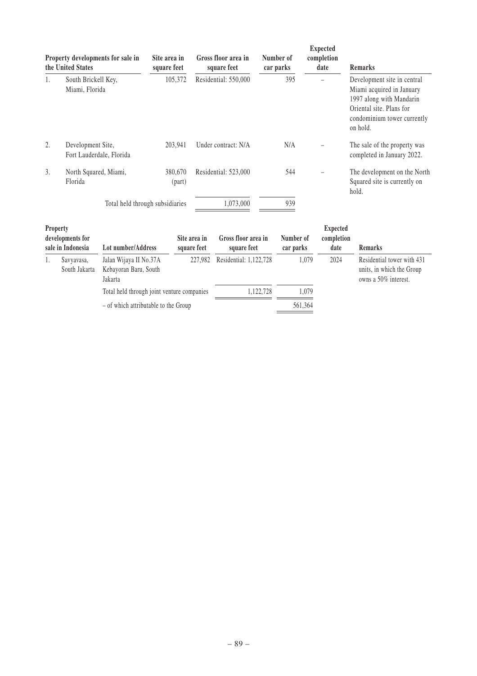| Property developments for sale in<br>the United States |                                               | Site area in<br>square feet | Gross floor area in<br>square feet | Number of<br>car parks | Expected<br>completion<br>date | <b>Remarks</b>                                                                                                                                              |
|--------------------------------------------------------|-----------------------------------------------|-----------------------------|------------------------------------|------------------------|--------------------------------|-------------------------------------------------------------------------------------------------------------------------------------------------------------|
| 1.                                                     | South Brickell Key,<br>Miami, Florida         | 105,372                     | Residential: 550,000               | 395                    |                                | Development site in central<br>Miami acquired in January<br>1997 along with Mandarin<br>Oriental site. Plans for<br>condominium tower currently<br>on hold. |
| 2.                                                     | Development Site,<br>Fort Lauderdale, Florida | 203,941                     | Under contract: N/A                | N/A                    |                                | The sale of the property was<br>completed in January 2022.                                                                                                  |
| 3.                                                     | North Squared, Miami,<br>Florida              | 380,670<br>(part)           | Residential: 523,000               | 544                    |                                | The development on the North<br>Squared site is currently on<br>hold.                                                                                       |
| Total held through subsidiaries                        |                                               |                             | 1,073,000                          | 939                    |                                |                                                                                                                                                             |

| <b>Property</b><br>developments for<br>sale in Indonesia |                             | Lot number/Address                                         | Site area in<br>square feet | Gross floor area in<br>square feet | Number of<br>car parks | <b>Expected</b><br>completion<br>date                                           | <b>Remarks</b> |
|----------------------------------------------------------|-----------------------------|------------------------------------------------------------|-----------------------------|------------------------------------|------------------------|---------------------------------------------------------------------------------|----------------|
|                                                          | Savyavasa,<br>South Jakarta | Jalan Wijaya II No.37A<br>Kebayoran Baru, South<br>Jakarta | 227.982                     | Residential: 1,122,728             | 2024<br>1.079          | Residential tower with 431<br>units, in which the Group<br>owns a 50% interest. |                |
|                                                          |                             | Total held through joint venture companies                 |                             | 1.122.728                          | 1.079                  |                                                                                 |                |
|                                                          |                             | - of which attributable to the Group                       |                             |                                    | 561,364                |                                                                                 |                |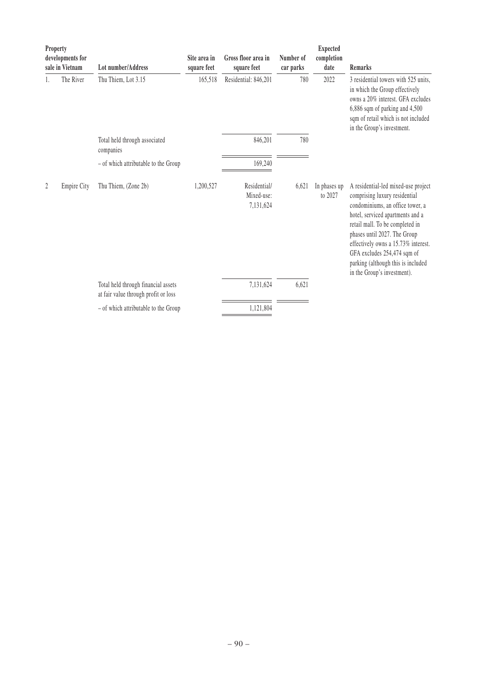| Property<br>developments for<br>sale in Vietnam |                    | Lot number/Address                                                          | Site area in<br>square feet | Gross floor area in<br>square feet      | Number of<br>car parks | <b>Expected</b><br>completion<br>date | Remarks                                                                                                                                                                                                                                                                                                                                                    |
|-------------------------------------------------|--------------------|-----------------------------------------------------------------------------|-----------------------------|-----------------------------------------|------------------------|---------------------------------------|------------------------------------------------------------------------------------------------------------------------------------------------------------------------------------------------------------------------------------------------------------------------------------------------------------------------------------------------------------|
| 1.                                              | The River          | Thu Thiem, Lot 3.15                                                         | 165,518                     | Residential: 846,201                    | 780                    | 2022                                  | 3 residential towers with 525 units.<br>in which the Group effectively<br>owns a 20% interest. GFA excludes<br>6,886 sqm of parking and 4,500<br>sqm of retail which is not included<br>in the Group's investment.                                                                                                                                         |
|                                                 |                    | Total held through associated<br>companies                                  |                             | 846,201                                 | 780                    |                                       |                                                                                                                                                                                                                                                                                                                                                            |
|                                                 |                    | - of which attributable to the Group                                        |                             | 169,240                                 |                        |                                       |                                                                                                                                                                                                                                                                                                                                                            |
| 2                                               | <b>Empire City</b> | Thu Thiem, (Zone 2b)                                                        | 1,200,527                   | Residential/<br>Mixed-use:<br>7,131,624 | 6,621                  | In phases up<br>to 2027               | A residential-led mixed-use project<br>comprising luxury residential<br>condominiums, an office tower, a<br>hotel, serviced apartments and a<br>retail mall. To be completed in<br>phases until 2027. The Group<br>effectively owns a 15.73% interest.<br>GFA excludes 254,474 sqm of<br>parking (although this is included<br>in the Group's investment). |
|                                                 |                    | Total held through financial assets<br>at fair value through profit or loss |                             | 7,131,624                               | 6,621                  |                                       |                                                                                                                                                                                                                                                                                                                                                            |
|                                                 |                    | - of which attributable to the Group                                        |                             | 1,121,804                               |                        |                                       |                                                                                                                                                                                                                                                                                                                                                            |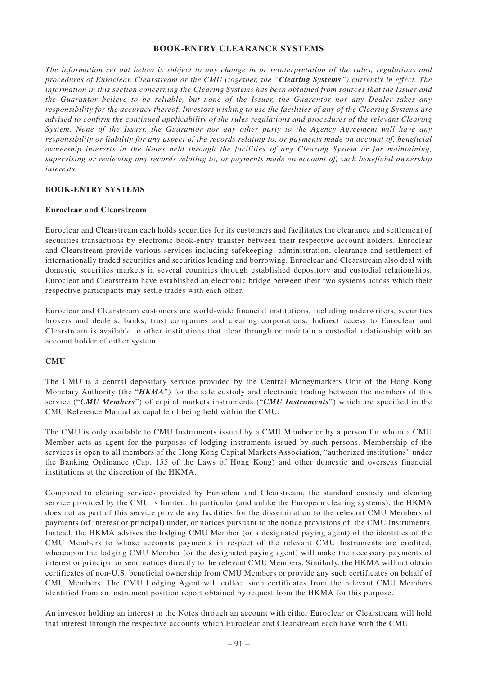## **BOOK-ENTRY CLEARANCE SYSTEMS**

*The information set out below is subject to any change in or reinterpretation of the rules, regulations and procedures of Euroclear, Clearstream or the CMU (together, the "Clearing Systems") currently in effect. The information in this section concerning the Clearing Systems has been obtained from sources that the Issuer and the Guarantor believe to be reliable, but none of the Issuer, the Guarantor nor any Dealer takes any responsibility for the accuracy thereof. Investors wishing to use the facilities of any of the Clearing Systems are advised to confirm the continued applicability of the rules regulations and procedures of the relevant Clearing System. None of the Issuer, the Guarantor nor any other party to the Agency Agreement will have any responsibility or liability for any aspect of the records relating to, or payments made on account of, beneficial ownership interests in the Notes held through the facilities of any Clearing System or for maintaining, supervising or reviewing any records relating to, or payments made on account of, such beneficial ownership interests.*

#### **BOOK-ENTRY SYSTEMS**

#### **Euroclear and Clearstream**

Euroclear and Clearstream each holds securities for its customers and facilitates the clearance and settlement of securities transactions by electronic book-entry transfer between their respective account holders. Euroclear and Clearstream provide various services including safekeeping, administration, clearance and settlement of internationally traded securities and securities lending and borrowing. Euroclear and Clearstream also deal with domestic securities markets in several countries through established depository and custodial relationships. Euroclear and Clearstream have established an electronic bridge between their two systems across which their respective participants may settle trades with each other.

Euroclear and Clearstream customers are world-wide financial institutions, including underwriters, securities brokers and dealers, banks, trust companies and clearing corporations. Indirect access to Euroclear and Clearstream is available to other institutions that clear through or maintain a custodial relationship with an account holder of either system.

#### **CMU**

The CMU is a central depositary service provided by the Central Moneymarkets Unit of the Hong Kong Monetary Authority (the "*HKMA*") for the safe custody and electronic trading between the members of this service ("*CMU Members*") of capital markets instruments ("*CMU Instruments*") which are specified in the CMU Reference Manual as capable of being held within the CMU.

The CMU is only available to CMU Instruments issued by a CMU Member or by a person for whom a CMU Member acts as agent for the purposes of lodging instruments issued by such persons. Membership of the services is open to all members of the Hong Kong Capital Markets Association, "authorized institutions" under the Banking Ordinance (Cap. 155 of the Laws of Hong Kong) and other domestic and overseas financial institutions at the discretion of the HKMA.

Compared to clearing services provided by Euroclear and Clearstream, the standard custody and clearing service provided by the CMU is limited. In particular (and unlike the European clearing systems), the HKMA does not as part of this service provide any facilities for the dissemination to the relevant CMU Members of payments (of interest or principal) under, or notices pursuant to the notice provisions of, the CMU Instruments. Instead, the HKMA advises the lodging CMU Member (or a designated paying agent) of the identities of the CMU Members to whose accounts payments in respect of the relevant CMU Instruments are credited, whereupon the lodging CMU Member (or the designated paying agent) will make the necessary payments of interest or principal or send notices directly to the relevant CMU Members. Similarly, the HKMA will not obtain certificates of non-U.S. beneficial ownership from CMU Members or provide any such certificates on behalf of CMU Members. The CMU Lodging Agent will collect such certificates from the relevant CMU Members identified from an instrument position report obtained by request from the HKMA for this purpose.

An investor holding an interest in the Notes through an account with either Euroclear or Clearstream will hold that interest through the respective accounts which Euroclear and Clearstream each have with the CMU.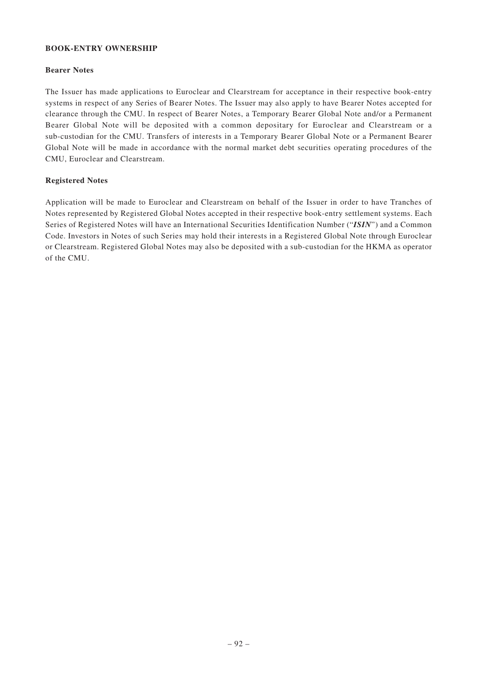## **BOOK-ENTRY OWNERSHIP**

## **Bearer Notes**

The Issuer has made applications to Euroclear and Clearstream for acceptance in their respective book-entry systems in respect of any Series of Bearer Notes. The Issuer may also apply to have Bearer Notes accepted for clearance through the CMU. In respect of Bearer Notes, a Temporary Bearer Global Note and/or a Permanent Bearer Global Note will be deposited with a common depositary for Euroclear and Clearstream or a sub-custodian for the CMU. Transfers of interests in a Temporary Bearer Global Note or a Permanent Bearer Global Note will be made in accordance with the normal market debt securities operating procedures of the CMU, Euroclear and Clearstream.

## **Registered Notes**

Application will be made to Euroclear and Clearstream on behalf of the Issuer in order to have Tranches of Notes represented by Registered Global Notes accepted in their respective book-entry settlement systems. Each Series of Registered Notes will have an International Securities Identification Number ("*ISIN*") and a Common Code. Investors in Notes of such Series may hold their interests in a Registered Global Note through Euroclear or Clearstream. Registered Global Notes may also be deposited with a sub-custodian for the HKMA as operator of the CMU.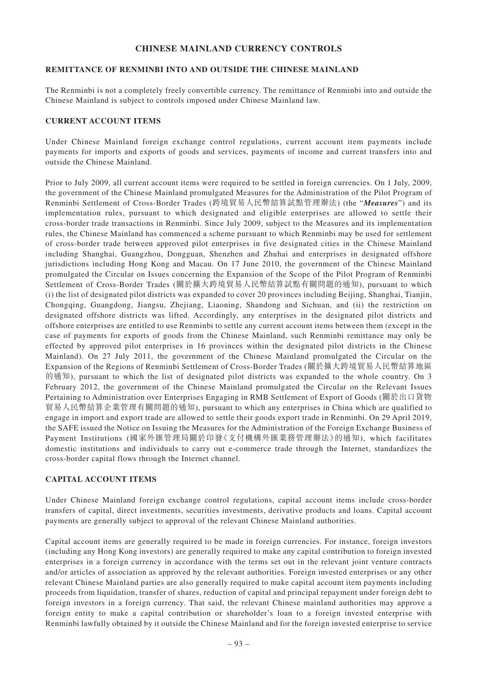# **CHINESE MAINLAND CURRENCY CONTROLS**

## **REMITTANCE OF RENMINBI INTO AND OUTSIDE THE CHINESE MAINLAND**

The Renminbi is not a completely freely convertible currency. The remittance of Renminbi into and outside the Chinese Mainland is subject to controls imposed under Chinese Mainland law.

#### **CURRENT ACCOUNT ITEMS**

Under Chinese Mainland foreign exchange control regulations, current account item payments include payments for imports and exports of goods and services, payments of income and current transfers into and outside the Chinese Mainland.

Prior to July 2009, all current account items were required to be settled in foreign currencies. On 1 July, 2009, the government of the Chinese Mainland promulgated Measures for the Administration of the Pilot Program of Renminbi Settlement of Cross-Border Trades (跨境貿易人民幣結算試點管理辦法) (the "*Measures*") and its implementation rules, pursuant to which designated and eligible enterprises are allowed to settle their cross-border trade transactions in Renminbi. Since July 2009, subject to the Measures and its implementation rules, the Chinese Mainland has commenced a scheme pursuant to which Renminbi may be used for settlement of cross-border trade between approved pilot enterprises in five designated cities in the Chinese Mainland including Shanghai, Guangzhou, Dongguan, Shenzhen and Zhuhai and enterprises in designated offshore jurisdictions including Hong Kong and Macau. On 17 June 2010, the government of the Chinese Mainland promulgated the Circular on Issues concerning the Expansion of the Scope of the Pilot Program of Renminbi Settlement of Cross-Border Trades (關於擴大跨境貿易人民幣結算試點有關問題的通知), pursuant to which (i) the list of designated pilot districts was expanded to cover 20 provinces including Beijing, Shanghai, Tianjin, Chongqing, Guangdong, Jiangsu, Zhejiang, Liaoning, Shandong and Sichuan, and (ii) the restriction on designated offshore districts was lifted. Accordingly, any enterprises in the designated pilot districts and offshore enterprises are entitled to use Renminbi to settle any current account items between them (except in the case of payments for exports of goods from the Chinese Mainland, such Renminbi remittance may only be effected by approved pilot enterprises in 16 provinces within the designated pilot districts in the Chinese Mainland). On 27 July 2011, the government of the Chinese Mainland promulgated the Circular on the Expansion of the Regions of Renminbi Settlement of Cross-Border Trades (關於擴大跨境貿易人民幣結算地區 的通知), pursuant to which the list of designated pilot districts was expanded to the whole country. On 3 February 2012, the government of the Chinese Mainland promulgated the Circular on the Relevant Issues Pertaining to Administration over Enterprises Engaging in RMB Settlement of Export of Goods (關於出口貨物 貿易人民幣結算企業管理有關問題的通知), pursuant to which any enterprises in China which are qualified to engage in import and export trade are allowed to settle their goods export trade in Renminbi. On 29 April 2019, the SAFE issued the Notice on Issuing the Measures for the Administration of the Foreign Exchange Business of Payment Institutions (國家外匯管理局關於印發《支付機構外匯業務管理辦法》的通知), which facilitates domestic institutions and individuals to carry out e-commerce trade through the Internet, standardizes the cross-border capital flows through the Internet channel.

#### **CAPITAL ACCOUNT ITEMS**

Under Chinese Mainland foreign exchange control regulations, capital account items include cross-border transfers of capital, direct investments, securities investments, derivative products and loans. Capital account payments are generally subject to approval of the relevant Chinese Mainland authorities.

Capital account items are generally required to be made in foreign currencies. For instance, foreign investors (including any Hong Kong investors) are generally required to make any capital contribution to foreign invested enterprises in a foreign currency in accordance with the terms set out in the relevant joint venture contracts and/or articles of association as approved by the relevant authorities. Foreign invested enterprises or any other relevant Chinese Mainland parties are also generally required to make capital account item payments including proceeds from liquidation, transfer of shares, reduction of capital and principal repayment under foreign debt to foreign investors in a foreign currency. That said, the relevant Chinese mainland authorities may approve a foreign entity to make a capital contribution or shareholder's loan to a foreign invested enterprise with Renminbi lawfully obtained by it outside the Chinese Mainland and for the foreign invested enterprise to service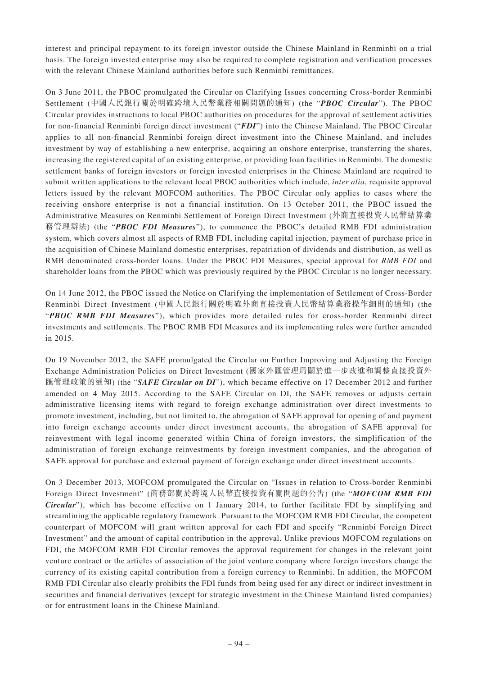interest and principal repayment to its foreign investor outside the Chinese Mainland in Renminbi on a trial basis. The foreign invested enterprise may also be required to complete registration and verification processes with the relevant Chinese Mainland authorities before such Renminbi remittances.

On 3 June 2011, the PBOC promulgated the Circular on Clarifying Issues concerning Cross-border Renminbi Settlement (中國人民銀行關於明確跨境人民幣業務相關問題的通知) (the "*PBOC Circular*"). The PBOC Circular provides instructions to local PBOC authorities on procedures for the approval of settlement activities for non-financial Renminbi foreign direct investment ("*FDI*") into the Chinese Mainland. The PBOC Circular applies to all non-financial Renminbi foreign direct investment into the Chinese Mainland, and includes investment by way of establishing a new enterprise, acquiring an onshore enterprise, transferring the shares, increasing the registered capital of an existing enterprise, or providing loan facilities in Renminbi. The domestic settlement banks of foreign investors or foreign invested enterprises in the Chinese Mainland are required to submit written applications to the relevant local PBOC authorities which include, *inter alia*, requisite approval letters issued by the relevant MOFCOM authorities. The PBOC Circular only applies to cases where the receiving onshore enterprise is not a financial institution. On 13 October 2011, the PBOC issued the Administrative Measures on Renminbi Settlement of Foreign Direct Investment (外商直接投資人民幣結算業 務管理辦法) (the "*PBOC FDI Measures*"), to commence the PBOC's detailed RMB FDI administration system, which covers almost all aspects of RMB FDI, including capital injection, payment of purchase price in the acquisition of Chinese Mainland domestic enterprises, repatriation of dividends and distribution, as well as RMB denominated cross-border loans. Under the PBOC FDI Measures, special approval for *RMB FDI* and shareholder loans from the PBOC which was previously required by the PBOC Circular is no longer necessary.

On 14 June 2012, the PBOC issued the Notice on Clarifying the implementation of Settlement of Cross-Border Renminbi Direct Investment (中國人民銀行關於明確外商直接投資人民幣結算業務操作細則的通知) (the "*PBOC RMB FDI Measures*"), which provides more detailed rules for cross-border Renminbi direct investments and settlements. The PBOC RMB FDI Measures and its implementing rules were further amended in 2015.

On 19 November 2012, the SAFE promulgated the Circular on Further Improving and Adjusting the Foreign Exchange Administration Policies on Direct Investment (國家外匯管理局關於進一步改進和調整直接投資外 匯管理政策的通知) (the "*SAFE Circular on DI*"), which became effective on 17 December 2012 and further amended on 4 May 2015. According to the SAFE Circular on DI, the SAFE removes or adjusts certain administrative licensing items with regard to foreign exchange administration over direct investments to promote investment, including, but not limited to, the abrogation of SAFE approval for opening of and payment into foreign exchange accounts under direct investment accounts, the abrogation of SAFE approval for reinvestment with legal income generated within China of foreign investors, the simplification of the administration of foreign exchange reinvestments by foreign investment companies, and the abrogation of SAFE approval for purchase and external payment of foreign exchange under direct investment accounts.

On 3 December 2013, MOFCOM promulgated the Circular on "Issues in relation to Cross-border Renminbi Foreign Direct Investment" (商務部關於跨境人民幣直接投資有關問題的公告) (the "*MOFCOM RMB FDI Circular*"), which has become effective on 1 January 2014, to further facilitate FDI by simplifying and streamlining the applicable regulatory framework. Pursuant to the MOFCOM RMB FDI Circular, the competent counterpart of MOFCOM will grant written approval for each FDI and specify "Renminbi Foreign Direct Investment" and the amount of capital contribution in the approval. Unlike previous MOFCOM regulations on FDI, the MOFCOM RMB FDI Circular removes the approval requirement for changes in the relevant joint venture contract or the articles of association of the joint venture company where foreign investors change the currency of its existing capital contribution from a foreign currency to Renminbi. In addition, the MOFCOM RMB FDI Circular also clearly prohibits the FDI funds from being used for any direct or indirect investment in securities and financial derivatives (except for strategic investment in the Chinese Mainland listed companies) or for entrustment loans in the Chinese Mainland.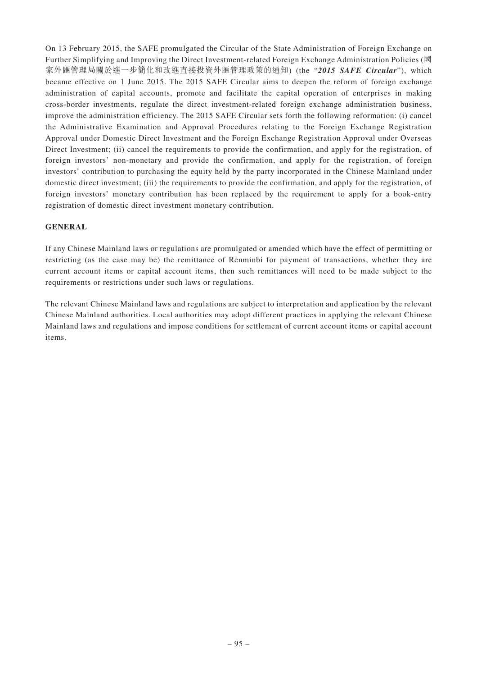On 13 February 2015, the SAFE promulgated the Circular of the State Administration of Foreign Exchange on Further Simplifying and Improving the Direct Investment-related Foreign Exchange Administration Policies (國 家外匯管理局關於進一步簡化和改進直接投資外匯管理政策的通知) (the "*2015 SAFE Circular*"), which became effective on 1 June 2015. The 2015 SAFE Circular aims to deepen the reform of foreign exchange administration of capital accounts, promote and facilitate the capital operation of enterprises in making cross-border investments, regulate the direct investment-related foreign exchange administration business, improve the administration efficiency. The 2015 SAFE Circular sets forth the following reformation: (i) cancel the Administrative Examination and Approval Procedures relating to the Foreign Exchange Registration Approval under Domestic Direct Investment and the Foreign Exchange Registration Approval under Overseas Direct Investment; (ii) cancel the requirements to provide the confirmation, and apply for the registration, of foreign investors' non-monetary and provide the confirmation, and apply for the registration, of foreign investors' contribution to purchasing the equity held by the party incorporated in the Chinese Mainland under domestic direct investment; (iii) the requirements to provide the confirmation, and apply for the registration, of foreign investors' monetary contribution has been replaced by the requirement to apply for a book-entry registration of domestic direct investment monetary contribution.

# **GENERAL**

If any Chinese Mainland laws or regulations are promulgated or amended which have the effect of permitting or restricting (as the case may be) the remittance of Renminbi for payment of transactions, whether they are current account items or capital account items, then such remittances will need to be made subject to the requirements or restrictions under such laws or regulations.

The relevant Chinese Mainland laws and regulations are subject to interpretation and application by the relevant Chinese Mainland authorities. Local authorities may adopt different practices in applying the relevant Chinese Mainland laws and regulations and impose conditions for settlement of current account items or capital account items.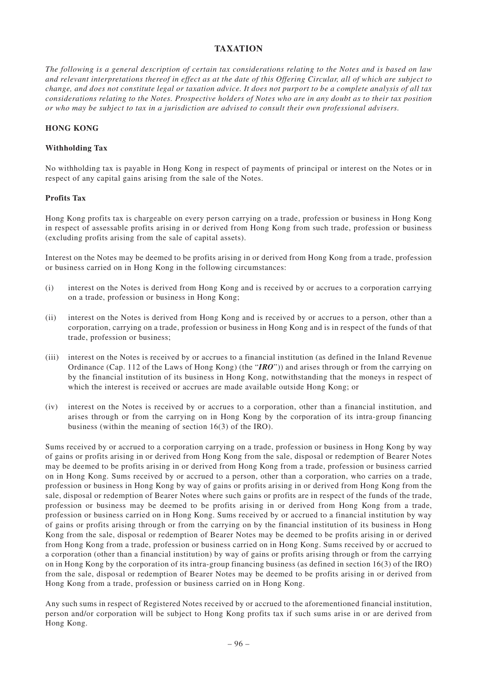# **TAXATION**

*The following is a general description of certain tax considerations relating to the Notes and is based on law and relevant interpretations thereof in effect as at the date of this Offering Circular, all of which are subject to change, and does not constitute legal or taxation advice. It does not purport to be a complete analysis of all tax considerations relating to the Notes. Prospective holders of Notes who are in any doubt as to their tax position or who may be subject to tax in a jurisdiction are advised to consult their own professional advisers.*

## **HONG KONG**

## **Withholding Tax**

No withholding tax is payable in Hong Kong in respect of payments of principal or interest on the Notes or in respect of any capital gains arising from the sale of the Notes.

#### **Profits Tax**

Hong Kong profits tax is chargeable on every person carrying on a trade, profession or business in Hong Kong in respect of assessable profits arising in or derived from Hong Kong from such trade, profession or business (excluding profits arising from the sale of capital assets).

Interest on the Notes may be deemed to be profits arising in or derived from Hong Kong from a trade, profession or business carried on in Hong Kong in the following circumstances:

- (i) interest on the Notes is derived from Hong Kong and is received by or accrues to a corporation carrying on a trade, profession or business in Hong Kong;
- (ii) interest on the Notes is derived from Hong Kong and is received by or accrues to a person, other than a corporation, carrying on a trade, profession or business in Hong Kong and is in respect of the funds of that trade, profession or business;
- (iii) interest on the Notes is received by or accrues to a financial institution (as defined in the Inland Revenue Ordinance (Cap. 112 of the Laws of Hong Kong) (the "*IRO*")) and arises through or from the carrying on by the financial institution of its business in Hong Kong, notwithstanding that the moneys in respect of which the interest is received or accrues are made available outside Hong Kong; or
- (iv) interest on the Notes is received by or accrues to a corporation, other than a financial institution, and arises through or from the carrying on in Hong Kong by the corporation of its intra-group financing business (within the meaning of section 16(3) of the IRO).

Sums received by or accrued to a corporation carrying on a trade, profession or business in Hong Kong by way of gains or profits arising in or derived from Hong Kong from the sale, disposal or redemption of Bearer Notes may be deemed to be profits arising in or derived from Hong Kong from a trade, profession or business carried on in Hong Kong. Sums received by or accrued to a person, other than a corporation, who carries on a trade, profession or business in Hong Kong by way of gains or profits arising in or derived from Hong Kong from the sale, disposal or redemption of Bearer Notes where such gains or profits are in respect of the funds of the trade, profession or business may be deemed to be profits arising in or derived from Hong Kong from a trade, profession or business carried on in Hong Kong. Sums received by or accrued to a financial institution by way of gains or profits arising through or from the carrying on by the financial institution of its business in Hong Kong from the sale, disposal or redemption of Bearer Notes may be deemed to be profits arising in or derived from Hong Kong from a trade, profession or business carried on in Hong Kong. Sums received by or accrued to a corporation (other than a financial institution) by way of gains or profits arising through or from the carrying on in Hong Kong by the corporation of its intra-group financing business (as defined in section 16(3) of the IRO) from the sale, disposal or redemption of Bearer Notes may be deemed to be profits arising in or derived from Hong Kong from a trade, profession or business carried on in Hong Kong.

Any such sums in respect of Registered Notes received by or accrued to the aforementioned financial institution, person and/or corporation will be subject to Hong Kong profits tax if such sums arise in or are derived from Hong Kong.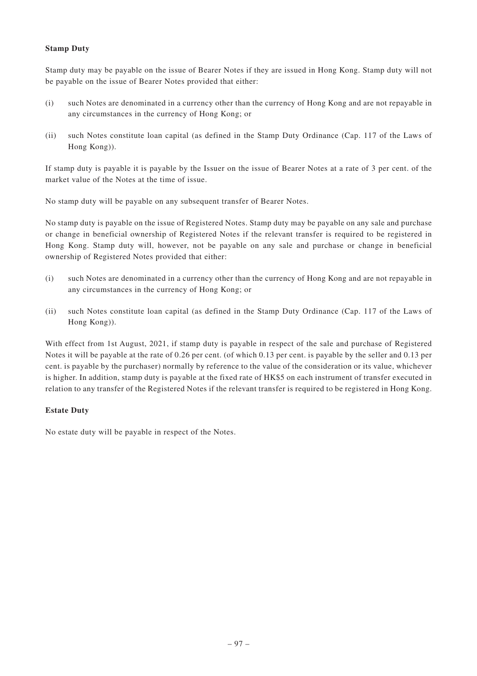# **Stamp Duty**

Stamp duty may be payable on the issue of Bearer Notes if they are issued in Hong Kong. Stamp duty will not be payable on the issue of Bearer Notes provided that either:

- (i) such Notes are denominated in a currency other than the currency of Hong Kong and are not repayable in any circumstances in the currency of Hong Kong; or
- (ii) such Notes constitute loan capital (as defined in the Stamp Duty Ordinance (Cap. 117 of the Laws of Hong Kong)).

If stamp duty is payable it is payable by the Issuer on the issue of Bearer Notes at a rate of 3 per cent. of the market value of the Notes at the time of issue.

No stamp duty will be payable on any subsequent transfer of Bearer Notes.

No stamp duty is payable on the issue of Registered Notes. Stamp duty may be payable on any sale and purchase or change in beneficial ownership of Registered Notes if the relevant transfer is required to be registered in Hong Kong. Stamp duty will, however, not be payable on any sale and purchase or change in beneficial ownership of Registered Notes provided that either:

- (i) such Notes are denominated in a currency other than the currency of Hong Kong and are not repayable in any circumstances in the currency of Hong Kong; or
- (ii) such Notes constitute loan capital (as defined in the Stamp Duty Ordinance (Cap. 117 of the Laws of Hong Kong)).

With effect from 1st August, 2021, if stamp duty is payable in respect of the sale and purchase of Registered Notes it will be payable at the rate of 0.26 per cent. (of which 0.13 per cent. is payable by the seller and 0.13 per cent. is payable by the purchaser) normally by reference to the value of the consideration or its value, whichever is higher. In addition, stamp duty is payable at the fixed rate of HK\$5 on each instrument of transfer executed in relation to any transfer of the Registered Notes if the relevant transfer is required to be registered in Hong Kong.

# **Estate Duty**

No estate duty will be payable in respect of the Notes.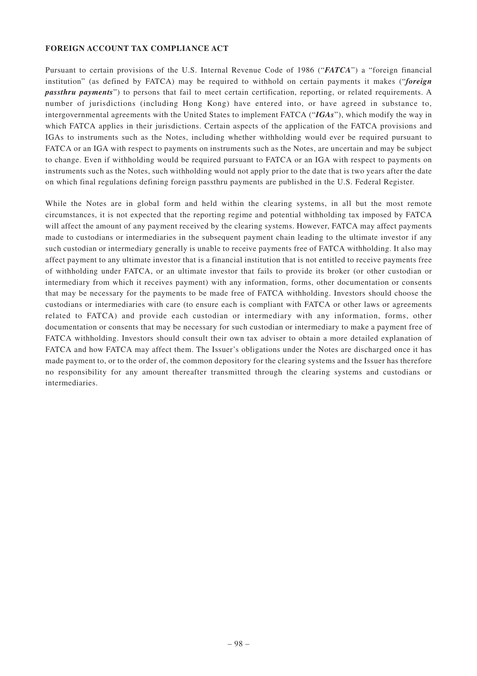#### **FOREIGN ACCOUNT TAX COMPLIANCE ACT**

Pursuant to certain provisions of the U.S. Internal Revenue Code of 1986 ("*FATCA*") a "foreign financial institution" (as defined by FATCA) may be required to withhold on certain payments it makes ("*foreign passthru payments*") to persons that fail to meet certain certification, reporting, or related requirements. A number of jurisdictions (including Hong Kong) have entered into, or have agreed in substance to, intergovernmental agreements with the United States to implement FATCA ("*IGAs*"), which modify the way in which FATCA applies in their jurisdictions. Certain aspects of the application of the FATCA provisions and IGAs to instruments such as the Notes, including whether withholding would ever be required pursuant to FATCA or an IGA with respect to payments on instruments such as the Notes, are uncertain and may be subject to change. Even if withholding would be required pursuant to FATCA or an IGA with respect to payments on instruments such as the Notes, such withholding would not apply prior to the date that is two years after the date on which final regulations defining foreign passthru payments are published in the U.S. Federal Register.

While the Notes are in global form and held within the clearing systems, in all but the most remote circumstances, it is not expected that the reporting regime and potential withholding tax imposed by FATCA will affect the amount of any payment received by the clearing systems. However, FATCA may affect payments made to custodians or intermediaries in the subsequent payment chain leading to the ultimate investor if any such custodian or intermediary generally is unable to receive payments free of FATCA withholding. It also may affect payment to any ultimate investor that is a financial institution that is not entitled to receive payments free of withholding under FATCA, or an ultimate investor that fails to provide its broker (or other custodian or intermediary from which it receives payment) with any information, forms, other documentation or consents that may be necessary for the payments to be made free of FATCA withholding. Investors should choose the custodians or intermediaries with care (to ensure each is compliant with FATCA or other laws or agreements related to FATCA) and provide each custodian or intermediary with any information, forms, other documentation or consents that may be necessary for such custodian or intermediary to make a payment free of FATCA withholding. Investors should consult their own tax adviser to obtain a more detailed explanation of FATCA and how FATCA may affect them. The Issuer's obligations under the Notes are discharged once it has made payment to, or to the order of, the common depository for the clearing systems and the Issuer has therefore no responsibility for any amount thereafter transmitted through the clearing systems and custodians or intermediaries.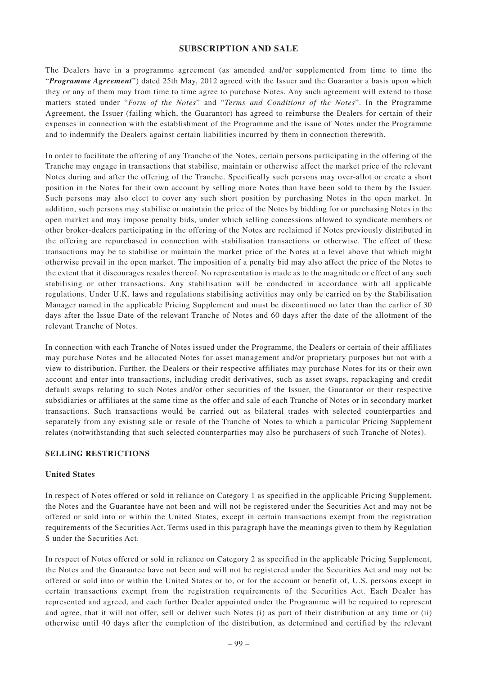#### **SUBSCRIPTION AND SALE**

The Dealers have in a programme agreement (as amended and/or supplemented from time to time the "*Programme Agreement*") dated 25th May, 2012 agreed with the Issuer and the Guarantor a basis upon which they or any of them may from time to time agree to purchase Notes. Any such agreement will extend to those matters stated under "*Form of the Notes*" and "*Terms and Conditions of the Notes*". In the Programme Agreement, the Issuer (failing which, the Guarantor) has agreed to reimburse the Dealers for certain of their expenses in connection with the establishment of the Programme and the issue of Notes under the Programme and to indemnify the Dealers against certain liabilities incurred by them in connection therewith.

In order to facilitate the offering of any Tranche of the Notes, certain persons participating in the offering of the Tranche may engage in transactions that stabilise, maintain or otherwise affect the market price of the relevant Notes during and after the offering of the Tranche. Specifically such persons may over-allot or create a short position in the Notes for their own account by selling more Notes than have been sold to them by the Issuer. Such persons may also elect to cover any such short position by purchasing Notes in the open market. In addition, such persons may stabilise or maintain the price of the Notes by bidding for or purchasing Notes in the open market and may impose penalty bids, under which selling concessions allowed to syndicate members or other broker-dealers participating in the offering of the Notes are reclaimed if Notes previously distributed in the offering are repurchased in connection with stabilisation transactions or otherwise. The effect of these transactions may be to stabilise or maintain the market price of the Notes at a level above that which might otherwise prevail in the open market. The imposition of a penalty bid may also affect the price of the Notes to the extent that it discourages resales thereof. No representation is made as to the magnitude or effect of any such stabilising or other transactions. Any stabilisation will be conducted in accordance with all applicable regulations. Under U.K. laws and regulations stabilising activities may only be carried on by the Stabilisation Manager named in the applicable Pricing Supplement and must be discontinued no later than the earlier of 30 days after the Issue Date of the relevant Tranche of Notes and 60 days after the date of the allotment of the relevant Tranche of Notes.

In connection with each Tranche of Notes issued under the Programme, the Dealers or certain of their affiliates may purchase Notes and be allocated Notes for asset management and/or proprietary purposes but not with a view to distribution. Further, the Dealers or their respective affiliates may purchase Notes for its or their own account and enter into transactions, including credit derivatives, such as asset swaps, repackaging and credit default swaps relating to such Notes and/or other securities of the Issuer, the Guarantor or their respective subsidiaries or affiliates at the same time as the offer and sale of each Tranche of Notes or in secondary market transactions. Such transactions would be carried out as bilateral trades with selected counterparties and separately from any existing sale or resale of the Tranche of Notes to which a particular Pricing Supplement relates (notwithstanding that such selected counterparties may also be purchasers of such Tranche of Notes).

## **SELLING RESTRICTIONS**

#### **United States**

In respect of Notes offered or sold in reliance on Category 1 as specified in the applicable Pricing Supplement, the Notes and the Guarantee have not been and will not be registered under the Securities Act and may not be offered or sold into or within the United States, except in certain transactions exempt from the registration requirements of the Securities Act. Terms used in this paragraph have the meanings given to them by Regulation S under the Securities Act.

In respect of Notes offered or sold in reliance on Category 2 as specified in the applicable Pricing Supplement, the Notes and the Guarantee have not been and will not be registered under the Securities Act and may not be offered or sold into or within the United States or to, or for the account or benefit of, U.S. persons except in certain transactions exempt from the registration requirements of the Securities Act. Each Dealer has represented and agreed, and each further Dealer appointed under the Programme will be required to represent and agree, that it will not offer, sell or deliver such Notes (i) as part of their distribution at any time or (ii) otherwise until 40 days after the completion of the distribution, as determined and certified by the relevant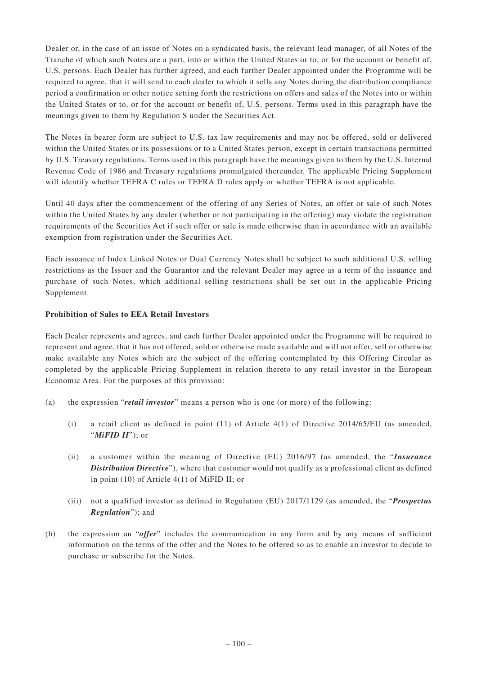Dealer or, in the case of an issue of Notes on a syndicated basis, the relevant lead manager, of all Notes of the Tranche of which such Notes are a part, into or within the United States or to, or for the account or benefit of, U.S. persons. Each Dealer has further agreed, and each further Dealer appointed under the Programme will be required to agree, that it will send to each dealer to which it sells any Notes during the distribution compliance period a confirmation or other notice setting forth the restrictions on offers and sales of the Notes into or within the United States or to, or for the account or benefit of, U.S. persons. Terms used in this paragraph have the meanings given to them by Regulation S under the Securities Act.

The Notes in bearer form are subject to U.S. tax law requirements and may not be offered, sold or delivered within the United States or its possessions or to a United States person, except in certain transactions permitted by U.S. Treasury regulations. Terms used in this paragraph have the meanings given to them by the U.S. Internal Revenue Code of 1986 and Treasury regulations promulgated thereunder. The applicable Pricing Supplement will identify whether TEFRA C rules or TEFRA D rules apply or whether TEFRA is not applicable.

Until 40 days after the commencement of the offering of any Series of Notes, an offer or sale of such Notes within the United States by any dealer (whether or not participating in the offering) may violate the registration requirements of the Securities Act if such offer or sale is made otherwise than in accordance with an available exemption from registration under the Securities Act.

Each issuance of Index Linked Notes or Dual Currency Notes shall be subject to such additional U.S. selling restrictions as the Issuer and the Guarantor and the relevant Dealer may agree as a term of the issuance and purchase of such Notes, which additional selling restrictions shall be set out in the applicable Pricing Supplement.

# **Prohibition of Sales to EEA Retail Investors**

Each Dealer represents and agrees, and each further Dealer appointed under the Programme will be required to represent and agree, that it has not offered, sold or otherwise made available and will not offer, sell or otherwise make available any Notes which are the subject of the offering contemplated by this Offering Circular as completed by the applicable Pricing Supplement in relation thereto to any retail investor in the European Economic Area. For the purposes of this provision:

- (a) the expression "*retail investor*" means a person who is one (or more) of the following:
	- (i) a retail client as defined in point  $(11)$  of Article  $4(1)$  of Directive 2014/65/EU (as amended, "*MiFID II*"); or
	- (ii) a customer within the meaning of Directive (EU) 2016/97 (as amended, the "*Insurance Distribution Directive*"), where that customer would not qualify as a professional client as defined in point (10) of Article 4(1) of MiFID II; or
	- (iii) not a qualified investor as defined in Regulation (EU) 2017/1129 (as amended, the "*Prospectus Regulation*"); and
- (b) the expression an "*offer*" includes the communication in any form and by any means of sufficient information on the terms of the offer and the Notes to be offered so as to enable an investor to decide to purchase or subscribe for the Notes.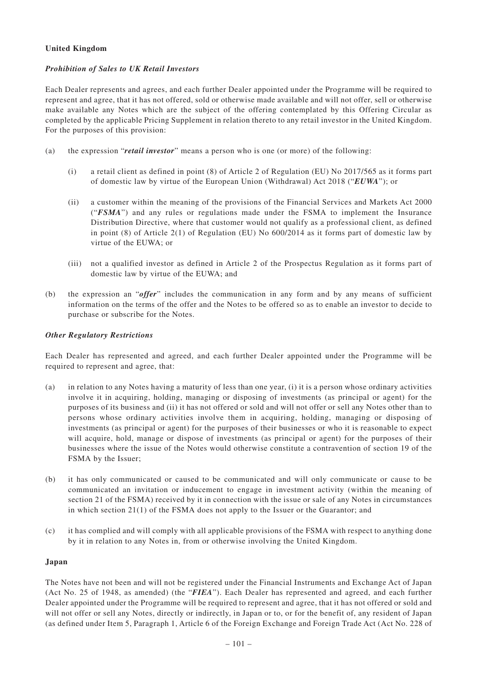#### **United Kingdom**

#### *Prohibition of Sales to UK Retail Investors*

Each Dealer represents and agrees, and each further Dealer appointed under the Programme will be required to represent and agree, that it has not offered, sold or otherwise made available and will not offer, sell or otherwise make available any Notes which are the subject of the offering contemplated by this Offering Circular as completed by the applicable Pricing Supplement in relation thereto to any retail investor in the United Kingdom. For the purposes of this provision:

- (a) the expression "*retail investor*" means a person who is one (or more) of the following:
	- (i) a retail client as defined in point (8) of Article 2 of Regulation (EU) No 2017/565 as it forms part of domestic law by virtue of the European Union (Withdrawal) Act 2018 ("*EUWA*"); or
	- (ii) a customer within the meaning of the provisions of the Financial Services and Markets Act 2000 ("*FSMA*") and any rules or regulations made under the FSMA to implement the Insurance Distribution Directive, where that customer would not qualify as a professional client, as defined in point (8) of Article 2(1) of Regulation (EU) No 600/2014 as it forms part of domestic law by virtue of the EUWA; or
	- (iii) not a qualified investor as defined in Article 2 of the Prospectus Regulation as it forms part of domestic law by virtue of the EUWA; and
- (b) the expression an "*offer*" includes the communication in any form and by any means of sufficient information on the terms of the offer and the Notes to be offered so as to enable an investor to decide to purchase or subscribe for the Notes.

#### *Other Regulatory Restrictions*

Each Dealer has represented and agreed, and each further Dealer appointed under the Programme will be required to represent and agree, that:

- (a) in relation to any Notes having a maturity of less than one year, (i) it is a person whose ordinary activities involve it in acquiring, holding, managing or disposing of investments (as principal or agent) for the purposes of its business and (ii) it has not offered or sold and will not offer or sell any Notes other than to persons whose ordinary activities involve them in acquiring, holding, managing or disposing of investments (as principal or agent) for the purposes of their businesses or who it is reasonable to expect will acquire, hold, manage or dispose of investments (as principal or agent) for the purposes of their businesses where the issue of the Notes would otherwise constitute a contravention of section 19 of the FSMA by the Issuer;
- (b) it has only communicated or caused to be communicated and will only communicate or cause to be communicated an invitation or inducement to engage in investment activity (within the meaning of section 21 of the FSMA) received by it in connection with the issue or sale of any Notes in circumstances in which section 21(1) of the FSMA does not apply to the Issuer or the Guarantor; and
- (c) it has complied and will comply with all applicable provisions of the FSMA with respect to anything done by it in relation to any Notes in, from or otherwise involving the United Kingdom.

#### **Japan**

The Notes have not been and will not be registered under the Financial Instruments and Exchange Act of Japan (Act No. 25 of 1948, as amended) (the "*FIEA*"). Each Dealer has represented and agreed, and each further Dealer appointed under the Programme will be required to represent and agree, that it has not offered or sold and will not offer or sell any Notes, directly or indirectly, in Japan or to, or for the benefit of, any resident of Japan (as defined under Item 5, Paragraph 1, Article 6 of the Foreign Exchange and Foreign Trade Act (Act No. 228 of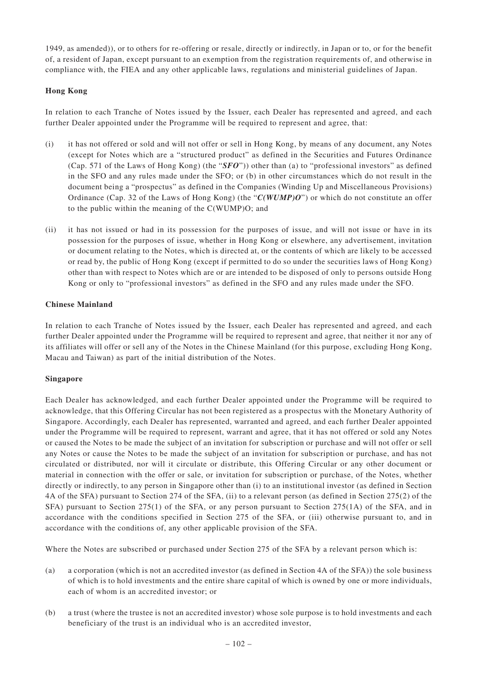1949, as amended)), or to others for re-offering or resale, directly or indirectly, in Japan or to, or for the benefit of, a resident of Japan, except pursuant to an exemption from the registration requirements of, and otherwise in compliance with, the FIEA and any other applicable laws, regulations and ministerial guidelines of Japan.

# **Hong Kong**

In relation to each Tranche of Notes issued by the Issuer, each Dealer has represented and agreed, and each further Dealer appointed under the Programme will be required to represent and agree, that:

- (i) it has not offered or sold and will not offer or sell in Hong Kong, by means of any document, any Notes (except for Notes which are a "structured product" as defined in the Securities and Futures Ordinance (Cap. 571 of the Laws of Hong Kong) (the "*SFO*")) other than (a) to "professional investors" as defined in the SFO and any rules made under the SFO; or (b) in other circumstances which do not result in the document being a "prospectus" as defined in the Companies (Winding Up and Miscellaneous Provisions) Ordinance (Cap. 32 of the Laws of Hong Kong) (the "*C(WUMP)O*") or which do not constitute an offer to the public within the meaning of the C(WUMP)O; and
- (ii) it has not issued or had in its possession for the purposes of issue, and will not issue or have in its possession for the purposes of issue, whether in Hong Kong or elsewhere, any advertisement, invitation or document relating to the Notes, which is directed at, or the contents of which are likely to be accessed or read by, the public of Hong Kong (except if permitted to do so under the securities laws of Hong Kong) other than with respect to Notes which are or are intended to be disposed of only to persons outside Hong Kong or only to "professional investors" as defined in the SFO and any rules made under the SFO.

## **Chinese Mainland**

In relation to each Tranche of Notes issued by the Issuer, each Dealer has represented and agreed, and each further Dealer appointed under the Programme will be required to represent and agree, that neither it nor any of its affiliates will offer or sell any of the Notes in the Chinese Mainland (for this purpose, excluding Hong Kong, Macau and Taiwan) as part of the initial distribution of the Notes.

## **Singapore**

Each Dealer has acknowledged, and each further Dealer appointed under the Programme will be required to acknowledge, that this Offering Circular has not been registered as a prospectus with the Monetary Authority of Singapore. Accordingly, each Dealer has represented, warranted and agreed, and each further Dealer appointed under the Programme will be required to represent, warrant and agree, that it has not offered or sold any Notes or caused the Notes to be made the subject of an invitation for subscription or purchase and will not offer or sell any Notes or cause the Notes to be made the subject of an invitation for subscription or purchase, and has not circulated or distributed, nor will it circulate or distribute, this Offering Circular or any other document or material in connection with the offer or sale, or invitation for subscription or purchase, of the Notes, whether directly or indirectly, to any person in Singapore other than (i) to an institutional investor (as defined in Section 4A of the SFA) pursuant to Section 274 of the SFA, (ii) to a relevant person (as defined in Section 275(2) of the SFA) pursuant to Section 275(1) of the SFA, or any person pursuant to Section 275(1A) of the SFA, and in accordance with the conditions specified in Section 275 of the SFA, or (iii) otherwise pursuant to, and in accordance with the conditions of, any other applicable provision of the SFA.

Where the Notes are subscribed or purchased under Section 275 of the SFA by a relevant person which is:

- (a) a corporation (which is not an accredited investor (as defined in Section 4A of the SFA)) the sole business of which is to hold investments and the entire share capital of which is owned by one or more individuals, each of whom is an accredited investor; or
- (b) a trust (where the trustee is not an accredited investor) whose sole purpose is to hold investments and each beneficiary of the trust is an individual who is an accredited investor,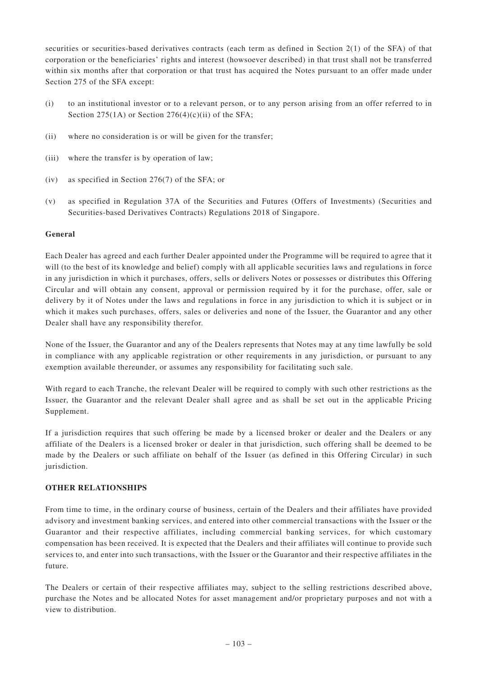securities or securities-based derivatives contracts (each term as defined in Section 2(1) of the SFA) of that corporation or the beneficiaries' rights and interest (howsoever described) in that trust shall not be transferred within six months after that corporation or that trust has acquired the Notes pursuant to an offer made under Section 275 of the SFA except:

- (i) to an institutional investor or to a relevant person, or to any person arising from an offer referred to in Section  $275(1A)$  or Section  $276(4)(c)(ii)$  of the SFA;
- (ii) where no consideration is or will be given for the transfer;
- (iii) where the transfer is by operation of law;
- (iv) as specified in Section 276(7) of the SFA; or
- (v) as specified in Regulation 37A of the Securities and Futures (Offers of Investments) (Securities and Securities-based Derivatives Contracts) Regulations 2018 of Singapore.

## **General**

Each Dealer has agreed and each further Dealer appointed under the Programme will be required to agree that it will (to the best of its knowledge and belief) comply with all applicable securities laws and regulations in force in any jurisdiction in which it purchases, offers, sells or delivers Notes or possesses or distributes this Offering Circular and will obtain any consent, approval or permission required by it for the purchase, offer, sale or delivery by it of Notes under the laws and regulations in force in any jurisdiction to which it is subject or in which it makes such purchases, offers, sales or deliveries and none of the Issuer, the Guarantor and any other Dealer shall have any responsibility therefor.

None of the Issuer, the Guarantor and any of the Dealers represents that Notes may at any time lawfully be sold in compliance with any applicable registration or other requirements in any jurisdiction, or pursuant to any exemption available thereunder, or assumes any responsibility for facilitating such sale.

With regard to each Tranche, the relevant Dealer will be required to comply with such other restrictions as the Issuer, the Guarantor and the relevant Dealer shall agree and as shall be set out in the applicable Pricing Supplement.

If a jurisdiction requires that such offering be made by a licensed broker or dealer and the Dealers or any affiliate of the Dealers is a licensed broker or dealer in that jurisdiction, such offering shall be deemed to be made by the Dealers or such affiliate on behalf of the Issuer (as defined in this Offering Circular) in such jurisdiction.

## **OTHER RELATIONSHIPS**

From time to time, in the ordinary course of business, certain of the Dealers and their affiliates have provided advisory and investment banking services, and entered into other commercial transactions with the Issuer or the Guarantor and their respective affiliates, including commercial banking services, for which customary compensation has been received. It is expected that the Dealers and their affiliates will continue to provide such services to, and enter into such transactions, with the Issuer or the Guarantor and their respective affiliates in the future.

The Dealers or certain of their respective affiliates may, subject to the selling restrictions described above, purchase the Notes and be allocated Notes for asset management and/or proprietary purposes and not with a view to distribution.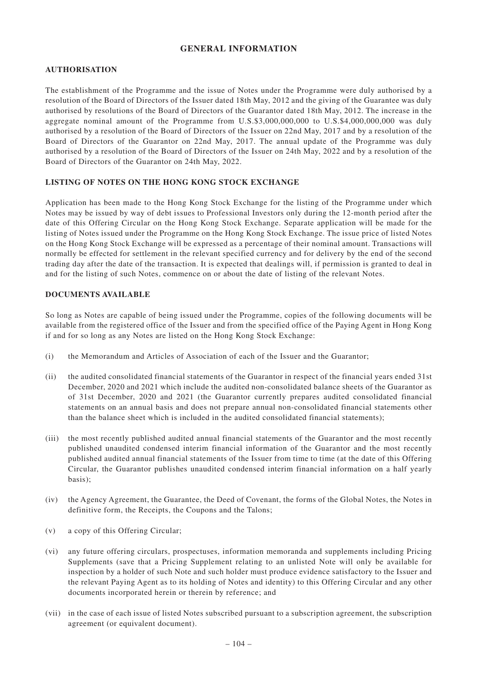# **GENERAL INFORMATION**

#### **AUTHORISATION**

The establishment of the Programme and the issue of Notes under the Programme were duly authorised by a resolution of the Board of Directors of the Issuer dated 18th May, 2012 and the giving of the Guarantee was duly authorised by resolutions of the Board of Directors of the Guarantor dated 18th May, 2012. The increase in the aggregate nominal amount of the Programme from U.S.\$3,000,000,000 to U.S.\$4,000,000,000 was duly authorised by a resolution of the Board of Directors of the Issuer on 22nd May, 2017 and by a resolution of the Board of Directors of the Guarantor on 22nd May, 2017. The annual update of the Programme was duly authorised by a resolution of the Board of Directors of the Issuer on 24th May, 2022 and by a resolution of the Board of Directors of the Guarantor on 24th May, 2022.

#### **LISTING OF NOTES ON THE HONG KONG STOCK EXCHANGE**

Application has been made to the Hong Kong Stock Exchange for the listing of the Programme under which Notes may be issued by way of debt issues to Professional Investors only during the 12-month period after the date of this Offering Circular on the Hong Kong Stock Exchange. Separate application will be made for the listing of Notes issued under the Programme on the Hong Kong Stock Exchange. The issue price of listed Notes on the Hong Kong Stock Exchange will be expressed as a percentage of their nominal amount. Transactions will normally be effected for settlement in the relevant specified currency and for delivery by the end of the second trading day after the date of the transaction. It is expected that dealings will, if permission is granted to deal in and for the listing of such Notes, commence on or about the date of listing of the relevant Notes.

#### **DOCUMENTS AVAILABLE**

So long as Notes are capable of being issued under the Programme, copies of the following documents will be available from the registered office of the Issuer and from the specified office of the Paying Agent in Hong Kong if and for so long as any Notes are listed on the Hong Kong Stock Exchange:

- (i) the Memorandum and Articles of Association of each of the Issuer and the Guarantor;
- (ii) the audited consolidated financial statements of the Guarantor in respect of the financial years ended 31st December, 2020 and 2021 which include the audited non-consolidated balance sheets of the Guarantor as of 31st December, 2020 and 2021 (the Guarantor currently prepares audited consolidated financial statements on an annual basis and does not prepare annual non-consolidated financial statements other than the balance sheet which is included in the audited consolidated financial statements);
- (iii) the most recently published audited annual financial statements of the Guarantor and the most recently published unaudited condensed interim financial information of the Guarantor and the most recently published audited annual financial statements of the Issuer from time to time (at the date of this Offering Circular, the Guarantor publishes unaudited condensed interim financial information on a half yearly basis);
- (iv) the Agency Agreement, the Guarantee, the Deed of Covenant, the forms of the Global Notes, the Notes in definitive form, the Receipts, the Coupons and the Talons;
- (v) a copy of this Offering Circular;
- (vi) any future offering circulars, prospectuses, information memoranda and supplements including Pricing Supplements (save that a Pricing Supplement relating to an unlisted Note will only be available for inspection by a holder of such Note and such holder must produce evidence satisfactory to the Issuer and the relevant Paying Agent as to its holding of Notes and identity) to this Offering Circular and any other documents incorporated herein or therein by reference; and
- (vii) in the case of each issue of listed Notes subscribed pursuant to a subscription agreement, the subscription agreement (or equivalent document).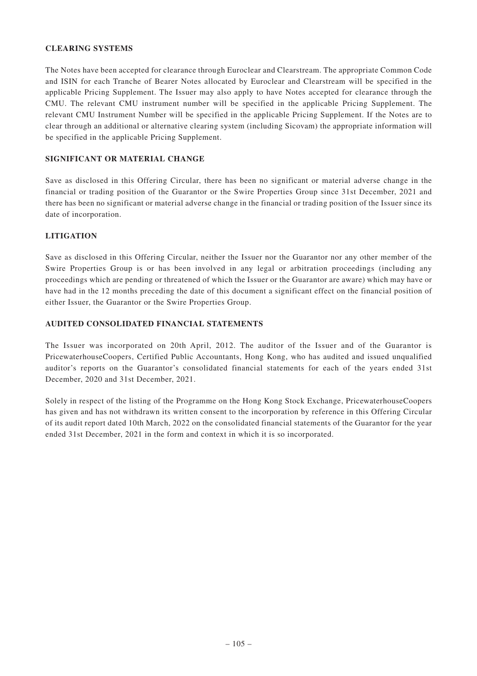### **CLEARING SYSTEMS**

The Notes have been accepted for clearance through Euroclear and Clearstream. The appropriate Common Code and ISIN for each Tranche of Bearer Notes allocated by Euroclear and Clearstream will be specified in the applicable Pricing Supplement. The Issuer may also apply to have Notes accepted for clearance through the CMU. The relevant CMU instrument number will be specified in the applicable Pricing Supplement. The relevant CMU Instrument Number will be specified in the applicable Pricing Supplement. If the Notes are to clear through an additional or alternative clearing system (including Sicovam) the appropriate information will be specified in the applicable Pricing Supplement.

#### **SIGNIFICANT OR MATERIAL CHANGE**

Save as disclosed in this Offering Circular, there has been no significant or material adverse change in the financial or trading position of the Guarantor or the Swire Properties Group since 31st December, 2021 and there has been no significant or material adverse change in the financial or trading position of the Issuer since its date of incorporation.

## **LITIGATION**

Save as disclosed in this Offering Circular, neither the Issuer nor the Guarantor nor any other member of the Swire Properties Group is or has been involved in any legal or arbitration proceedings (including any proceedings which are pending or threatened of which the Issuer or the Guarantor are aware) which may have or have had in the 12 months preceding the date of this document a significant effect on the financial position of either Issuer, the Guarantor or the Swire Properties Group.

## **AUDITED CONSOLIDATED FINANCIAL STATEMENTS**

The Issuer was incorporated on 20th April, 2012. The auditor of the Issuer and of the Guarantor is PricewaterhouseCoopers, Certified Public Accountants, Hong Kong, who has audited and issued unqualified auditor's reports on the Guarantor's consolidated financial statements for each of the years ended 31st December, 2020 and 31st December, 2021.

Solely in respect of the listing of the Programme on the Hong Kong Stock Exchange, PricewaterhouseCoopers has given and has not withdrawn its written consent to the incorporation by reference in this Offering Circular of its audit report dated 10th March, 2022 on the consolidated financial statements of the Guarantor for the year ended 31st December, 2021 in the form and context in which it is so incorporated.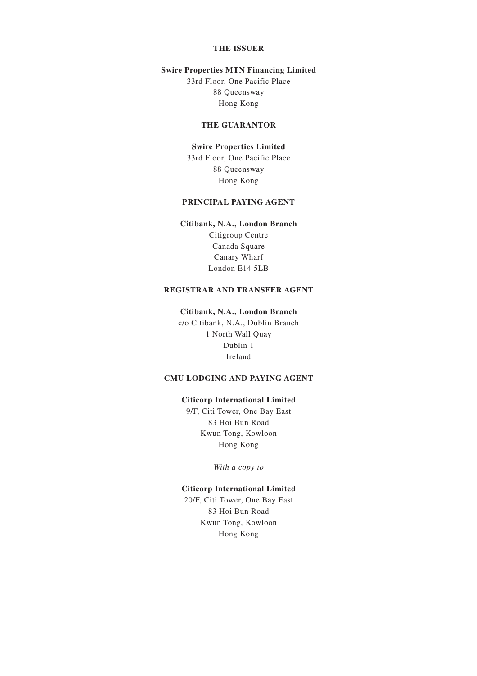# **THE ISSUER**

#### **Swire Properties MTN Financing Limited**

33rd Floor, One Pacific Place 88 Queensway Hong Kong

#### **THE GUARANTOR**

#### **Swire Properties Limited**

33rd Floor, One Pacific Place 88 Queensway Hong Kong

# **PRINCIPAL PAYING AGENT**

# **Citibank, N.A., London Branch** Citigroup Centre Canada Square

Canary Wharf London E14 5LB

# **REGISTRAR AND TRANSFER AGENT**

#### **Citibank, N.A., London Branch**

c/o Citibank, N.A., Dublin Branch 1 North Wall Quay Dublin 1 Ireland

# **CMU LODGING AND PAYING AGENT**

#### **Citicorp International Limited**

9/F, Citi Tower, One Bay East 83 Hoi Bun Road Kwun Tong, Kowloon Hong Kong

*With a copy to*

#### **Citicorp International Limited**

20/F, Citi Tower, One Bay East 83 Hoi Bun Road Kwun Tong, Kowloon Hong Kong